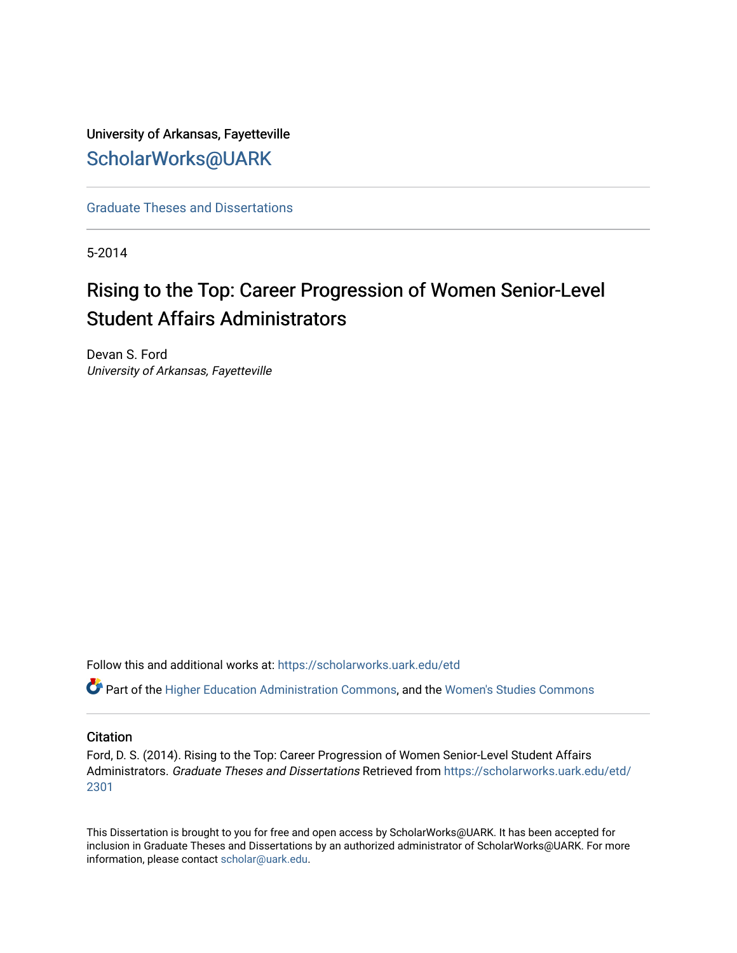University of Arkansas, Fayetteville [ScholarWorks@UARK](https://scholarworks.uark.edu/) 

[Graduate Theses and Dissertations](https://scholarworks.uark.edu/etd) 

5-2014

# Rising to the Top: Career Progression of Women Senior-Level Student Affairs Administrators

Devan S. Ford University of Arkansas, Fayetteville

Follow this and additional works at: [https://scholarworks.uark.edu/etd](https://scholarworks.uark.edu/etd?utm_source=scholarworks.uark.edu%2Fetd%2F2301&utm_medium=PDF&utm_campaign=PDFCoverPages)

Part of the [Higher Education Administration Commons,](http://network.bepress.com/hgg/discipline/791?utm_source=scholarworks.uark.edu%2Fetd%2F2301&utm_medium=PDF&utm_campaign=PDFCoverPages) and the [Women's Studies Commons](http://network.bepress.com/hgg/discipline/561?utm_source=scholarworks.uark.edu%2Fetd%2F2301&utm_medium=PDF&utm_campaign=PDFCoverPages)

#### **Citation**

Ford, D. S. (2014). Rising to the Top: Career Progression of Women Senior-Level Student Affairs Administrators. Graduate Theses and Dissertations Retrieved from [https://scholarworks.uark.edu/etd/](https://scholarworks.uark.edu/etd/2301?utm_source=scholarworks.uark.edu%2Fetd%2F2301&utm_medium=PDF&utm_campaign=PDFCoverPages) [2301](https://scholarworks.uark.edu/etd/2301?utm_source=scholarworks.uark.edu%2Fetd%2F2301&utm_medium=PDF&utm_campaign=PDFCoverPages)

This Dissertation is brought to you for free and open access by ScholarWorks@UARK. It has been accepted for inclusion in Graduate Theses and Dissertations by an authorized administrator of ScholarWorks@UARK. For more information, please contact [scholar@uark.edu.](mailto:scholar@uark.edu)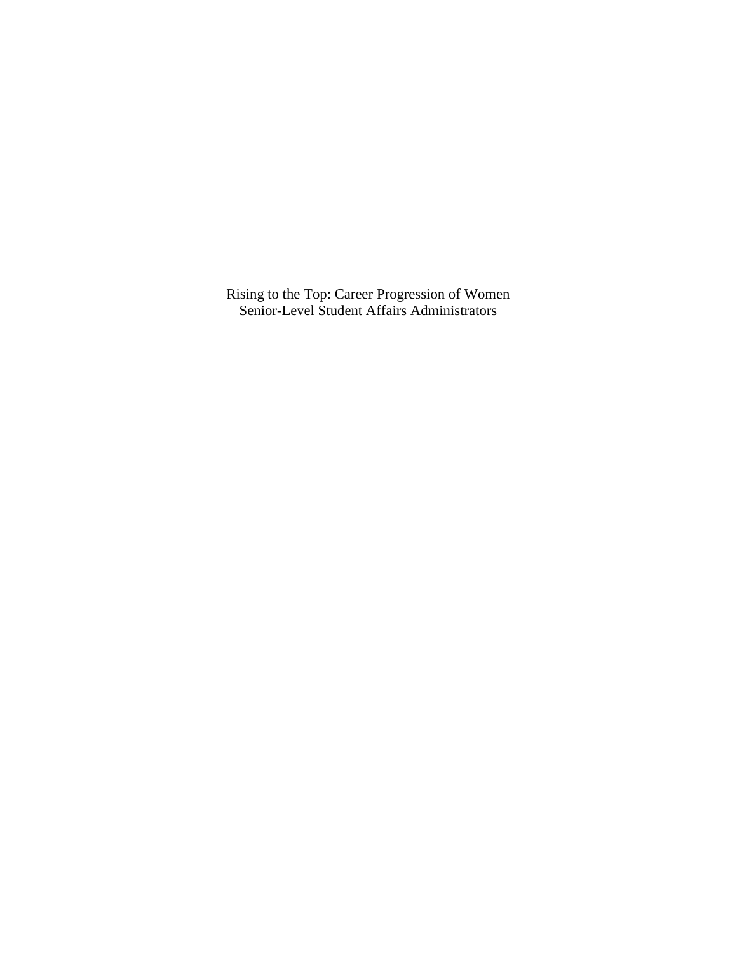Rising to the Top: Career Progression of Women Senior-Level Student Affairs Administrators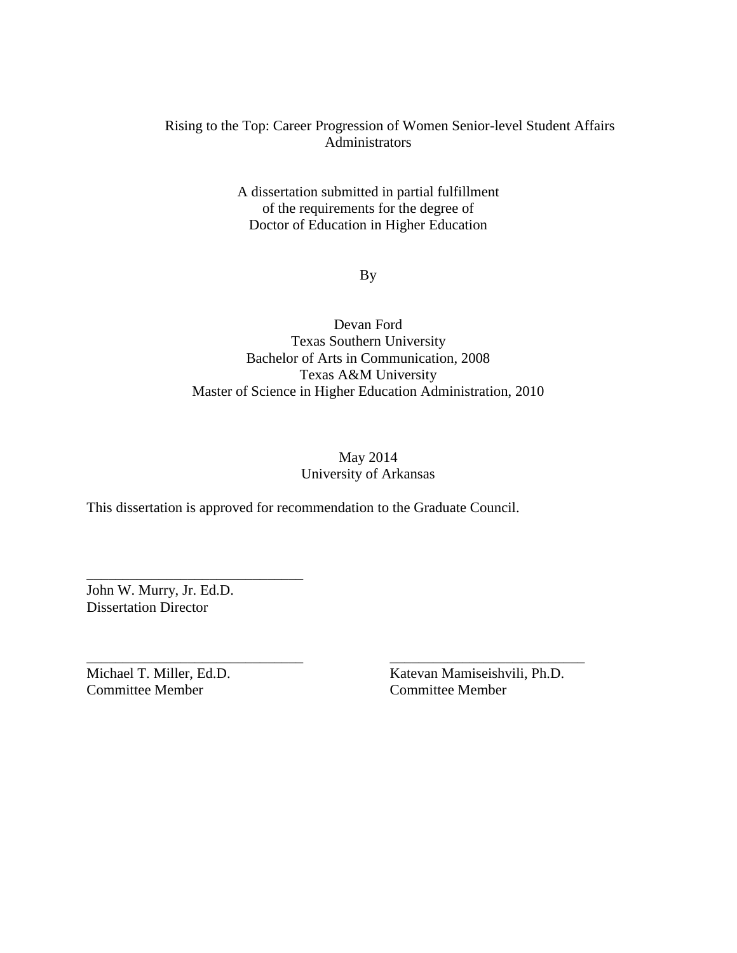### Rising to the Top: Career Progression of Women Senior-level Student Affairs Administrators

A dissertation submitted in partial fulfillment of the requirements for the degree of Doctor of Education in Higher Education

By

## Devan Ford Texas Southern University Bachelor of Arts in Communication, 2008 Texas A&M University Master of Science in Higher Education Administration, 2010

## May 2014 University of Arkansas

This dissertation is approved for recommendation to the Graduate Council.

\_\_\_\_\_\_\_\_\_\_\_\_\_\_\_\_\_\_\_\_\_\_\_\_\_\_\_\_\_\_ \_\_\_\_\_\_\_\_\_\_\_\_\_\_\_\_\_\_\_\_\_\_\_\_\_\_\_

John W. Murry, Jr. Ed.D. Dissertation Director

\_\_\_\_\_\_\_\_\_\_\_\_\_\_\_\_\_\_\_\_\_\_\_\_\_\_\_\_\_\_

Committee Member Committee Member

Michael T. Miller, Ed.D. Katevan Mamiseishvili, Ph.D.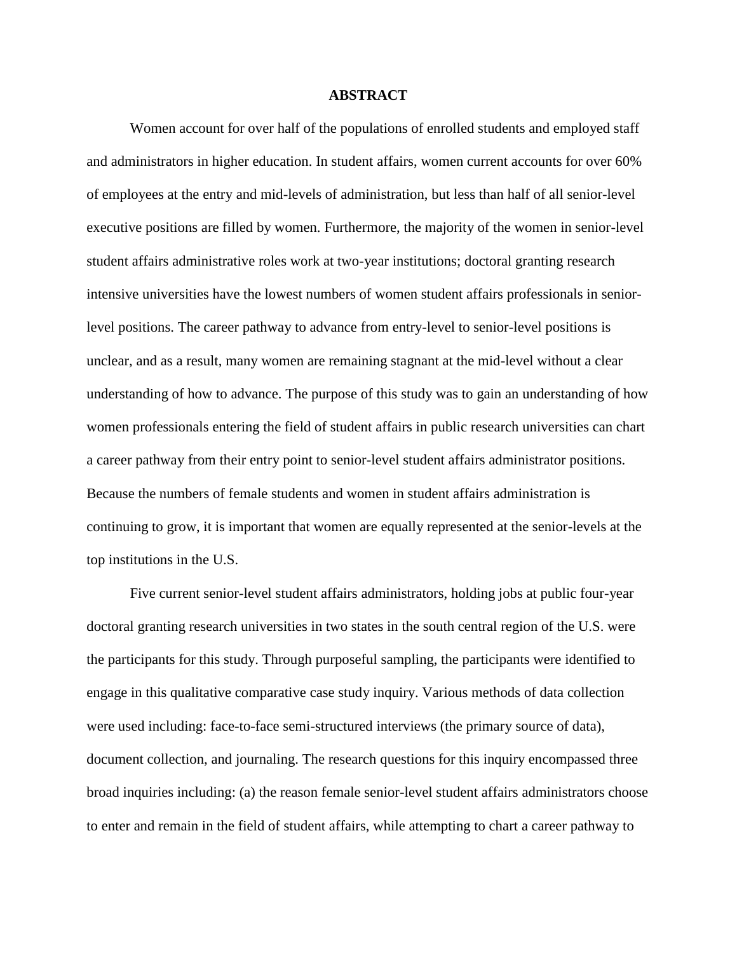#### **ABSTRACT**

Women account for over half of the populations of enrolled students and employed staff and administrators in higher education. In student affairs, women current accounts for over 60% of employees at the entry and mid-levels of administration, but less than half of all senior-level executive positions are filled by women. Furthermore, the majority of the women in senior-level student affairs administrative roles work at two-year institutions; doctoral granting research intensive universities have the lowest numbers of women student affairs professionals in seniorlevel positions. The career pathway to advance from entry-level to senior-level positions is unclear, and as a result, many women are remaining stagnant at the mid-level without a clear understanding of how to advance. The purpose of this study was to gain an understanding of how women professionals entering the field of student affairs in public research universities can chart a career pathway from their entry point to senior-level student affairs administrator positions. Because the numbers of female students and women in student affairs administration is continuing to grow, it is important that women are equally represented at the senior-levels at the top institutions in the U.S.

Five current senior-level student affairs administrators, holding jobs at public four-year doctoral granting research universities in two states in the south central region of the U.S. were the participants for this study. Through purposeful sampling, the participants were identified to engage in this qualitative comparative case study inquiry. Various methods of data collection were used including: face-to-face semi-structured interviews (the primary source of data), document collection, and journaling. The research questions for this inquiry encompassed three broad inquiries including: (a) the reason female senior-level student affairs administrators choose to enter and remain in the field of student affairs, while attempting to chart a career pathway to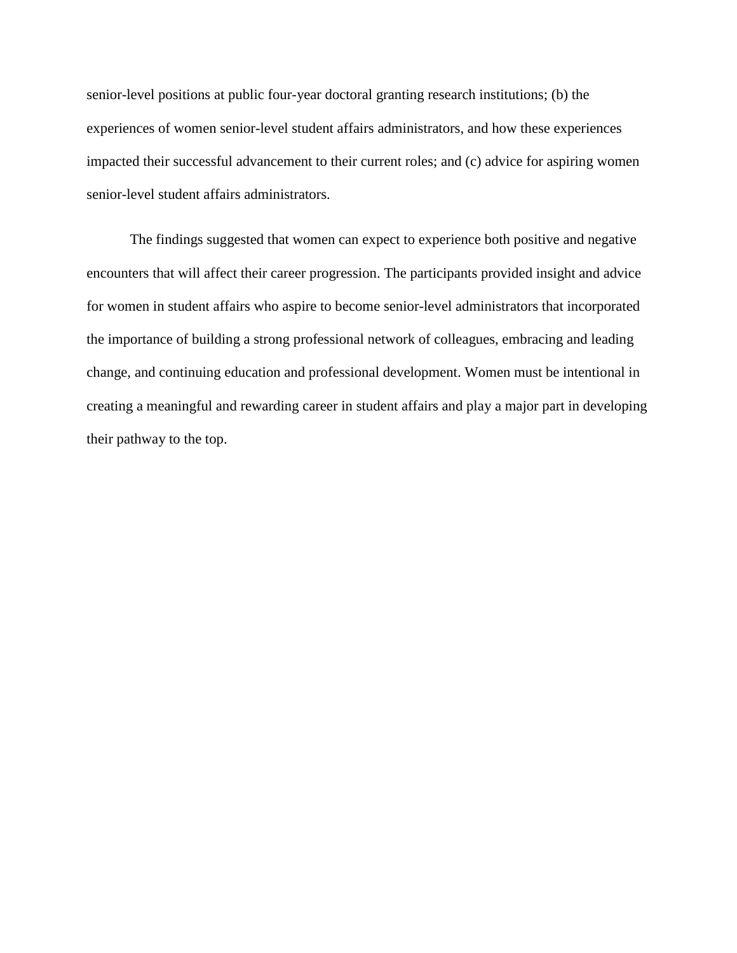senior-level positions at public four-year doctoral granting research institutions; (b) the experiences of women senior-level student affairs administrators, and how these experiences impacted their successful advancement to their current roles; and (c) advice for aspiring women senior-level student affairs administrators.

The findings suggested that women can expect to experience both positive and negative encounters that will affect their career progression. The participants provided insight and advice for women in student affairs who aspire to become senior-level administrators that incorporated the importance of building a strong professional network of colleagues, embracing and leading change, and continuing education and professional development. Women must be intentional in creating a meaningful and rewarding career in student affairs and play a major part in developing their pathway to the top.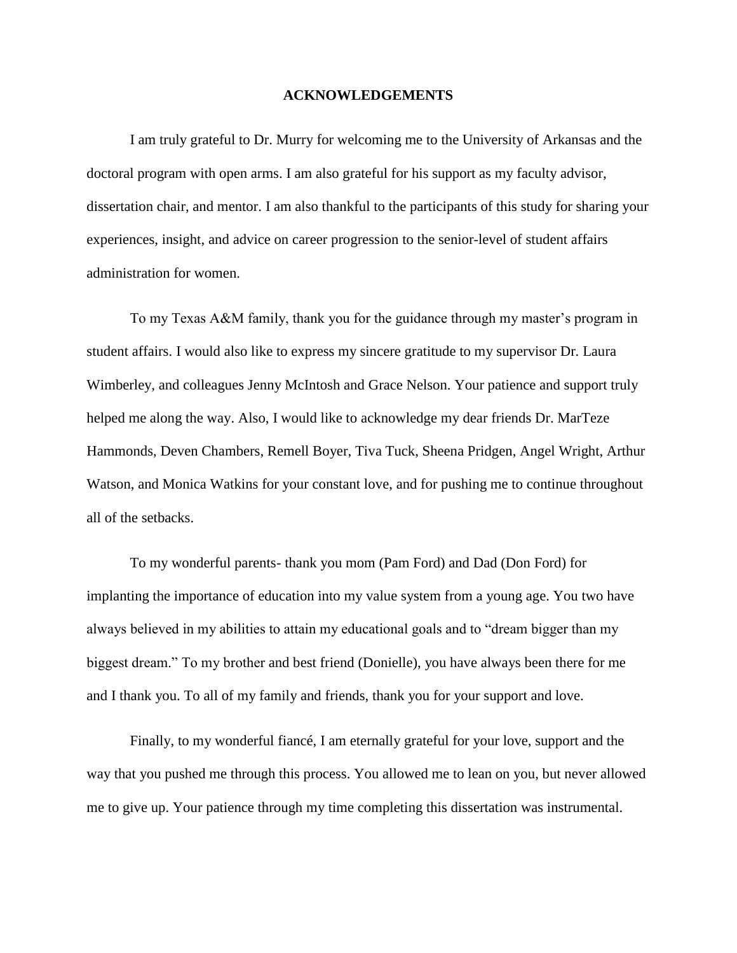#### **ACKNOWLEDGEMENTS**

I am truly grateful to Dr. Murry for welcoming me to the University of Arkansas and the doctoral program with open arms. I am also grateful for his support as my faculty advisor, dissertation chair, and mentor. I am also thankful to the participants of this study for sharing your experiences, insight, and advice on career progression to the senior-level of student affairs administration for women.

To my Texas A&M family, thank you for the guidance through my master's program in student affairs. I would also like to express my sincere gratitude to my supervisor Dr. Laura Wimberley, and colleagues Jenny McIntosh and Grace Nelson. Your patience and support truly helped me along the way. Also, I would like to acknowledge my dear friends Dr. MarTeze Hammonds, Deven Chambers, Remell Boyer, Tiva Tuck, Sheena Pridgen, Angel Wright, Arthur Watson, and Monica Watkins for your constant love, and for pushing me to continue throughout all of the setbacks.

To my wonderful parents- thank you mom (Pam Ford) and Dad (Don Ford) for implanting the importance of education into my value system from a young age. You two have always believed in my abilities to attain my educational goals and to "dream bigger than my biggest dream." To my brother and best friend (Donielle), you have always been there for me and I thank you. To all of my family and friends, thank you for your support and love.

Finally, to my wonderful fiancé, I am eternally grateful for your love, support and the way that you pushed me through this process. You allowed me to lean on you, but never allowed me to give up. Your patience through my time completing this dissertation was instrumental.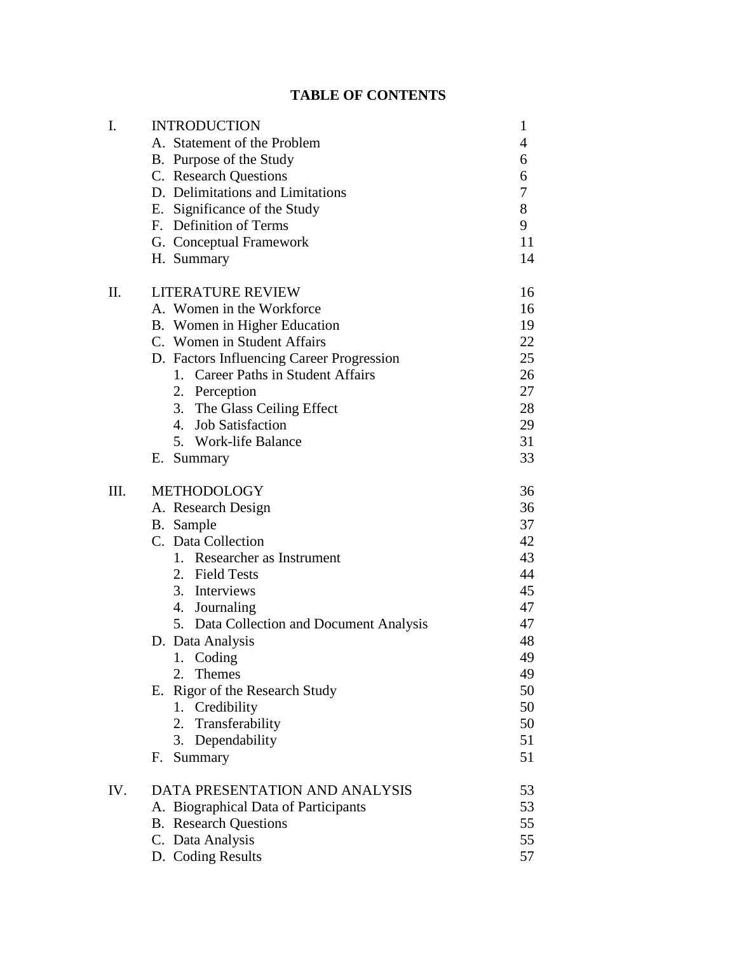# **TABLE OF CONTENTS**

| I.   | <b>INTRODUCTION</b>                       | $\mathbf{1}$ |
|------|-------------------------------------------|--------------|
|      | A. Statement of the Problem               | 4            |
|      | B. Purpose of the Study                   | 6            |
|      | C. Research Questions                     | 6            |
|      | D. Delimitations and Limitations          | 7            |
|      | E. Significance of the Study              | 8            |
|      | F. Definition of Terms                    | 9            |
|      | G. Conceptual Framework                   | 11           |
|      | H. Summary                                | 14           |
| Π.   | <b>LITERATURE REVIEW</b>                  | 16           |
|      | A. Women in the Workforce                 | 16           |
|      | B. Women in Higher Education              | 19           |
|      | C. Women in Student Affairs               | 22           |
|      | D. Factors Influencing Career Progression | 25           |
|      | 1. Career Paths in Student Affairs        | 26           |
|      | 2. Perception                             | 27           |
|      | 3. The Glass Ceiling Effect               | 28           |
|      | 4. Job Satisfaction                       | 29           |
|      | 5. Work-life Balance                      | 31           |
|      | E. Summary                                | 33           |
| III. | METHODOLOGY                               | 36           |
|      | A. Research Design                        | 36           |
|      | B. Sample                                 | 37           |
|      | C. Data Collection                        | 42           |
|      | 1. Researcher as Instrument               | 43           |
|      | 2. Field Tests                            | 44           |
|      | 3. Interviews                             | 45           |
|      | 4. Journaling                             | 47           |
|      | 5. Data Collection and Document Analysis  | 47           |
|      | D. Data Analysis                          | 48           |
|      | 1. Coding                                 | 49           |
|      | 2. Themes                                 | 49           |
|      | E. Rigor of the Research Study            | 50           |
|      | 1. Credibility                            | 50           |
|      | 2. Transferability                        | 50           |
|      | 3. Dependability                          | 51           |
|      | Summary<br>F.                             | 51           |
| IV.  | DATA PRESENTATION AND ANALYSIS            | 53           |
|      | A. Biographical Data of Participants      | 53           |
|      | <b>B.</b> Research Questions              | 55           |
|      | C. Data Analysis                          | 55           |
|      | D. Coding Results                         | 57           |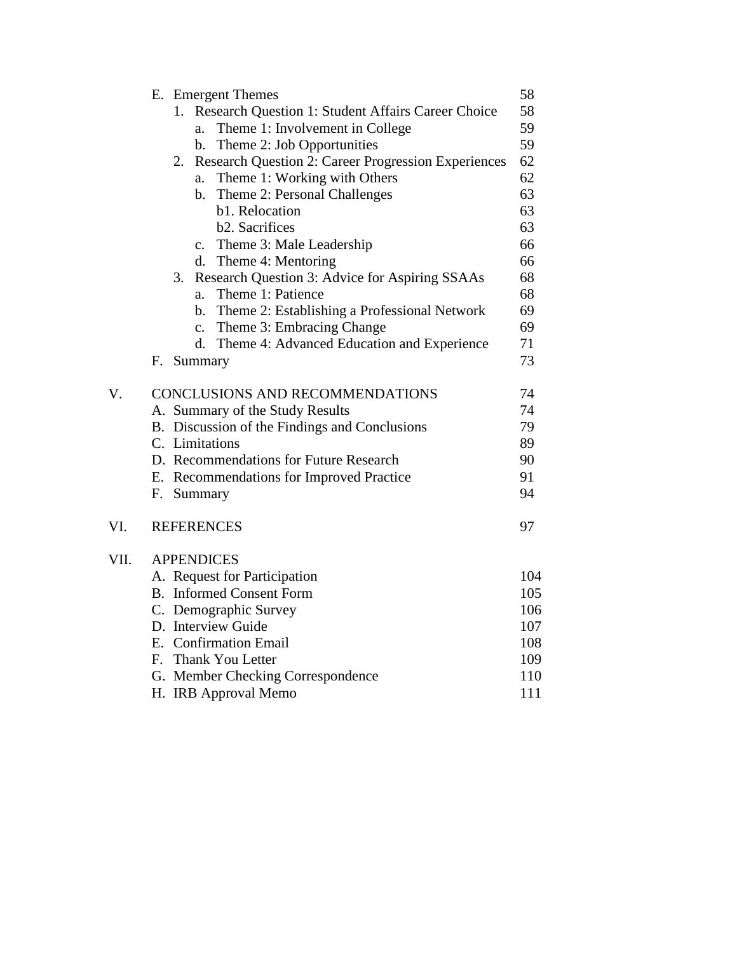|      |                                 | E. Emergent Themes                                               | 58  |  |  |
|------|---------------------------------|------------------------------------------------------------------|-----|--|--|
|      |                                 | Research Question 1: Student Affairs Career Choice<br>1.         | 58  |  |  |
|      |                                 | Theme 1: Involvement in College<br>a.                            | 59  |  |  |
|      |                                 | Theme 2: Job Opportunities<br>b.                                 | 59  |  |  |
|      |                                 | <b>Research Question 2: Career Progression Experiences</b><br>2. | 62  |  |  |
|      |                                 | Theme 1: Working with Others<br>a.                               | 62  |  |  |
|      |                                 | Theme 2: Personal Challenges<br>b.                               | 63  |  |  |
|      |                                 | b1. Relocation                                                   | 63  |  |  |
|      |                                 | b2. Sacrifices                                                   | 63  |  |  |
|      |                                 | c. Theme 3: Male Leadership                                      | 66  |  |  |
|      |                                 | d. Theme 4: Mentoring                                            | 66  |  |  |
|      |                                 | Research Question 3: Advice for Aspiring SSAAs<br>3.             | 68  |  |  |
|      |                                 | Theme 1: Patience<br>a.                                          | 68  |  |  |
|      |                                 | b. Theme 2: Establishing a Professional Network                  | 69  |  |  |
|      |                                 | c. Theme 3: Embracing Change                                     | 69  |  |  |
|      |                                 | d. Theme 4: Advanced Education and Experience                    | 71  |  |  |
|      | F.                              | Summary                                                          | 73  |  |  |
| V.   |                                 | <b>CONCLUSIONS AND RECOMMENDATIONS</b>                           | 74  |  |  |
|      |                                 | A. Summary of the Study Results                                  | 74  |  |  |
|      |                                 | B. Discussion of the Findings and Conclusions                    | 79  |  |  |
|      |                                 | C. Limitations                                                   | 89  |  |  |
|      |                                 | D. Recommendations for Future Research                           | 90  |  |  |
|      |                                 | E. Recommendations for Improved Practice                         | 91  |  |  |
|      | F.                              | Summary                                                          | 94  |  |  |
| VI.  |                                 | <b>REFERENCES</b>                                                | 97  |  |  |
|      |                                 |                                                                  |     |  |  |
| VII. | <b>APPENDICES</b>               |                                                                  |     |  |  |
|      | A. Request for Participation    |                                                                  |     |  |  |
|      | <b>B.</b> Informed Consent Form |                                                                  |     |  |  |
|      | C. Demographic Survey<br>106    |                                                                  |     |  |  |
|      |                                 | D. Interview Guide                                               | 107 |  |  |
|      |                                 | E. Confirmation Email                                            | 108 |  |  |
|      |                                 | F. Thank You Letter                                              | 109 |  |  |
|      |                                 | G. Member Checking Correspondence                                | 110 |  |  |
|      |                                 | H. IRB Approval Memo                                             | 111 |  |  |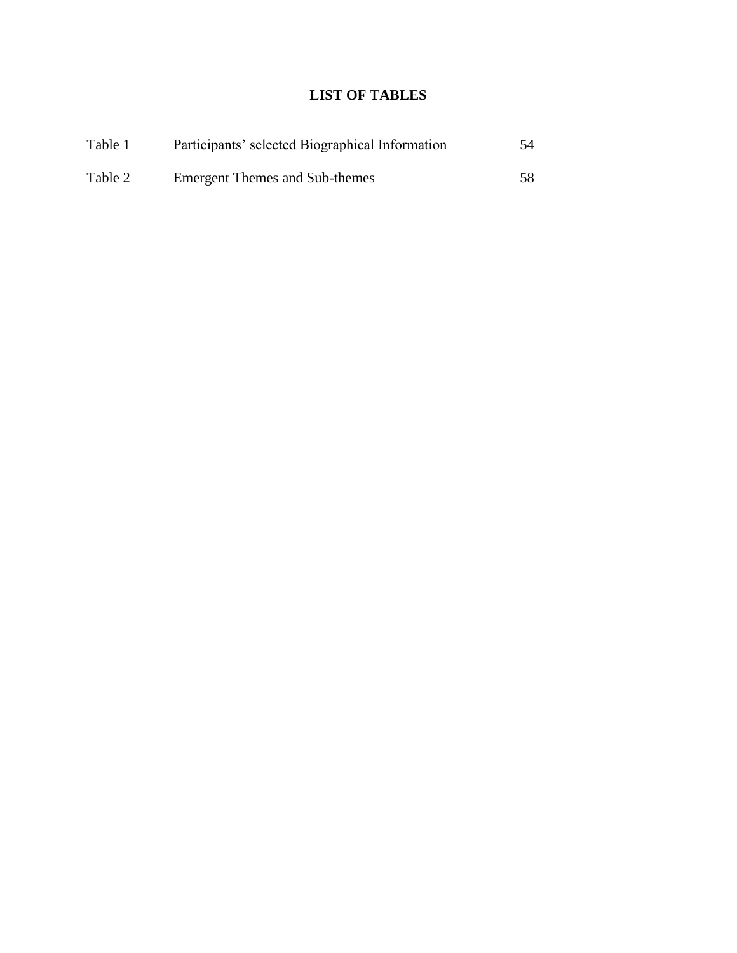# **LIST OF TABLES**

| Table 1 | Participants' selected Biographical Information | 54  |
|---------|-------------------------------------------------|-----|
| Table 2 | <b>Emergent Themes and Sub-themes</b>           | 58. |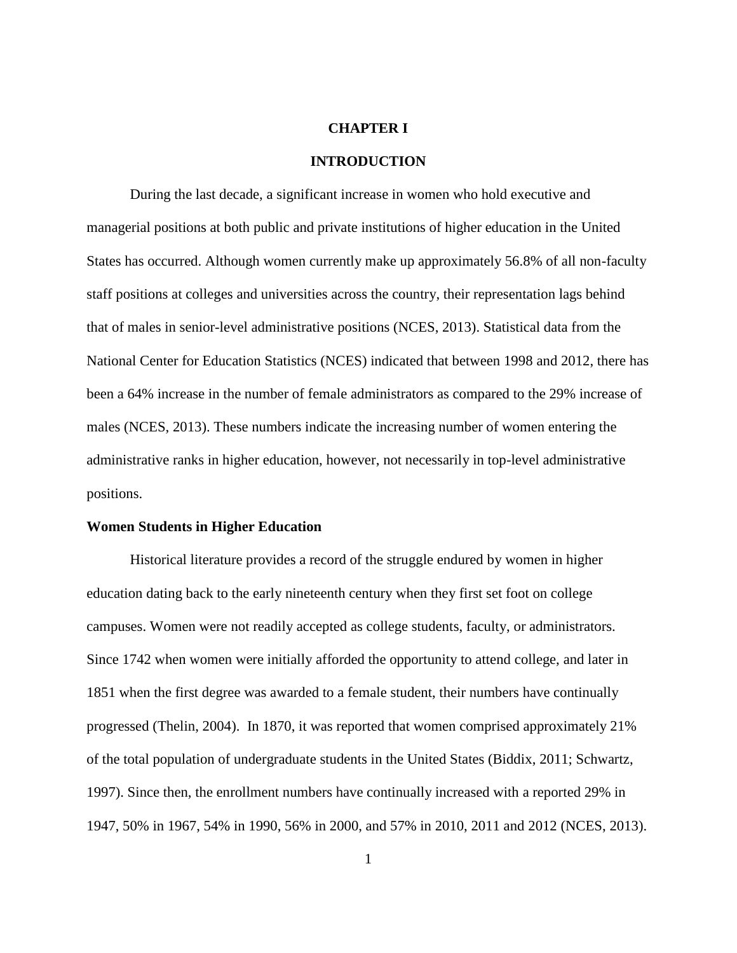#### **CHAPTER I**

#### **INTRODUCTION**

During the last decade, a significant increase in women who hold executive and managerial positions at both public and private institutions of higher education in the United States has occurred. Although women currently make up approximately 56.8% of all non-faculty staff positions at colleges and universities across the country, their representation lags behind that of males in senior-level administrative positions (NCES, 2013). Statistical data from the National Center for Education Statistics (NCES) indicated that between 1998 and 2012, there has been a 64% increase in the number of female administrators as compared to the 29% increase of males (NCES, 2013). These numbers indicate the increasing number of women entering the administrative ranks in higher education, however, not necessarily in top-level administrative positions.

#### **Women Students in Higher Education**

Historical literature provides a record of the struggle endured by women in higher education dating back to the early nineteenth century when they first set foot on college campuses. Women were not readily accepted as college students, faculty, or administrators. Since 1742 when women were initially afforded the opportunity to attend college, and later in 1851 when the first degree was awarded to a female student, their numbers have continually progressed (Thelin, 2004). In 1870, it was reported that women comprised approximately 21% of the total population of undergraduate students in the United States (Biddix, 2011; Schwartz, 1997). Since then, the enrollment numbers have continually increased with a reported 29% in 1947, 50% in 1967, 54% in 1990, 56% in 2000, and 57% in 2010, 2011 and 2012 (NCES, 2013).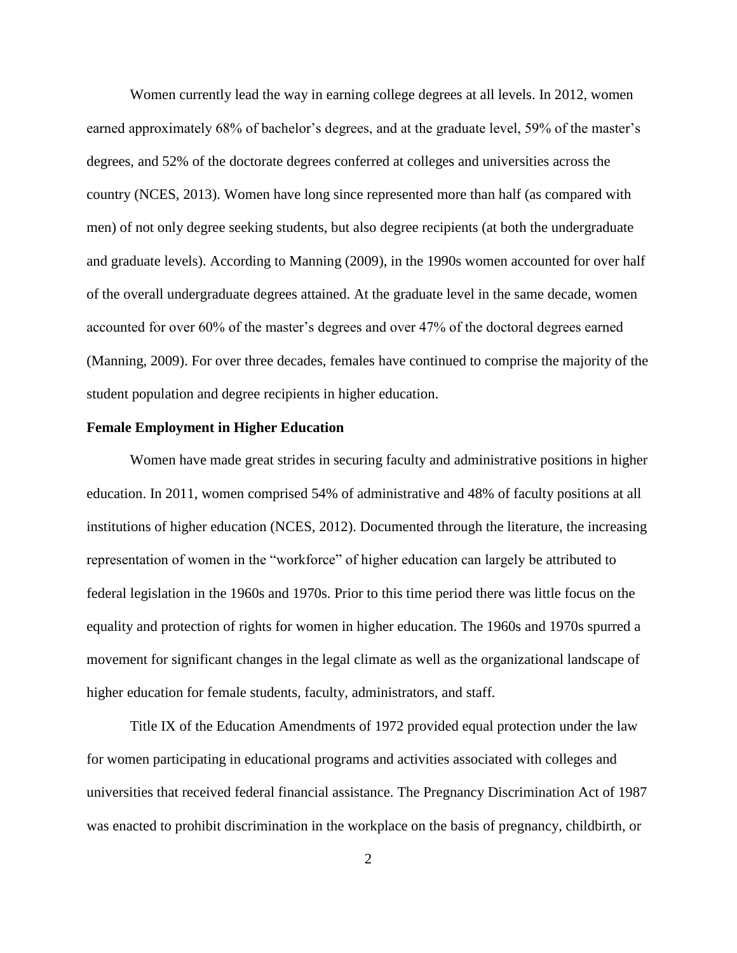Women currently lead the way in earning college degrees at all levels. In 2012, women earned approximately 68% of bachelor's degrees, and at the graduate level, 59% of the master's degrees, and 52% of the doctorate degrees conferred at colleges and universities across the country (NCES, 2013). Women have long since represented more than half (as compared with men) of not only degree seeking students, but also degree recipients (at both the undergraduate and graduate levels). According to Manning (2009), in the 1990s women accounted for over half of the overall undergraduate degrees attained. At the graduate level in the same decade, women accounted for over 60% of the master's degrees and over 47% of the doctoral degrees earned (Manning, 2009). For over three decades, females have continued to comprise the majority of the student population and degree recipients in higher education.

#### **Female Employment in Higher Education**

Women have made great strides in securing faculty and administrative positions in higher education. In 2011, women comprised 54% of administrative and 48% of faculty positions at all institutions of higher education (NCES, 2012). Documented through the literature, the increasing representation of women in the "workforce" of higher education can largely be attributed to federal legislation in the 1960s and 1970s. Prior to this time period there was little focus on the equality and protection of rights for women in higher education. The 1960s and 1970s spurred a movement for significant changes in the legal climate as well as the organizational landscape of higher education for female students, faculty, administrators, and staff.

Title IX of the Education Amendments of 1972 provided equal protection under the law for women participating in educational programs and activities associated with colleges and universities that received federal financial assistance. The Pregnancy Discrimination Act of 1987 was enacted to prohibit discrimination in the workplace on the basis of pregnancy, childbirth, or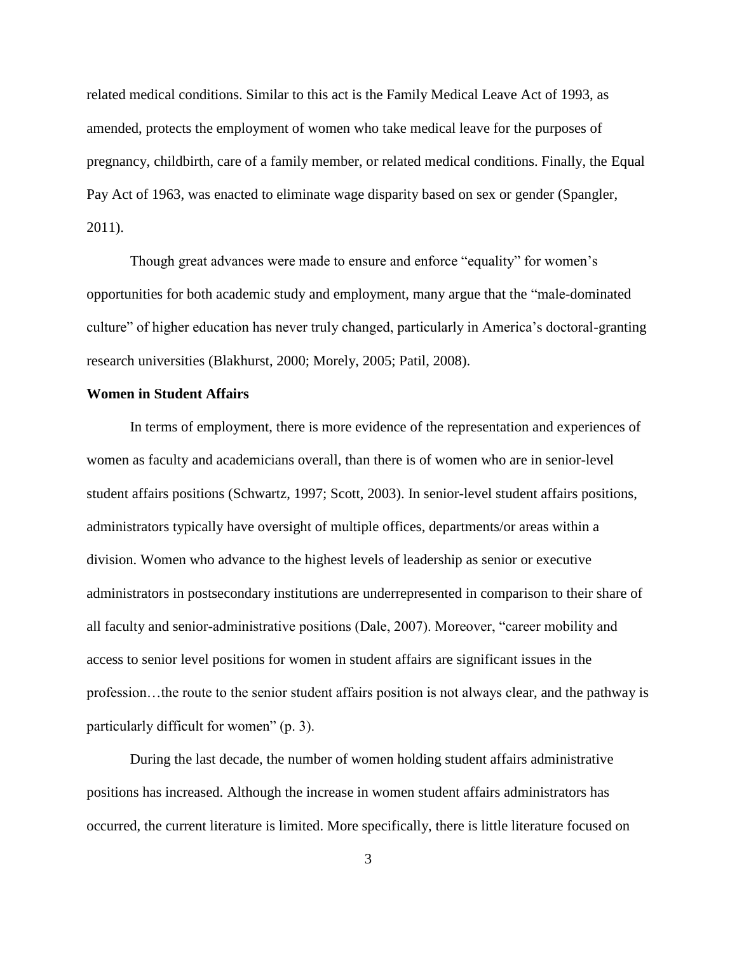related medical conditions. Similar to this act is the Family Medical Leave Act of 1993, as amended, protects the employment of women who take medical leave for the purposes of pregnancy, childbirth, care of a family member, or related medical conditions. Finally, the Equal Pay Act of 1963, was enacted to eliminate wage disparity based on sex or gender (Spangler, 2011).

Though great advances were made to ensure and enforce "equality" for women's opportunities for both academic study and employment, many argue that the "male-dominated culture" of higher education has never truly changed, particularly in America's doctoral-granting research universities (Blakhurst, 2000; Morely, 2005; Patil, 2008).

#### **Women in Student Affairs**

In terms of employment, there is more evidence of the representation and experiences of women as faculty and academicians overall, than there is of women who are in senior-level student affairs positions (Schwartz, 1997; Scott, 2003). In senior-level student affairs positions, administrators typically have oversight of multiple offices, departments/or areas within a division. Women who advance to the highest levels of leadership as senior or executive administrators in postsecondary institutions are underrepresented in comparison to their share of all faculty and senior-administrative positions (Dale, 2007). Moreover, "career mobility and access to senior level positions for women in student affairs are significant issues in the profession…the route to the senior student affairs position is not always clear, and the pathway is particularly difficult for women" (p. 3).

During the last decade, the number of women holding student affairs administrative positions has increased. Although the increase in women student affairs administrators has occurred, the current literature is limited. More specifically, there is little literature focused on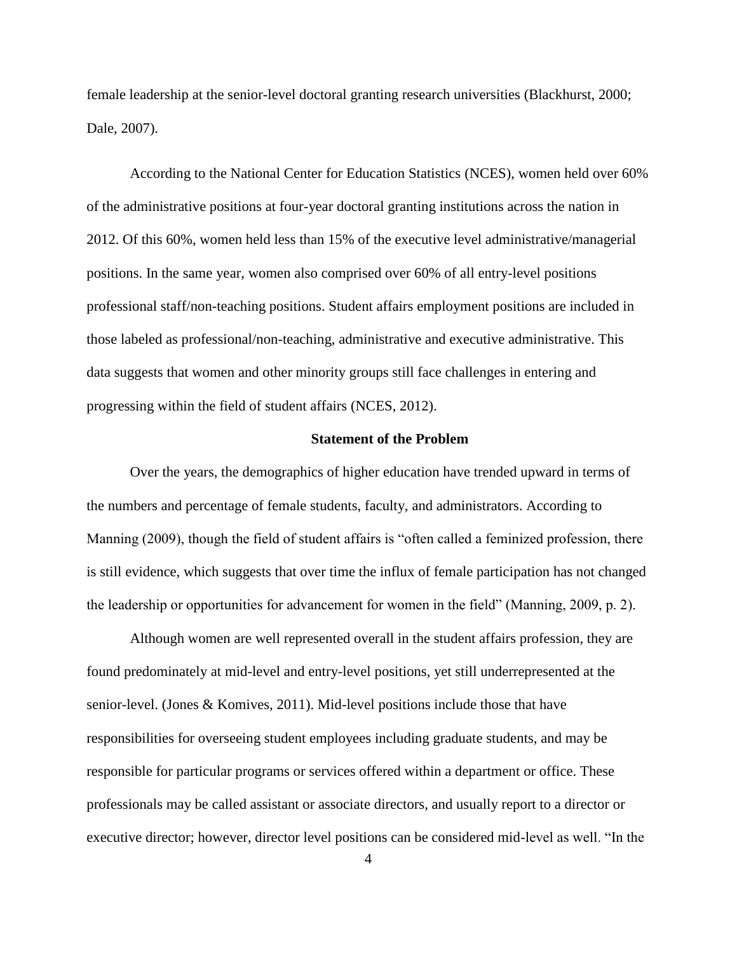female leadership at the senior-level doctoral granting research universities (Blackhurst, 2000; Dale, 2007).

According to the National Center for Education Statistics (NCES), women held over 60% of the administrative positions at four-year doctoral granting institutions across the nation in 2012. Of this 60%, women held less than 15% of the executive level administrative/managerial positions. In the same year, women also comprised over 60% of all entry-level positions professional staff/non-teaching positions. Student affairs employment positions are included in those labeled as professional/non-teaching, administrative and executive administrative. This data suggests that women and other minority groups still face challenges in entering and progressing within the field of student affairs (NCES, 2012).

#### **Statement of the Problem**

Over the years, the demographics of higher education have trended upward in terms of the numbers and percentage of female students, faculty, and administrators. According to Manning (2009), though the field of student affairs is "often called a feminized profession, there is still evidence, which suggests that over time the influx of female participation has not changed the leadership or opportunities for advancement for women in the field" (Manning, 2009, p. 2).

Although women are well represented overall in the student affairs profession, they are found predominately at mid-level and entry-level positions, yet still underrepresented at the senior-level. (Jones & Komives, 2011). Mid-level positions include those that have responsibilities for overseeing student employees including graduate students, and may be responsible for particular programs or services offered within a department or office. These professionals may be called assistant or associate directors, and usually report to a director or executive director; however, director level positions can be considered mid-level as well. "In the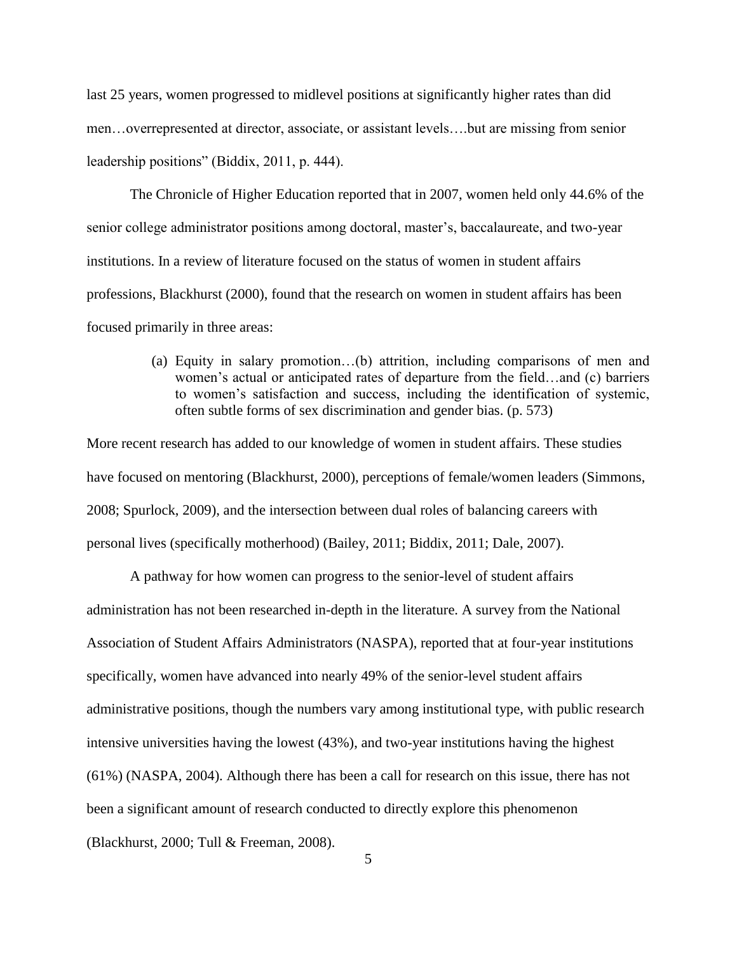last 25 years, women progressed to midlevel positions at significantly higher rates than did men…overrepresented at director, associate, or assistant levels….but are missing from senior leadership positions" (Biddix, 2011, p. 444).

The Chronicle of Higher Education reported that in 2007, women held only 44.6% of the senior college administrator positions among doctoral, master's, baccalaureate, and two-year institutions. In a review of literature focused on the status of women in student affairs professions, Blackhurst (2000), found that the research on women in student affairs has been focused primarily in three areas:

> (a) Equity in salary promotion…(b) attrition, including comparisons of men and women's actual or anticipated rates of departure from the field…and (c) barriers to women's satisfaction and success, including the identification of systemic, often subtle forms of sex discrimination and gender bias. (p. 573)

More recent research has added to our knowledge of women in student affairs. These studies have focused on mentoring (Blackhurst, 2000), perceptions of female/women leaders (Simmons, 2008; Spurlock, 2009), and the intersection between dual roles of balancing careers with personal lives (specifically motherhood) (Bailey, 2011; Biddix, 2011; Dale, 2007).

A pathway for how women can progress to the senior-level of student affairs administration has not been researched in-depth in the literature. A survey from the National Association of Student Affairs Administrators (NASPA), reported that at four-year institutions specifically, women have advanced into nearly 49% of the senior-level student affairs administrative positions, though the numbers vary among institutional type, with public research intensive universities having the lowest (43%), and two-year institutions having the highest (61%) (NASPA, 2004). Although there has been a call for research on this issue, there has not been a significant amount of research conducted to directly explore this phenomenon (Blackhurst, 2000; Tull & Freeman, 2008).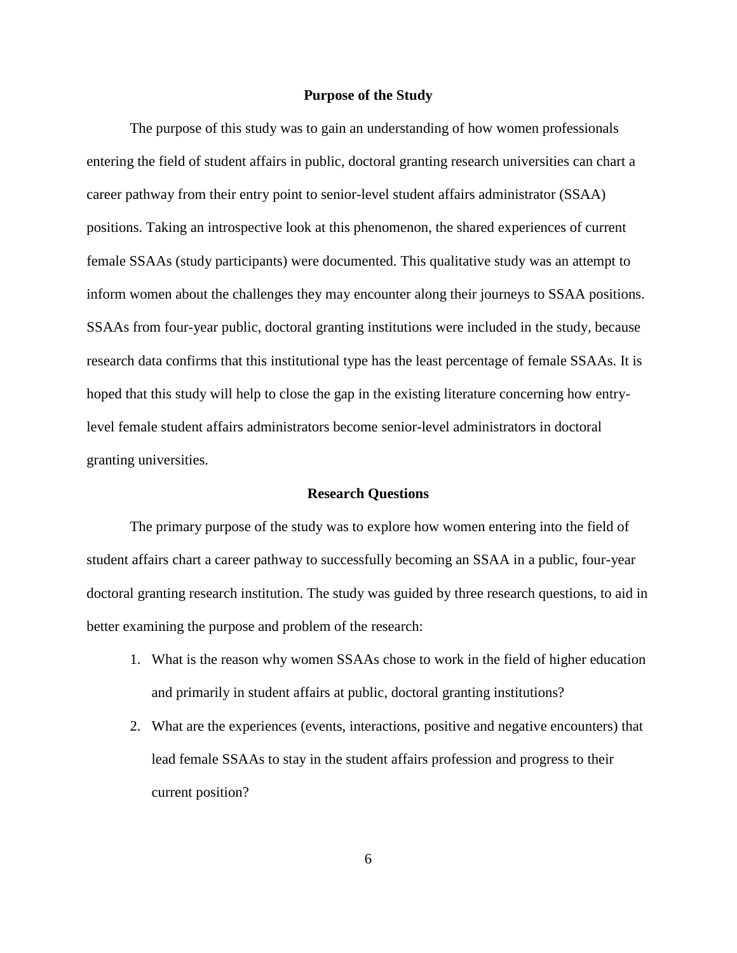#### **Purpose of the Study**

The purpose of this study was to gain an understanding of how women professionals entering the field of student affairs in public, doctoral granting research universities can chart a career pathway from their entry point to senior-level student affairs administrator (SSAA) positions. Taking an introspective look at this phenomenon, the shared experiences of current female SSAAs (study participants) were documented. This qualitative study was an attempt to inform women about the challenges they may encounter along their journeys to SSAA positions. SSAAs from four-year public, doctoral granting institutions were included in the study, because research data confirms that this institutional type has the least percentage of female SSAAs. It is hoped that this study will help to close the gap in the existing literature concerning how entrylevel female student affairs administrators become senior-level administrators in doctoral granting universities.

#### **Research Questions**

The primary purpose of the study was to explore how women entering into the field of student affairs chart a career pathway to successfully becoming an SSAA in a public, four-year doctoral granting research institution. The study was guided by three research questions, to aid in better examining the purpose and problem of the research:

- 1. What is the reason why women SSAAs chose to work in the field of higher education and primarily in student affairs at public, doctoral granting institutions?
- 2. What are the experiences (events, interactions, positive and negative encounters) that lead female SSAAs to stay in the student affairs profession and progress to their current position?

6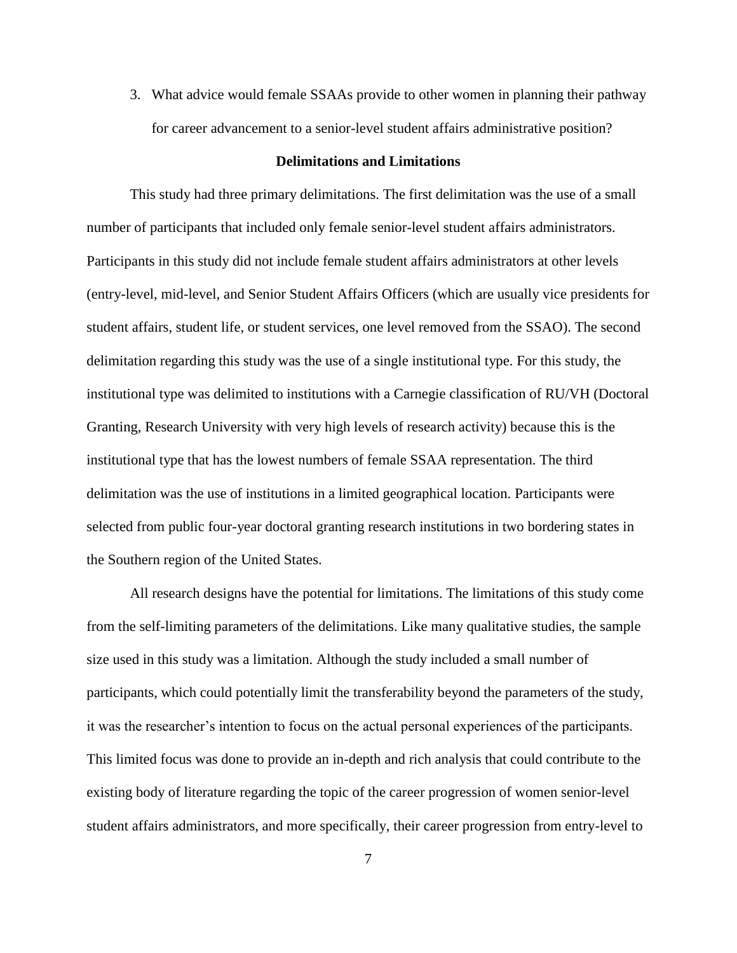3. What advice would female SSAAs provide to other women in planning their pathway for career advancement to a senior-level student affairs administrative position?

#### **Delimitations and Limitations**

This study had three primary delimitations. The first delimitation was the use of a small number of participants that included only female senior-level student affairs administrators. Participants in this study did not include female student affairs administrators at other levels (entry-level, mid-level, and Senior Student Affairs Officers (which are usually vice presidents for student affairs, student life, or student services, one level removed from the SSAO). The second delimitation regarding this study was the use of a single institutional type. For this study, the institutional type was delimited to institutions with a Carnegie classification of RU/VH (Doctoral Granting, Research University with very high levels of research activity) because this is the institutional type that has the lowest numbers of female SSAA representation. The third delimitation was the use of institutions in a limited geographical location. Participants were selected from public four-year doctoral granting research institutions in two bordering states in the Southern region of the United States.

All research designs have the potential for limitations. The limitations of this study come from the self-limiting parameters of the delimitations. Like many qualitative studies, the sample size used in this study was a limitation. Although the study included a small number of participants, which could potentially limit the transferability beyond the parameters of the study, it was the researcher's intention to focus on the actual personal experiences of the participants. This limited focus was done to provide an in-depth and rich analysis that could contribute to the existing body of literature regarding the topic of the career progression of women senior-level student affairs administrators, and more specifically, their career progression from entry-level to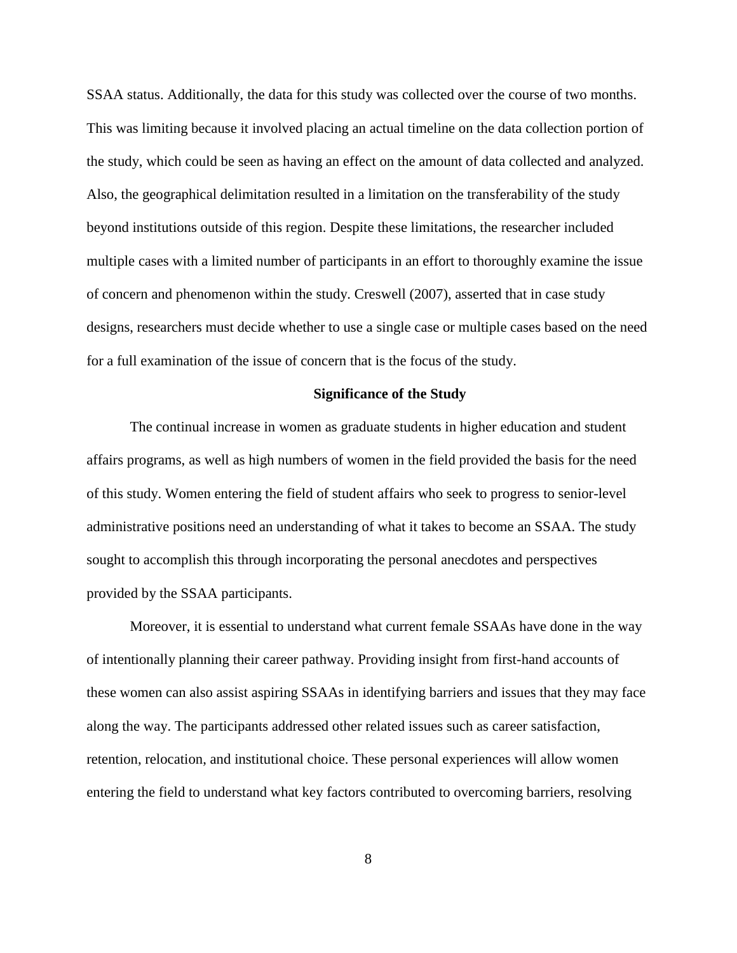SSAA status. Additionally, the data for this study was collected over the course of two months. This was limiting because it involved placing an actual timeline on the data collection portion of the study, which could be seen as having an effect on the amount of data collected and analyzed. Also, the geographical delimitation resulted in a limitation on the transferability of the study beyond institutions outside of this region. Despite these limitations, the researcher included multiple cases with a limited number of participants in an effort to thoroughly examine the issue of concern and phenomenon within the study. Creswell (2007), asserted that in case study designs, researchers must decide whether to use a single case or multiple cases based on the need for a full examination of the issue of concern that is the focus of the study.

#### **Significance of the Study**

The continual increase in women as graduate students in higher education and student affairs programs, as well as high numbers of women in the field provided the basis for the need of this study. Women entering the field of student affairs who seek to progress to senior-level administrative positions need an understanding of what it takes to become an SSAA. The study sought to accomplish this through incorporating the personal anecdotes and perspectives provided by the SSAA participants.

Moreover, it is essential to understand what current female SSAAs have done in the way of intentionally planning their career pathway. Providing insight from first-hand accounts of these women can also assist aspiring SSAAs in identifying barriers and issues that they may face along the way. The participants addressed other related issues such as career satisfaction, retention, relocation, and institutional choice. These personal experiences will allow women entering the field to understand what key factors contributed to overcoming barriers, resolving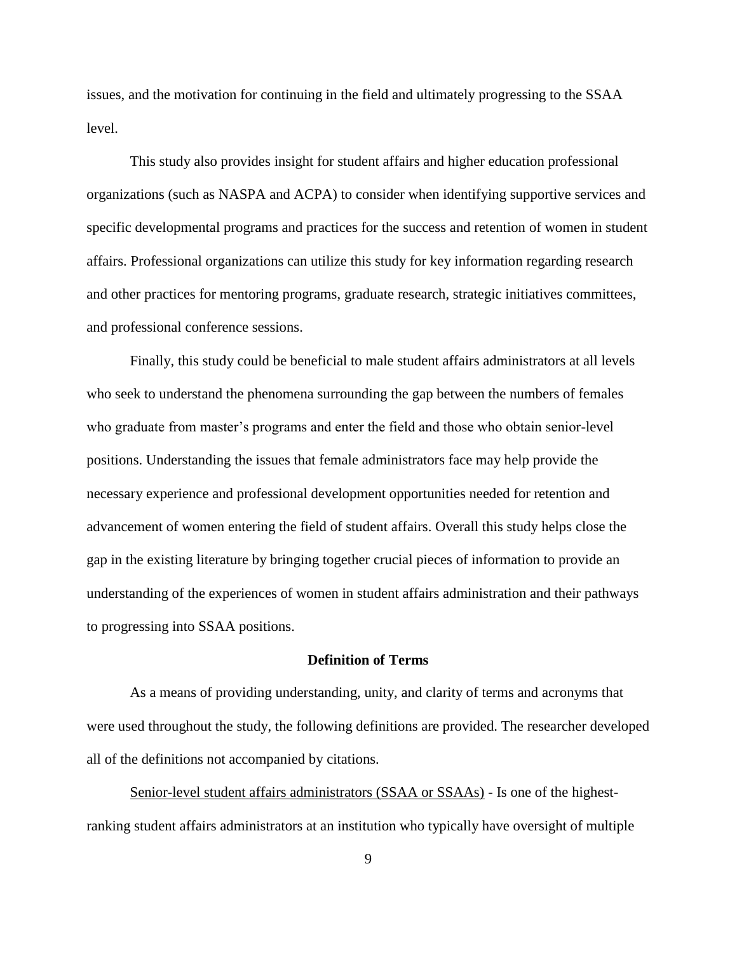issues, and the motivation for continuing in the field and ultimately progressing to the SSAA level.

This study also provides insight for student affairs and higher education professional organizations (such as NASPA and ACPA) to consider when identifying supportive services and specific developmental programs and practices for the success and retention of women in student affairs. Professional organizations can utilize this study for key information regarding research and other practices for mentoring programs, graduate research, strategic initiatives committees, and professional conference sessions.

Finally, this study could be beneficial to male student affairs administrators at all levels who seek to understand the phenomena surrounding the gap between the numbers of females who graduate from master's programs and enter the field and those who obtain senior-level positions. Understanding the issues that female administrators face may help provide the necessary experience and professional development opportunities needed for retention and advancement of women entering the field of student affairs. Overall this study helps close the gap in the existing literature by bringing together crucial pieces of information to provide an understanding of the experiences of women in student affairs administration and their pathways to progressing into SSAA positions.

#### **Definition of Terms**

As a means of providing understanding, unity, and clarity of terms and acronyms that were used throughout the study, the following definitions are provided. The researcher developed all of the definitions not accompanied by citations.

Senior-level student affairs administrators (SSAA or SSAAs) - Is one of the highestranking student affairs administrators at an institution who typically have oversight of multiple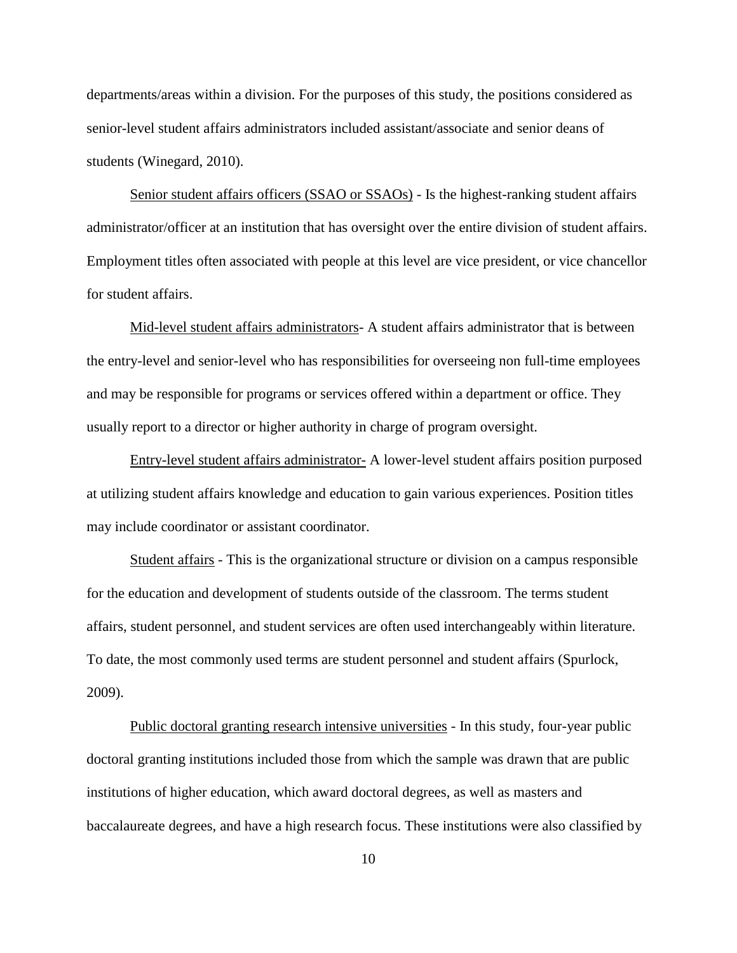departments/areas within a division. For the purposes of this study, the positions considered as senior-level student affairs administrators included assistant/associate and senior deans of students (Winegard, 2010).

Senior student affairs officers (SSAO or SSAOs) - Is the highest-ranking student affairs administrator/officer at an institution that has oversight over the entire division of student affairs. Employment titles often associated with people at this level are vice president, or vice chancellor for student affairs.

Mid-level student affairs administrators- A student affairs administrator that is between the entry-level and senior-level who has responsibilities for overseeing non full-time employees and may be responsible for programs or services offered within a department or office. They usually report to a director or higher authority in charge of program oversight.

Entry-level student affairs administrator- A lower-level student affairs position purposed at utilizing student affairs knowledge and education to gain various experiences. Position titles may include coordinator or assistant coordinator.

Student affairs - This is the organizational structure or division on a campus responsible for the education and development of students outside of the classroom. The terms student affairs, student personnel, and student services are often used interchangeably within literature. To date, the most commonly used terms are student personnel and student affairs (Spurlock, 2009).

Public doctoral granting research intensive universities - In this study, four-year public doctoral granting institutions included those from which the sample was drawn that are public institutions of higher education, which award doctoral degrees, as well as masters and baccalaureate degrees, and have a high research focus. These institutions were also classified by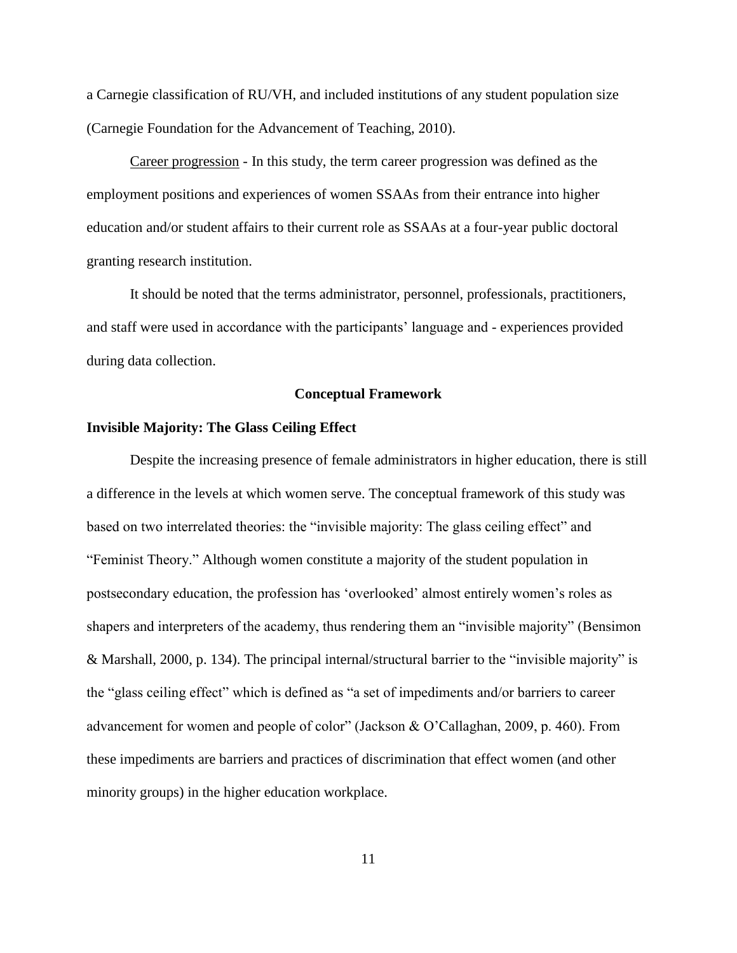a Carnegie classification of RU/VH, and included institutions of any student population size (Carnegie Foundation for the Advancement of Teaching, 2010).

Career progression - In this study, the term career progression was defined as the employment positions and experiences of women SSAAs from their entrance into higher education and/or student affairs to their current role as SSAAs at a four-year public doctoral granting research institution.

It should be noted that the terms administrator, personnel, professionals, practitioners, and staff were used in accordance with the participants' language and - experiences provided during data collection.

#### **Conceptual Framework**

#### **Invisible Majority: The Glass Ceiling Effect**

Despite the increasing presence of female administrators in higher education, there is still a difference in the levels at which women serve. The conceptual framework of this study was based on two interrelated theories: the "invisible majority: The glass ceiling effect" and "Feminist Theory." Although women constitute a majority of the student population in postsecondary education, the profession has 'overlooked' almost entirely women's roles as shapers and interpreters of the academy, thus rendering them an "invisible majority" (Bensimon & Marshall, 2000, p. 134). The principal internal/structural barrier to the "invisible majority" is the "glass ceiling effect" which is defined as "a set of impediments and/or barriers to career advancement for women and people of color" (Jackson & O'Callaghan, 2009, p. 460). From these impediments are barriers and practices of discrimination that effect women (and other minority groups) in the higher education workplace.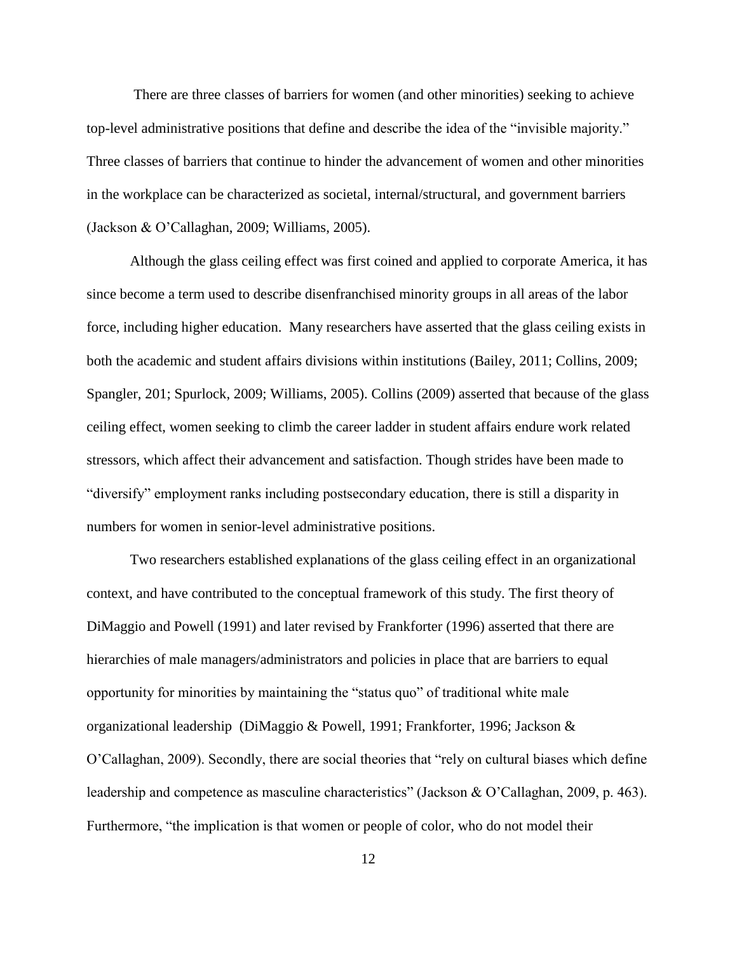There are three classes of barriers for women (and other minorities) seeking to achieve top-level administrative positions that define and describe the idea of the "invisible majority." Three classes of barriers that continue to hinder the advancement of women and other minorities in the workplace can be characterized as societal, internal/structural, and government barriers (Jackson & O'Callaghan, 2009; Williams, 2005).

Although the glass ceiling effect was first coined and applied to corporate America, it has since become a term used to describe disenfranchised minority groups in all areas of the labor force, including higher education. Many researchers have asserted that the glass ceiling exists in both the academic and student affairs divisions within institutions (Bailey, 2011; Collins, 2009; Spangler, 201; Spurlock, 2009; Williams, 2005). Collins (2009) asserted that because of the glass ceiling effect, women seeking to climb the career ladder in student affairs endure work related stressors, which affect their advancement and satisfaction. Though strides have been made to "diversify" employment ranks including postsecondary education, there is still a disparity in numbers for women in senior-level administrative positions.

Two researchers established explanations of the glass ceiling effect in an organizational context, and have contributed to the conceptual framework of this study. The first theory of DiMaggio and Powell (1991) and later revised by Frankforter (1996) asserted that there are hierarchies of male managers/administrators and policies in place that are barriers to equal opportunity for minorities by maintaining the "status quo" of traditional white male organizational leadership (DiMaggio & Powell, 1991; Frankforter, 1996; Jackson & O'Callaghan, 2009). Secondly, there are social theories that "rely on cultural biases which define leadership and competence as masculine characteristics" (Jackson & O'Callaghan, 2009, p. 463). Furthermore, "the implication is that women or people of color, who do not model their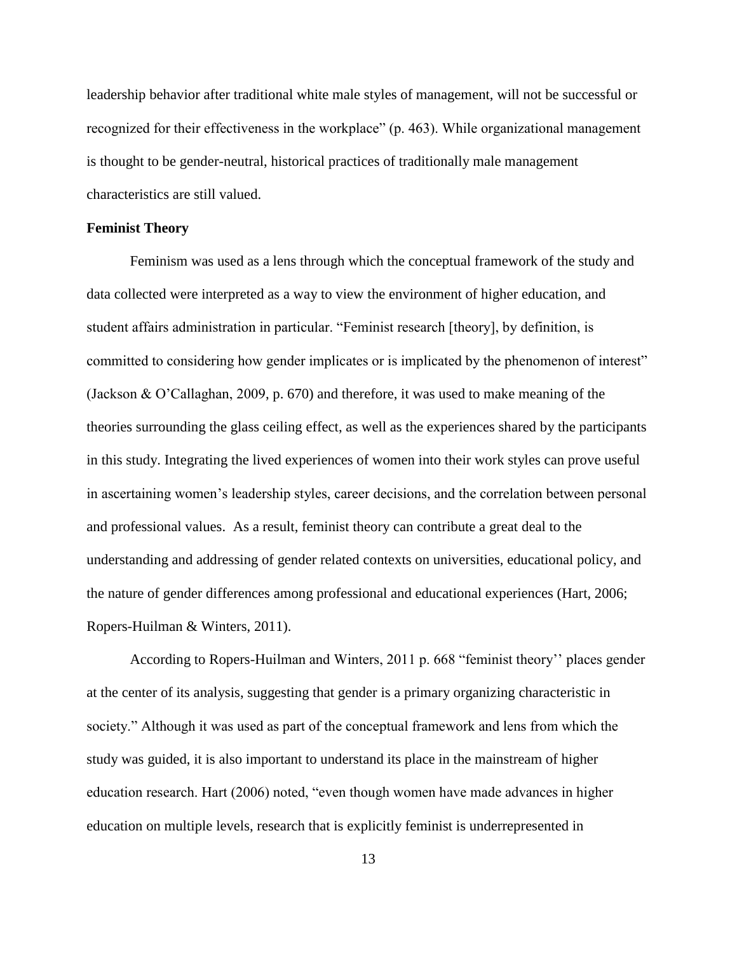leadership behavior after traditional white male styles of management, will not be successful or recognized for their effectiveness in the workplace" (p. 463). While organizational management is thought to be gender-neutral, historical practices of traditionally male management characteristics are still valued.

#### **Feminist Theory**

Feminism was used as a lens through which the conceptual framework of the study and data collected were interpreted as a way to view the environment of higher education, and student affairs administration in particular. "Feminist research [theory], by definition, is committed to considering how gender implicates or is implicated by the phenomenon of interest" (Jackson & O'Callaghan, 2009, p. 670) and therefore, it was used to make meaning of the theories surrounding the glass ceiling effect, as well as the experiences shared by the participants in this study. Integrating the lived experiences of women into their work styles can prove useful in ascertaining women's leadership styles, career decisions, and the correlation between personal and professional values. As a result, feminist theory can contribute a great deal to the understanding and addressing of gender related contexts on universities, educational policy, and the nature of gender differences among professional and educational experiences (Hart, 2006; Ropers-Huilman & Winters, 2011).

According to Ropers-Huilman and Winters, 2011 p. 668 "feminist theory'' places gender at the center of its analysis, suggesting that gender is a primary organizing characteristic in society." Although it was used as part of the conceptual framework and lens from which the study was guided, it is also important to understand its place in the mainstream of higher education research. Hart (2006) noted, "even though women have made advances in higher education on multiple levels, research that is explicitly feminist is underrepresented in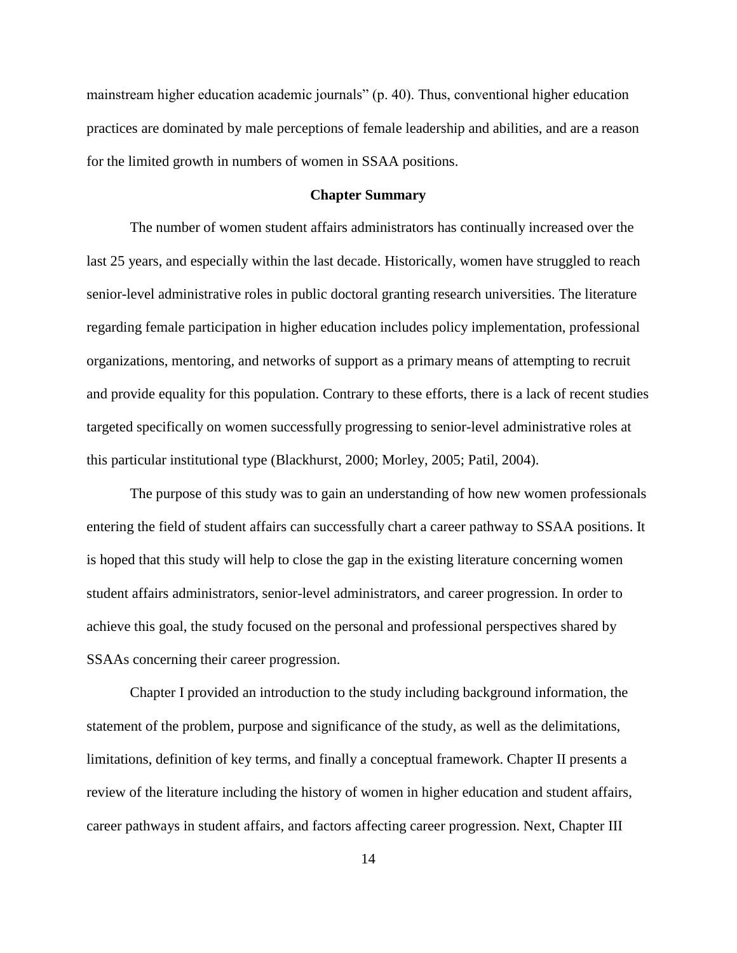mainstream higher education academic journals" (p. 40). Thus, conventional higher education practices are dominated by male perceptions of female leadership and abilities, and are a reason for the limited growth in numbers of women in SSAA positions.

#### **Chapter Summary**

The number of women student affairs administrators has continually increased over the last 25 years, and especially within the last decade. Historically, women have struggled to reach senior-level administrative roles in public doctoral granting research universities. The literature regarding female participation in higher education includes policy implementation, professional organizations, mentoring, and networks of support as a primary means of attempting to recruit and provide equality for this population. Contrary to these efforts, there is a lack of recent studies targeted specifically on women successfully progressing to senior-level administrative roles at this particular institutional type (Blackhurst, 2000; Morley, 2005; Patil, 2004).

The purpose of this study was to gain an understanding of how new women professionals entering the field of student affairs can successfully chart a career pathway to SSAA positions. It is hoped that this study will help to close the gap in the existing literature concerning women student affairs administrators, senior-level administrators, and career progression. In order to achieve this goal, the study focused on the personal and professional perspectives shared by SSAAs concerning their career progression.

Chapter I provided an introduction to the study including background information, the statement of the problem, purpose and significance of the study, as well as the delimitations, limitations, definition of key terms, and finally a conceptual framework. Chapter II presents a review of the literature including the history of women in higher education and student affairs, career pathways in student affairs, and factors affecting career progression. Next, Chapter III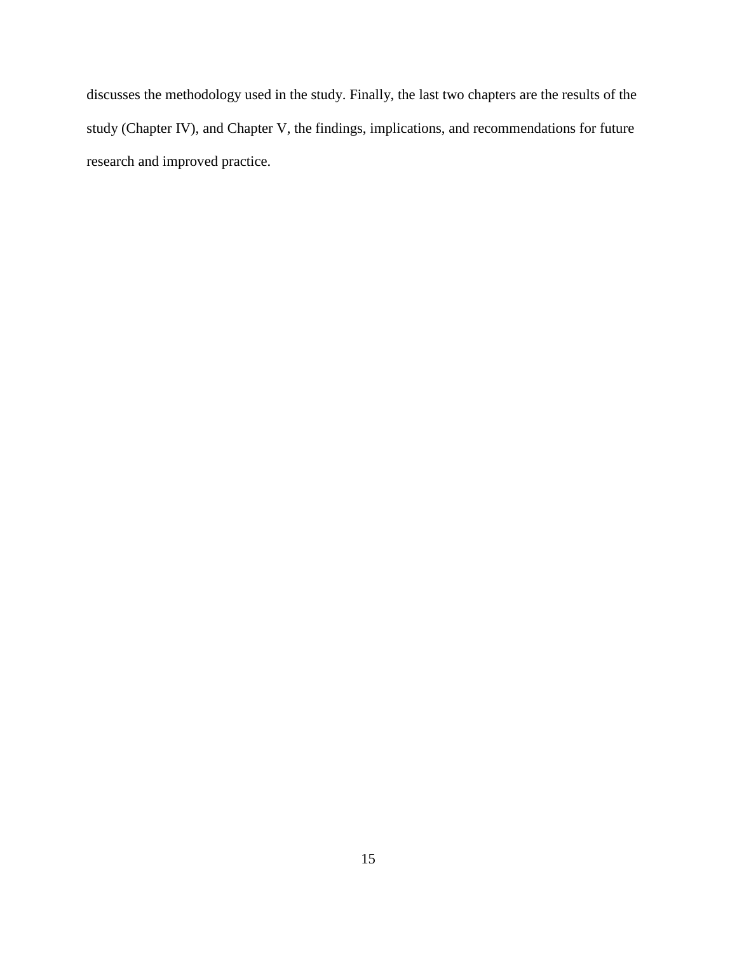discusses the methodology used in the study. Finally, the last two chapters are the results of the study (Chapter IV), and Chapter V, the findings, implications, and recommendations for future research and improved practice.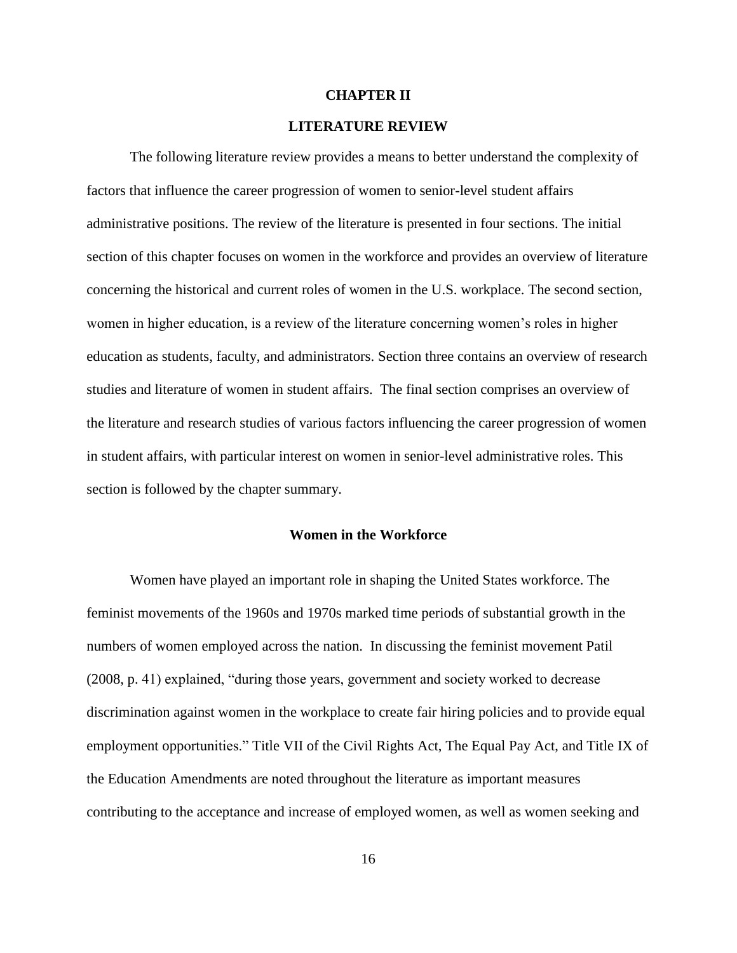#### **CHAPTER II**

#### **LITERATURE REVIEW**

The following literature review provides a means to better understand the complexity of factors that influence the career progression of women to senior-level student affairs administrative positions. The review of the literature is presented in four sections. The initial section of this chapter focuses on women in the workforce and provides an overview of literature concerning the historical and current roles of women in the U.S. workplace. The second section, women in higher education, is a review of the literature concerning women's roles in higher education as students, faculty, and administrators. Section three contains an overview of research studies and literature of women in student affairs. The final section comprises an overview of the literature and research studies of various factors influencing the career progression of women in student affairs, with particular interest on women in senior-level administrative roles. This section is followed by the chapter summary.

#### **Women in the Workforce**

Women have played an important role in shaping the United States workforce. The feminist movements of the 1960s and 1970s marked time periods of substantial growth in the numbers of women employed across the nation. In discussing the feminist movement Patil (2008, p. 41) explained, "during those years, government and society worked to decrease discrimination against women in the workplace to create fair hiring policies and to provide equal employment opportunities." Title VII of the Civil Rights Act, The Equal Pay Act, and Title IX of the Education Amendments are noted throughout the literature as important measures contributing to the acceptance and increase of employed women, as well as women seeking and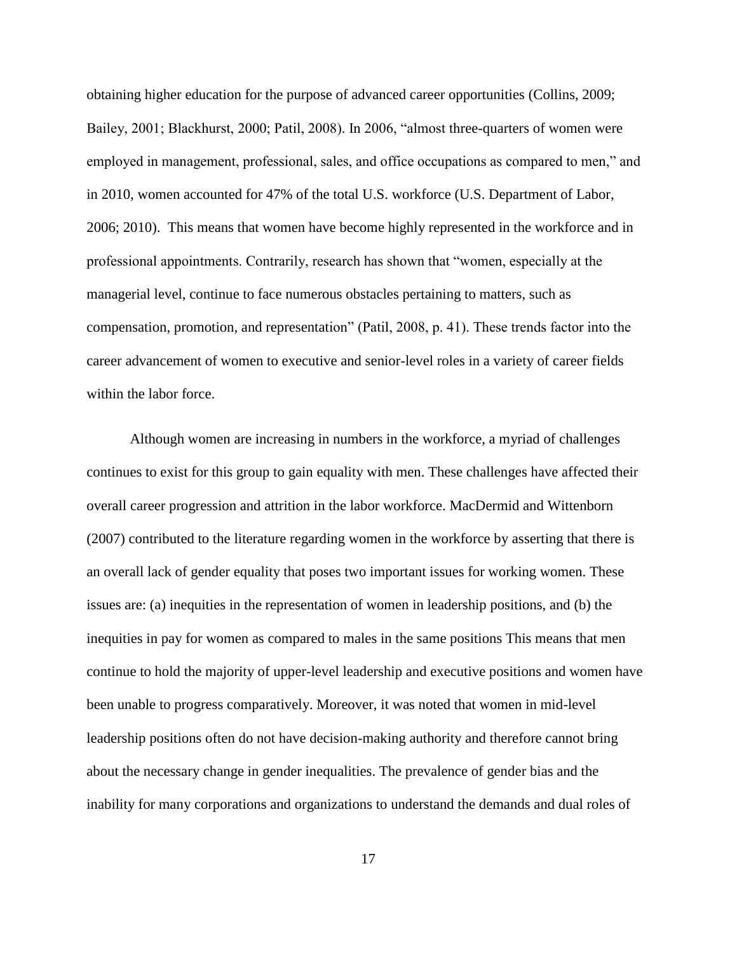obtaining higher education for the purpose of advanced career opportunities (Collins, 2009; Bailey, 2001; Blackhurst, 2000; Patil, 2008). In 2006, "almost three-quarters of women were employed in management, professional, sales, and office occupations as compared to men," and in 2010, women accounted for 47% of the total U.S. workforce (U.S. Department of Labor, 2006; 2010). This means that women have become highly represented in the workforce and in professional appointments. Contrarily, research has shown that "women, especially at the managerial level, continue to face numerous obstacles pertaining to matters, such as compensation, promotion, and representation" (Patil, 2008, p. 41). These trends factor into the career advancement of women to executive and senior-level roles in a variety of career fields within the labor force.

Although women are increasing in numbers in the workforce, a myriad of challenges continues to exist for this group to gain equality with men. These challenges have affected their overall career progression and attrition in the labor workforce. MacDermid and Wittenborn (2007) contributed to the literature regarding women in the workforce by asserting that there is an overall lack of gender equality that poses two important issues for working women. These issues are: (a) inequities in the representation of women in leadership positions, and (b) the inequities in pay for women as compared to males in the same positions This means that men continue to hold the majority of upper-level leadership and executive positions and women have been unable to progress comparatively. Moreover, it was noted that women in mid-level leadership positions often do not have decision-making authority and therefore cannot bring about the necessary change in gender inequalities. The prevalence of gender bias and the inability for many corporations and organizations to understand the demands and dual roles of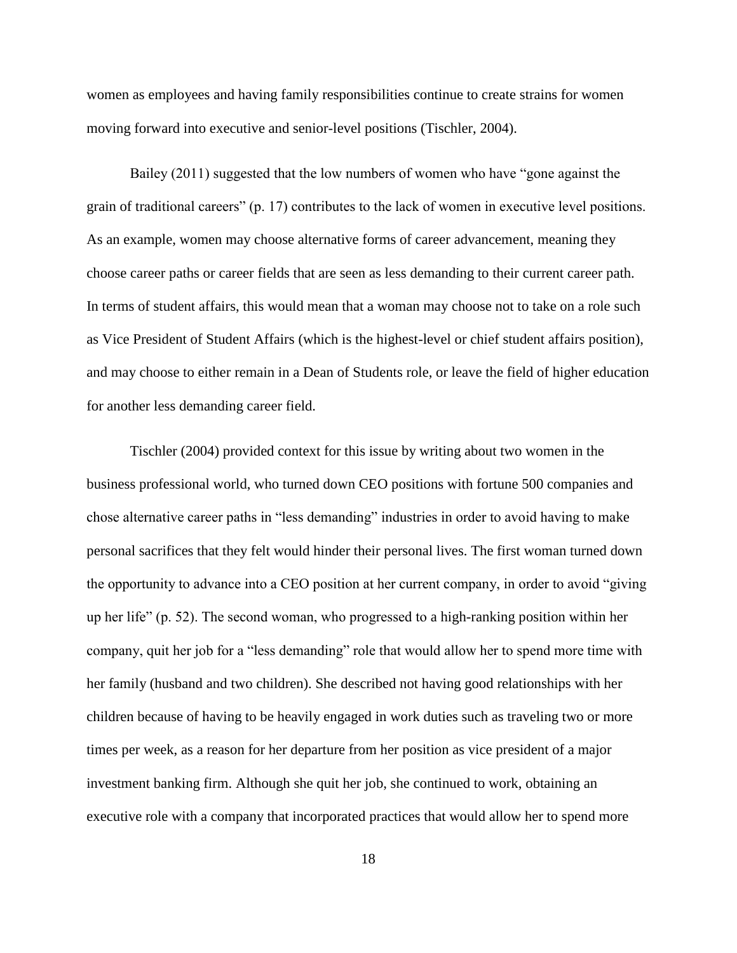women as employees and having family responsibilities continue to create strains for women moving forward into executive and senior-level positions (Tischler, 2004).

Bailey (2011) suggested that the low numbers of women who have "gone against the grain of traditional careers" (p. 17) contributes to the lack of women in executive level positions. As an example, women may choose alternative forms of career advancement, meaning they choose career paths or career fields that are seen as less demanding to their current career path. In terms of student affairs, this would mean that a woman may choose not to take on a role such as Vice President of Student Affairs (which is the highest-level or chief student affairs position), and may choose to either remain in a Dean of Students role, or leave the field of higher education for another less demanding career field.

Tischler (2004) provided context for this issue by writing about two women in the business professional world, who turned down CEO positions with fortune 500 companies and chose alternative career paths in "less demanding" industries in order to avoid having to make personal sacrifices that they felt would hinder their personal lives. The first woman turned down the opportunity to advance into a CEO position at her current company, in order to avoid "giving up her life" (p. 52). The second woman, who progressed to a high-ranking position within her company, quit her job for a "less demanding" role that would allow her to spend more time with her family (husband and two children). She described not having good relationships with her children because of having to be heavily engaged in work duties such as traveling two or more times per week, as a reason for her departure from her position as vice president of a major investment banking firm. Although she quit her job, she continued to work, obtaining an executive role with a company that incorporated practices that would allow her to spend more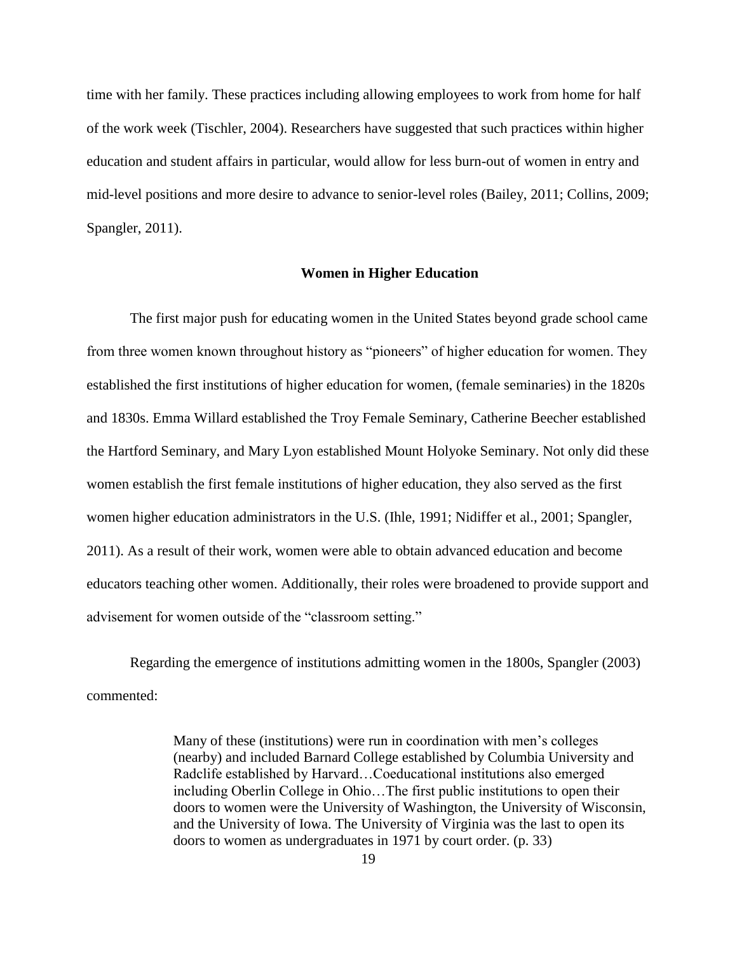time with her family. These practices including allowing employees to work from home for half of the work week (Tischler, 2004). Researchers have suggested that such practices within higher education and student affairs in particular, would allow for less burn-out of women in entry and mid-level positions and more desire to advance to senior-level roles (Bailey, 2011; Collins, 2009; Spangler, 2011).

#### **Women in Higher Education**

The first major push for educating women in the United States beyond grade school came from three women known throughout history as "pioneers" of higher education for women. They established the first institutions of higher education for women, (female seminaries) in the 1820s and 1830s. Emma Willard established the Troy Female Seminary, Catherine Beecher established the Hartford Seminary, and Mary Lyon established Mount Holyoke Seminary. Not only did these women establish the first female institutions of higher education, they also served as the first women higher education administrators in the U.S. (Ihle, 1991; Nidiffer et al., 2001; Spangler, 2011). As a result of their work, women were able to obtain advanced education and become educators teaching other women. Additionally, their roles were broadened to provide support and advisement for women outside of the "classroom setting."

Regarding the emergence of institutions admitting women in the 1800s, Spangler (2003) commented:

> Many of these (institutions) were run in coordination with men's colleges (nearby) and included Barnard College established by Columbia University and Radclife established by Harvard…Coeducational institutions also emerged including Oberlin College in Ohio…The first public institutions to open their doors to women were the University of Washington, the University of Wisconsin, and the University of Iowa. The University of Virginia was the last to open its doors to women as undergraduates in 1971 by court order. (p. 33)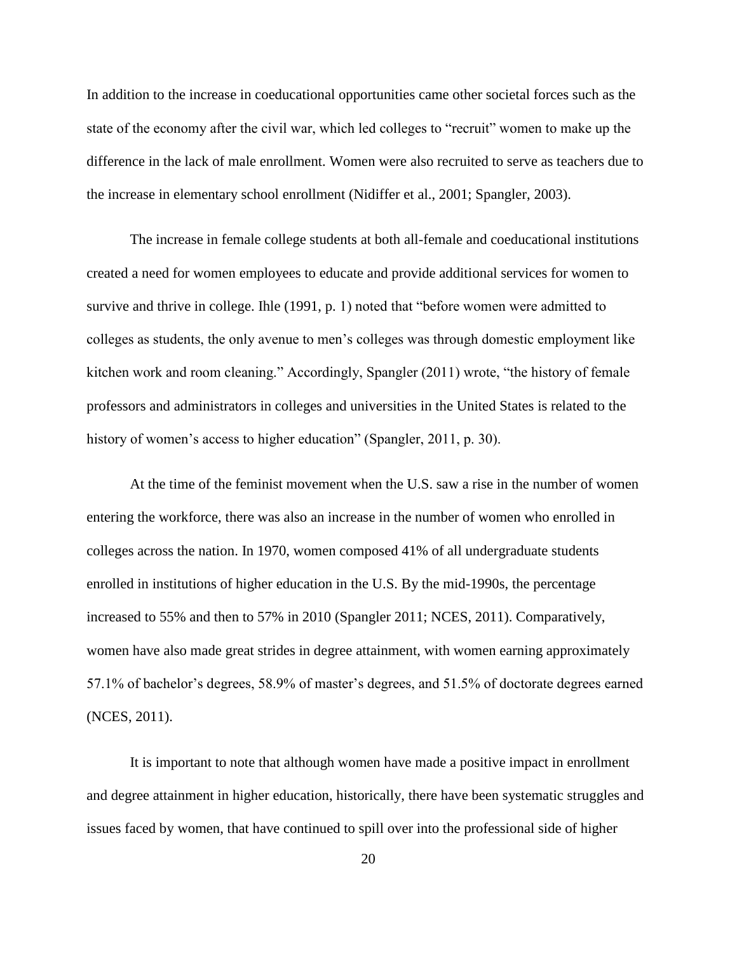In addition to the increase in coeducational opportunities came other societal forces such as the state of the economy after the civil war, which led colleges to "recruit" women to make up the difference in the lack of male enrollment. Women were also recruited to serve as teachers due to the increase in elementary school enrollment (Nidiffer et al., 2001; Spangler, 2003).

The increase in female college students at both all-female and coeducational institutions created a need for women employees to educate and provide additional services for women to survive and thrive in college. Ihle (1991, p. 1) noted that "before women were admitted to colleges as students, the only avenue to men's colleges was through domestic employment like kitchen work and room cleaning." Accordingly, Spangler (2011) wrote, "the history of female professors and administrators in colleges and universities in the United States is related to the history of women's access to higher education" (Spangler, 2011, p. 30).

At the time of the feminist movement when the U.S. saw a rise in the number of women entering the workforce, there was also an increase in the number of women who enrolled in colleges across the nation. In 1970, women composed 41% of all undergraduate students enrolled in institutions of higher education in the U.S. By the mid-1990s, the percentage increased to 55% and then to 57% in 2010 (Spangler 2011; NCES, 2011). Comparatively, women have also made great strides in degree attainment, with women earning approximately 57.1% of bachelor's degrees, 58.9% of master's degrees, and 51.5% of doctorate degrees earned (NCES, 2011).

It is important to note that although women have made a positive impact in enrollment and degree attainment in higher education, historically, there have been systematic struggles and issues faced by women, that have continued to spill over into the professional side of higher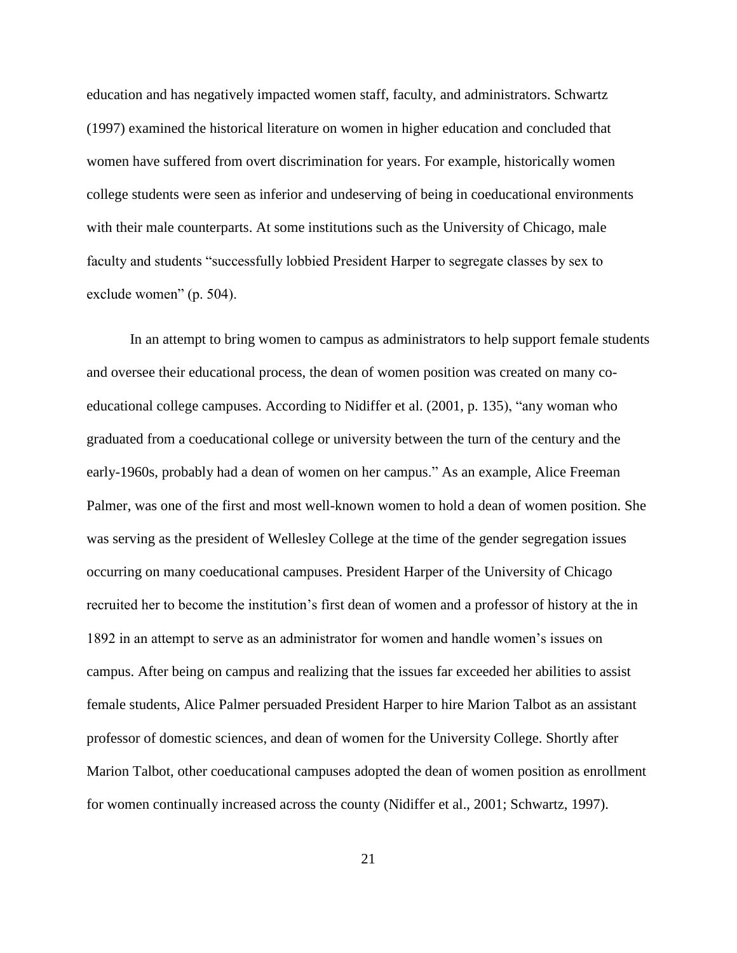education and has negatively impacted women staff, faculty, and administrators. Schwartz (1997) examined the historical literature on women in higher education and concluded that women have suffered from overt discrimination for years. For example, historically women college students were seen as inferior and undeserving of being in coeducational environments with their male counterparts. At some institutions such as the University of Chicago, male faculty and students "successfully lobbied President Harper to segregate classes by sex to exclude women" (p. 504).

In an attempt to bring women to campus as administrators to help support female students and oversee their educational process, the dean of women position was created on many coeducational college campuses. According to Nidiffer et al. (2001, p. 135), "any woman who graduated from a coeducational college or university between the turn of the century and the early-1960s, probably had a dean of women on her campus." As an example, Alice Freeman Palmer, was one of the first and most well-known women to hold a dean of women position. She was serving as the president of Wellesley College at the time of the gender segregation issues occurring on many coeducational campuses. President Harper of the University of Chicago recruited her to become the institution's first dean of women and a professor of history at the in 1892 in an attempt to serve as an administrator for women and handle women's issues on campus. After being on campus and realizing that the issues far exceeded her abilities to assist female students, Alice Palmer persuaded President Harper to hire Marion Talbot as an assistant professor of domestic sciences, and dean of women for the University College. Shortly after Marion Talbot, other coeducational campuses adopted the dean of women position as enrollment for women continually increased across the county (Nidiffer et al., 2001; Schwartz, 1997).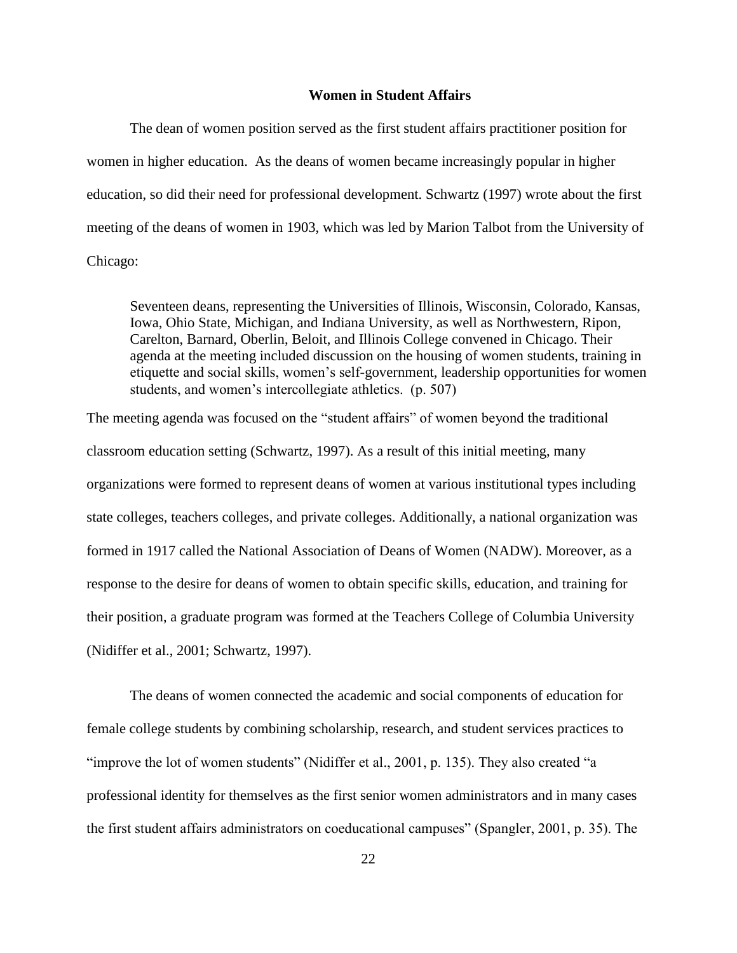#### **Women in Student Affairs**

The dean of women position served as the first student affairs practitioner position for women in higher education. As the deans of women became increasingly popular in higher education, so did their need for professional development. Schwartz (1997) wrote about the first meeting of the deans of women in 1903, which was led by Marion Talbot from the University of Chicago:

Seventeen deans, representing the Universities of Illinois, Wisconsin, Colorado, Kansas, Iowa, Ohio State, Michigan, and Indiana University, as well as Northwestern, Ripon, Carelton, Barnard, Oberlin, Beloit, and Illinois College convened in Chicago. Their agenda at the meeting included discussion on the housing of women students, training in etiquette and social skills, women's self-government, leadership opportunities for women students, and women's intercollegiate athletics. (p. 507)

The meeting agenda was focused on the "student affairs" of women beyond the traditional classroom education setting (Schwartz, 1997). As a result of this initial meeting, many organizations were formed to represent deans of women at various institutional types including state colleges, teachers colleges, and private colleges. Additionally, a national organization was formed in 1917 called the National Association of Deans of Women (NADW). Moreover, as a response to the desire for deans of women to obtain specific skills, education, and training for their position, a graduate program was formed at the Teachers College of Columbia University (Nidiffer et al., 2001; Schwartz, 1997).

The deans of women connected the academic and social components of education for female college students by combining scholarship, research, and student services practices to "improve the lot of women students" (Nidiffer et al., 2001, p. 135). They also created "a professional identity for themselves as the first senior women administrators and in many cases the first student affairs administrators on coeducational campuses" (Spangler, 2001, p. 35). The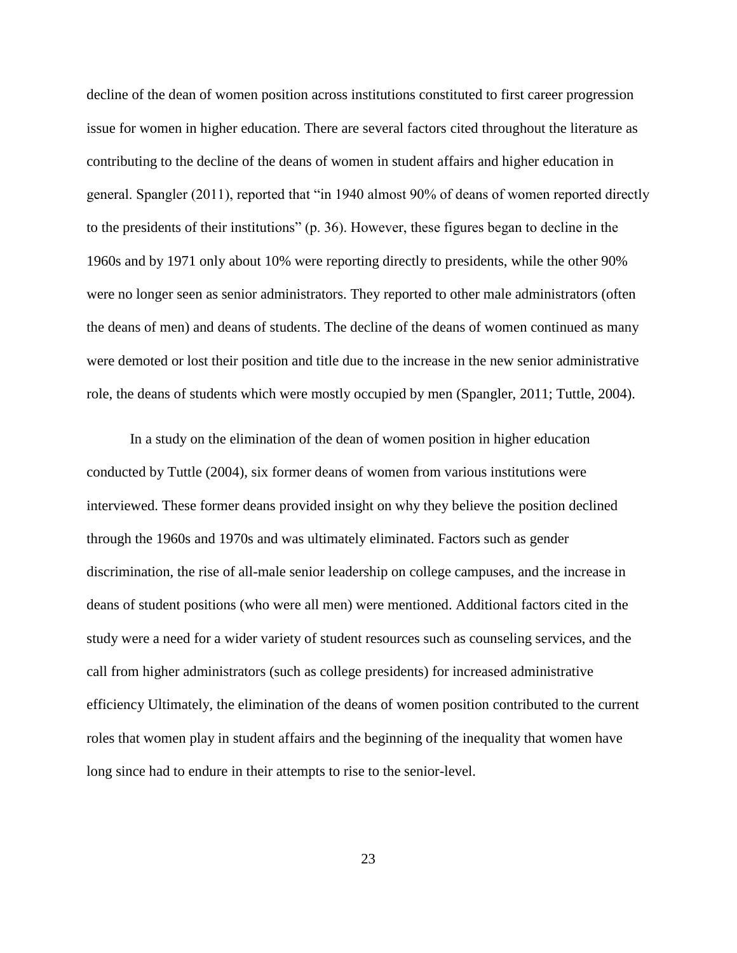decline of the dean of women position across institutions constituted to first career progression issue for women in higher education. There are several factors cited throughout the literature as contributing to the decline of the deans of women in student affairs and higher education in general. Spangler (2011), reported that "in 1940 almost 90% of deans of women reported directly to the presidents of their institutions" (p. 36). However, these figures began to decline in the 1960s and by 1971 only about 10% were reporting directly to presidents, while the other 90% were no longer seen as senior administrators. They reported to other male administrators (often the deans of men) and deans of students. The decline of the deans of women continued as many were demoted or lost their position and title due to the increase in the new senior administrative role, the deans of students which were mostly occupied by men (Spangler, 2011; Tuttle, 2004).

In a study on the elimination of the dean of women position in higher education conducted by Tuttle (2004), six former deans of women from various institutions were interviewed. These former deans provided insight on why they believe the position declined through the 1960s and 1970s and was ultimately eliminated. Factors such as gender discrimination, the rise of all-male senior leadership on college campuses, and the increase in deans of student positions (who were all men) were mentioned. Additional factors cited in the study were a need for a wider variety of student resources such as counseling services, and the call from higher administrators (such as college presidents) for increased administrative efficiency Ultimately, the elimination of the deans of women position contributed to the current roles that women play in student affairs and the beginning of the inequality that women have long since had to endure in their attempts to rise to the senior-level.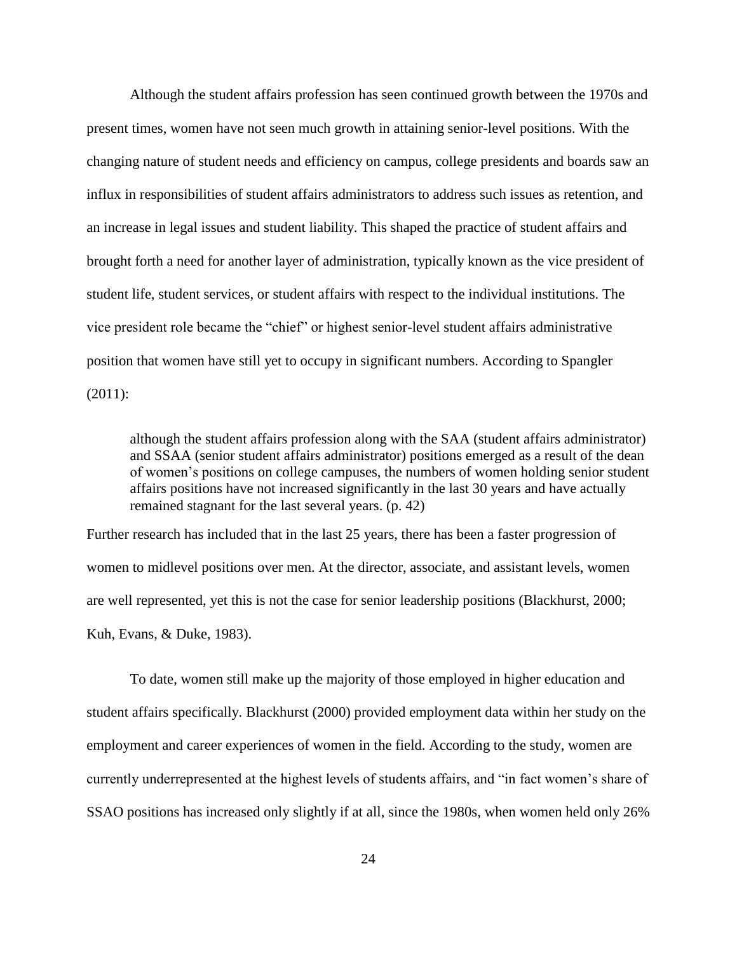Although the student affairs profession has seen continued growth between the 1970s and present times, women have not seen much growth in attaining senior-level positions. With the changing nature of student needs and efficiency on campus, college presidents and boards saw an influx in responsibilities of student affairs administrators to address such issues as retention, and an increase in legal issues and student liability. This shaped the practice of student affairs and brought forth a need for another layer of administration, typically known as the vice president of student life, student services, or student affairs with respect to the individual institutions. The vice president role became the "chief" or highest senior-level student affairs administrative position that women have still yet to occupy in significant numbers. According to Spangler (2011):

although the student affairs profession along with the SAA (student affairs administrator) and SSAA (senior student affairs administrator) positions emerged as a result of the dean of women's positions on college campuses, the numbers of women holding senior student affairs positions have not increased significantly in the last 30 years and have actually remained stagnant for the last several years. (p. 42)

Further research has included that in the last 25 years, there has been a faster progression of women to midlevel positions over men. At the director, associate, and assistant levels, women are well represented, yet this is not the case for senior leadership positions (Blackhurst, 2000; Kuh, Evans, & Duke, 1983).

To date, women still make up the majority of those employed in higher education and student affairs specifically. Blackhurst (2000) provided employment data within her study on the employment and career experiences of women in the field. According to the study, women are currently underrepresented at the highest levels of students affairs, and "in fact women's share of SSAO positions has increased only slightly if at all, since the 1980s, when women held only 26%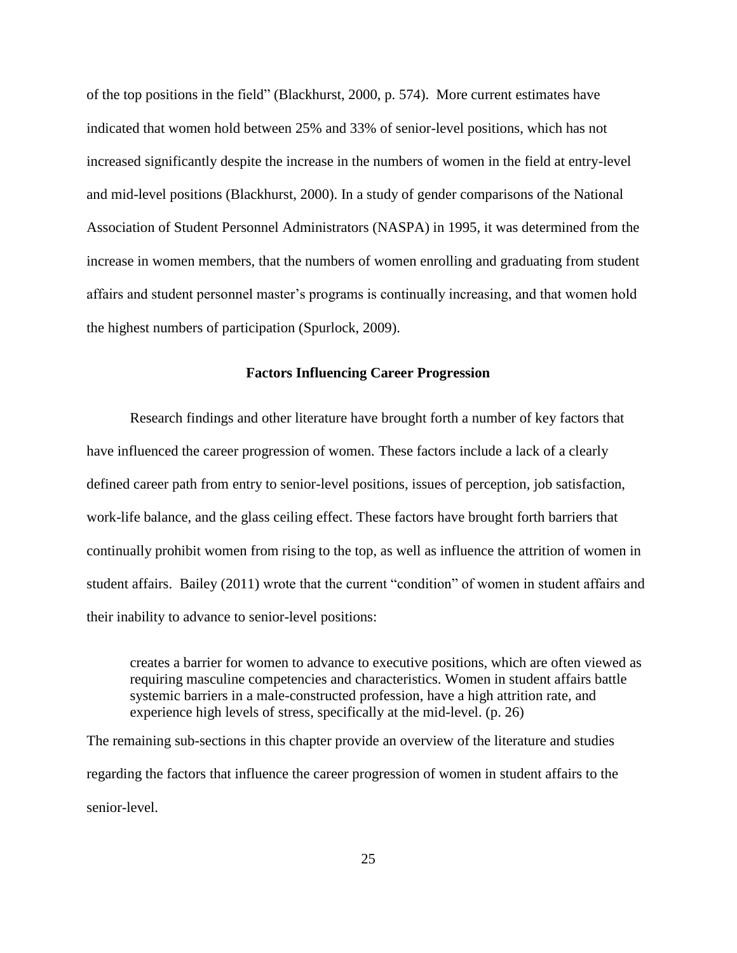of the top positions in the field" (Blackhurst, 2000, p. 574). More current estimates have indicated that women hold between 25% and 33% of senior-level positions, which has not increased significantly despite the increase in the numbers of women in the field at entry-level and mid-level positions (Blackhurst, 2000). In a study of gender comparisons of the National Association of Student Personnel Administrators (NASPA) in 1995, it was determined from the increase in women members, that the numbers of women enrolling and graduating from student affairs and student personnel master's programs is continually increasing, and that women hold the highest numbers of participation (Spurlock, 2009).

#### **Factors Influencing Career Progression**

Research findings and other literature have brought forth a number of key factors that have influenced the career progression of women. These factors include a lack of a clearly defined career path from entry to senior-level positions, issues of perception, job satisfaction, work-life balance, and the glass ceiling effect. These factors have brought forth barriers that continually prohibit women from rising to the top, as well as influence the attrition of women in student affairs. Bailey (2011) wrote that the current "condition" of women in student affairs and their inability to advance to senior-level positions:

creates a barrier for women to advance to executive positions, which are often viewed as requiring masculine competencies and characteristics. Women in student affairs battle systemic barriers in a male-constructed profession, have a high attrition rate, and experience high levels of stress, specifically at the mid-level. (p. 26)

The remaining sub-sections in this chapter provide an overview of the literature and studies regarding the factors that influence the career progression of women in student affairs to the senior-level.

25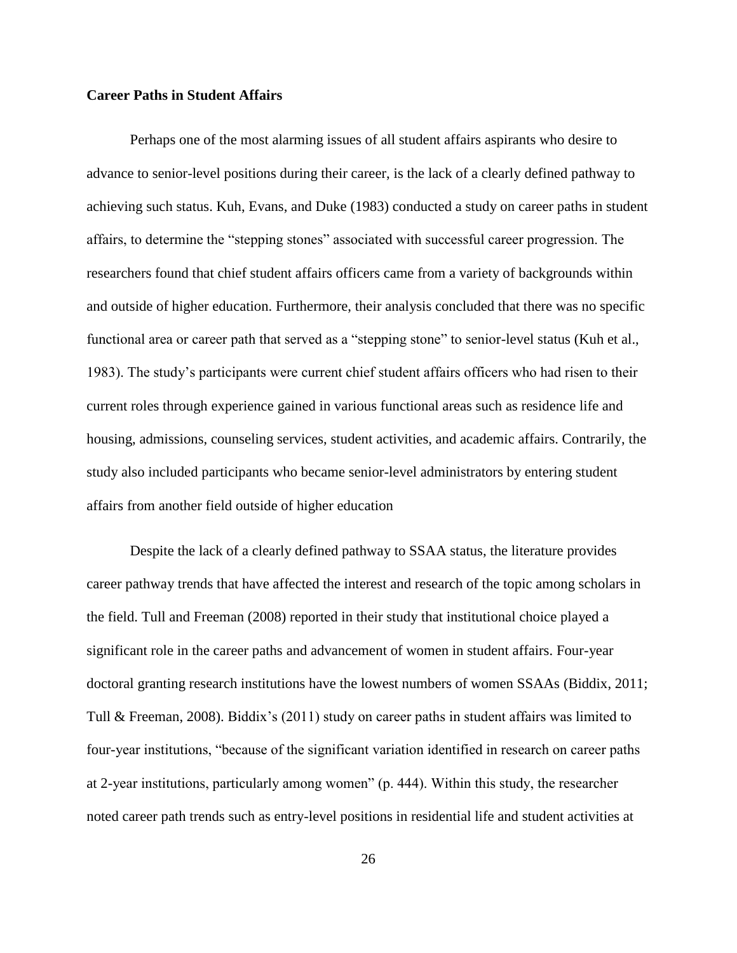#### **Career Paths in Student Affairs**

Perhaps one of the most alarming issues of all student affairs aspirants who desire to advance to senior-level positions during their career, is the lack of a clearly defined pathway to achieving such status. Kuh, Evans, and Duke (1983) conducted a study on career paths in student affairs, to determine the "stepping stones" associated with successful career progression. The researchers found that chief student affairs officers came from a variety of backgrounds within and outside of higher education. Furthermore, their analysis concluded that there was no specific functional area or career path that served as a "stepping stone" to senior-level status (Kuh et al., 1983). The study's participants were current chief student affairs officers who had risen to their current roles through experience gained in various functional areas such as residence life and housing, admissions, counseling services, student activities, and academic affairs. Contrarily, the study also included participants who became senior-level administrators by entering student affairs from another field outside of higher education

Despite the lack of a clearly defined pathway to SSAA status, the literature provides career pathway trends that have affected the interest and research of the topic among scholars in the field. Tull and Freeman (2008) reported in their study that institutional choice played a significant role in the career paths and advancement of women in student affairs. Four-year doctoral granting research institutions have the lowest numbers of women SSAAs (Biddix, 2011; Tull & Freeman, 2008). Biddix's (2011) study on career paths in student affairs was limited to four-year institutions, "because of the significant variation identified in research on career paths at 2-year institutions, particularly among women" (p. 444). Within this study, the researcher noted career path trends such as entry-level positions in residential life and student activities at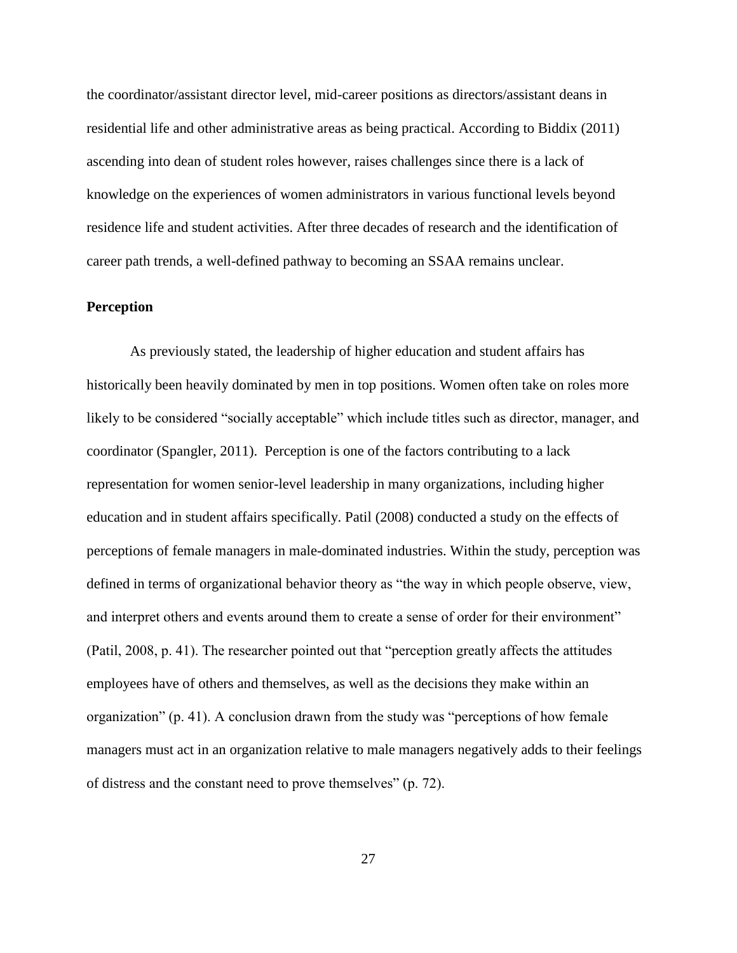the coordinator/assistant director level, mid-career positions as directors/assistant deans in residential life and other administrative areas as being practical. According to Biddix (2011) ascending into dean of student roles however, raises challenges since there is a lack of knowledge on the experiences of women administrators in various functional levels beyond residence life and student activities. After three decades of research and the identification of career path trends, a well-defined pathway to becoming an SSAA remains unclear.

#### **Perception**

As previously stated, the leadership of higher education and student affairs has historically been heavily dominated by men in top positions. Women often take on roles more likely to be considered "socially acceptable" which include titles such as director, manager, and coordinator (Spangler, 2011). Perception is one of the factors contributing to a lack representation for women senior-level leadership in many organizations, including higher education and in student affairs specifically. Patil (2008) conducted a study on the effects of perceptions of female managers in male-dominated industries. Within the study, perception was defined in terms of organizational behavior theory as "the way in which people observe, view, and interpret others and events around them to create a sense of order for their environment" (Patil, 2008, p. 41). The researcher pointed out that "perception greatly affects the attitudes employees have of others and themselves, as well as the decisions they make within an organization" (p. 41). A conclusion drawn from the study was "perceptions of how female managers must act in an organization relative to male managers negatively adds to their feelings of distress and the constant need to prove themselves" (p. 72).

27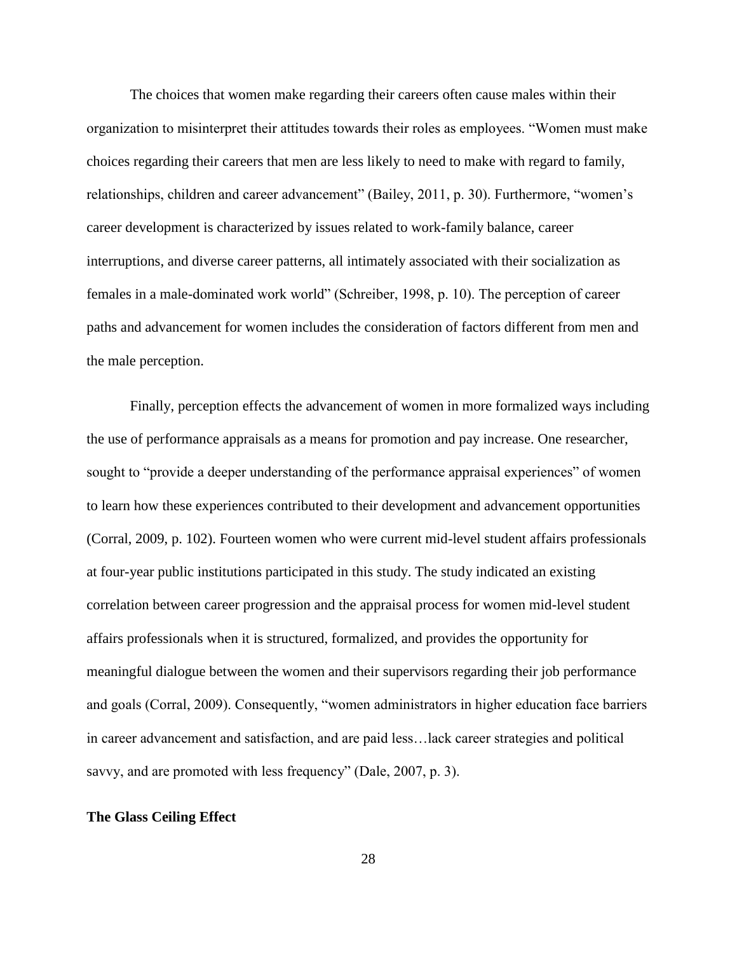The choices that women make regarding their careers often cause males within their organization to misinterpret their attitudes towards their roles as employees. "Women must make choices regarding their careers that men are less likely to need to make with regard to family, relationships, children and career advancement" (Bailey, 2011, p. 30). Furthermore, "women's career development is characterized by issues related to work-family balance, career interruptions, and diverse career patterns, all intimately associated with their socialization as females in a male-dominated work world" (Schreiber, 1998, p. 10). The perception of career paths and advancement for women includes the consideration of factors different from men and the male perception.

Finally, perception effects the advancement of women in more formalized ways including the use of performance appraisals as a means for promotion and pay increase. One researcher, sought to "provide a deeper understanding of the performance appraisal experiences" of women to learn how these experiences contributed to their development and advancement opportunities (Corral, 2009, p. 102). Fourteen women who were current mid-level student affairs professionals at four-year public institutions participated in this study. The study indicated an existing correlation between career progression and the appraisal process for women mid-level student affairs professionals when it is structured, formalized, and provides the opportunity for meaningful dialogue between the women and their supervisors regarding their job performance and goals (Corral, 2009). Consequently, "women administrators in higher education face barriers in career advancement and satisfaction, and are paid less…lack career strategies and political savvy, and are promoted with less frequency" (Dale, 2007, p. 3).

### **The Glass Ceiling Effect**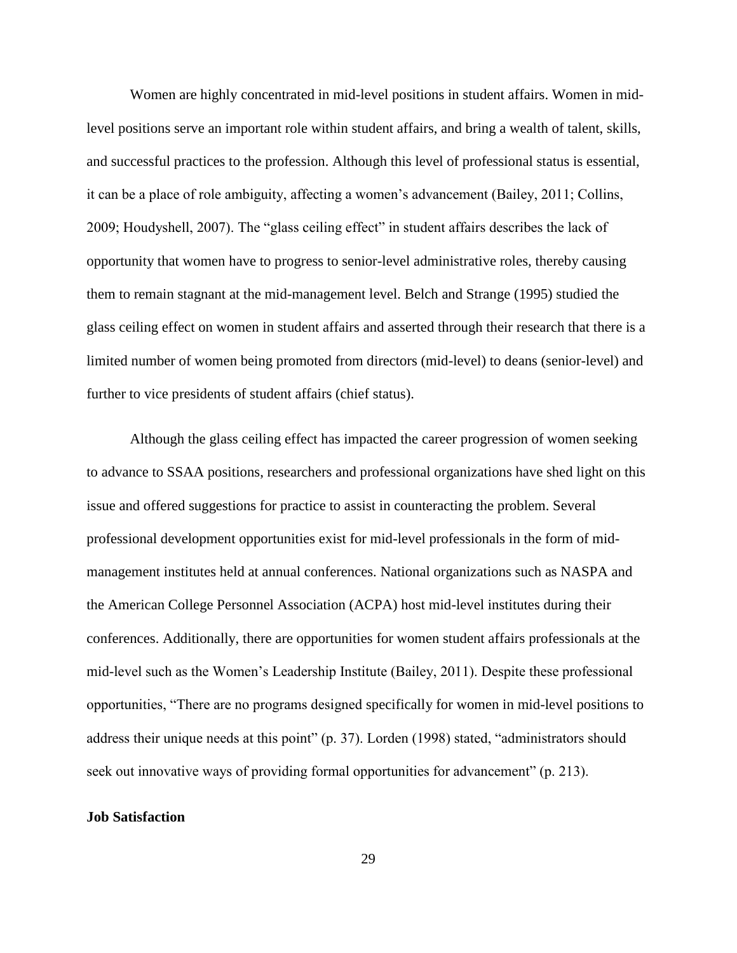Women are highly concentrated in mid-level positions in student affairs. Women in midlevel positions serve an important role within student affairs, and bring a wealth of talent, skills, and successful practices to the profession. Although this level of professional status is essential, it can be a place of role ambiguity, affecting a women's advancement (Bailey, 2011; Collins, 2009; Houdyshell, 2007). The "glass ceiling effect" in student affairs describes the lack of opportunity that women have to progress to senior-level administrative roles, thereby causing them to remain stagnant at the mid-management level. Belch and Strange (1995) studied the glass ceiling effect on women in student affairs and asserted through their research that there is a limited number of women being promoted from directors (mid-level) to deans (senior-level) and further to vice presidents of student affairs (chief status).

Although the glass ceiling effect has impacted the career progression of women seeking to advance to SSAA positions, researchers and professional organizations have shed light on this issue and offered suggestions for practice to assist in counteracting the problem. Several professional development opportunities exist for mid-level professionals in the form of midmanagement institutes held at annual conferences. National organizations such as NASPA and the American College Personnel Association (ACPA) host mid-level institutes during their conferences. Additionally, there are opportunities for women student affairs professionals at the mid-level such as the Women's Leadership Institute (Bailey, 2011). Despite these professional opportunities, "There are no programs designed specifically for women in mid-level positions to address their unique needs at this point" (p. 37). Lorden (1998) stated, "administrators should seek out innovative ways of providing formal opportunities for advancement" (p. 213).

### **Job Satisfaction**

29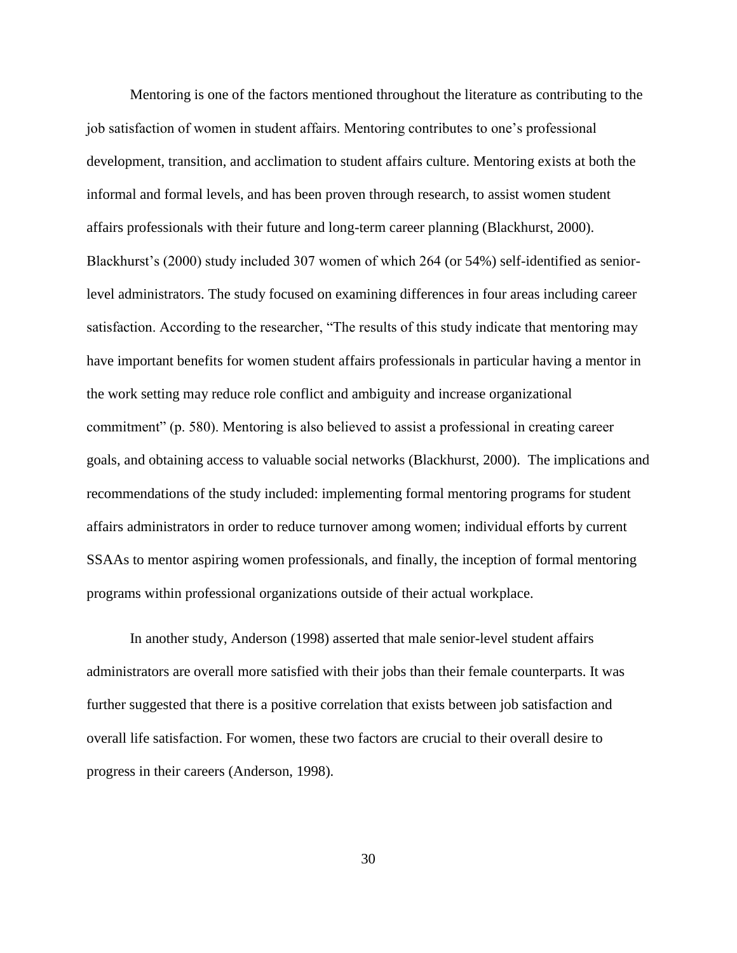Mentoring is one of the factors mentioned throughout the literature as contributing to the job satisfaction of women in student affairs. Mentoring contributes to one's professional development, transition, and acclimation to student affairs culture. Mentoring exists at both the informal and formal levels, and has been proven through research, to assist women student affairs professionals with their future and long-term career planning (Blackhurst, 2000). Blackhurst's (2000) study included 307 women of which 264 (or 54%) self-identified as seniorlevel administrators. The study focused on examining differences in four areas including career satisfaction. According to the researcher, "The results of this study indicate that mentoring may have important benefits for women student affairs professionals in particular having a mentor in the work setting may reduce role conflict and ambiguity and increase organizational commitment" (p. 580). Mentoring is also believed to assist a professional in creating career goals, and obtaining access to valuable social networks (Blackhurst, 2000). The implications and recommendations of the study included: implementing formal mentoring programs for student affairs administrators in order to reduce turnover among women; individual efforts by current SSAAs to mentor aspiring women professionals, and finally, the inception of formal mentoring programs within professional organizations outside of their actual workplace.

In another study, Anderson (1998) asserted that male senior-level student affairs administrators are overall more satisfied with their jobs than their female counterparts. It was further suggested that there is a positive correlation that exists between job satisfaction and overall life satisfaction. For women, these two factors are crucial to their overall desire to progress in their careers (Anderson, 1998).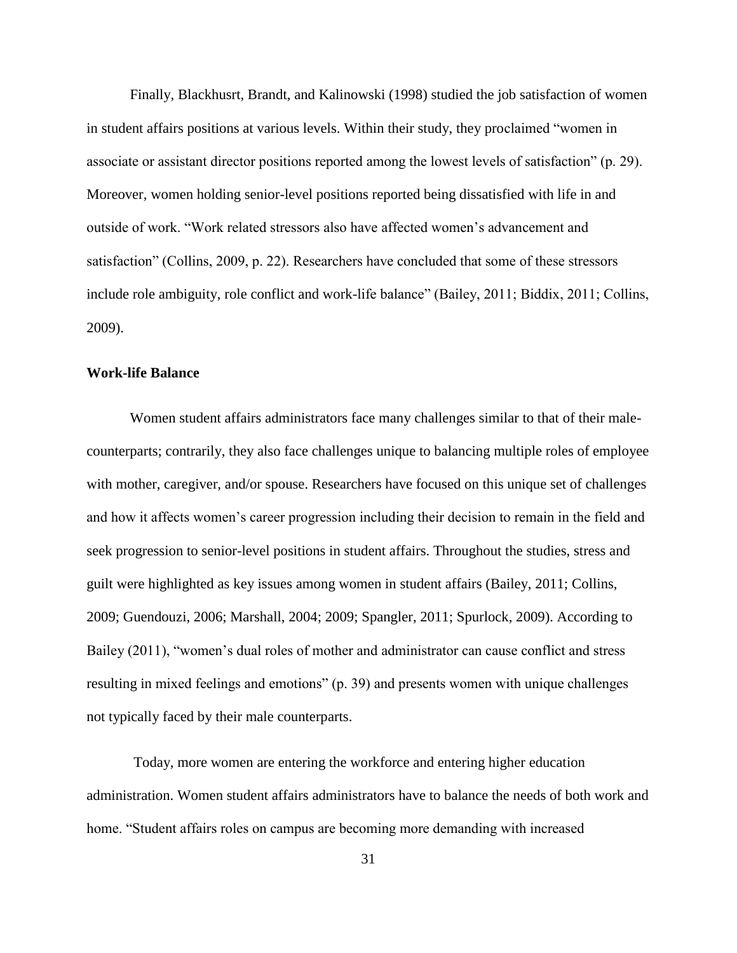Finally, Blackhusrt, Brandt, and Kalinowski (1998) studied the job satisfaction of women in student affairs positions at various levels. Within their study, they proclaimed "women in associate or assistant director positions reported among the lowest levels of satisfaction" (p. 29). Moreover, women holding senior-level positions reported being dissatisfied with life in and outside of work. "Work related stressors also have affected women's advancement and satisfaction" (Collins, 2009, p. 22). Researchers have concluded that some of these stressors include role ambiguity, role conflict and work-life balance" (Bailey, 2011; Biddix, 2011; Collins, 2009).

### **Work-life Balance**

Women student affairs administrators face many challenges similar to that of their malecounterparts; contrarily, they also face challenges unique to balancing multiple roles of employee with mother, caregiver, and/or spouse. Researchers have focused on this unique set of challenges and how it affects women's career progression including their decision to remain in the field and seek progression to senior-level positions in student affairs. Throughout the studies, stress and guilt were highlighted as key issues among women in student affairs (Bailey, 2011; Collins, 2009; Guendouzi, 2006; Marshall, 2004; 2009; Spangler, 2011; Spurlock, 2009). According to Bailey (2011), "women's dual roles of mother and administrator can cause conflict and stress resulting in mixed feelings and emotions" (p. 39) and presents women with unique challenges not typically faced by their male counterparts.

Today, more women are entering the workforce and entering higher education administration. Women student affairs administrators have to balance the needs of both work and home. "Student affairs roles on campus are becoming more demanding with increased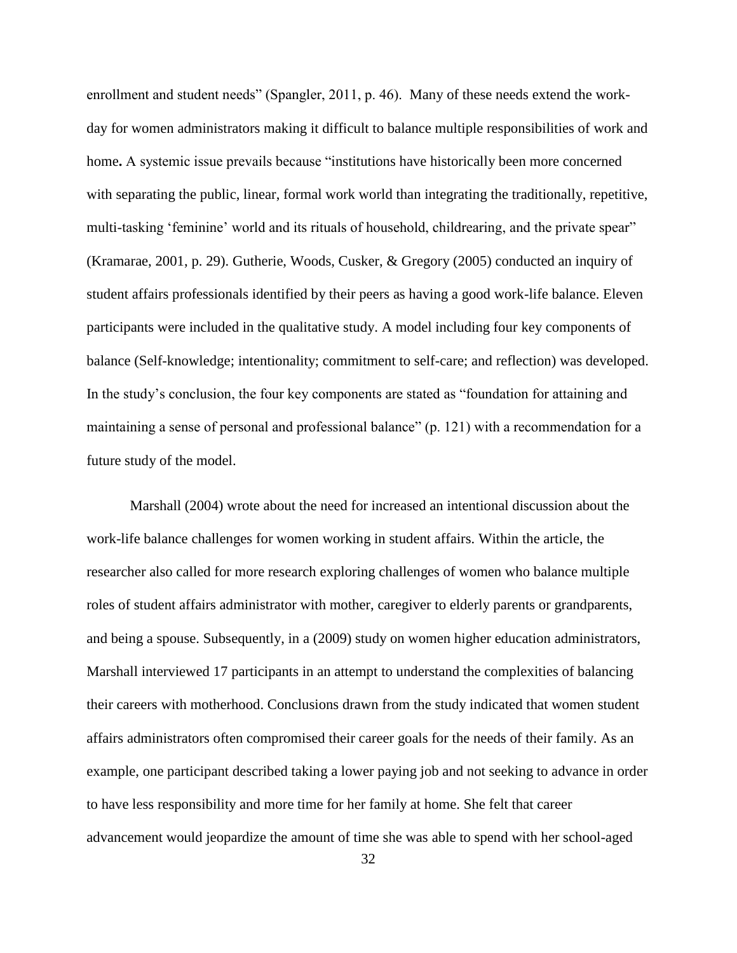enrollment and student needs" (Spangler, 2011, p. 46). Many of these needs extend the workday for women administrators making it difficult to balance multiple responsibilities of work and home**.** A systemic issue prevails because "institutions have historically been more concerned with separating the public, linear, formal work world than integrating the traditionally, repetitive, multi-tasking 'feminine' world and its rituals of household, childrearing, and the private spear" (Kramarae, 2001, p. 29). Gutherie, Woods, Cusker, & Gregory (2005) conducted an inquiry of student affairs professionals identified by their peers as having a good work-life balance. Eleven participants were included in the qualitative study. A model including four key components of balance (Self-knowledge; intentionality; commitment to self-care; and reflection) was developed. In the study's conclusion, the four key components are stated as "foundation for attaining and maintaining a sense of personal and professional balance" (p. 121) with a recommendation for a future study of the model.

Marshall (2004) wrote about the need for increased an intentional discussion about the work-life balance challenges for women working in student affairs. Within the article, the researcher also called for more research exploring challenges of women who balance multiple roles of student affairs administrator with mother, caregiver to elderly parents or grandparents, and being a spouse. Subsequently, in a (2009) study on women higher education administrators, Marshall interviewed 17 participants in an attempt to understand the complexities of balancing their careers with motherhood. Conclusions drawn from the study indicated that women student affairs administrators often compromised their career goals for the needs of their family. As an example, one participant described taking a lower paying job and not seeking to advance in order to have less responsibility and more time for her family at home. She felt that career advancement would jeopardize the amount of time she was able to spend with her school-aged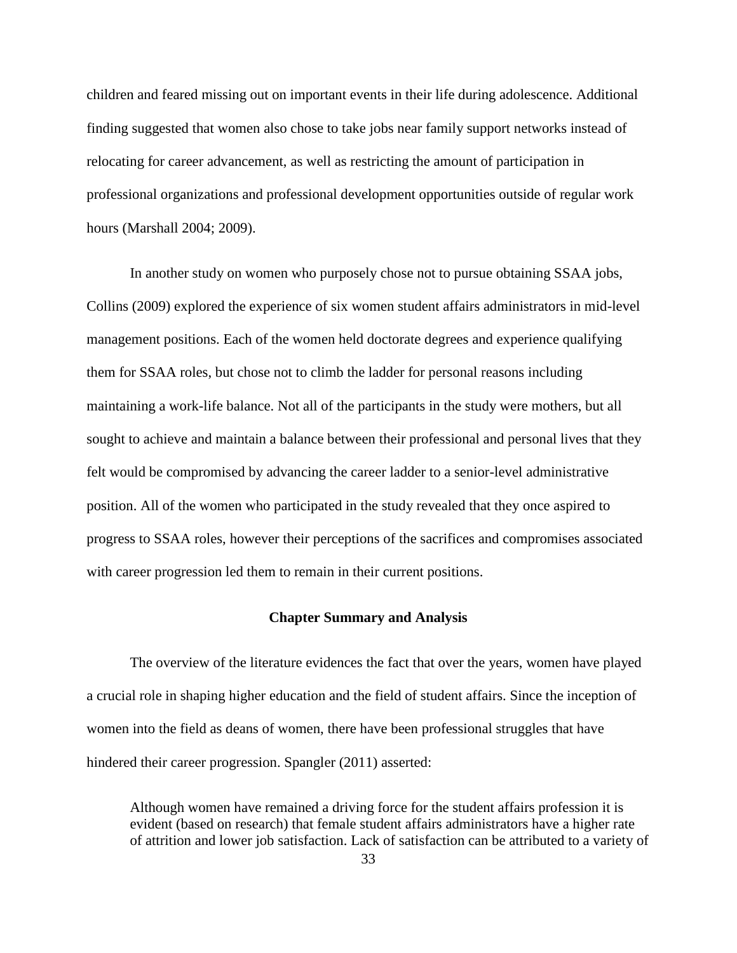children and feared missing out on important events in their life during adolescence. Additional finding suggested that women also chose to take jobs near family support networks instead of relocating for career advancement, as well as restricting the amount of participation in professional organizations and professional development opportunities outside of regular work hours (Marshall 2004; 2009).

In another study on women who purposely chose not to pursue obtaining SSAA jobs, Collins (2009) explored the experience of six women student affairs administrators in mid-level management positions. Each of the women held doctorate degrees and experience qualifying them for SSAA roles, but chose not to climb the ladder for personal reasons including maintaining a work-life balance. Not all of the participants in the study were mothers, but all sought to achieve and maintain a balance between their professional and personal lives that they felt would be compromised by advancing the career ladder to a senior-level administrative position. All of the women who participated in the study revealed that they once aspired to progress to SSAA roles, however their perceptions of the sacrifices and compromises associated with career progression led them to remain in their current positions.

### **Chapter Summary and Analysis**

The overview of the literature evidences the fact that over the years, women have played a crucial role in shaping higher education and the field of student affairs. Since the inception of women into the field as deans of women, there have been professional struggles that have hindered their career progression. Spangler (2011) asserted:

Although women have remained a driving force for the student affairs profession it is evident (based on research) that female student affairs administrators have a higher rate of attrition and lower job satisfaction. Lack of satisfaction can be attributed to a variety of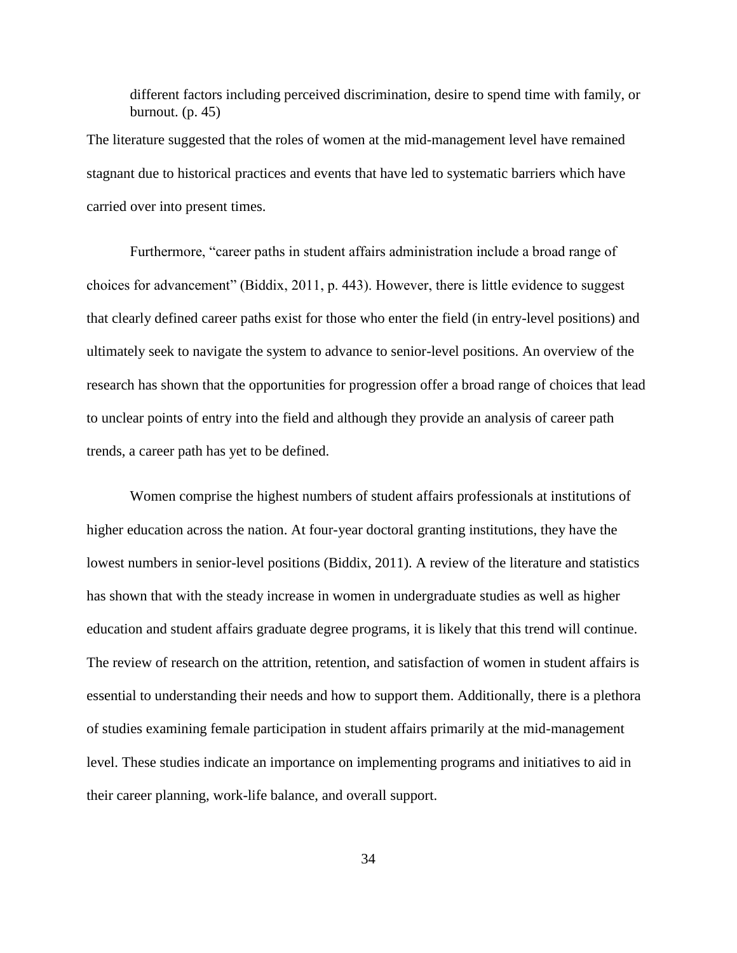different factors including perceived discrimination, desire to spend time with family, or burnout.  $(p. 45)$ 

The literature suggested that the roles of women at the mid-management level have remained stagnant due to historical practices and events that have led to systematic barriers which have carried over into present times.

Furthermore, "career paths in student affairs administration include a broad range of choices for advancement" (Biddix, 2011, p. 443). However, there is little evidence to suggest that clearly defined career paths exist for those who enter the field (in entry-level positions) and ultimately seek to navigate the system to advance to senior-level positions. An overview of the research has shown that the opportunities for progression offer a broad range of choices that lead to unclear points of entry into the field and although they provide an analysis of career path trends, a career path has yet to be defined.

Women comprise the highest numbers of student affairs professionals at institutions of higher education across the nation. At four-year doctoral granting institutions, they have the lowest numbers in senior-level positions (Biddix, 2011). A review of the literature and statistics has shown that with the steady increase in women in undergraduate studies as well as higher education and student affairs graduate degree programs, it is likely that this trend will continue. The review of research on the attrition, retention, and satisfaction of women in student affairs is essential to understanding their needs and how to support them. Additionally, there is a plethora of studies examining female participation in student affairs primarily at the mid-management level. These studies indicate an importance on implementing programs and initiatives to aid in their career planning, work-life balance, and overall support.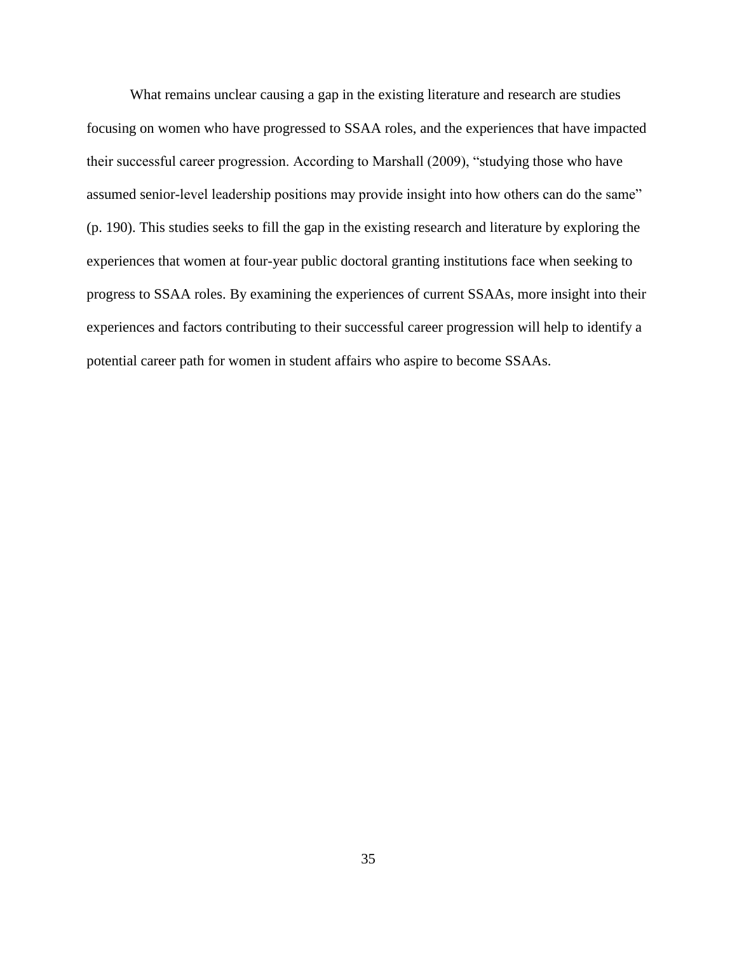What remains unclear causing a gap in the existing literature and research are studies focusing on women who have progressed to SSAA roles, and the experiences that have impacted their successful career progression. According to Marshall (2009), "studying those who have assumed senior-level leadership positions may provide insight into how others can do the same" (p. 190). This studies seeks to fill the gap in the existing research and literature by exploring the experiences that women at four-year public doctoral granting institutions face when seeking to progress to SSAA roles. By examining the experiences of current SSAAs, more insight into their experiences and factors contributing to their successful career progression will help to identify a potential career path for women in student affairs who aspire to become SSAAs.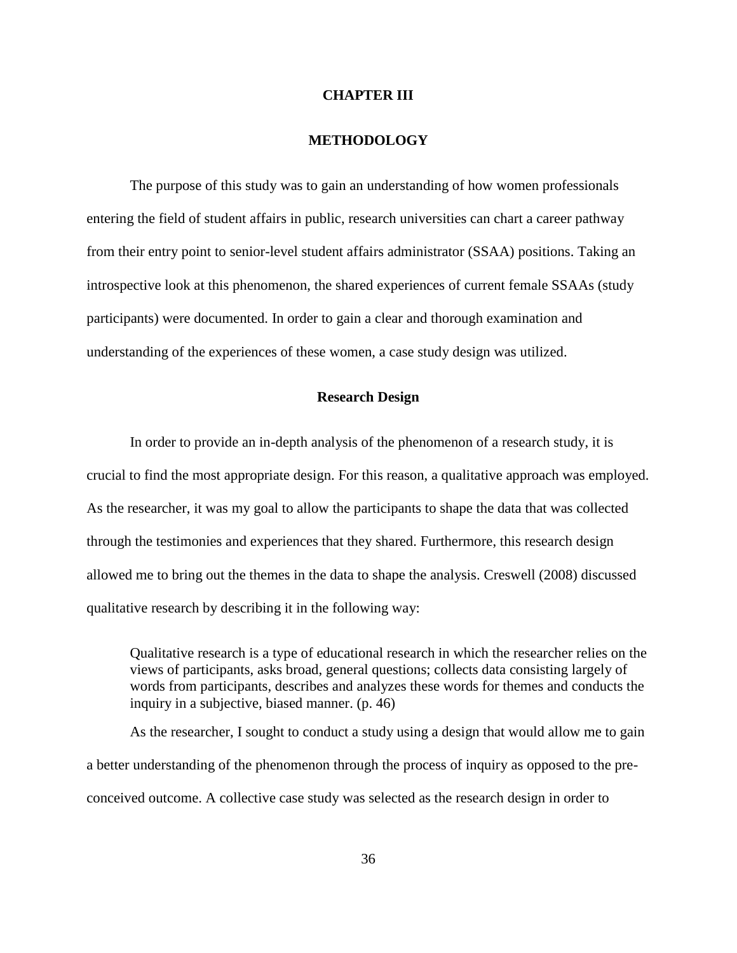### **CHAPTER III**

### **METHODOLOGY**

The purpose of this study was to gain an understanding of how women professionals entering the field of student affairs in public, research universities can chart a career pathway from their entry point to senior-level student affairs administrator (SSAA) positions. Taking an introspective look at this phenomenon, the shared experiences of current female SSAAs (study participants) were documented. In order to gain a clear and thorough examination and understanding of the experiences of these women, a case study design was utilized.

# **Research Design**

In order to provide an in-depth analysis of the phenomenon of a research study, it is crucial to find the most appropriate design. For this reason, a qualitative approach was employed. As the researcher, it was my goal to allow the participants to shape the data that was collected through the testimonies and experiences that they shared. Furthermore, this research design allowed me to bring out the themes in the data to shape the analysis. Creswell (2008) discussed qualitative research by describing it in the following way:

Qualitative research is a type of educational research in which the researcher relies on the views of participants, asks broad, general questions; collects data consisting largely of words from participants, describes and analyzes these words for themes and conducts the inquiry in a subjective, biased manner. (p. 46)

As the researcher, I sought to conduct a study using a design that would allow me to gain a better understanding of the phenomenon through the process of inquiry as opposed to the preconceived outcome. A collective case study was selected as the research design in order to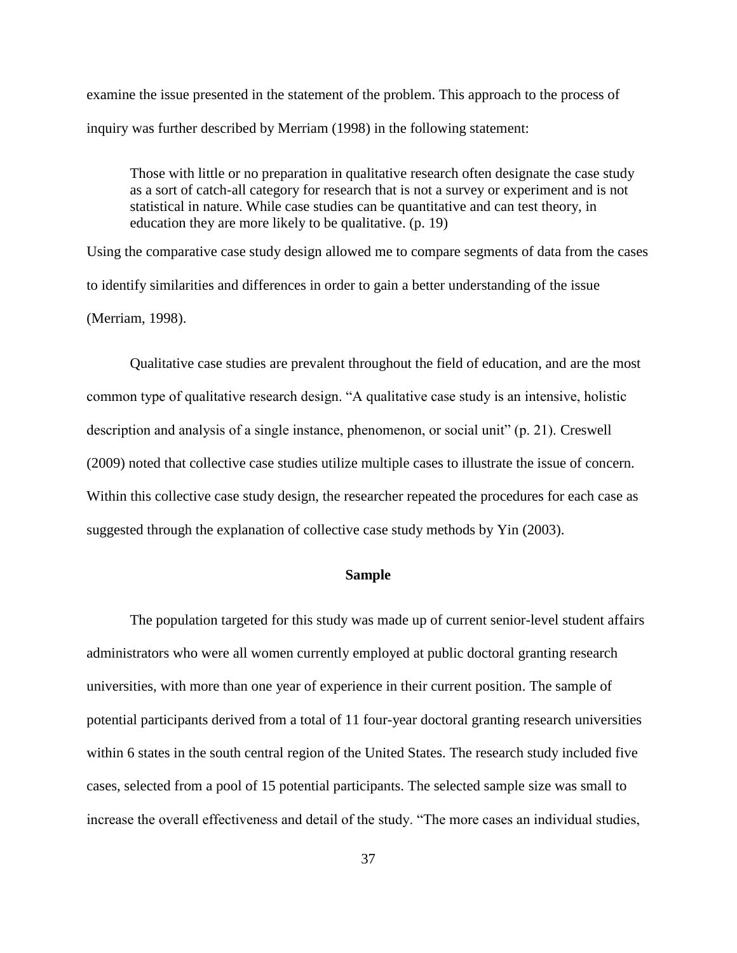examine the issue presented in the statement of the problem. This approach to the process of inquiry was further described by Merriam (1998) in the following statement:

Those with little or no preparation in qualitative research often designate the case study as a sort of catch-all category for research that is not a survey or experiment and is not statistical in nature. While case studies can be quantitative and can test theory, in education they are more likely to be qualitative. (p. 19)

Using the comparative case study design allowed me to compare segments of data from the cases to identify similarities and differences in order to gain a better understanding of the issue (Merriam, 1998).

Qualitative case studies are prevalent throughout the field of education, and are the most common type of qualitative research design. "A qualitative case study is an intensive, holistic description and analysis of a single instance, phenomenon, or social unit" (p. 21). Creswell (2009) noted that collective case studies utilize multiple cases to illustrate the issue of concern. Within this collective case study design, the researcher repeated the procedures for each case as suggested through the explanation of collective case study methods by Yin (2003).

### **Sample**

The population targeted for this study was made up of current senior-level student affairs administrators who were all women currently employed at public doctoral granting research universities, with more than one year of experience in their current position. The sample of potential participants derived from a total of 11 four-year doctoral granting research universities within 6 states in the south central region of the United States. The research study included five cases, selected from a pool of 15 potential participants. The selected sample size was small to increase the overall effectiveness and detail of the study. "The more cases an individual studies,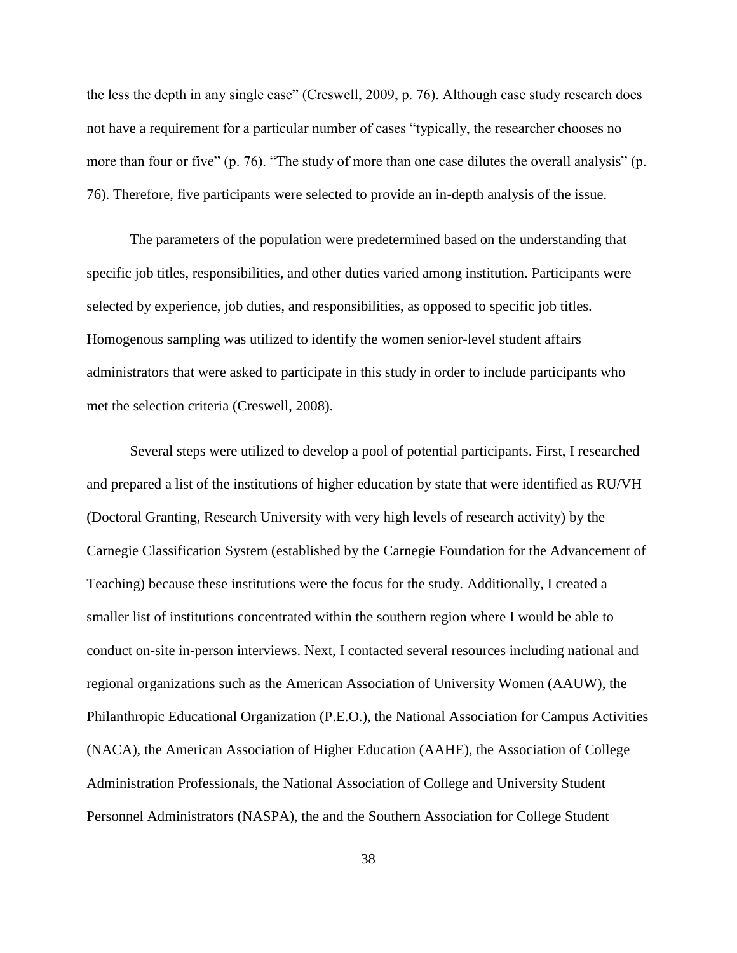the less the depth in any single case" (Creswell, 2009, p. 76). Although case study research does not have a requirement for a particular number of cases "typically, the researcher chooses no more than four or five" (p. 76). "The study of more than one case dilutes the overall analysis" (p. 76). Therefore, five participants were selected to provide an in-depth analysis of the issue.

The parameters of the population were predetermined based on the understanding that specific job titles, responsibilities, and other duties varied among institution. Participants were selected by experience, job duties, and responsibilities, as opposed to specific job titles. Homogenous sampling was utilized to identify the women senior-level student affairs administrators that were asked to participate in this study in order to include participants who met the selection criteria (Creswell, 2008).

Several steps were utilized to develop a pool of potential participants. First, I researched and prepared a list of the institutions of higher education by state that were identified as RU/VH (Doctoral Granting, Research University with very high levels of research activity) by the Carnegie Classification System (established by the Carnegie Foundation for the Advancement of Teaching) because these institutions were the focus for the study. Additionally, I created a smaller list of institutions concentrated within the southern region where I would be able to conduct on-site in-person interviews. Next, I contacted several resources including national and regional organizations such as the American Association of University Women (AAUW), the Philanthropic Educational Organization (P.E.O.), the National Association for Campus Activities (NACA), the American Association of Higher Education (AAHE), the Association of College Administration Professionals, the National Association of College and University Student Personnel Administrators (NASPA), the and the Southern Association for College Student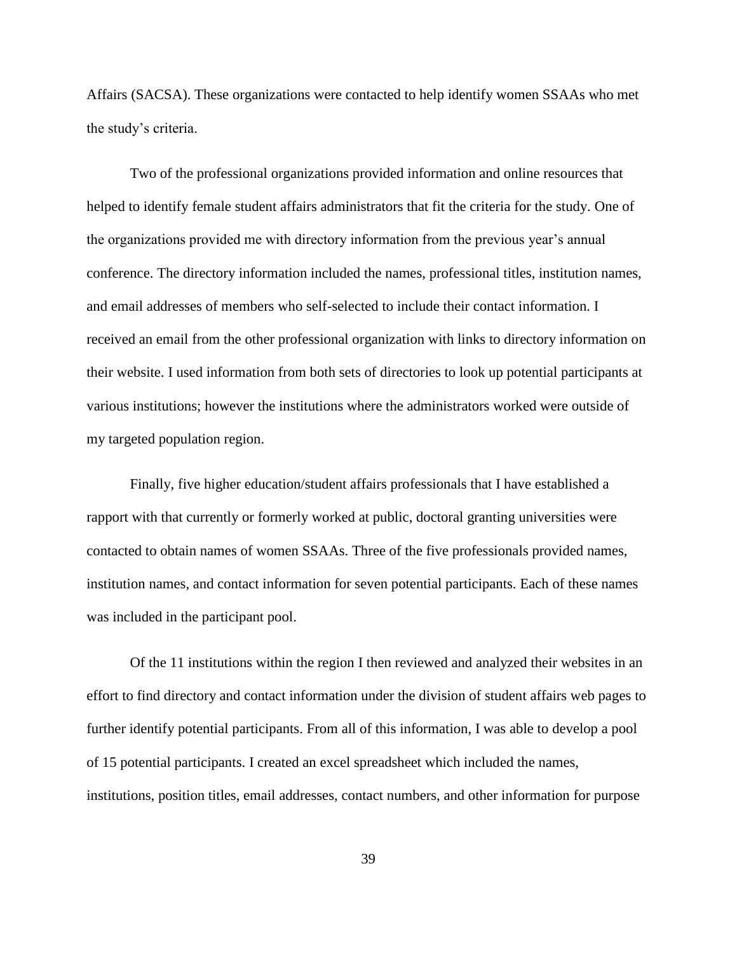Affairs (SACSA). These organizations were contacted to help identify women SSAAs who met the study's criteria.

Two of the professional organizations provided information and online resources that helped to identify female student affairs administrators that fit the criteria for the study. One of the organizations provided me with directory information from the previous year's annual conference. The directory information included the names, professional titles, institution names, and email addresses of members who self-selected to include their contact information. I received an email from the other professional organization with links to directory information on their website. I used information from both sets of directories to look up potential participants at various institutions; however the institutions where the administrators worked were outside of my targeted population region.

Finally, five higher education/student affairs professionals that I have established a rapport with that currently or formerly worked at public, doctoral granting universities were contacted to obtain names of women SSAAs. Three of the five professionals provided names, institution names, and contact information for seven potential participants. Each of these names was included in the participant pool.

Of the 11 institutions within the region I then reviewed and analyzed their websites in an effort to find directory and contact information under the division of student affairs web pages to further identify potential participants. From all of this information, I was able to develop a pool of 15 potential participants. I created an excel spreadsheet which included the names, institutions, position titles, email addresses, contact numbers, and other information for purpose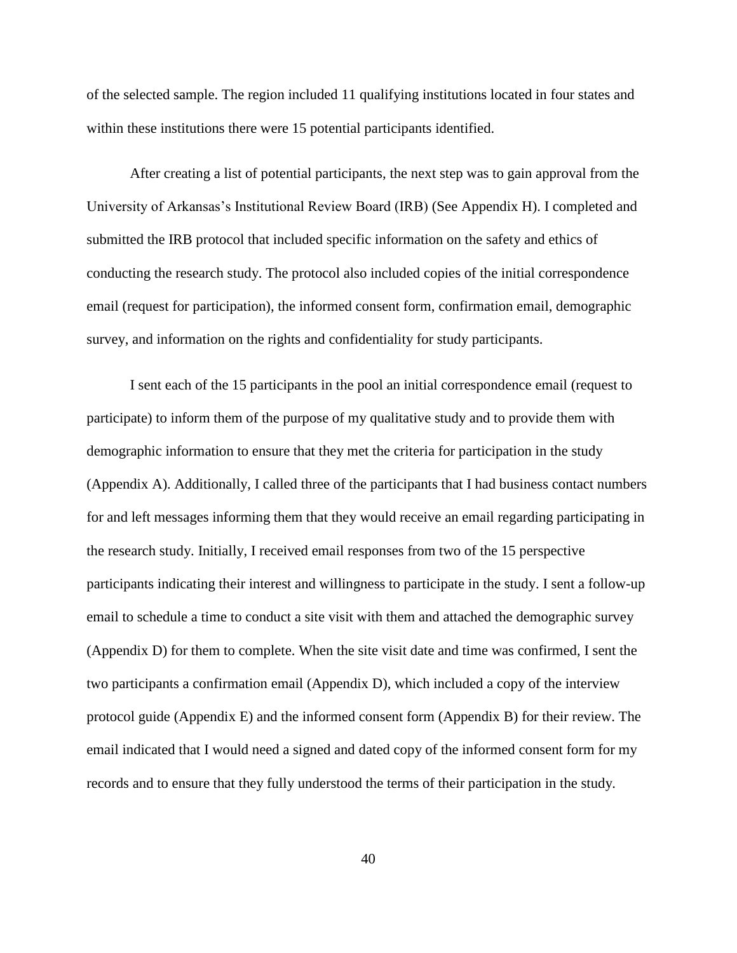of the selected sample. The region included 11 qualifying institutions located in four states and within these institutions there were 15 potential participants identified.

After creating a list of potential participants, the next step was to gain approval from the University of Arkansas's Institutional Review Board (IRB) (See Appendix H). I completed and submitted the IRB protocol that included specific information on the safety and ethics of conducting the research study. The protocol also included copies of the initial correspondence email (request for participation), the informed consent form, confirmation email, demographic survey, and information on the rights and confidentiality for study participants.

I sent each of the 15 participants in the pool an initial correspondence email (request to participate) to inform them of the purpose of my qualitative study and to provide them with demographic information to ensure that they met the criteria for participation in the study (Appendix A). Additionally, I called three of the participants that I had business contact numbers for and left messages informing them that they would receive an email regarding participating in the research study. Initially, I received email responses from two of the 15 perspective participants indicating their interest and willingness to participate in the study. I sent a follow-up email to schedule a time to conduct a site visit with them and attached the demographic survey (Appendix D) for them to complete. When the site visit date and time was confirmed, I sent the two participants a confirmation email (Appendix D), which included a copy of the interview protocol guide (Appendix E) and the informed consent form (Appendix B) for their review. The email indicated that I would need a signed and dated copy of the informed consent form for my records and to ensure that they fully understood the terms of their participation in the study.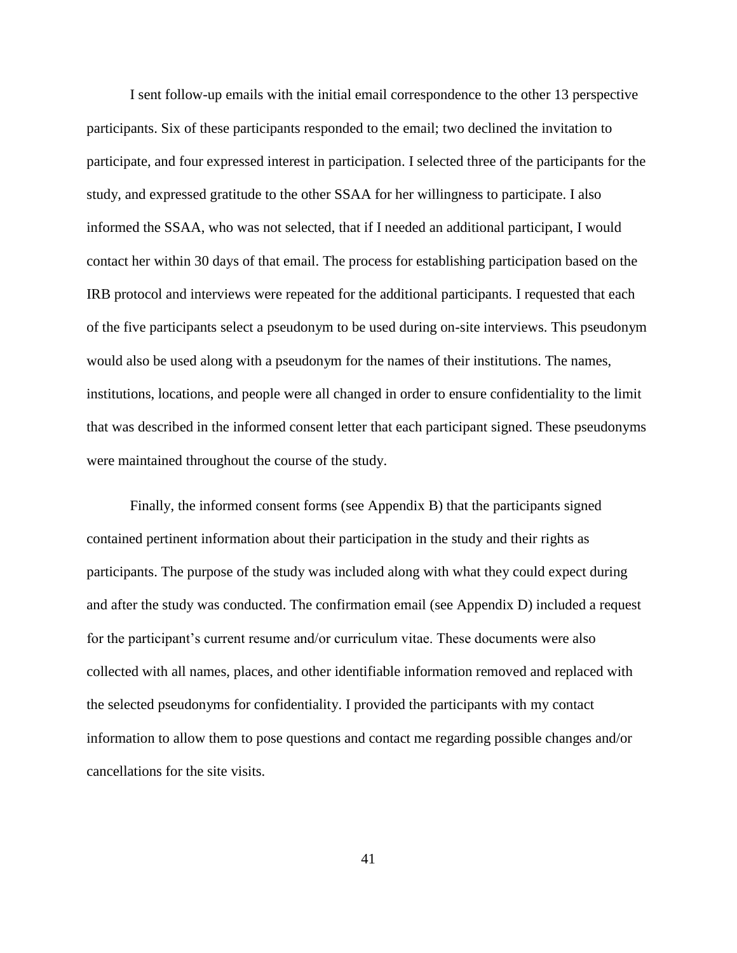I sent follow-up emails with the initial email correspondence to the other 13 perspective participants. Six of these participants responded to the email; two declined the invitation to participate, and four expressed interest in participation. I selected three of the participants for the study, and expressed gratitude to the other SSAA for her willingness to participate. I also informed the SSAA, who was not selected, that if I needed an additional participant, I would contact her within 30 days of that email. The process for establishing participation based on the IRB protocol and interviews were repeated for the additional participants. I requested that each of the five participants select a pseudonym to be used during on-site interviews. This pseudonym would also be used along with a pseudonym for the names of their institutions. The names, institutions, locations, and people were all changed in order to ensure confidentiality to the limit that was described in the informed consent letter that each participant signed. These pseudonyms were maintained throughout the course of the study.

Finally, the informed consent forms (see Appendix B) that the participants signed contained pertinent information about their participation in the study and their rights as participants. The purpose of the study was included along with what they could expect during and after the study was conducted. The confirmation email (see Appendix D) included a request for the participant's current resume and/or curriculum vitae. These documents were also collected with all names, places, and other identifiable information removed and replaced with the selected pseudonyms for confidentiality. I provided the participants with my contact information to allow them to pose questions and contact me regarding possible changes and/or cancellations for the site visits.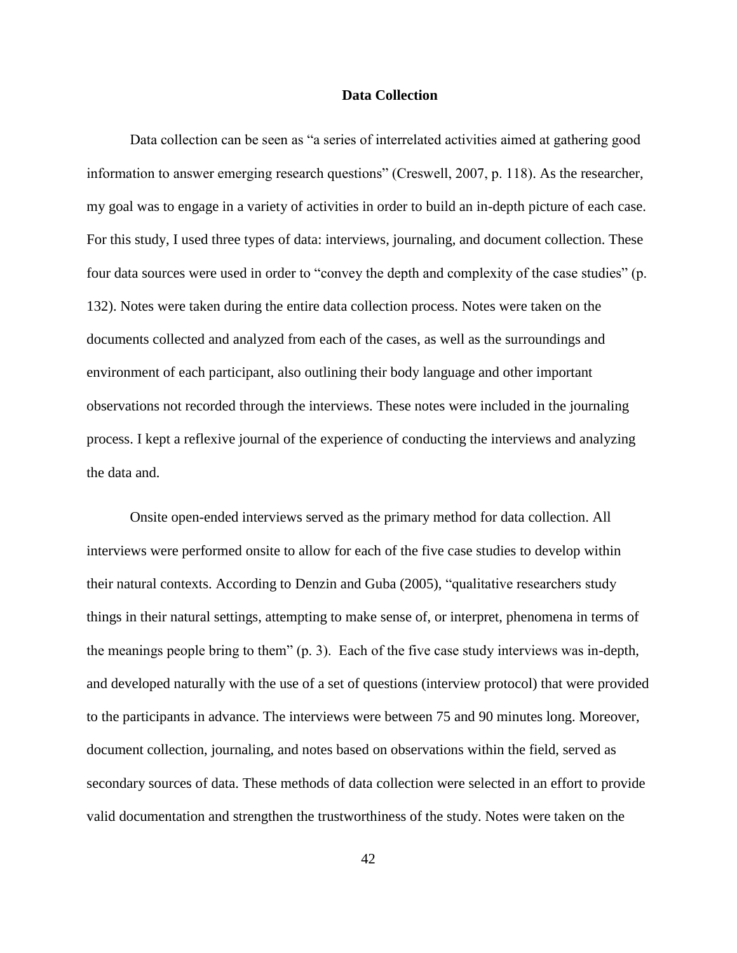### **Data Collection**

Data collection can be seen as "a series of interrelated activities aimed at gathering good information to answer emerging research questions" (Creswell, 2007, p. 118). As the researcher, my goal was to engage in a variety of activities in order to build an in-depth picture of each case. For this study, I used three types of data: interviews, journaling, and document collection. These four data sources were used in order to "convey the depth and complexity of the case studies" (p. 132). Notes were taken during the entire data collection process. Notes were taken on the documents collected and analyzed from each of the cases, as well as the surroundings and environment of each participant, also outlining their body language and other important observations not recorded through the interviews. These notes were included in the journaling process. I kept a reflexive journal of the experience of conducting the interviews and analyzing the data and.

Onsite open-ended interviews served as the primary method for data collection. All interviews were performed onsite to allow for each of the five case studies to develop within their natural contexts. According to Denzin and Guba (2005), "qualitative researchers study things in their natural settings, attempting to make sense of, or interpret, phenomena in terms of the meanings people bring to them" (p. 3). Each of the five case study interviews was in-depth, and developed naturally with the use of a set of questions (interview protocol) that were provided to the participants in advance. The interviews were between 75 and 90 minutes long. Moreover, document collection, journaling, and notes based on observations within the field, served as secondary sources of data. These methods of data collection were selected in an effort to provide valid documentation and strengthen the trustworthiness of the study. Notes were taken on the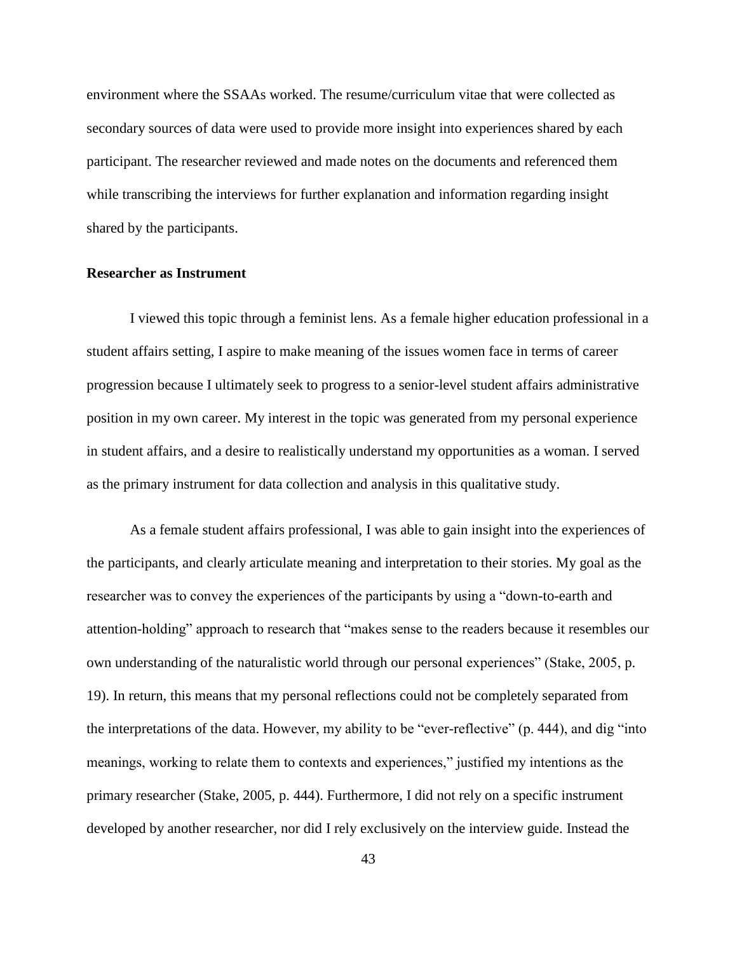environment where the SSAAs worked. The resume/curriculum vitae that were collected as secondary sources of data were used to provide more insight into experiences shared by each participant. The researcher reviewed and made notes on the documents and referenced them while transcribing the interviews for further explanation and information regarding insight shared by the participants.

#### **Researcher as Instrument**

I viewed this topic through a feminist lens. As a female higher education professional in a student affairs setting, I aspire to make meaning of the issues women face in terms of career progression because I ultimately seek to progress to a senior-level student affairs administrative position in my own career. My interest in the topic was generated from my personal experience in student affairs, and a desire to realistically understand my opportunities as a woman. I served as the primary instrument for data collection and analysis in this qualitative study.

As a female student affairs professional, I was able to gain insight into the experiences of the participants, and clearly articulate meaning and interpretation to their stories. My goal as the researcher was to convey the experiences of the participants by using a "down-to-earth and attention-holding" approach to research that "makes sense to the readers because it resembles our own understanding of the naturalistic world through our personal experiences" (Stake, 2005, p. 19). In return, this means that my personal reflections could not be completely separated from the interpretations of the data. However, my ability to be "ever-reflective" (p. 444), and dig "into meanings, working to relate them to contexts and experiences," justified my intentions as the primary researcher (Stake, 2005, p. 444). Furthermore, I did not rely on a specific instrument developed by another researcher, nor did I rely exclusively on the interview guide. Instead the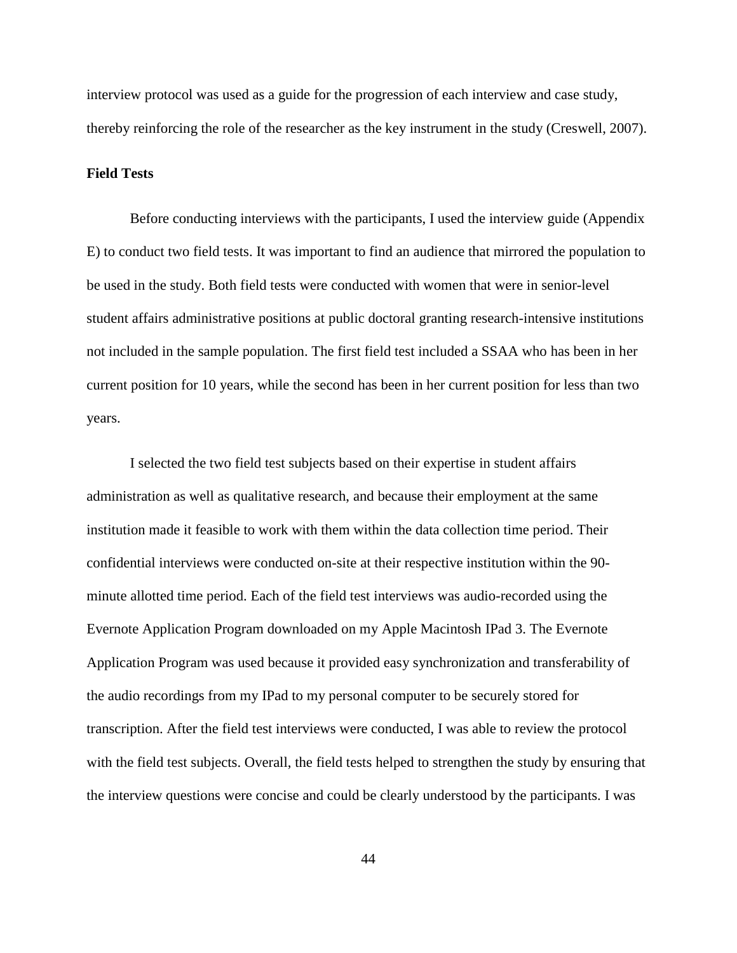interview protocol was used as a guide for the progression of each interview and case study, thereby reinforcing the role of the researcher as the key instrument in the study (Creswell, 2007).

# **Field Tests**

Before conducting interviews with the participants, I used the interview guide (Appendix E) to conduct two field tests. It was important to find an audience that mirrored the population to be used in the study. Both field tests were conducted with women that were in senior-level student affairs administrative positions at public doctoral granting research-intensive institutions not included in the sample population. The first field test included a SSAA who has been in her current position for 10 years, while the second has been in her current position for less than two years.

I selected the two field test subjects based on their expertise in student affairs administration as well as qualitative research, and because their employment at the same institution made it feasible to work with them within the data collection time period. Their confidential interviews were conducted on-site at their respective institution within the 90 minute allotted time period. Each of the field test interviews was audio-recorded using the Evernote Application Program downloaded on my Apple Macintosh IPad 3. The Evernote Application Program was used because it provided easy synchronization and transferability of the audio recordings from my IPad to my personal computer to be securely stored for transcription. After the field test interviews were conducted, I was able to review the protocol with the field test subjects. Overall, the field tests helped to strengthen the study by ensuring that the interview questions were concise and could be clearly understood by the participants. I was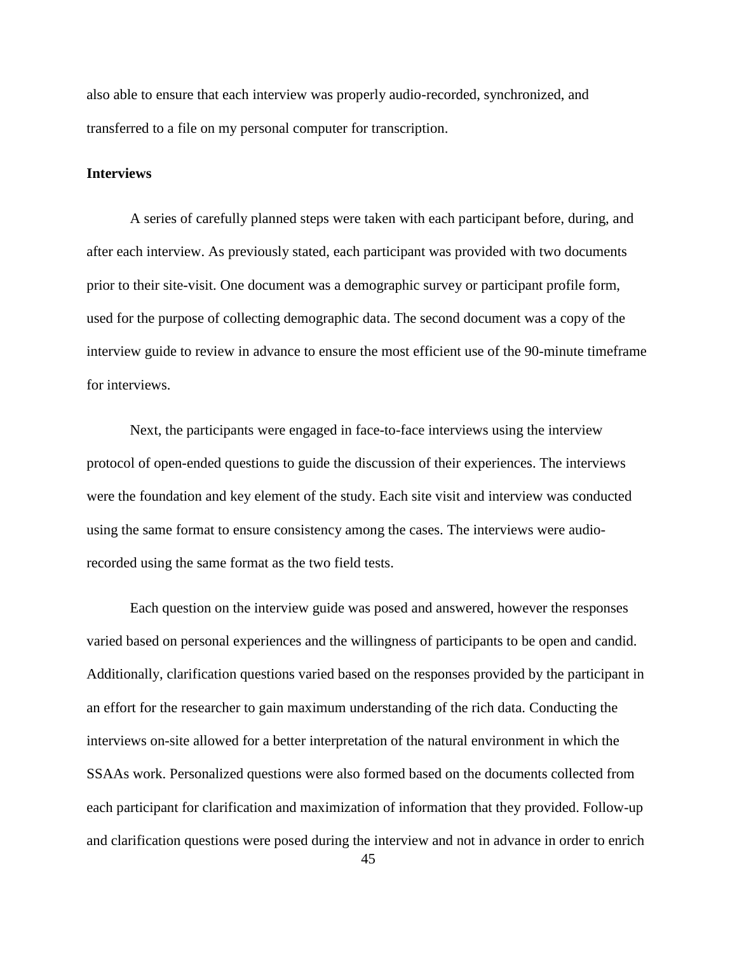also able to ensure that each interview was properly audio-recorded, synchronized, and transferred to a file on my personal computer for transcription.

# **Interviews**

A series of carefully planned steps were taken with each participant before, during, and after each interview. As previously stated, each participant was provided with two documents prior to their site-visit. One document was a demographic survey or participant profile form, used for the purpose of collecting demographic data. The second document was a copy of the interview guide to review in advance to ensure the most efficient use of the 90-minute timeframe for interviews.

Next, the participants were engaged in face-to-face interviews using the interview protocol of open-ended questions to guide the discussion of their experiences. The interviews were the foundation and key element of the study. Each site visit and interview was conducted using the same format to ensure consistency among the cases. The interviews were audiorecorded using the same format as the two field tests.

Each question on the interview guide was posed and answered, however the responses varied based on personal experiences and the willingness of participants to be open and candid. Additionally, clarification questions varied based on the responses provided by the participant in an effort for the researcher to gain maximum understanding of the rich data. Conducting the interviews on-site allowed for a better interpretation of the natural environment in which the SSAAs work. Personalized questions were also formed based on the documents collected from each participant for clarification and maximization of information that they provided. Follow-up and clarification questions were posed during the interview and not in advance in order to enrich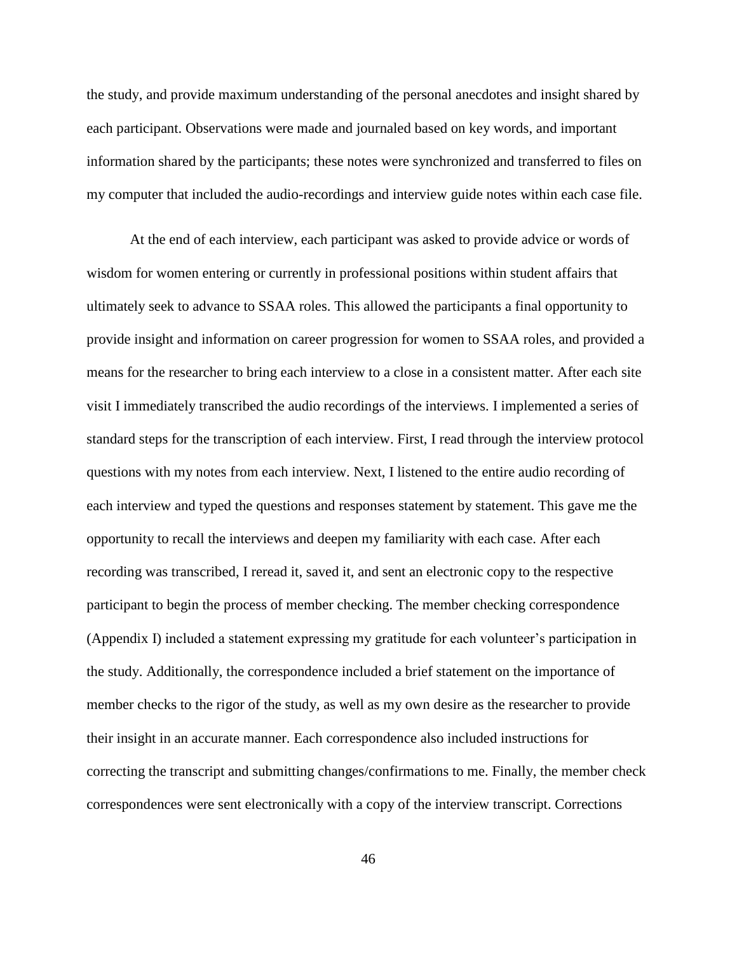the study, and provide maximum understanding of the personal anecdotes and insight shared by each participant. Observations were made and journaled based on key words, and important information shared by the participants; these notes were synchronized and transferred to files on my computer that included the audio-recordings and interview guide notes within each case file.

At the end of each interview, each participant was asked to provide advice or words of wisdom for women entering or currently in professional positions within student affairs that ultimately seek to advance to SSAA roles. This allowed the participants a final opportunity to provide insight and information on career progression for women to SSAA roles, and provided a means for the researcher to bring each interview to a close in a consistent matter. After each site visit I immediately transcribed the audio recordings of the interviews. I implemented a series of standard steps for the transcription of each interview. First, I read through the interview protocol questions with my notes from each interview. Next, I listened to the entire audio recording of each interview and typed the questions and responses statement by statement. This gave me the opportunity to recall the interviews and deepen my familiarity with each case. After each recording was transcribed, I reread it, saved it, and sent an electronic copy to the respective participant to begin the process of member checking. The member checking correspondence (Appendix I) included a statement expressing my gratitude for each volunteer's participation in the study. Additionally, the correspondence included a brief statement on the importance of member checks to the rigor of the study, as well as my own desire as the researcher to provide their insight in an accurate manner. Each correspondence also included instructions for correcting the transcript and submitting changes/confirmations to me. Finally, the member check correspondences were sent electronically with a copy of the interview transcript. Corrections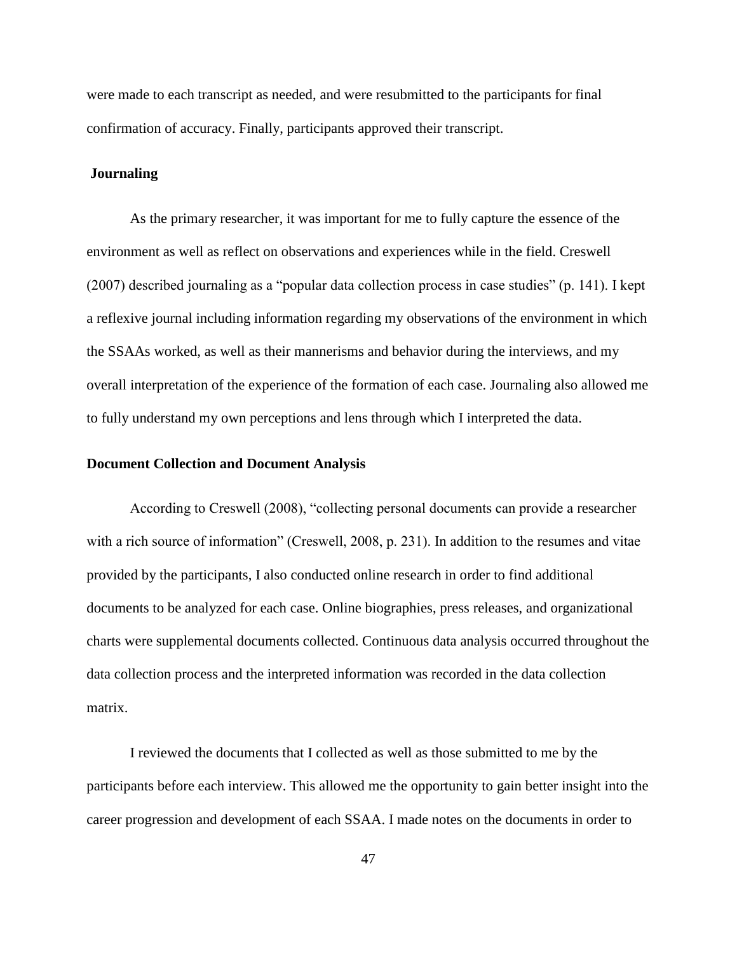were made to each transcript as needed, and were resubmitted to the participants for final confirmation of accuracy. Finally, participants approved their transcript.

### **Journaling**

As the primary researcher, it was important for me to fully capture the essence of the environment as well as reflect on observations and experiences while in the field. Creswell (2007) described journaling as a "popular data collection process in case studies" (p. 141). I kept a reflexive journal including information regarding my observations of the environment in which the SSAAs worked, as well as their mannerisms and behavior during the interviews, and my overall interpretation of the experience of the formation of each case. Journaling also allowed me to fully understand my own perceptions and lens through which I interpreted the data.

#### **Document Collection and Document Analysis**

According to Creswell (2008), "collecting personal documents can provide a researcher with a rich source of information" (Creswell, 2008, p. 231). In addition to the resumes and vitae provided by the participants, I also conducted online research in order to find additional documents to be analyzed for each case. Online biographies, press releases, and organizational charts were supplemental documents collected. Continuous data analysis occurred throughout the data collection process and the interpreted information was recorded in the data collection matrix.

I reviewed the documents that I collected as well as those submitted to me by the participants before each interview. This allowed me the opportunity to gain better insight into the career progression and development of each SSAA. I made notes on the documents in order to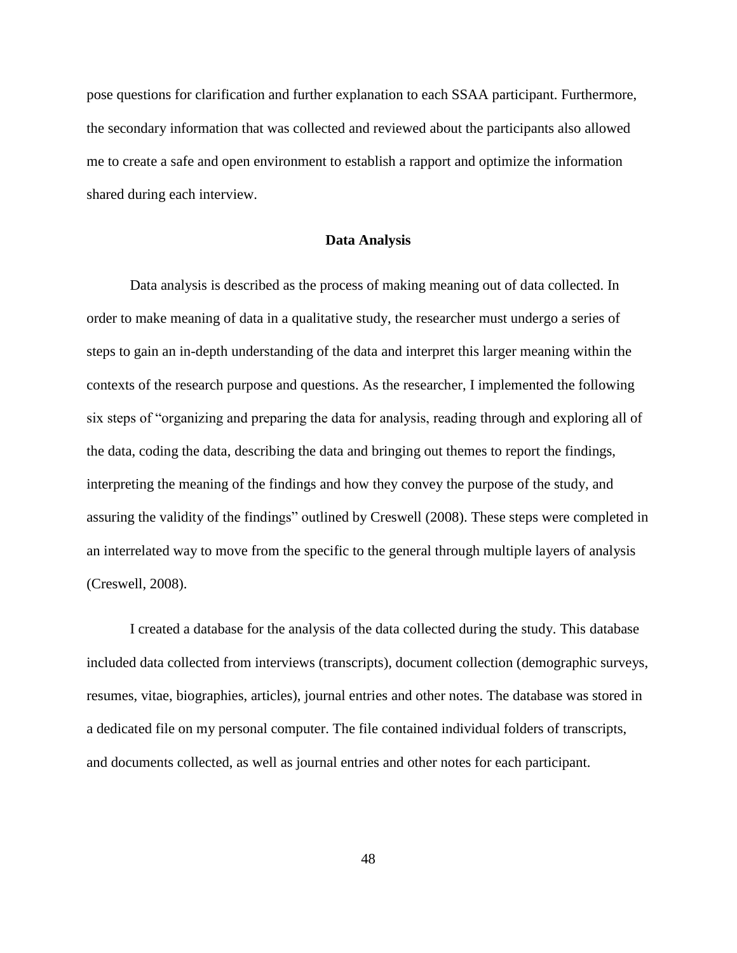pose questions for clarification and further explanation to each SSAA participant. Furthermore, the secondary information that was collected and reviewed about the participants also allowed me to create a safe and open environment to establish a rapport and optimize the information shared during each interview.

### **Data Analysis**

Data analysis is described as the process of making meaning out of data collected. In order to make meaning of data in a qualitative study, the researcher must undergo a series of steps to gain an in-depth understanding of the data and interpret this larger meaning within the contexts of the research purpose and questions. As the researcher, I implemented the following six steps of "organizing and preparing the data for analysis, reading through and exploring all of the data, coding the data, describing the data and bringing out themes to report the findings, interpreting the meaning of the findings and how they convey the purpose of the study, and assuring the validity of the findings" outlined by Creswell (2008). These steps were completed in an interrelated way to move from the specific to the general through multiple layers of analysis (Creswell, 2008).

I created a database for the analysis of the data collected during the study. This database included data collected from interviews (transcripts), document collection (demographic surveys, resumes, vitae, biographies, articles), journal entries and other notes. The database was stored in a dedicated file on my personal computer. The file contained individual folders of transcripts, and documents collected, as well as journal entries and other notes for each participant.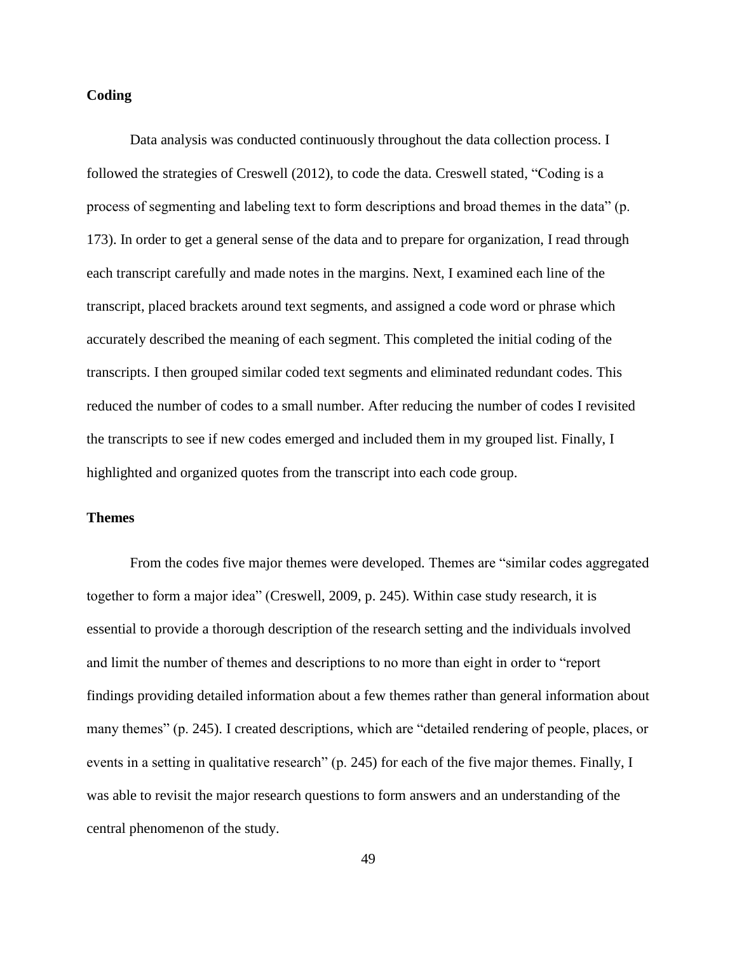## **Coding**

Data analysis was conducted continuously throughout the data collection process. I followed the strategies of Creswell (2012), to code the data. Creswell stated, "Coding is a process of segmenting and labeling text to form descriptions and broad themes in the data" (p. 173). In order to get a general sense of the data and to prepare for organization, I read through each transcript carefully and made notes in the margins. Next, I examined each line of the transcript, placed brackets around text segments, and assigned a code word or phrase which accurately described the meaning of each segment. This completed the initial coding of the transcripts. I then grouped similar coded text segments and eliminated redundant codes. This reduced the number of codes to a small number. After reducing the number of codes I revisited the transcripts to see if new codes emerged and included them in my grouped list. Finally, I highlighted and organized quotes from the transcript into each code group.

#### **Themes**

From the codes five major themes were developed. Themes are "similar codes aggregated together to form a major idea" (Creswell, 2009, p. 245). Within case study research, it is essential to provide a thorough description of the research setting and the individuals involved and limit the number of themes and descriptions to no more than eight in order to "report findings providing detailed information about a few themes rather than general information about many themes" (p. 245). I created descriptions, which are "detailed rendering of people, places, or events in a setting in qualitative research" (p. 245) for each of the five major themes. Finally, I was able to revisit the major research questions to form answers and an understanding of the central phenomenon of the study.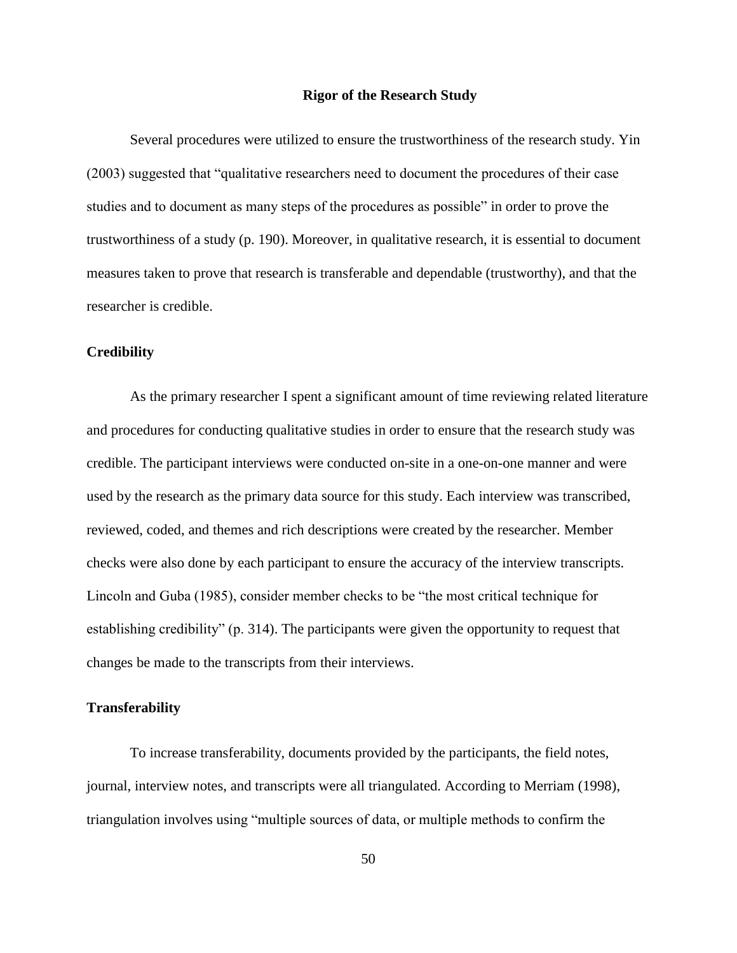### **Rigor of the Research Study**

Several procedures were utilized to ensure the trustworthiness of the research study. Yin (2003) suggested that "qualitative researchers need to document the procedures of their case studies and to document as many steps of the procedures as possible" in order to prove the trustworthiness of a study (p. 190). Moreover, in qualitative research, it is essential to document measures taken to prove that research is transferable and dependable (trustworthy), and that the researcher is credible.

### **Credibility**

As the primary researcher I spent a significant amount of time reviewing related literature and procedures for conducting qualitative studies in order to ensure that the research study was credible. The participant interviews were conducted on-site in a one-on-one manner and were used by the research as the primary data source for this study. Each interview was transcribed, reviewed, coded, and themes and rich descriptions were created by the researcher. Member checks were also done by each participant to ensure the accuracy of the interview transcripts. Lincoln and Guba (1985), consider member checks to be "the most critical technique for establishing credibility" (p. 314). The participants were given the opportunity to request that changes be made to the transcripts from their interviews.

### **Transferability**

To increase transferability, documents provided by the participants, the field notes, journal, interview notes, and transcripts were all triangulated. According to Merriam (1998), triangulation involves using "multiple sources of data, or multiple methods to confirm the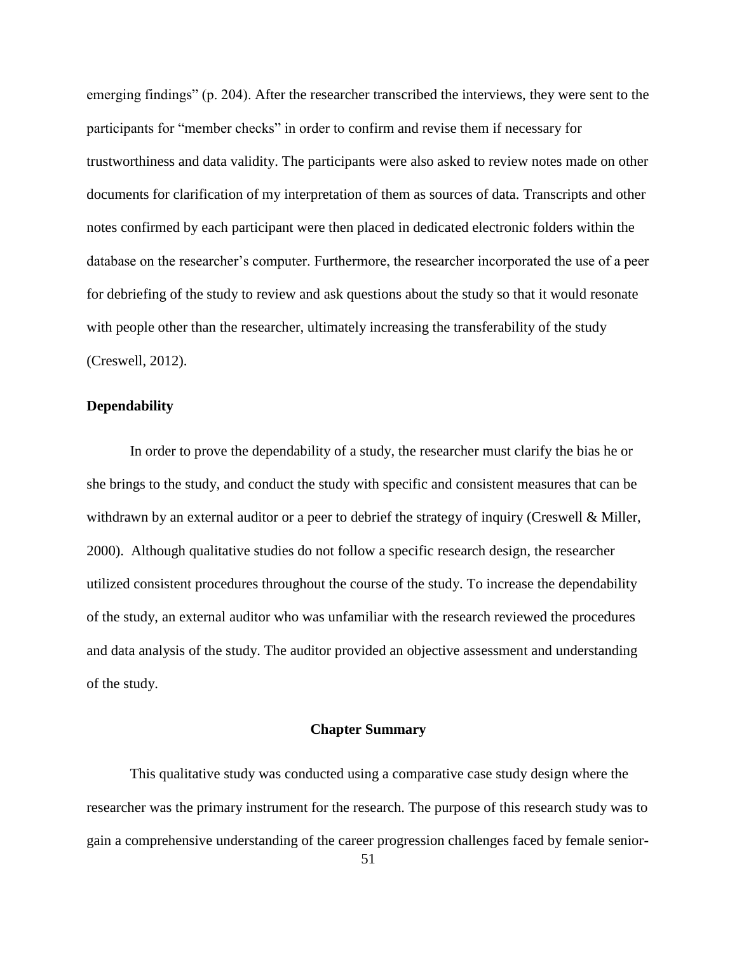emerging findings" (p. 204). After the researcher transcribed the interviews, they were sent to the participants for "member checks" in order to confirm and revise them if necessary for trustworthiness and data validity. The participants were also asked to review notes made on other documents for clarification of my interpretation of them as sources of data. Transcripts and other notes confirmed by each participant were then placed in dedicated electronic folders within the database on the researcher's computer. Furthermore, the researcher incorporated the use of a peer for debriefing of the study to review and ask questions about the study so that it would resonate with people other than the researcher, ultimately increasing the transferability of the study (Creswell, 2012).

# **Dependability**

In order to prove the dependability of a study, the researcher must clarify the bias he or she brings to the study, and conduct the study with specific and consistent measures that can be withdrawn by an external auditor or a peer to debrief the strategy of inquiry (Creswell & Miller, 2000). Although qualitative studies do not follow a specific research design, the researcher utilized consistent procedures throughout the course of the study. To increase the dependability of the study, an external auditor who was unfamiliar with the research reviewed the procedures and data analysis of the study. The auditor provided an objective assessment and understanding of the study.

# **Chapter Summary**

This qualitative study was conducted using a comparative case study design where the researcher was the primary instrument for the research. The purpose of this research study was to gain a comprehensive understanding of the career progression challenges faced by female senior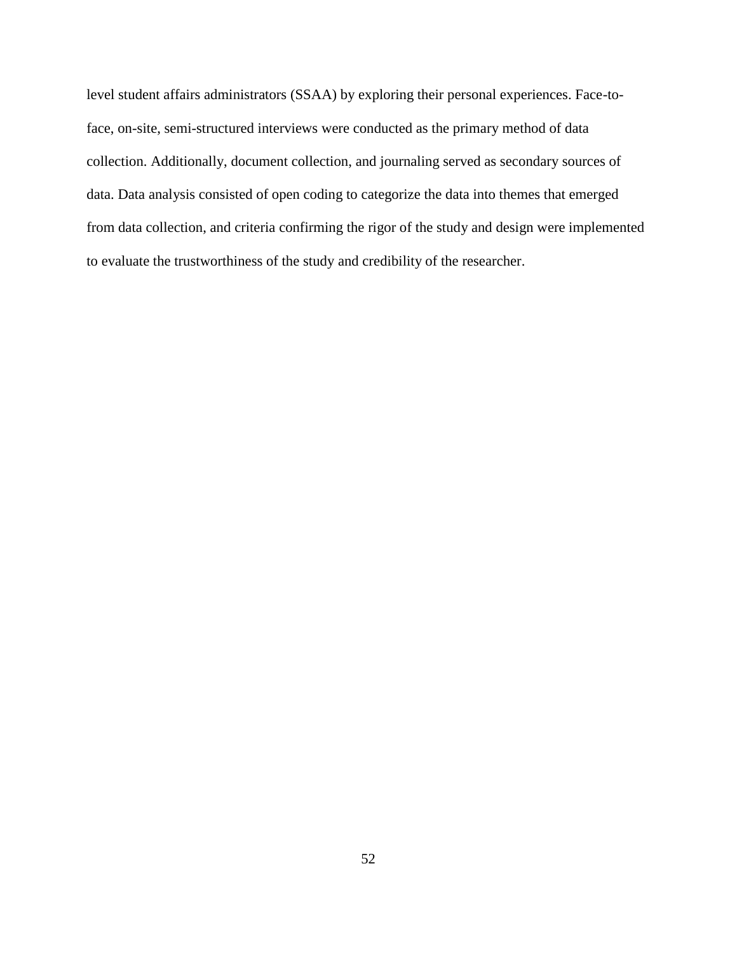level student affairs administrators (SSAA) by exploring their personal experiences. Face-toface, on-site, semi-structured interviews were conducted as the primary method of data collection. Additionally, document collection, and journaling served as secondary sources of data. Data analysis consisted of open coding to categorize the data into themes that emerged from data collection, and criteria confirming the rigor of the study and design were implemented to evaluate the trustworthiness of the study and credibility of the researcher.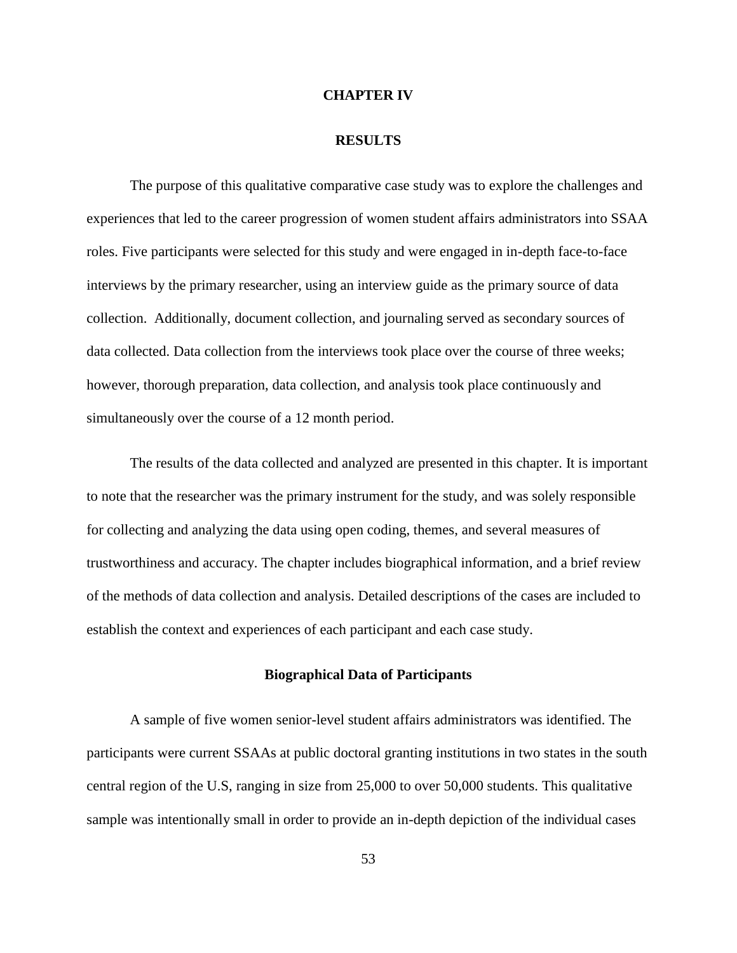#### **CHAPTER IV**

### **RESULTS**

The purpose of this qualitative comparative case study was to explore the challenges and experiences that led to the career progression of women student affairs administrators into SSAA roles. Five participants were selected for this study and were engaged in in-depth face-to-face interviews by the primary researcher, using an interview guide as the primary source of data collection. Additionally, document collection, and journaling served as secondary sources of data collected. Data collection from the interviews took place over the course of three weeks; however, thorough preparation, data collection, and analysis took place continuously and simultaneously over the course of a 12 month period.

The results of the data collected and analyzed are presented in this chapter. It is important to note that the researcher was the primary instrument for the study, and was solely responsible for collecting and analyzing the data using open coding, themes, and several measures of trustworthiness and accuracy. The chapter includes biographical information, and a brief review of the methods of data collection and analysis. Detailed descriptions of the cases are included to establish the context and experiences of each participant and each case study.

# **Biographical Data of Participants**

A sample of five women senior-level student affairs administrators was identified. The participants were current SSAAs at public doctoral granting institutions in two states in the south central region of the U.S, ranging in size from 25,000 to over 50,000 students. This qualitative sample was intentionally small in order to provide an in-depth depiction of the individual cases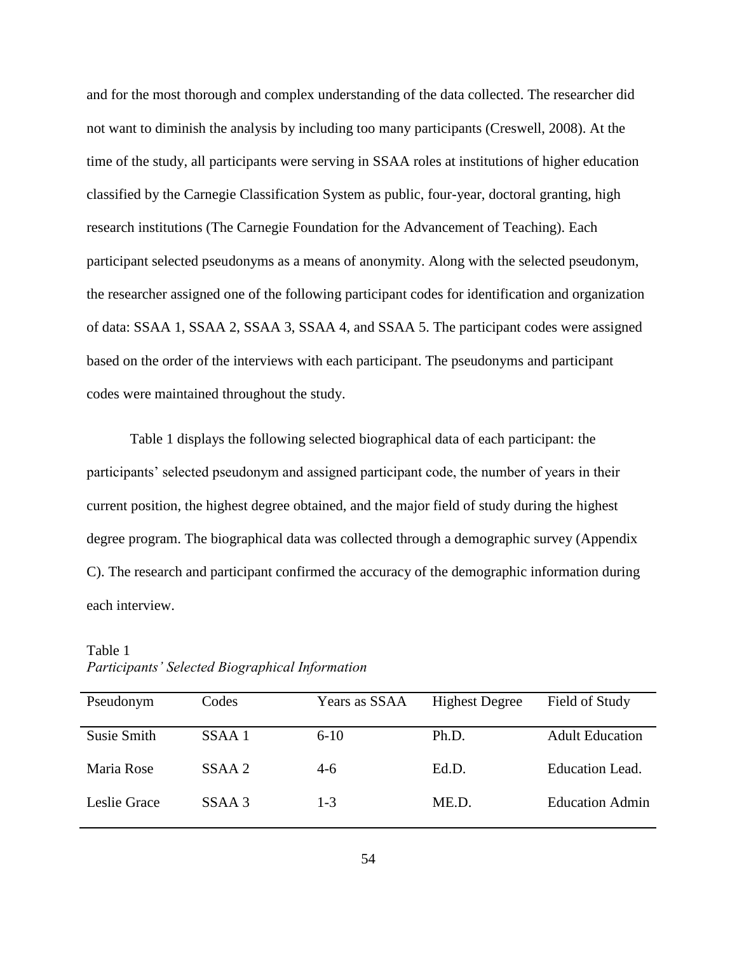and for the most thorough and complex understanding of the data collected. The researcher did not want to diminish the analysis by including too many participants (Creswell, 2008). At the time of the study, all participants were serving in SSAA roles at institutions of higher education classified by the Carnegie Classification System as public, four-year, doctoral granting, high research institutions (The Carnegie Foundation for the Advancement of Teaching). Each participant selected pseudonyms as a means of anonymity. Along with the selected pseudonym, the researcher assigned one of the following participant codes for identification and organization of data: SSAA 1, SSAA 2, SSAA 3, SSAA 4, and SSAA 5. The participant codes were assigned based on the order of the interviews with each participant. The pseudonyms and participant codes were maintained throughout the study.

Table 1 displays the following selected biographical data of each participant: the participants' selected pseudonym and assigned participant code, the number of years in their current position, the highest degree obtained, and the major field of study during the highest degree program. The biographical data was collected through a demographic survey (Appendix C). The research and participant confirmed the accuracy of the demographic information during each interview.

| Pseudonym    | Codes  | Years as SSAA | <b>Highest Degree</b> | Field of Study         |
|--------------|--------|---------------|-----------------------|------------------------|
| Susie Smith  | SSAA 1 | $6 - 10$      | Ph.D.                 | <b>Adult Education</b> |
| Maria Rose   | SSAA 2 | $4-6$         | Ed.D.                 | <b>Education Lead.</b> |
| Leslie Grace | SSAA 3 | $1 - 3$       | ME.D.                 | <b>Education Admin</b> |

Table 1 *Participants' Selected Biographical Information*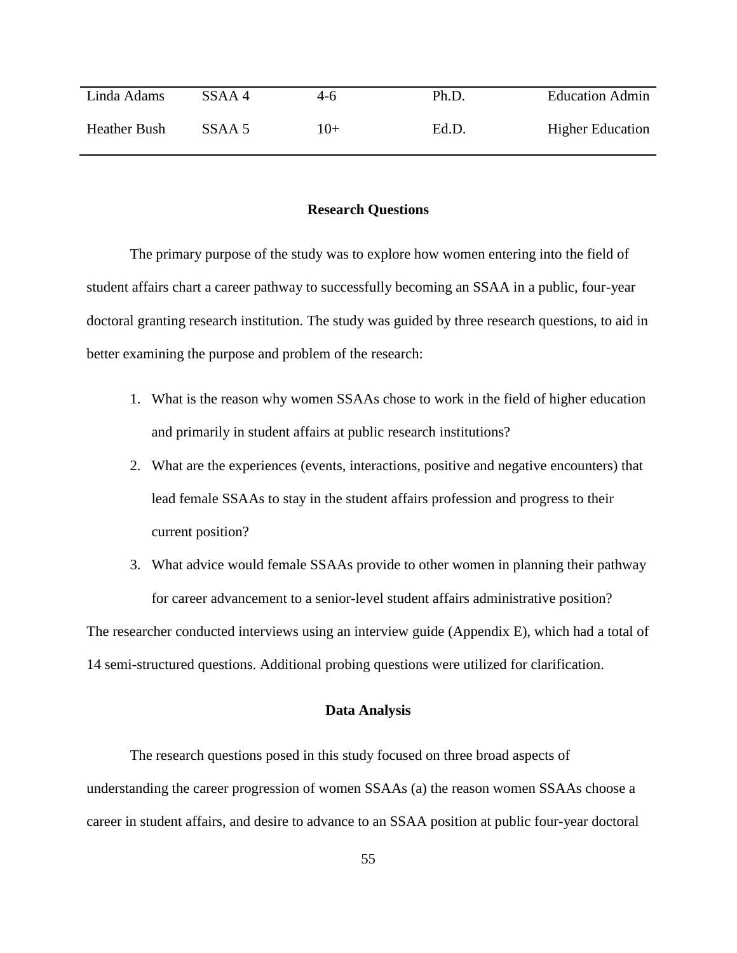| Linda Adams         | SSAA 4 | 4-6   | Ph.D. | <b>Education Admin</b>  |
|---------------------|--------|-------|-------|-------------------------|
| <b>Heather Bush</b> | SSAA 5 | $10+$ | Ed.D. | <b>Higher Education</b> |

### **Research Questions**

The primary purpose of the study was to explore how women entering into the field of student affairs chart a career pathway to successfully becoming an SSAA in a public, four-year doctoral granting research institution. The study was guided by three research questions, to aid in better examining the purpose and problem of the research:

- 1. What is the reason why women SSAAs chose to work in the field of higher education and primarily in student affairs at public research institutions?
- 2. What are the experiences (events, interactions, positive and negative encounters) that lead female SSAAs to stay in the student affairs profession and progress to their current position?
- 3. What advice would female SSAAs provide to other women in planning their pathway for career advancement to a senior-level student affairs administrative position?

The researcher conducted interviews using an interview guide (Appendix E), which had a total of 14 semi-structured questions. Additional probing questions were utilized for clarification.

### **Data Analysis**

The research questions posed in this study focused on three broad aspects of understanding the career progression of women SSAAs (a) the reason women SSAAs choose a career in student affairs, and desire to advance to an SSAA position at public four-year doctoral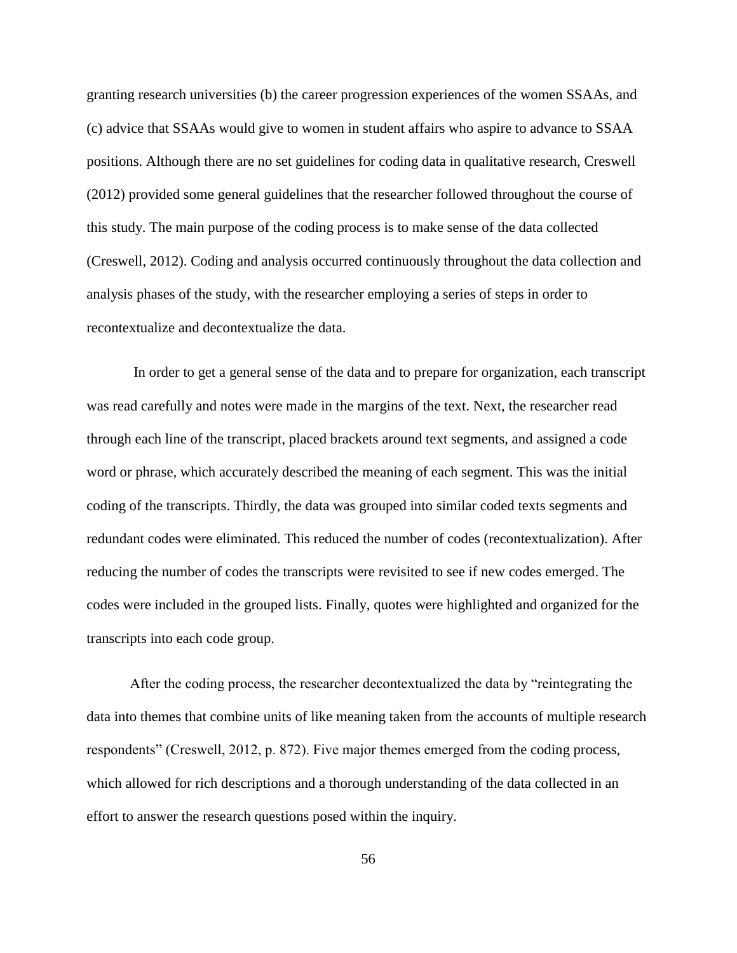granting research universities (b) the career progression experiences of the women SSAAs, and (c) advice that SSAAs would give to women in student affairs who aspire to advance to SSAA positions. Although there are no set guidelines for coding data in qualitative research, Creswell (2012) provided some general guidelines that the researcher followed throughout the course of this study. The main purpose of the coding process is to make sense of the data collected (Creswell, 2012). Coding and analysis occurred continuously throughout the data collection and analysis phases of the study, with the researcher employing a series of steps in order to recontextualize and decontextualize the data.

In order to get a general sense of the data and to prepare for organization, each transcript was read carefully and notes were made in the margins of the text. Next, the researcher read through each line of the transcript, placed brackets around text segments, and assigned a code word or phrase, which accurately described the meaning of each segment. This was the initial coding of the transcripts. Thirdly, the data was grouped into similar coded texts segments and redundant codes were eliminated. This reduced the number of codes (recontextualization). After reducing the number of codes the transcripts were revisited to see if new codes emerged. The codes were included in the grouped lists. Finally, quotes were highlighted and organized for the transcripts into each code group.

After the coding process, the researcher decontextualized the data by "reintegrating the data into themes that combine units of like meaning taken from the accounts of multiple research respondents" (Creswell, 2012, p. 872). Five major themes emerged from the coding process, which allowed for rich descriptions and a thorough understanding of the data collected in an effort to answer the research questions posed within the inquiry.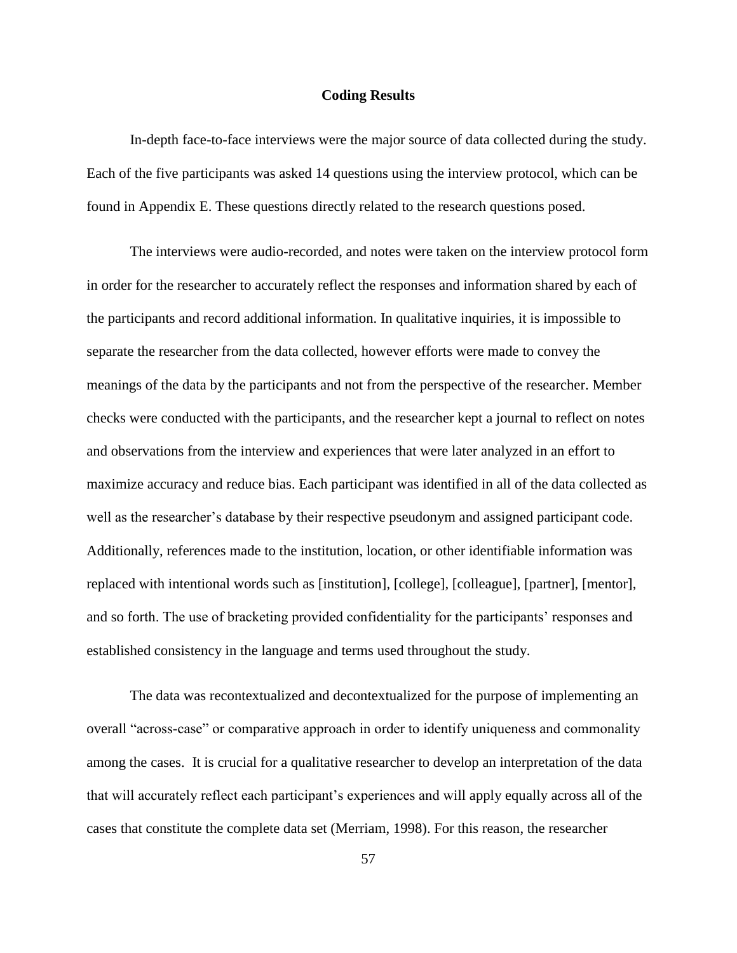### **Coding Results**

In-depth face-to-face interviews were the major source of data collected during the study. Each of the five participants was asked 14 questions using the interview protocol, which can be found in Appendix E. These questions directly related to the research questions posed.

The interviews were audio-recorded, and notes were taken on the interview protocol form in order for the researcher to accurately reflect the responses and information shared by each of the participants and record additional information. In qualitative inquiries, it is impossible to separate the researcher from the data collected, however efforts were made to convey the meanings of the data by the participants and not from the perspective of the researcher. Member checks were conducted with the participants, and the researcher kept a journal to reflect on notes and observations from the interview and experiences that were later analyzed in an effort to maximize accuracy and reduce bias. Each participant was identified in all of the data collected as well as the researcher's database by their respective pseudonym and assigned participant code. Additionally, references made to the institution, location, or other identifiable information was replaced with intentional words such as [institution], [college], [colleague], [partner], [mentor], and so forth. The use of bracketing provided confidentiality for the participants' responses and established consistency in the language and terms used throughout the study.

The data was recontextualized and decontextualized for the purpose of implementing an overall "across-case" or comparative approach in order to identify uniqueness and commonality among the cases. It is crucial for a qualitative researcher to develop an interpretation of the data that will accurately reflect each participant's experiences and will apply equally across all of the cases that constitute the complete data set (Merriam, 1998). For this reason, the researcher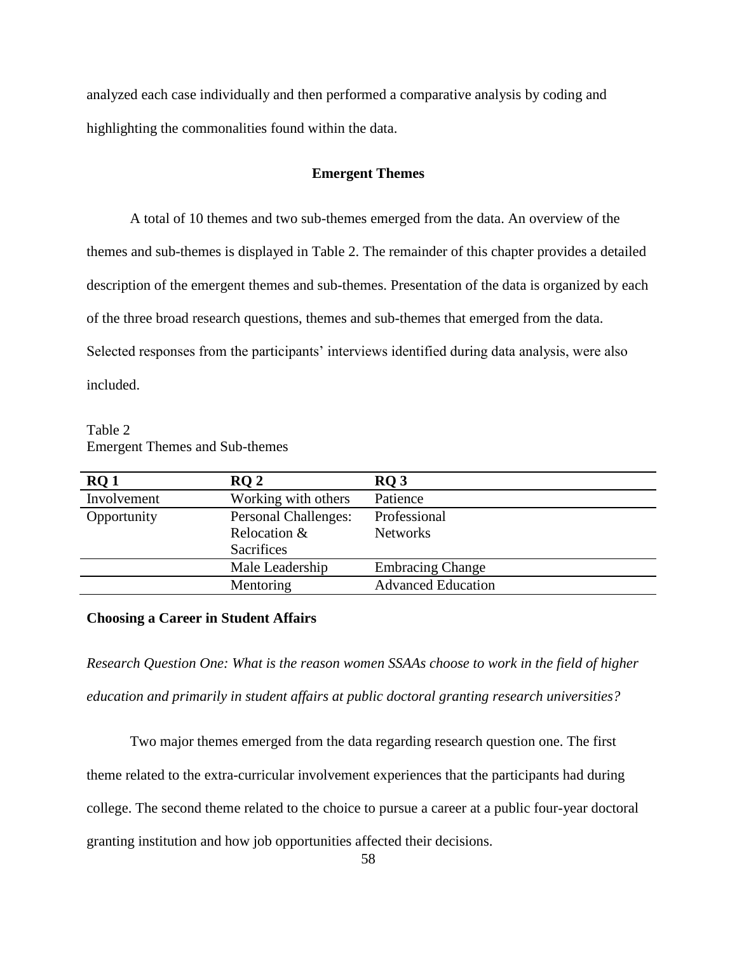analyzed each case individually and then performed a comparative analysis by coding and highlighting the commonalities found within the data.

### **Emergent Themes**

A total of 10 themes and two sub-themes emerged from the data. An overview of the themes and sub-themes is displayed in Table 2. The remainder of this chapter provides a detailed description of the emergent themes and sub-themes. Presentation of the data is organized by each of the three broad research questions, themes and sub-themes that emerged from the data. Selected responses from the participants' interviews identified during data analysis, were also included.

Table 2 Emergent Themes and Sub-themes

| RQ1         | RO <sub>2</sub>             | RO <sub>3</sub>           |
|-------------|-----------------------------|---------------------------|
| Involvement | Working with others         | Patience                  |
| Opportunity | <b>Personal Challenges:</b> | Professional              |
|             | Relocation &                | <b>Networks</b>           |
|             | <b>Sacrifices</b>           |                           |
|             | Male Leadership             | <b>Embracing Change</b>   |
|             | Mentoring                   | <b>Advanced Education</b> |

# **Choosing a Career in Student Affairs**

*Research Question One: What is the reason women SSAAs choose to work in the field of higher education and primarily in student affairs at public doctoral granting research universities?* 

Two major themes emerged from the data regarding research question one. The first theme related to the extra-curricular involvement experiences that the participants had during college. The second theme related to the choice to pursue a career at a public four-year doctoral granting institution and how job opportunities affected their decisions.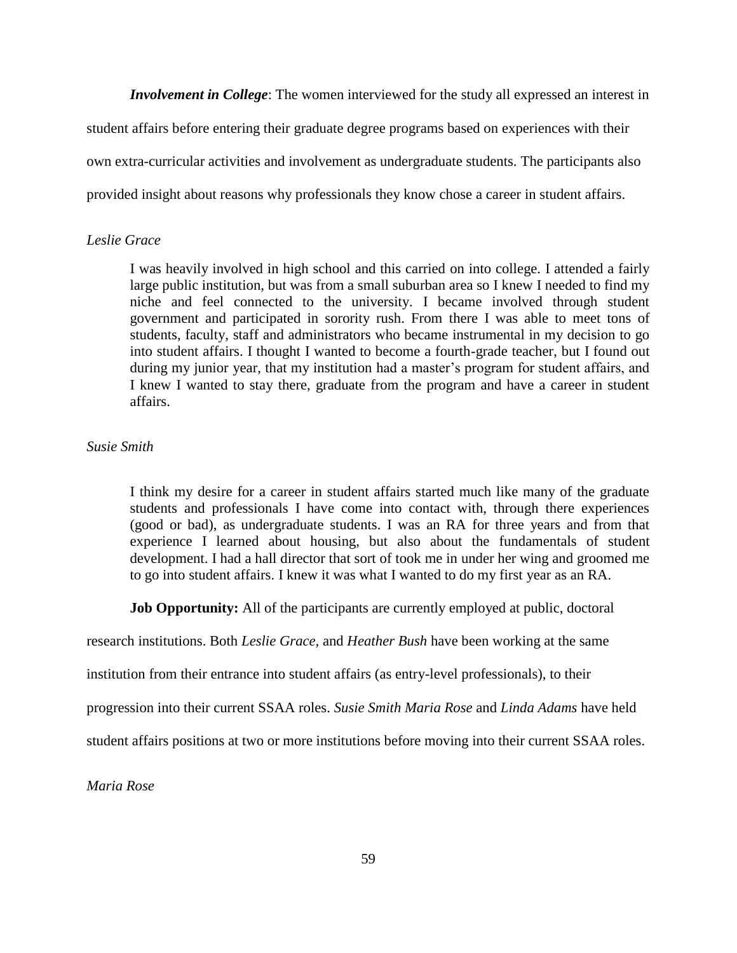*Involvement in College*: The women interviewed for the study all expressed an interest in

student affairs before entering their graduate degree programs based on experiences with their own extra-curricular activities and involvement as undergraduate students. The participants also provided insight about reasons why professionals they know chose a career in student affairs.

# *Leslie Grace*

I was heavily involved in high school and this carried on into college. I attended a fairly large public institution, but was from a small suburban area so I knew I needed to find my niche and feel connected to the university. I became involved through student government and participated in sorority rush. From there I was able to meet tons of students, faculty, staff and administrators who became instrumental in my decision to go into student affairs. I thought I wanted to become a fourth-grade teacher, but I found out during my junior year, that my institution had a master's program for student affairs, and I knew I wanted to stay there, graduate from the program and have a career in student affairs.

### *Susie Smith*

I think my desire for a career in student affairs started much like many of the graduate students and professionals I have come into contact with, through there experiences (good or bad), as undergraduate students. I was an RA for three years and from that experience I learned about housing, but also about the fundamentals of student development. I had a hall director that sort of took me in under her wing and groomed me to go into student affairs. I knew it was what I wanted to do my first year as an RA.

**Job Opportunity:** All of the participants are currently employed at public, doctoral

research institutions. Both *Leslie Grace,* and *Heather Bush* have been working at the same

institution from their entrance into student affairs (as entry-level professionals), to their

progression into their current SSAA roles. *Susie Smith Maria Rose* and *Linda Adams* have held

student affairs positions at two or more institutions before moving into their current SSAA roles.

*Maria Rose*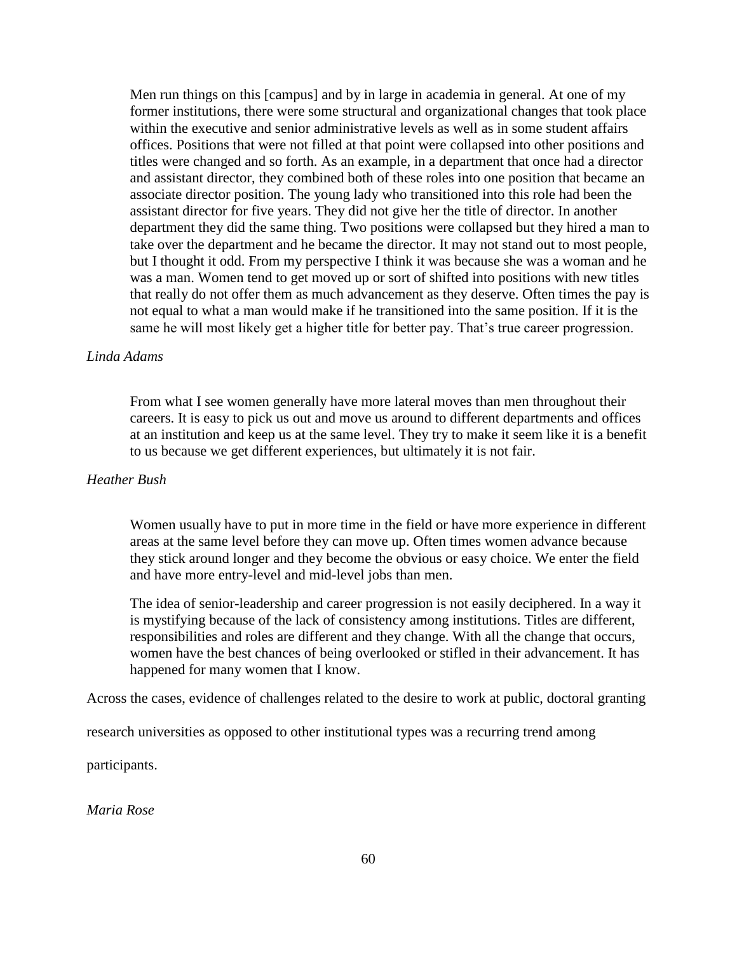Men run things on this [campus] and by in large in academia in general. At one of my former institutions, there were some structural and organizational changes that took place within the executive and senior administrative levels as well as in some student affairs offices. Positions that were not filled at that point were collapsed into other positions and titles were changed and so forth. As an example, in a department that once had a director and assistant director, they combined both of these roles into one position that became an associate director position. The young lady who transitioned into this role had been the assistant director for five years. They did not give her the title of director. In another department they did the same thing. Two positions were collapsed but they hired a man to take over the department and he became the director. It may not stand out to most people, but I thought it odd. From my perspective I think it was because she was a woman and he was a man. Women tend to get moved up or sort of shifted into positions with new titles that really do not offer them as much advancement as they deserve. Often times the pay is not equal to what a man would make if he transitioned into the same position. If it is the same he will most likely get a higher title for better pay. That's true career progression.

## *Linda Adams*

From what I see women generally have more lateral moves than men throughout their careers. It is easy to pick us out and move us around to different departments and offices at an institution and keep us at the same level. They try to make it seem like it is a benefit to us because we get different experiences, but ultimately it is not fair.

## *Heather Bush*

Women usually have to put in more time in the field or have more experience in different areas at the same level before they can move up. Often times women advance because they stick around longer and they become the obvious or easy choice. We enter the field and have more entry-level and mid-level jobs than men.

The idea of senior-leadership and career progression is not easily deciphered. In a way it is mystifying because of the lack of consistency among institutions. Titles are different, responsibilities and roles are different and they change. With all the change that occurs, women have the best chances of being overlooked or stifled in their advancement. It has happened for many women that I know.

Across the cases, evidence of challenges related to the desire to work at public, doctoral granting

research universities as opposed to other institutional types was a recurring trend among

participants.

*Maria Rose*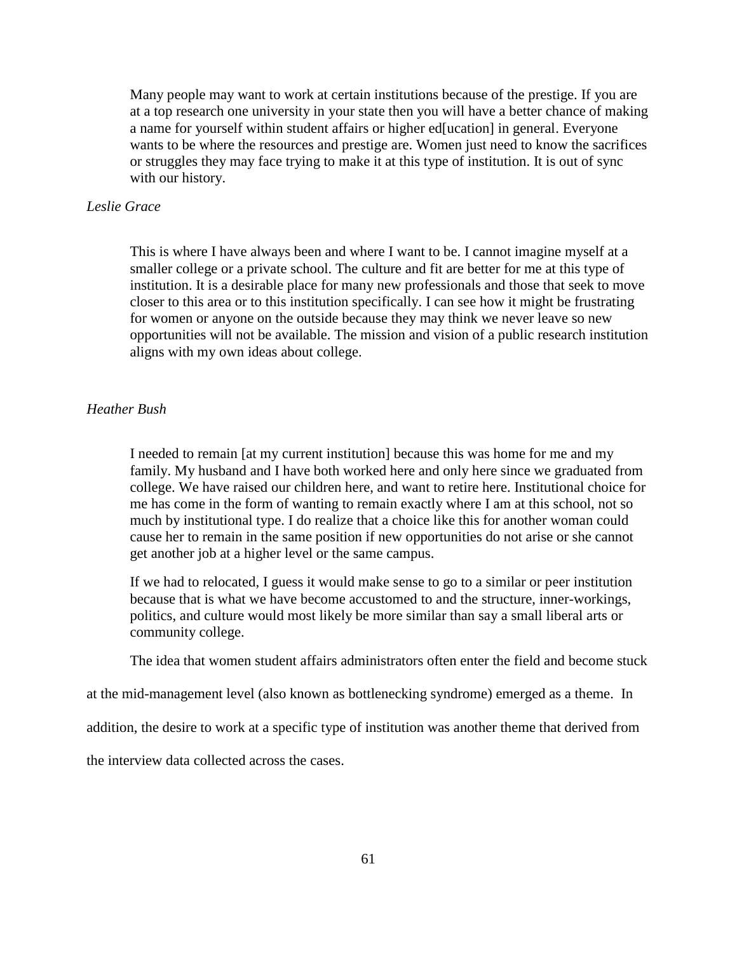Many people may want to work at certain institutions because of the prestige. If you are at a top research one university in your state then you will have a better chance of making a name for yourself within student affairs or higher ed[ucation] in general. Everyone wants to be where the resources and prestige are. Women just need to know the sacrifices or struggles they may face trying to make it at this type of institution. It is out of sync with our history.

## *Leslie Grace*

This is where I have always been and where I want to be. I cannot imagine myself at a smaller college or a private school. The culture and fit are better for me at this type of institution. It is a desirable place for many new professionals and those that seek to move closer to this area or to this institution specifically. I can see how it might be frustrating for women or anyone on the outside because they may think we never leave so new opportunities will not be available. The mission and vision of a public research institution aligns with my own ideas about college.

### *Heather Bush*

I needed to remain [at my current institution] because this was home for me and my family. My husband and I have both worked here and only here since we graduated from college. We have raised our children here, and want to retire here. Institutional choice for me has come in the form of wanting to remain exactly where I am at this school, not so much by institutional type. I do realize that a choice like this for another woman could cause her to remain in the same position if new opportunities do not arise or she cannot get another job at a higher level or the same campus.

If we had to relocated, I guess it would make sense to go to a similar or peer institution because that is what we have become accustomed to and the structure, inner-workings, politics, and culture would most likely be more similar than say a small liberal arts or community college.

The idea that women student affairs administrators often enter the field and become stuck

at the mid-management level (also known as bottlenecking syndrome) emerged as a theme. In

addition, the desire to work at a specific type of institution was another theme that derived from

the interview data collected across the cases.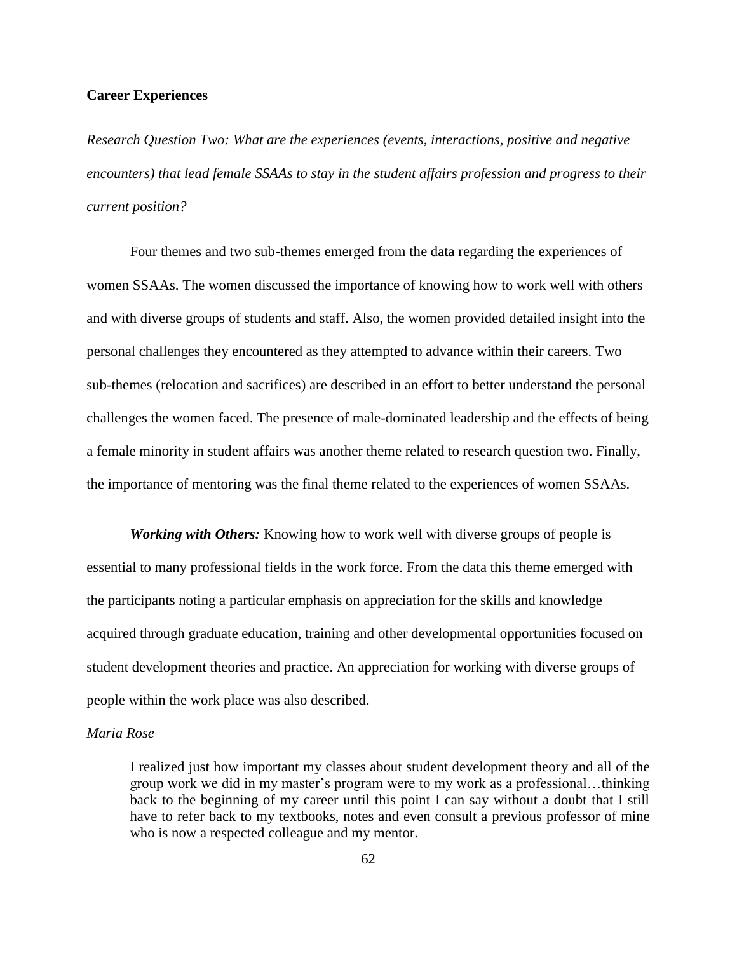## **Career Experiences**

*Research Question Two: What are the experiences (events, interactions, positive and negative encounters) that lead female SSAAs to stay in the student affairs profession and progress to their current position?*

Four themes and two sub-themes emerged from the data regarding the experiences of women SSAAs. The women discussed the importance of knowing how to work well with others and with diverse groups of students and staff. Also, the women provided detailed insight into the personal challenges they encountered as they attempted to advance within their careers. Two sub-themes (relocation and sacrifices) are described in an effort to better understand the personal challenges the women faced. The presence of male-dominated leadership and the effects of being a female minority in student affairs was another theme related to research question two. Finally, the importance of mentoring was the final theme related to the experiences of women SSAAs.

*Working with Others:* Knowing how to work well with diverse groups of people is essential to many professional fields in the work force. From the data this theme emerged with the participants noting a particular emphasis on appreciation for the skills and knowledge acquired through graduate education, training and other developmental opportunities focused on student development theories and practice. An appreciation for working with diverse groups of people within the work place was also described.

### *Maria Rose*

I realized just how important my classes about student development theory and all of the group work we did in my master's program were to my work as a professional…thinking back to the beginning of my career until this point I can say without a doubt that I still have to refer back to my textbooks, notes and even consult a previous professor of mine who is now a respected colleague and my mentor.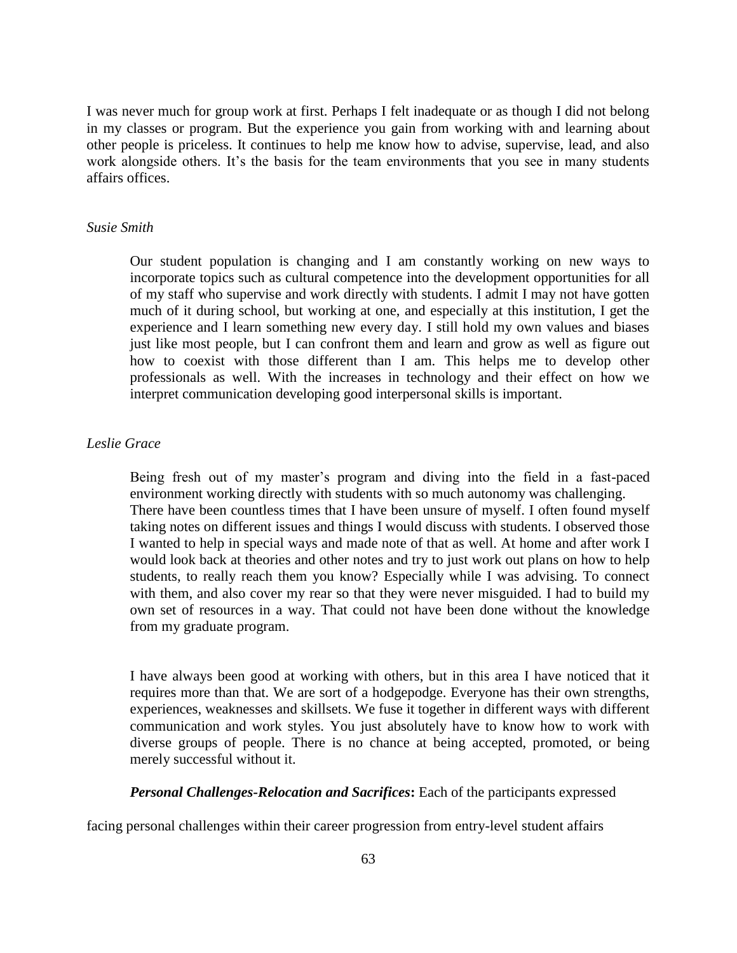I was never much for group work at first. Perhaps I felt inadequate or as though I did not belong in my classes or program. But the experience you gain from working with and learning about other people is priceless. It continues to help me know how to advise, supervise, lead, and also work alongside others. It's the basis for the team environments that you see in many students affairs offices.

#### *Susie Smith*

Our student population is changing and I am constantly working on new ways to incorporate topics such as cultural competence into the development opportunities for all of my staff who supervise and work directly with students. I admit I may not have gotten much of it during school, but working at one, and especially at this institution, I get the experience and I learn something new every day. I still hold my own values and biases just like most people, but I can confront them and learn and grow as well as figure out how to coexist with those different than I am. This helps me to develop other professionals as well. With the increases in technology and their effect on how we interpret communication developing good interpersonal skills is important.

# *Leslie Grace*

Being fresh out of my master's program and diving into the field in a fast-paced environment working directly with students with so much autonomy was challenging. There have been countless times that I have been unsure of myself. I often found myself taking notes on different issues and things I would discuss with students. I observed those I wanted to help in special ways and made note of that as well. At home and after work I would look back at theories and other notes and try to just work out plans on how to help students, to really reach them you know? Especially while I was advising. To connect with them, and also cover my rear so that they were never misguided. I had to build my own set of resources in a way. That could not have been done without the knowledge from my graduate program.

I have always been good at working with others, but in this area I have noticed that it requires more than that. We are sort of a hodgepodge. Everyone has their own strengths, experiences, weaknesses and skillsets. We fuse it together in different ways with different communication and work styles. You just absolutely have to know how to work with diverse groups of people. There is no chance at being accepted, promoted, or being merely successful without it.

*Personal Challenges-Relocation and Sacrifices***:** Each of the participants expressed

facing personal challenges within their career progression from entry-level student affairs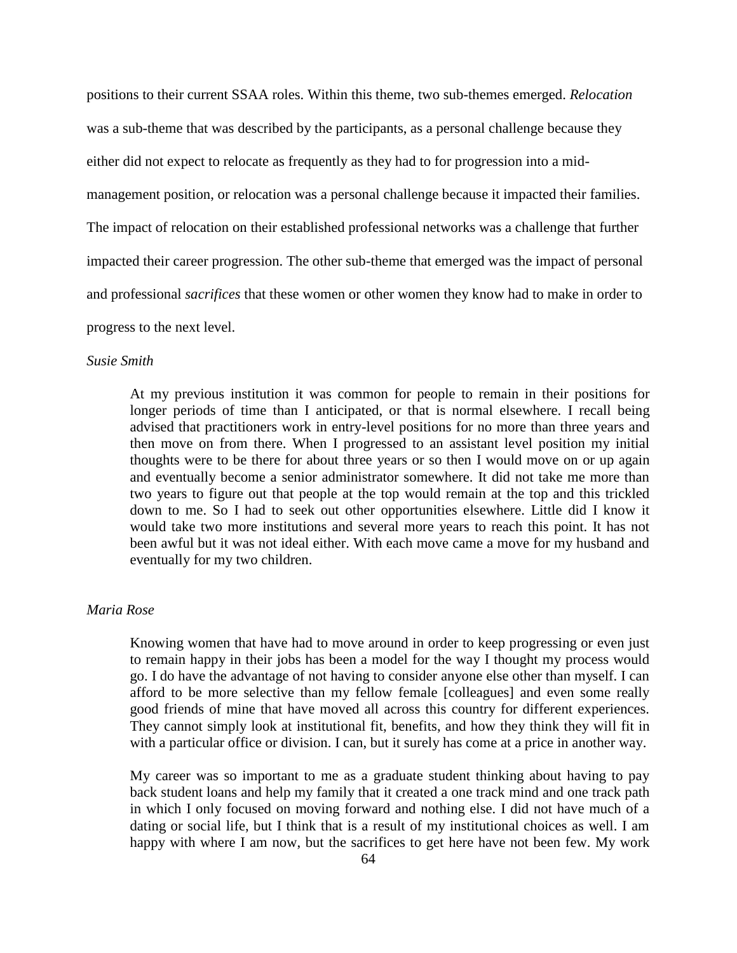positions to their current SSAA roles. Within this theme, two sub-themes emerged. *Relocation*  was a sub-theme that was described by the participants, as a personal challenge because they either did not expect to relocate as frequently as they had to for progression into a midmanagement position, or relocation was a personal challenge because it impacted their families. The impact of relocation on their established professional networks was a challenge that further impacted their career progression. The other sub-theme that emerged was the impact of personal and professional *sacrifices* that these women or other women they know had to make in order to progress to the next level.

#### *Susie Smith*

At my previous institution it was common for people to remain in their positions for longer periods of time than I anticipated, or that is normal elsewhere. I recall being advised that practitioners work in entry-level positions for no more than three years and then move on from there. When I progressed to an assistant level position my initial thoughts were to be there for about three years or so then I would move on or up again and eventually become a senior administrator somewhere. It did not take me more than two years to figure out that people at the top would remain at the top and this trickled down to me. So I had to seek out other opportunities elsewhere. Little did I know it would take two more institutions and several more years to reach this point. It has not been awful but it was not ideal either. With each move came a move for my husband and eventually for my two children.

## *Maria Rose*

Knowing women that have had to move around in order to keep progressing or even just to remain happy in their jobs has been a model for the way I thought my process would go. I do have the advantage of not having to consider anyone else other than myself. I can afford to be more selective than my fellow female [colleagues] and even some really good friends of mine that have moved all across this country for different experiences. They cannot simply look at institutional fit, benefits, and how they think they will fit in with a particular office or division. I can, but it surely has come at a price in another way.

My career was so important to me as a graduate student thinking about having to pay back student loans and help my family that it created a one track mind and one track path in which I only focused on moving forward and nothing else. I did not have much of a dating or social life, but I think that is a result of my institutional choices as well. I am happy with where I am now, but the sacrifices to get here have not been few. My work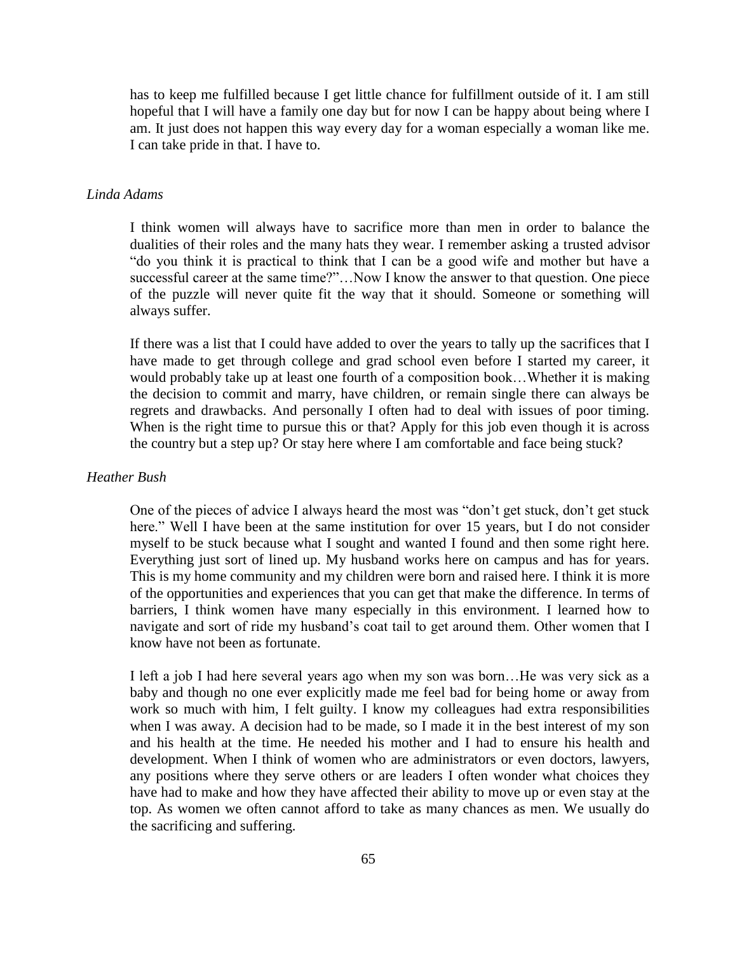has to keep me fulfilled because I get little chance for fulfillment outside of it. I am still hopeful that I will have a family one day but for now I can be happy about being where I am. It just does not happen this way every day for a woman especially a woman like me. I can take pride in that. I have to.

#### *Linda Adams*

I think women will always have to sacrifice more than men in order to balance the dualities of their roles and the many hats they wear. I remember asking a trusted advisor "do you think it is practical to think that I can be a good wife and mother but have a successful career at the same time?"...Now I know the answer to that question. One piece of the puzzle will never quite fit the way that it should. Someone or something will always suffer.

If there was a list that I could have added to over the years to tally up the sacrifices that I have made to get through college and grad school even before I started my career, it would probably take up at least one fourth of a composition book…Whether it is making the decision to commit and marry, have children, or remain single there can always be regrets and drawbacks. And personally I often had to deal with issues of poor timing. When is the right time to pursue this or that? Apply for this job even though it is across the country but a step up? Or stay here where I am comfortable and face being stuck?

#### *Heather Bush*

One of the pieces of advice I always heard the most was "don't get stuck, don't get stuck here." Well I have been at the same institution for over 15 years, but I do not consider myself to be stuck because what I sought and wanted I found and then some right here. Everything just sort of lined up. My husband works here on campus and has for years. This is my home community and my children were born and raised here. I think it is more of the opportunities and experiences that you can get that make the difference. In terms of barriers, I think women have many especially in this environment. I learned how to navigate and sort of ride my husband's coat tail to get around them. Other women that I know have not been as fortunate.

I left a job I had here several years ago when my son was born…He was very sick as a baby and though no one ever explicitly made me feel bad for being home or away from work so much with him, I felt guilty. I know my colleagues had extra responsibilities when I was away. A decision had to be made, so I made it in the best interest of my son and his health at the time. He needed his mother and I had to ensure his health and development. When I think of women who are administrators or even doctors, lawyers, any positions where they serve others or are leaders I often wonder what choices they have had to make and how they have affected their ability to move up or even stay at the top. As women we often cannot afford to take as many chances as men. We usually do the sacrificing and suffering.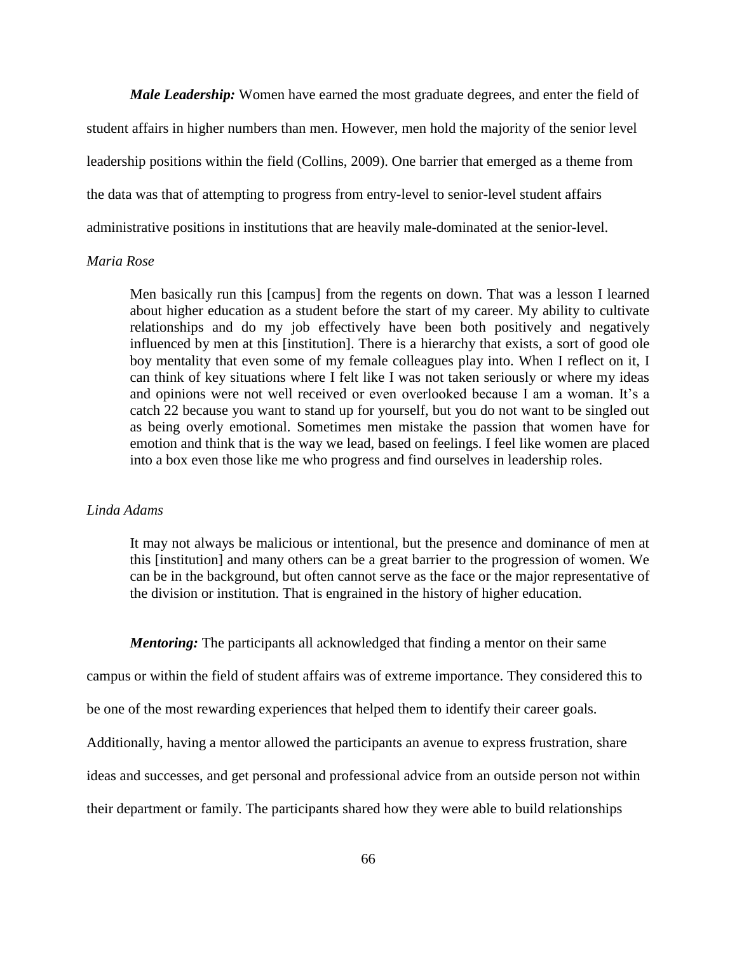*Male Leadership:* Women have earned the most graduate degrees, and enter the field of student affairs in higher numbers than men. However, men hold the majority of the senior level leadership positions within the field (Collins, 2009). One barrier that emerged as a theme from the data was that of attempting to progress from entry-level to senior-level student affairs administrative positions in institutions that are heavily male-dominated at the senior-level.

### *Maria Rose*

Men basically run this [campus] from the regents on down. That was a lesson I learned about higher education as a student before the start of my career. My ability to cultivate relationships and do my job effectively have been both positively and negatively influenced by men at this [institution]. There is a hierarchy that exists, a sort of good ole boy mentality that even some of my female colleagues play into. When I reflect on it, I can think of key situations where I felt like I was not taken seriously or where my ideas and opinions were not well received or even overlooked because I am a woman. It's a catch 22 because you want to stand up for yourself, but you do not want to be singled out as being overly emotional. Sometimes men mistake the passion that women have for emotion and think that is the way we lead, based on feelings. I feel like women are placed into a box even those like me who progress and find ourselves in leadership roles.

# *Linda Adams*

It may not always be malicious or intentional, but the presence and dominance of men at this [institution] and many others can be a great barrier to the progression of women. We can be in the background, but often cannot serve as the face or the major representative of the division or institution. That is engrained in the history of higher education.

*Mentoring:* The participants all acknowledged that finding a mentor on their same

campus or within the field of student affairs was of extreme importance. They considered this to

be one of the most rewarding experiences that helped them to identify their career goals.

Additionally, having a mentor allowed the participants an avenue to express frustration, share

ideas and successes, and get personal and professional advice from an outside person not within

their department or family. The participants shared how they were able to build relationships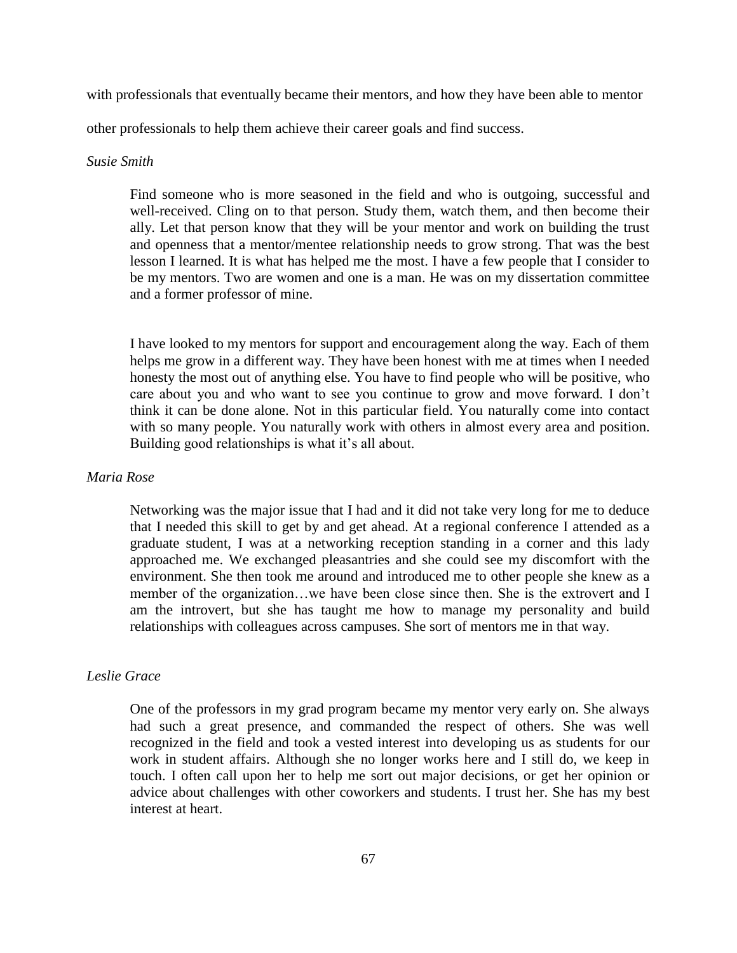with professionals that eventually became their mentors, and how they have been able to mentor

other professionals to help them achieve their career goals and find success.

# *Susie Smith*

Find someone who is more seasoned in the field and who is outgoing, successful and well-received. Cling on to that person. Study them, watch them, and then become their ally. Let that person know that they will be your mentor and work on building the trust and openness that a mentor/mentee relationship needs to grow strong. That was the best lesson I learned. It is what has helped me the most. I have a few people that I consider to be my mentors. Two are women and one is a man. He was on my dissertation committee and a former professor of mine.

I have looked to my mentors for support and encouragement along the way. Each of them helps me grow in a different way. They have been honest with me at times when I needed honesty the most out of anything else. You have to find people who will be positive, who care about you and who want to see you continue to grow and move forward. I don't think it can be done alone. Not in this particular field. You naturally come into contact with so many people. You naturally work with others in almost every area and position. Building good relationships is what it's all about.

### *Maria Rose*

Networking was the major issue that I had and it did not take very long for me to deduce that I needed this skill to get by and get ahead. At a regional conference I attended as a graduate student, I was at a networking reception standing in a corner and this lady approached me. We exchanged pleasantries and she could see my discomfort with the environment. She then took me around and introduced me to other people she knew as a member of the organization…we have been close since then. She is the extrovert and I am the introvert, but she has taught me how to manage my personality and build relationships with colleagues across campuses. She sort of mentors me in that way.

# *Leslie Grace*

One of the professors in my grad program became my mentor very early on. She always had such a great presence, and commanded the respect of others. She was well recognized in the field and took a vested interest into developing us as students for our work in student affairs. Although she no longer works here and I still do, we keep in touch. I often call upon her to help me sort out major decisions, or get her opinion or advice about challenges with other coworkers and students. I trust her. She has my best interest at heart.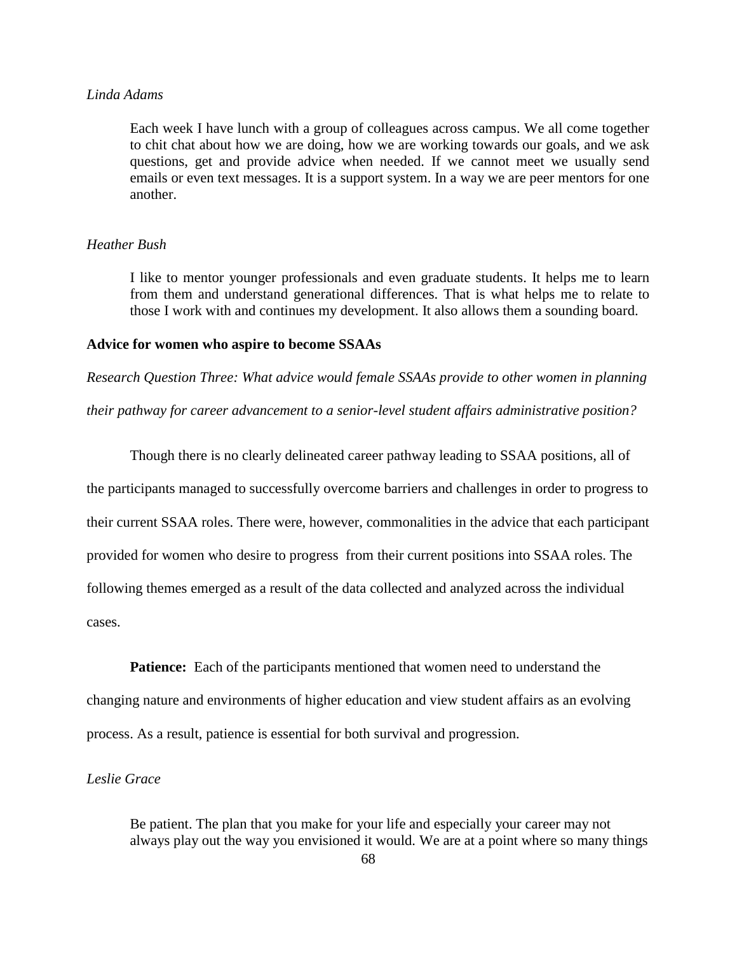## *Linda Adams*

Each week I have lunch with a group of colleagues across campus. We all come together to chit chat about how we are doing, how we are working towards our goals, and we ask questions, get and provide advice when needed. If we cannot meet we usually send emails or even text messages. It is a support system. In a way we are peer mentors for one another.

### *Heather Bush*

I like to mentor younger professionals and even graduate students. It helps me to learn from them and understand generational differences. That is what helps me to relate to those I work with and continues my development. It also allows them a sounding board.

#### **Advice for women who aspire to become SSAAs**

*Research Question Three: What advice would female SSAAs provide to other women in planning* 

*their pathway for career advancement to a senior-level student affairs administrative position?*

Though there is no clearly delineated career pathway leading to SSAA positions, all of

the participants managed to successfully overcome barriers and challenges in order to progress to

their current SSAA roles. There were, however, commonalities in the advice that each participant

provided for women who desire to progress from their current positions into SSAA roles. The

following themes emerged as a result of the data collected and analyzed across the individual

cases.

**Patience:** Each of the participants mentioned that women need to understand the changing nature and environments of higher education and view student affairs as an evolving process. As a result, patience is essential for both survival and progression.

### *Leslie Grace*

Be patient. The plan that you make for your life and especially your career may not always play out the way you envisioned it would. We are at a point where so many things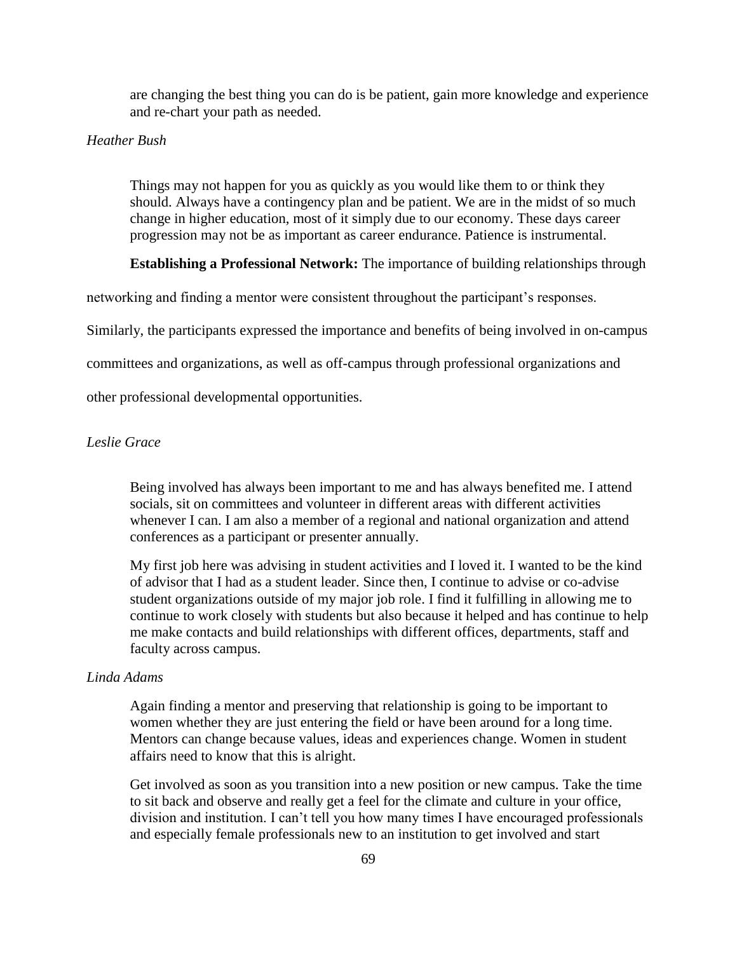are changing the best thing you can do is be patient, gain more knowledge and experience and re-chart your path as needed.

# *Heather Bush*

Things may not happen for you as quickly as you would like them to or think they should. Always have a contingency plan and be patient. We are in the midst of so much change in higher education, most of it simply due to our economy. These days career progression may not be as important as career endurance. Patience is instrumental.

**Establishing a Professional Network:** The importance of building relationships through

networking and finding a mentor were consistent throughout the participant's responses.

Similarly, the participants expressed the importance and benefits of being involved in on-campus

committees and organizations, as well as off-campus through professional organizations and

other professional developmental opportunities.

# *Leslie Grace*

Being involved has always been important to me and has always benefited me. I attend socials, sit on committees and volunteer in different areas with different activities whenever I can. I am also a member of a regional and national organization and attend conferences as a participant or presenter annually.

My first job here was advising in student activities and I loved it. I wanted to be the kind of advisor that I had as a student leader. Since then, I continue to advise or co-advise student organizations outside of my major job role. I find it fulfilling in allowing me to continue to work closely with students but also because it helped and has continue to help me make contacts and build relationships with different offices, departments, staff and faculty across campus.

### *Linda Adams*

Again finding a mentor and preserving that relationship is going to be important to women whether they are just entering the field or have been around for a long time. Mentors can change because values, ideas and experiences change. Women in student affairs need to know that this is alright.

Get involved as soon as you transition into a new position or new campus. Take the time to sit back and observe and really get a feel for the climate and culture in your office, division and institution. I can't tell you how many times I have encouraged professionals and especially female professionals new to an institution to get involved and start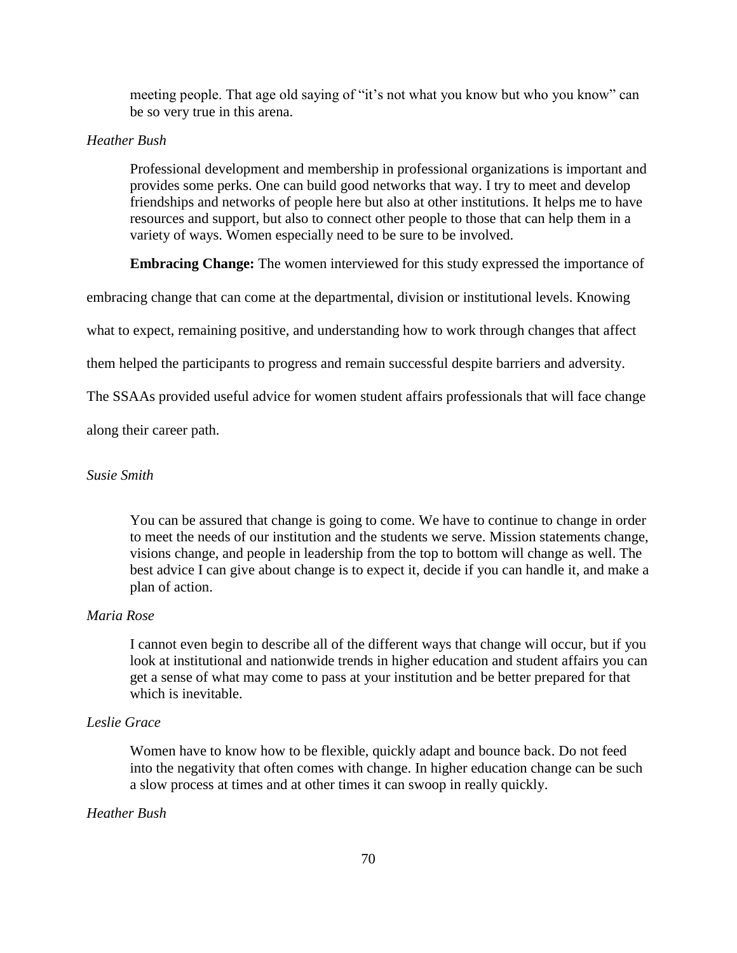meeting people. That age old saying of "it's not what you know but who you know" can be so very true in this arena.

### *Heather Bush*

Professional development and membership in professional organizations is important and provides some perks. One can build good networks that way. I try to meet and develop friendships and networks of people here but also at other institutions. It helps me to have resources and support, but also to connect other people to those that can help them in a variety of ways. Women especially need to be sure to be involved.

**Embracing Change:** The women interviewed for this study expressed the importance of

embracing change that can come at the departmental, division or institutional levels. Knowing

what to expect, remaining positive, and understanding how to work through changes that affect

them helped the participants to progress and remain successful despite barriers and adversity.

The SSAAs provided useful advice for women student affairs professionals that will face change

along their career path.

### *Susie Smith*

You can be assured that change is going to come. We have to continue to change in order to meet the needs of our institution and the students we serve. Mission statements change, visions change, and people in leadership from the top to bottom will change as well. The best advice I can give about change is to expect it, decide if you can handle it, and make a plan of action.

# *Maria Rose*

I cannot even begin to describe all of the different ways that change will occur, but if you look at institutional and nationwide trends in higher education and student affairs you can get a sense of what may come to pass at your institution and be better prepared for that which is inevitable.

# *Leslie Grace*

Women have to know how to be flexible, quickly adapt and bounce back. Do not feed into the negativity that often comes with change. In higher education change can be such a slow process at times and at other times it can swoop in really quickly.

## *Heather Bush*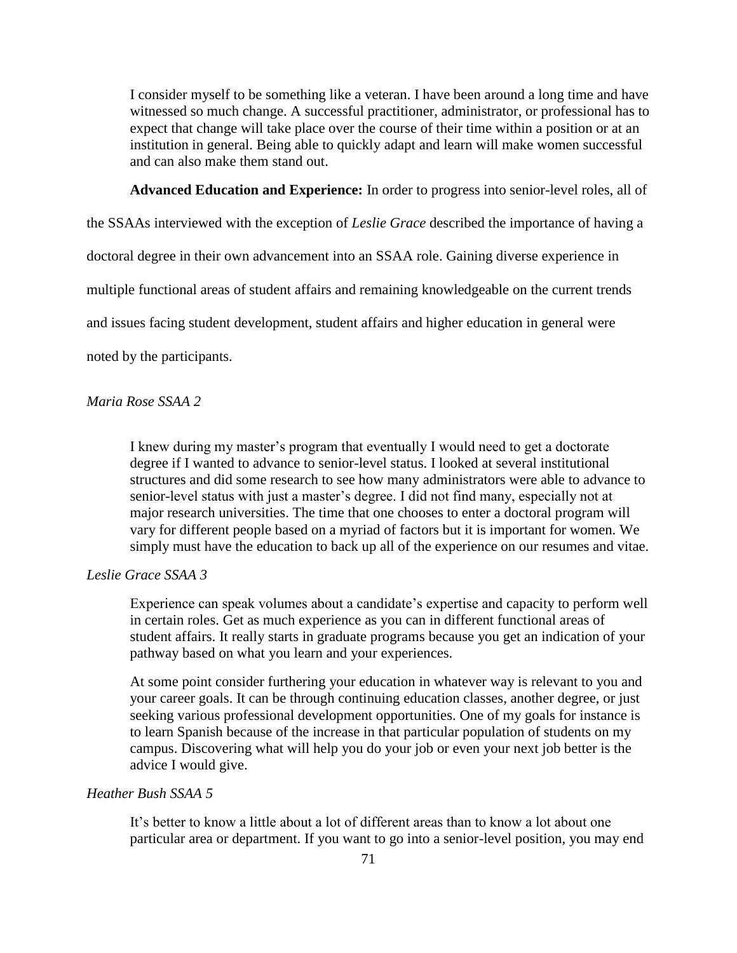I consider myself to be something like a veteran. I have been around a long time and have witnessed so much change. A successful practitioner, administrator, or professional has to expect that change will take place over the course of their time within a position or at an institution in general. Being able to quickly adapt and learn will make women successful and can also make them stand out.

**Advanced Education and Experience:** In order to progress into senior-level roles, all of

the SSAAs interviewed with the exception of *Leslie Grace* described the importance of having a

doctoral degree in their own advancement into an SSAA role. Gaining diverse experience in

multiple functional areas of student affairs and remaining knowledgeable on the current trends

and issues facing student development, student affairs and higher education in general were

noted by the participants.

### *Maria Rose SSAA 2*

I knew during my master's program that eventually I would need to get a doctorate degree if I wanted to advance to senior-level status. I looked at several institutional structures and did some research to see how many administrators were able to advance to senior-level status with just a master's degree. I did not find many, especially not at major research universities. The time that one chooses to enter a doctoral program will vary for different people based on a myriad of factors but it is important for women. We simply must have the education to back up all of the experience on our resumes and vitae.

### *Leslie Grace SSAA 3*

Experience can speak volumes about a candidate's expertise and capacity to perform well in certain roles. Get as much experience as you can in different functional areas of student affairs. It really starts in graduate programs because you get an indication of your pathway based on what you learn and your experiences.

At some point consider furthering your education in whatever way is relevant to you and your career goals. It can be through continuing education classes, another degree, or just seeking various professional development opportunities. One of my goals for instance is to learn Spanish because of the increase in that particular population of students on my campus. Discovering what will help you do your job or even your next job better is the advice I would give.

# *Heather Bush SSAA 5*

It's better to know a little about a lot of different areas than to know a lot about one particular area or department. If you want to go into a senior-level position, you may end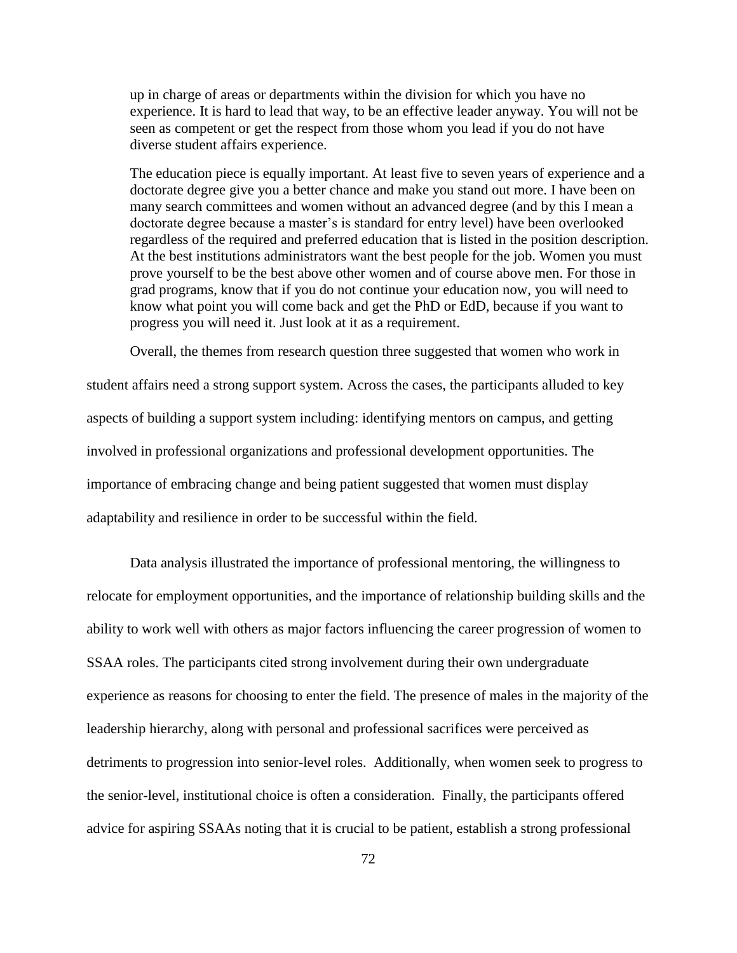up in charge of areas or departments within the division for which you have no experience. It is hard to lead that way, to be an effective leader anyway. You will not be seen as competent or get the respect from those whom you lead if you do not have diverse student affairs experience.

The education piece is equally important. At least five to seven years of experience and a doctorate degree give you a better chance and make you stand out more. I have been on many search committees and women without an advanced degree (and by this I mean a doctorate degree because a master's is standard for entry level) have been overlooked regardless of the required and preferred education that is listed in the position description. At the best institutions administrators want the best people for the job. Women you must prove yourself to be the best above other women and of course above men. For those in grad programs, know that if you do not continue your education now, you will need to know what point you will come back and get the PhD or EdD, because if you want to progress you will need it. Just look at it as a requirement.

Overall, the themes from research question three suggested that women who work in student affairs need a strong support system. Across the cases, the participants alluded to key aspects of building a support system including: identifying mentors on campus, and getting involved in professional organizations and professional development opportunities. The importance of embracing change and being patient suggested that women must display adaptability and resilience in order to be successful within the field.

Data analysis illustrated the importance of professional mentoring, the willingness to relocate for employment opportunities, and the importance of relationship building skills and the ability to work well with others as major factors influencing the career progression of women to SSAA roles. The participants cited strong involvement during their own undergraduate experience as reasons for choosing to enter the field. The presence of males in the majority of the leadership hierarchy, along with personal and professional sacrifices were perceived as detriments to progression into senior-level roles. Additionally, when women seek to progress to the senior-level, institutional choice is often a consideration. Finally, the participants offered advice for aspiring SSAAs noting that it is crucial to be patient, establish a strong professional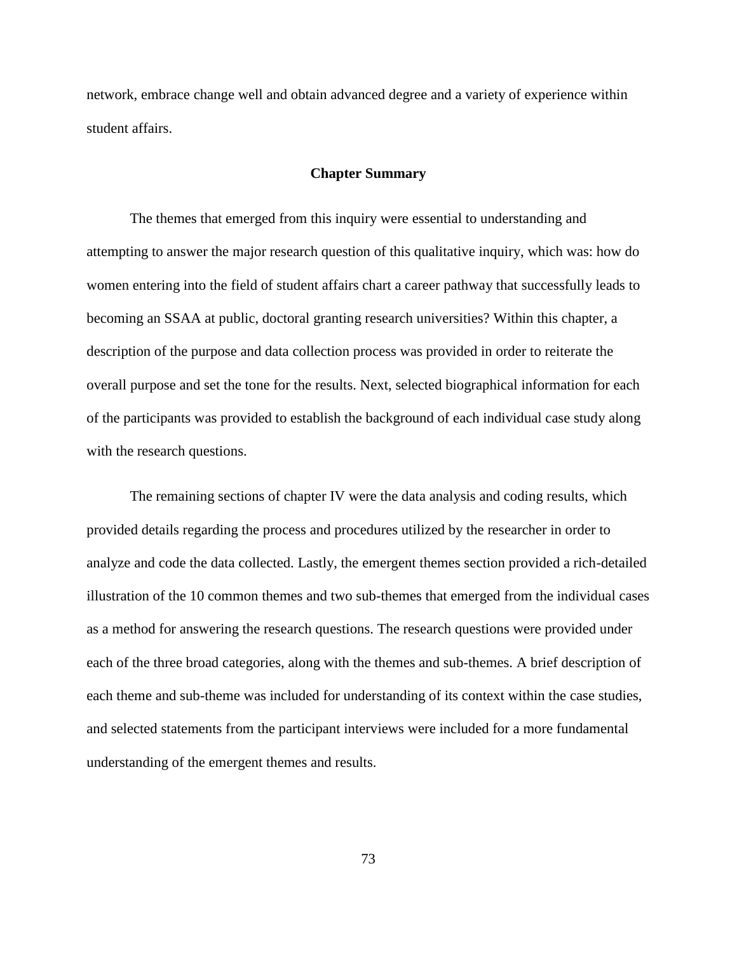network, embrace change well and obtain advanced degree and a variety of experience within student affairs.

### **Chapter Summary**

The themes that emerged from this inquiry were essential to understanding and attempting to answer the major research question of this qualitative inquiry, which was: how do women entering into the field of student affairs chart a career pathway that successfully leads to becoming an SSAA at public, doctoral granting research universities? Within this chapter, a description of the purpose and data collection process was provided in order to reiterate the overall purpose and set the tone for the results. Next, selected biographical information for each of the participants was provided to establish the background of each individual case study along with the research questions.

The remaining sections of chapter IV were the data analysis and coding results, which provided details regarding the process and procedures utilized by the researcher in order to analyze and code the data collected. Lastly, the emergent themes section provided a rich-detailed illustration of the 10 common themes and two sub-themes that emerged from the individual cases as a method for answering the research questions. The research questions were provided under each of the three broad categories, along with the themes and sub-themes. A brief description of each theme and sub-theme was included for understanding of its context within the case studies, and selected statements from the participant interviews were included for a more fundamental understanding of the emergent themes and results.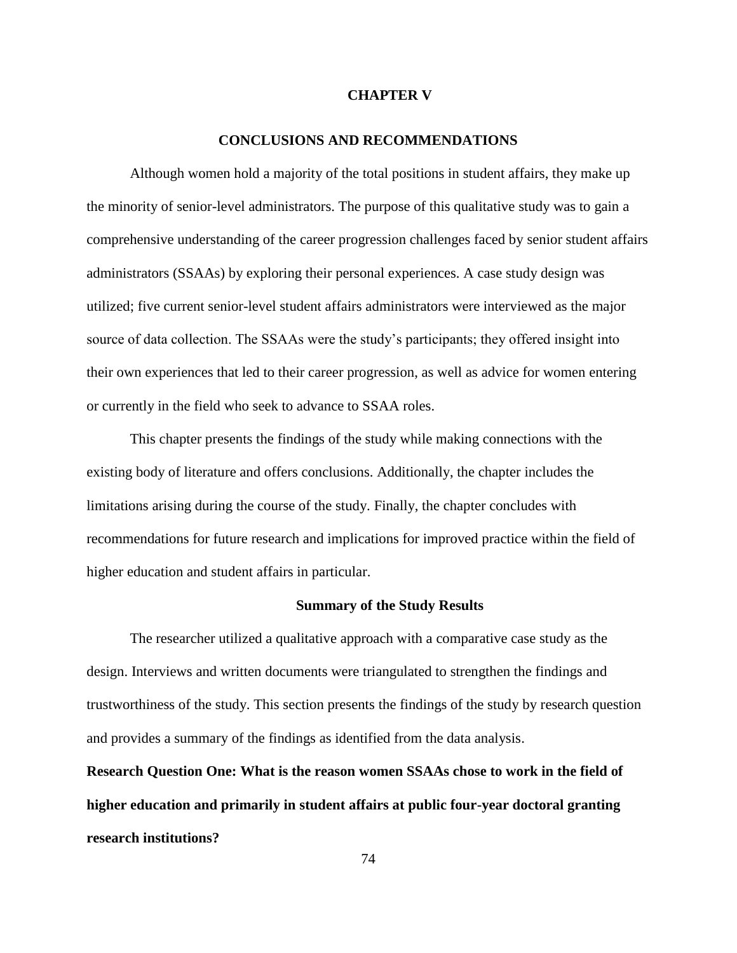## **CHAPTER V**

## **CONCLUSIONS AND RECOMMENDATIONS**

Although women hold a majority of the total positions in student affairs, they make up the minority of senior-level administrators. The purpose of this qualitative study was to gain a comprehensive understanding of the career progression challenges faced by senior student affairs administrators (SSAAs) by exploring their personal experiences. A case study design was utilized; five current senior-level student affairs administrators were interviewed as the major source of data collection. The SSAAs were the study's participants; they offered insight into their own experiences that led to their career progression, as well as advice for women entering or currently in the field who seek to advance to SSAA roles.

This chapter presents the findings of the study while making connections with the existing body of literature and offers conclusions. Additionally, the chapter includes the limitations arising during the course of the study. Finally, the chapter concludes with recommendations for future research and implications for improved practice within the field of higher education and student affairs in particular.

### **Summary of the Study Results**

The researcher utilized a qualitative approach with a comparative case study as the design. Interviews and written documents were triangulated to strengthen the findings and trustworthiness of the study. This section presents the findings of the study by research question and provides a summary of the findings as identified from the data analysis.

**Research Question One: What is the reason women SSAAs chose to work in the field of higher education and primarily in student affairs at public four-year doctoral granting research institutions?**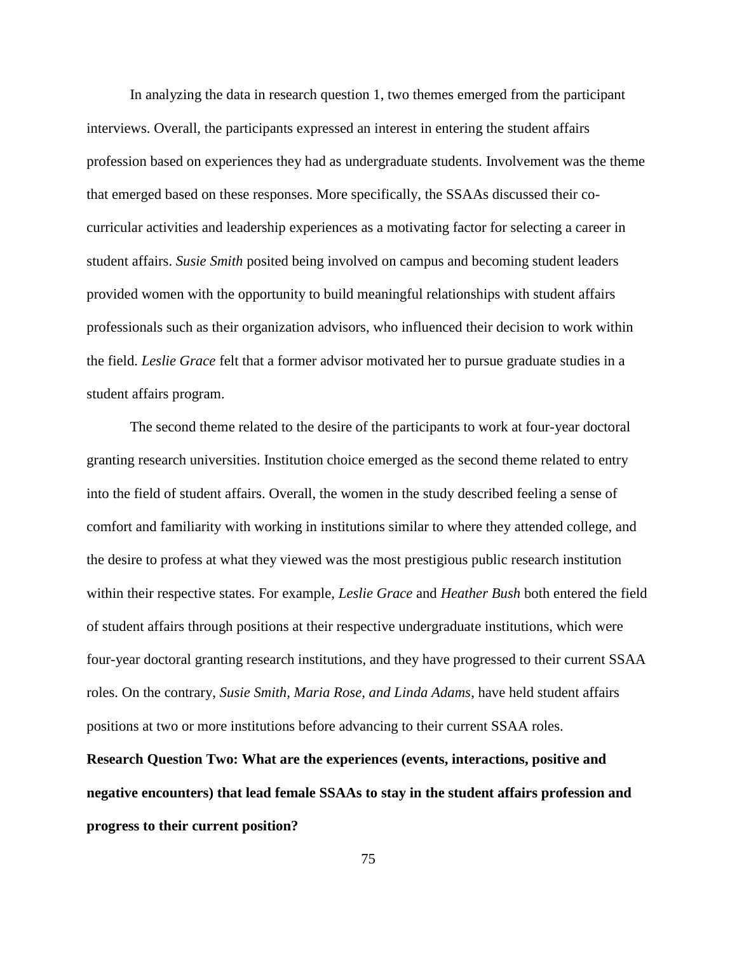In analyzing the data in research question 1, two themes emerged from the participant interviews. Overall, the participants expressed an interest in entering the student affairs profession based on experiences they had as undergraduate students. Involvement was the theme that emerged based on these responses. More specifically, the SSAAs discussed their cocurricular activities and leadership experiences as a motivating factor for selecting a career in student affairs. *Susie Smith* posited being involved on campus and becoming student leaders provided women with the opportunity to build meaningful relationships with student affairs professionals such as their organization advisors, who influenced their decision to work within the field. *Leslie Grace* felt that a former advisor motivated her to pursue graduate studies in a student affairs program.

The second theme related to the desire of the participants to work at four-year doctoral granting research universities. Institution choice emerged as the second theme related to entry into the field of student affairs. Overall, the women in the study described feeling a sense of comfort and familiarity with working in institutions similar to where they attended college, and the desire to profess at what they viewed was the most prestigious public research institution within their respective states. For example, *Leslie Grace* and *Heather Bush* both entered the field of student affairs through positions at their respective undergraduate institutions, which were four-year doctoral granting research institutions, and they have progressed to their current SSAA roles. On the contrary, *Susie Smith, Maria Rose, and Linda Adams*, have held student affairs positions at two or more institutions before advancing to their current SSAA roles.

**Research Question Two: What are the experiences (events, interactions, positive and negative encounters) that lead female SSAAs to stay in the student affairs profession and progress to their current position?**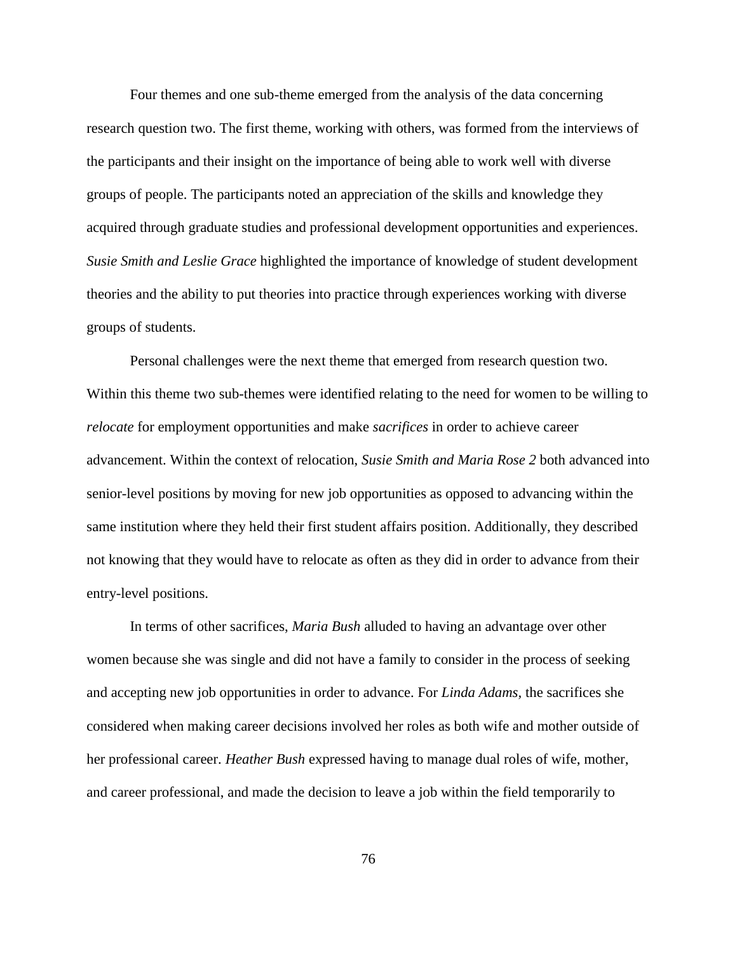Four themes and one sub-theme emerged from the analysis of the data concerning research question two. The first theme, working with others, was formed from the interviews of the participants and their insight on the importance of being able to work well with diverse groups of people. The participants noted an appreciation of the skills and knowledge they acquired through graduate studies and professional development opportunities and experiences. *Susie Smith and Leslie Grace* highlighted the importance of knowledge of student development theories and the ability to put theories into practice through experiences working with diverse groups of students.

Personal challenges were the next theme that emerged from research question two. Within this theme two sub-themes were identified relating to the need for women to be willing to *relocate* for employment opportunities and make *sacrifices* in order to achieve career advancement. Within the context of relocation, *Susie Smith and Maria Rose 2* both advanced into senior-level positions by moving for new job opportunities as opposed to advancing within the same institution where they held their first student affairs position. Additionally, they described not knowing that they would have to relocate as often as they did in order to advance from their entry-level positions.

In terms of other sacrifices, *Maria Bush* alluded to having an advantage over other women because she was single and did not have a family to consider in the process of seeking and accepting new job opportunities in order to advance. For *Linda Adams,* the sacrifices she considered when making career decisions involved her roles as both wife and mother outside of her professional career. *Heather Bush* expressed having to manage dual roles of wife, mother, and career professional, and made the decision to leave a job within the field temporarily to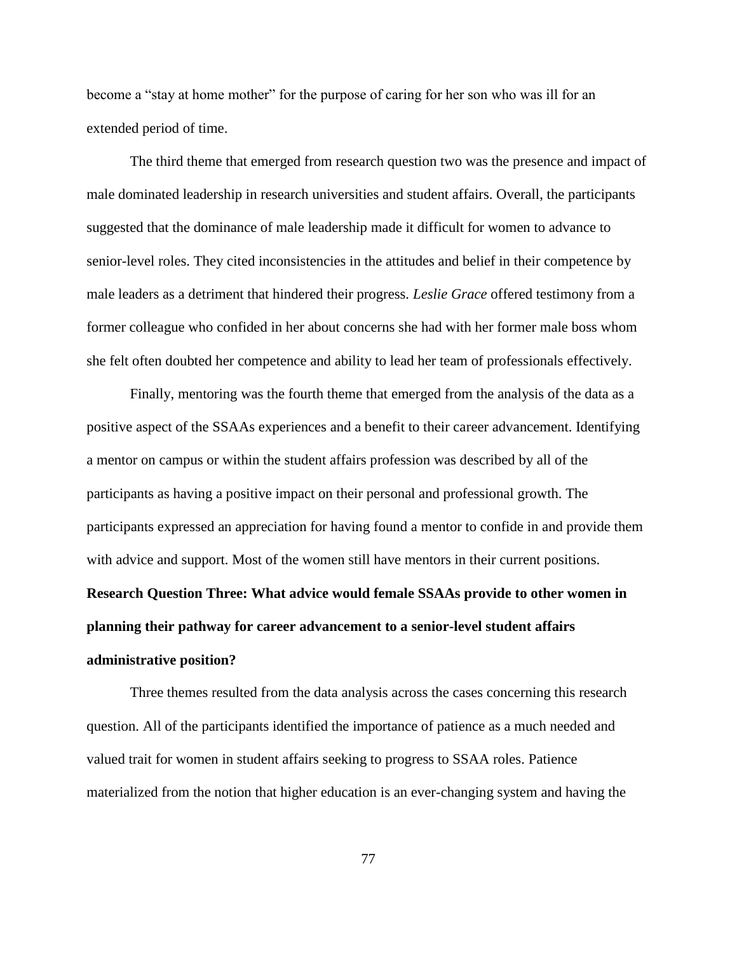become a "stay at home mother" for the purpose of caring for her son who was ill for an extended period of time.

The third theme that emerged from research question two was the presence and impact of male dominated leadership in research universities and student affairs. Overall, the participants suggested that the dominance of male leadership made it difficult for women to advance to senior-level roles. They cited inconsistencies in the attitudes and belief in their competence by male leaders as a detriment that hindered their progress. *Leslie Grace* offered testimony from a former colleague who confided in her about concerns she had with her former male boss whom she felt often doubted her competence and ability to lead her team of professionals effectively.

Finally, mentoring was the fourth theme that emerged from the analysis of the data as a positive aspect of the SSAAs experiences and a benefit to their career advancement. Identifying a mentor on campus or within the student affairs profession was described by all of the participants as having a positive impact on their personal and professional growth. The participants expressed an appreciation for having found a mentor to confide in and provide them with advice and support. Most of the women still have mentors in their current positions. **Research Question Three: What advice would female SSAAs provide to other women in planning their pathway for career advancement to a senior-level student affairs administrative position?**

Three themes resulted from the data analysis across the cases concerning this research question. All of the participants identified the importance of patience as a much needed and valued trait for women in student affairs seeking to progress to SSAA roles. Patience materialized from the notion that higher education is an ever-changing system and having the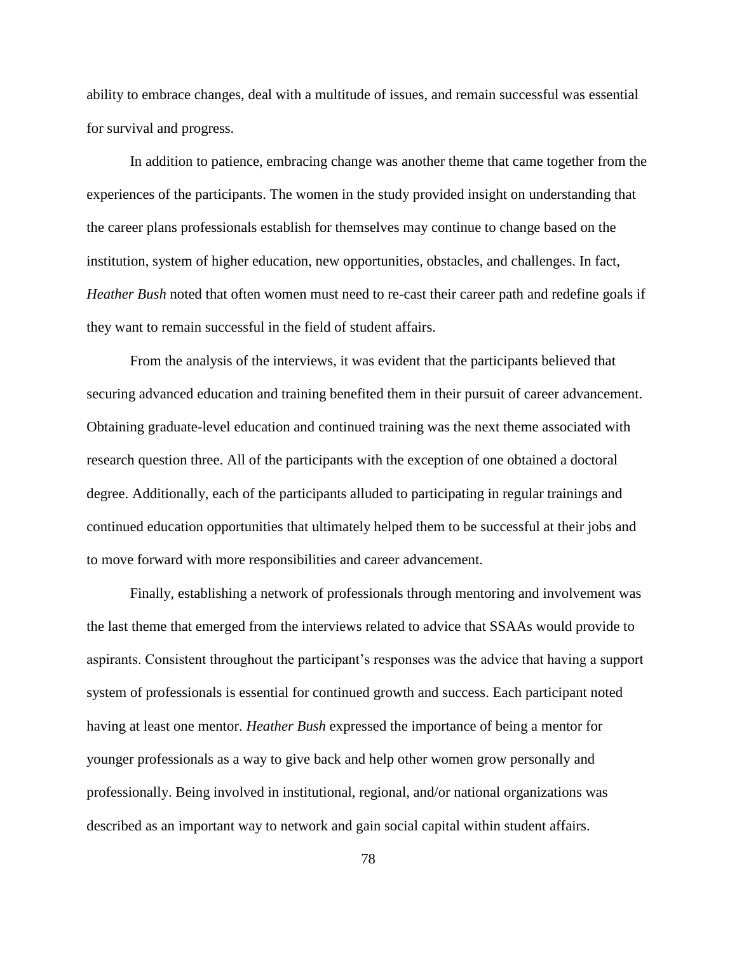ability to embrace changes, deal with a multitude of issues, and remain successful was essential for survival and progress.

In addition to patience, embracing change was another theme that came together from the experiences of the participants. The women in the study provided insight on understanding that the career plans professionals establish for themselves may continue to change based on the institution, system of higher education, new opportunities, obstacles, and challenges. In fact, *Heather Bush* noted that often women must need to re-cast their career path and redefine goals if they want to remain successful in the field of student affairs.

From the analysis of the interviews, it was evident that the participants believed that securing advanced education and training benefited them in their pursuit of career advancement. Obtaining graduate-level education and continued training was the next theme associated with research question three. All of the participants with the exception of one obtained a doctoral degree. Additionally, each of the participants alluded to participating in regular trainings and continued education opportunities that ultimately helped them to be successful at their jobs and to move forward with more responsibilities and career advancement.

Finally, establishing a network of professionals through mentoring and involvement was the last theme that emerged from the interviews related to advice that SSAAs would provide to aspirants. Consistent throughout the participant's responses was the advice that having a support system of professionals is essential for continued growth and success. Each participant noted having at least one mentor. *Heather Bush* expressed the importance of being a mentor for younger professionals as a way to give back and help other women grow personally and professionally. Being involved in institutional, regional, and/or national organizations was described as an important way to network and gain social capital within student affairs.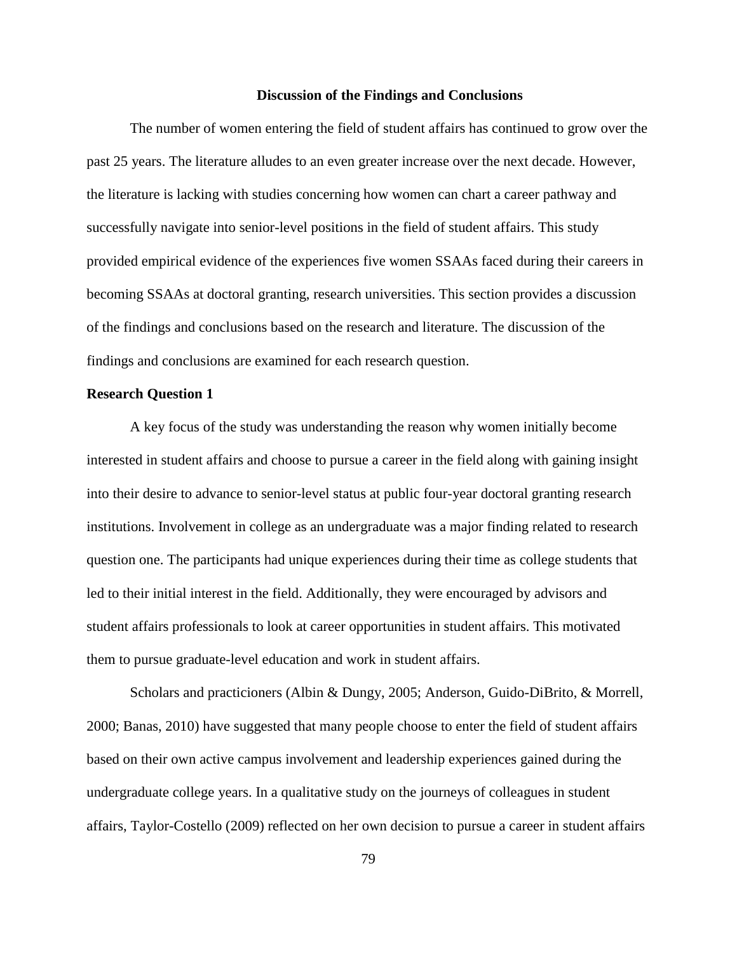#### **Discussion of the Findings and Conclusions**

The number of women entering the field of student affairs has continued to grow over the past 25 years. The literature alludes to an even greater increase over the next decade. However, the literature is lacking with studies concerning how women can chart a career pathway and successfully navigate into senior-level positions in the field of student affairs. This study provided empirical evidence of the experiences five women SSAAs faced during their careers in becoming SSAAs at doctoral granting, research universities. This section provides a discussion of the findings and conclusions based on the research and literature. The discussion of the findings and conclusions are examined for each research question.

### **Research Question 1**

A key focus of the study was understanding the reason why women initially become interested in student affairs and choose to pursue a career in the field along with gaining insight into their desire to advance to senior-level status at public four-year doctoral granting research institutions. Involvement in college as an undergraduate was a major finding related to research question one. The participants had unique experiences during their time as college students that led to their initial interest in the field. Additionally, they were encouraged by advisors and student affairs professionals to look at career opportunities in student affairs. This motivated them to pursue graduate-level education and work in student affairs.

Scholars and practicioners (Albin & Dungy, 2005; Anderson, Guido-DiBrito, & Morrell, 2000; Banas, 2010) have suggested that many people choose to enter the field of student affairs based on their own active campus involvement and leadership experiences gained during the undergraduate college years. In a qualitative study on the journeys of colleagues in student affairs, Taylor-Costello (2009) reflected on her own decision to pursue a career in student affairs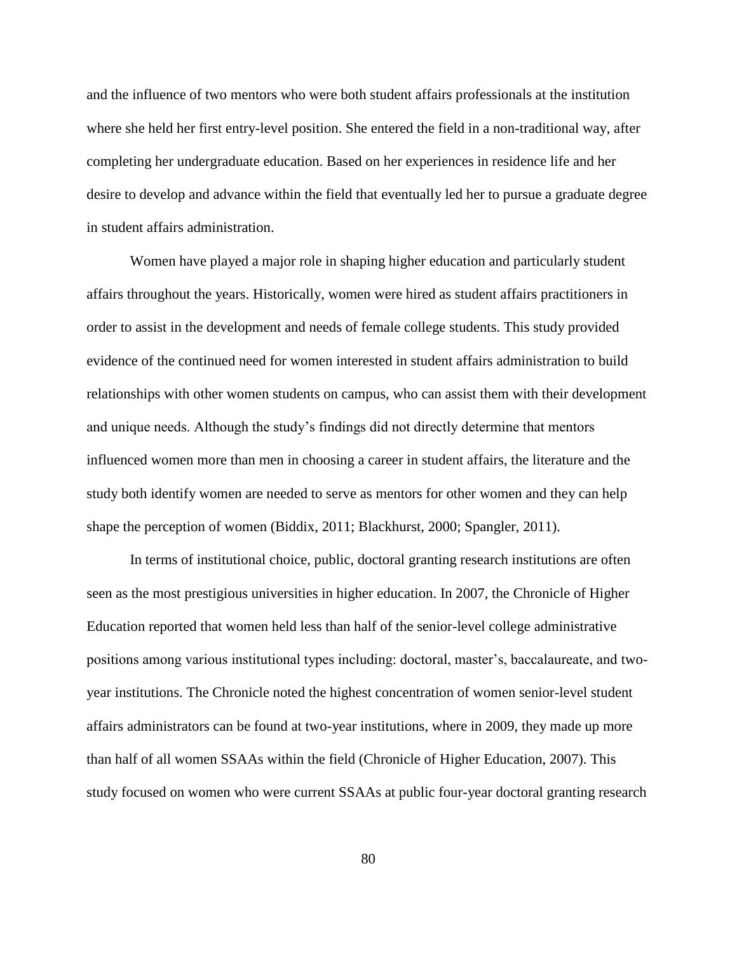and the influence of two mentors who were both student affairs professionals at the institution where she held her first entry-level position. She entered the field in a non-traditional way, after completing her undergraduate education. Based on her experiences in residence life and her desire to develop and advance within the field that eventually led her to pursue a graduate degree in student affairs administration.

Women have played a major role in shaping higher education and particularly student affairs throughout the years. Historically, women were hired as student affairs practitioners in order to assist in the development and needs of female college students. This study provided evidence of the continued need for women interested in student affairs administration to build relationships with other women students on campus, who can assist them with their development and unique needs. Although the study's findings did not directly determine that mentors influenced women more than men in choosing a career in student affairs, the literature and the study both identify women are needed to serve as mentors for other women and they can help shape the perception of women (Biddix, 2011; Blackhurst, 2000; Spangler, 2011).

In terms of institutional choice, public, doctoral granting research institutions are often seen as the most prestigious universities in higher education. In 2007, the Chronicle of Higher Education reported that women held less than half of the senior-level college administrative positions among various institutional types including: doctoral, master's, baccalaureate, and twoyear institutions. The Chronicle noted the highest concentration of women senior-level student affairs administrators can be found at two-year institutions, where in 2009, they made up more than half of all women SSAAs within the field (Chronicle of Higher Education, 2007). This study focused on women who were current SSAAs at public four-year doctoral granting research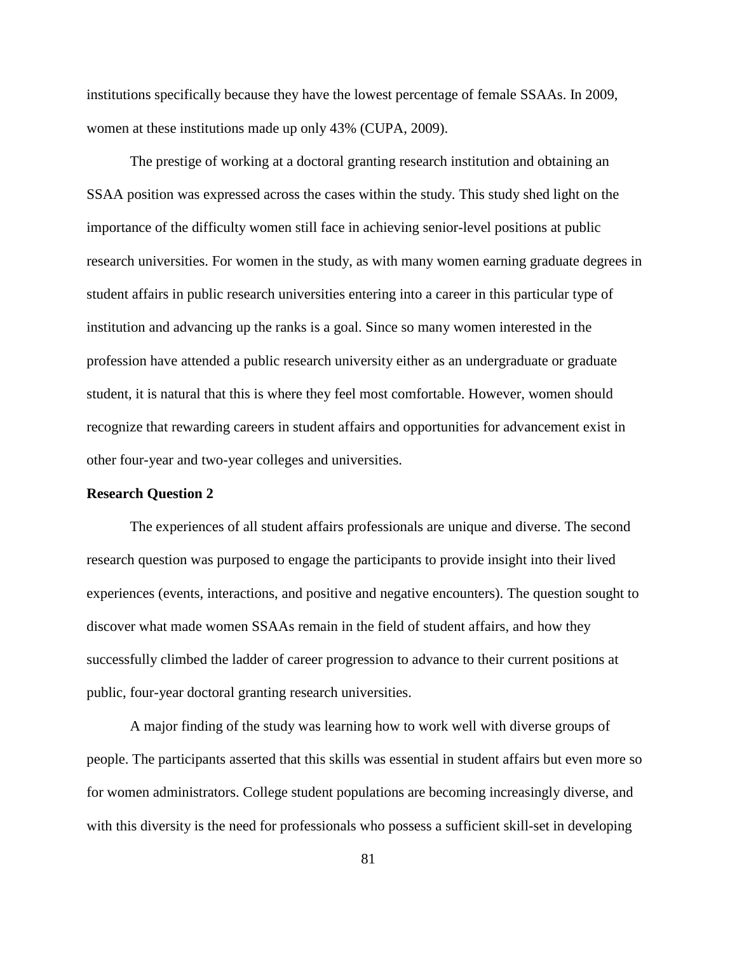institutions specifically because they have the lowest percentage of female SSAAs. In 2009, women at these institutions made up only 43% (CUPA, 2009).

The prestige of working at a doctoral granting research institution and obtaining an SSAA position was expressed across the cases within the study. This study shed light on the importance of the difficulty women still face in achieving senior-level positions at public research universities. For women in the study, as with many women earning graduate degrees in student affairs in public research universities entering into a career in this particular type of institution and advancing up the ranks is a goal. Since so many women interested in the profession have attended a public research university either as an undergraduate or graduate student, it is natural that this is where they feel most comfortable. However, women should recognize that rewarding careers in student affairs and opportunities for advancement exist in other four-year and two-year colleges and universities.

### **Research Question 2**

The experiences of all student affairs professionals are unique and diverse. The second research question was purposed to engage the participants to provide insight into their lived experiences (events, interactions, and positive and negative encounters). The question sought to discover what made women SSAAs remain in the field of student affairs, and how they successfully climbed the ladder of career progression to advance to their current positions at public, four-year doctoral granting research universities.

A major finding of the study was learning how to work well with diverse groups of people. The participants asserted that this skills was essential in student affairs but even more so for women administrators. College student populations are becoming increasingly diverse, and with this diversity is the need for professionals who possess a sufficient skill-set in developing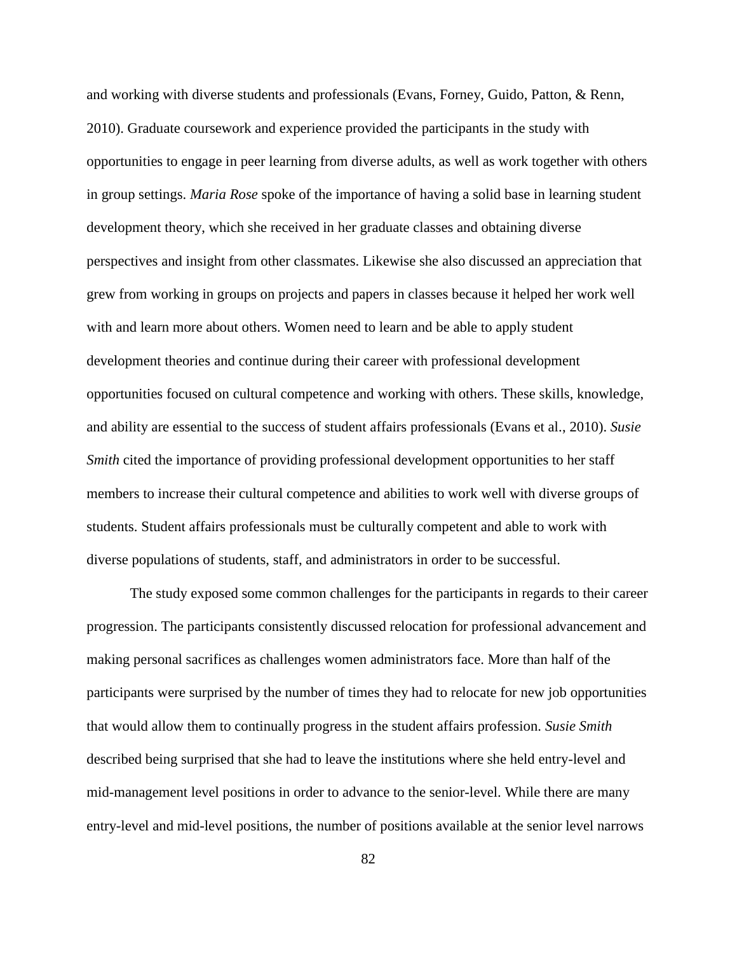and working with diverse students and professionals (Evans, Forney, Guido, Patton, & Renn, 2010). Graduate coursework and experience provided the participants in the study with opportunities to engage in peer learning from diverse adults, as well as work together with others in group settings. *Maria Rose* spoke of the importance of having a solid base in learning student development theory, which she received in her graduate classes and obtaining diverse perspectives and insight from other classmates. Likewise she also discussed an appreciation that grew from working in groups on projects and papers in classes because it helped her work well with and learn more about others. Women need to learn and be able to apply student development theories and continue during their career with professional development opportunities focused on cultural competence and working with others. These skills, knowledge, and ability are essential to the success of student affairs professionals (Evans et al., 2010). *Susie Smith* cited the importance of providing professional development opportunities to her staff members to increase their cultural competence and abilities to work well with diverse groups of students. Student affairs professionals must be culturally competent and able to work with diverse populations of students, staff, and administrators in order to be successful.

The study exposed some common challenges for the participants in regards to their career progression. The participants consistently discussed relocation for professional advancement and making personal sacrifices as challenges women administrators face. More than half of the participants were surprised by the number of times they had to relocate for new job opportunities that would allow them to continually progress in the student affairs profession. *Susie Smith* described being surprised that she had to leave the institutions where she held entry-level and mid-management level positions in order to advance to the senior-level. While there are many entry-level and mid-level positions, the number of positions available at the senior level narrows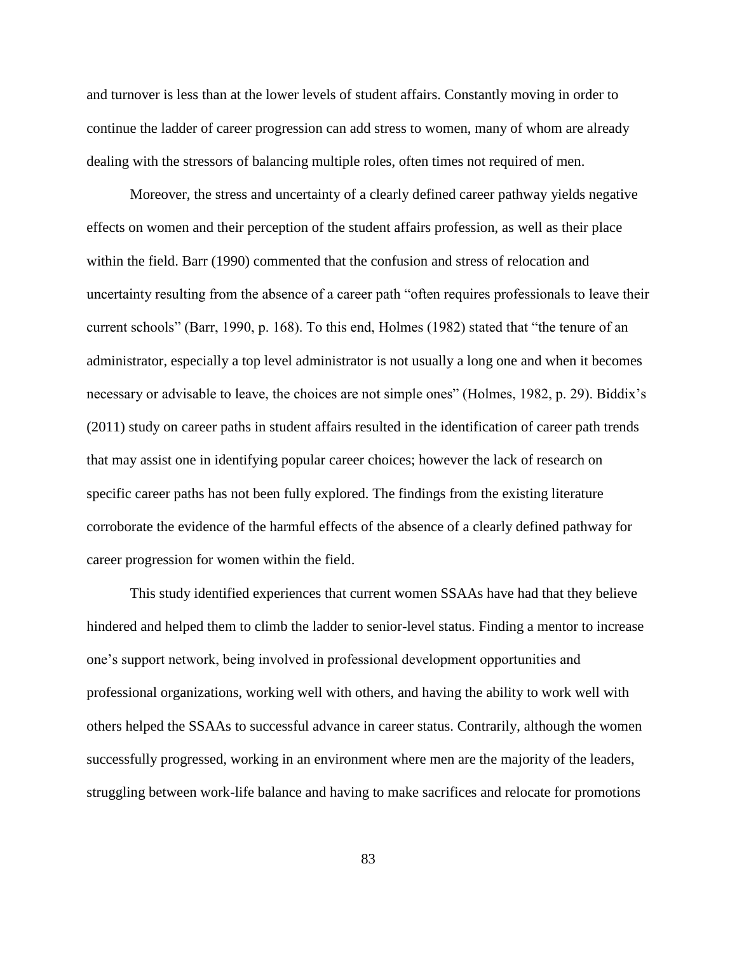and turnover is less than at the lower levels of student affairs. Constantly moving in order to continue the ladder of career progression can add stress to women, many of whom are already dealing with the stressors of balancing multiple roles, often times not required of men.

Moreover, the stress and uncertainty of a clearly defined career pathway yields negative effects on women and their perception of the student affairs profession, as well as their place within the field. Barr (1990) commented that the confusion and stress of relocation and uncertainty resulting from the absence of a career path "often requires professionals to leave their current schools" (Barr, 1990, p. 168). To this end, Holmes (1982) stated that "the tenure of an administrator, especially a top level administrator is not usually a long one and when it becomes necessary or advisable to leave, the choices are not simple ones" (Holmes, 1982, p. 29). Biddix's (2011) study on career paths in student affairs resulted in the identification of career path trends that may assist one in identifying popular career choices; however the lack of research on specific career paths has not been fully explored. The findings from the existing literature corroborate the evidence of the harmful effects of the absence of a clearly defined pathway for career progression for women within the field.

This study identified experiences that current women SSAAs have had that they believe hindered and helped them to climb the ladder to senior-level status. Finding a mentor to increase one's support network, being involved in professional development opportunities and professional organizations, working well with others, and having the ability to work well with others helped the SSAAs to successful advance in career status. Contrarily, although the women successfully progressed, working in an environment where men are the majority of the leaders, struggling between work-life balance and having to make sacrifices and relocate for promotions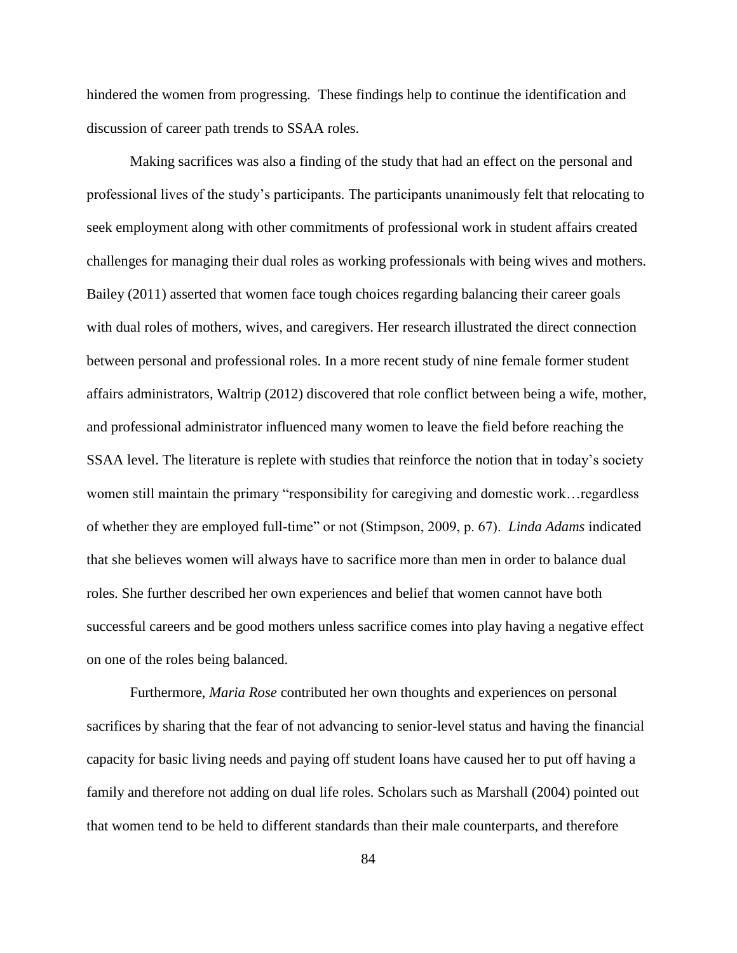hindered the women from progressing. These findings help to continue the identification and discussion of career path trends to SSAA roles.

Making sacrifices was also a finding of the study that had an effect on the personal and professional lives of the study's participants. The participants unanimously felt that relocating to seek employment along with other commitments of professional work in student affairs created challenges for managing their dual roles as working professionals with being wives and mothers. Bailey (2011) asserted that women face tough choices regarding balancing their career goals with dual roles of mothers, wives, and caregivers. Her research illustrated the direct connection between personal and professional roles. In a more recent study of nine female former student affairs administrators, Waltrip (2012) discovered that role conflict between being a wife, mother, and professional administrator influenced many women to leave the field before reaching the SSAA level. The literature is replete with studies that reinforce the notion that in today's society women still maintain the primary "responsibility for caregiving and domestic work…regardless of whether they are employed full-time" or not (Stimpson, 2009, p. 67). *Linda Adams* indicated that she believes women will always have to sacrifice more than men in order to balance dual roles. She further described her own experiences and belief that women cannot have both successful careers and be good mothers unless sacrifice comes into play having a negative effect on one of the roles being balanced.

Furthermore, *Maria Rose* contributed her own thoughts and experiences on personal sacrifices by sharing that the fear of not advancing to senior-level status and having the financial capacity for basic living needs and paying off student loans have caused her to put off having a family and therefore not adding on dual life roles. Scholars such as Marshall (2004) pointed out that women tend to be held to different standards than their male counterparts, and therefore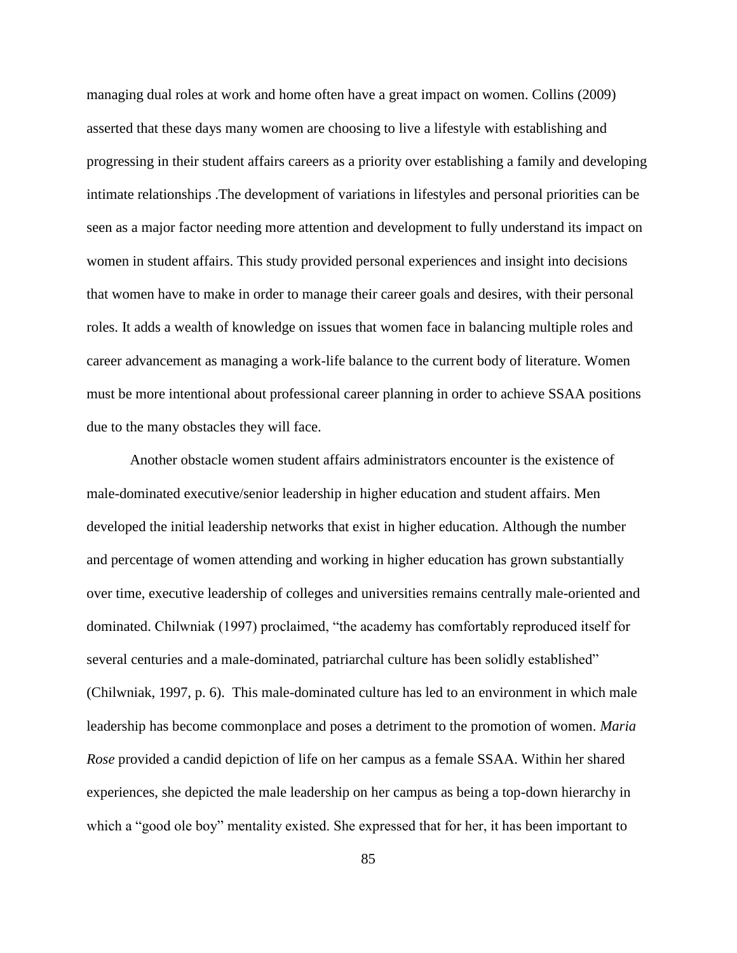managing dual roles at work and home often have a great impact on women. Collins (2009) asserted that these days many women are choosing to live a lifestyle with establishing and progressing in their student affairs careers as a priority over establishing a family and developing intimate relationships .The development of variations in lifestyles and personal priorities can be seen as a major factor needing more attention and development to fully understand its impact on women in student affairs. This study provided personal experiences and insight into decisions that women have to make in order to manage their career goals and desires, with their personal roles. It adds a wealth of knowledge on issues that women face in balancing multiple roles and career advancement as managing a work-life balance to the current body of literature. Women must be more intentional about professional career planning in order to achieve SSAA positions due to the many obstacles they will face.

Another obstacle women student affairs administrators encounter is the existence of male-dominated executive/senior leadership in higher education and student affairs. Men developed the initial leadership networks that exist in higher education. Although the number and percentage of women attending and working in higher education has grown substantially over time, executive leadership of colleges and universities remains centrally male-oriented and dominated. Chilwniak (1997) proclaimed, "the academy has comfortably reproduced itself for several centuries and a male-dominated, patriarchal culture has been solidly established" (Chilwniak, 1997, p. 6). This male-dominated culture has led to an environment in which male leadership has become commonplace and poses a detriment to the promotion of women. *Maria Rose* provided a candid depiction of life on her campus as a female SSAA. Within her shared experiences, she depicted the male leadership on her campus as being a top-down hierarchy in which a "good ole boy" mentality existed. She expressed that for her, it has been important to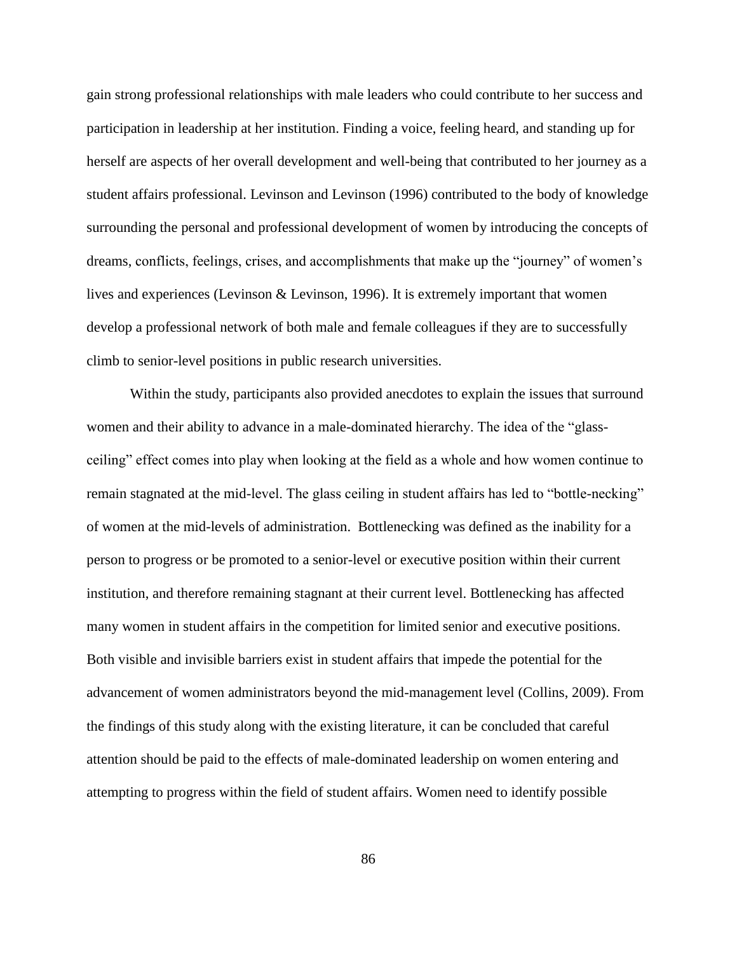gain strong professional relationships with male leaders who could contribute to her success and participation in leadership at her institution. Finding a voice, feeling heard, and standing up for herself are aspects of her overall development and well-being that contributed to her journey as a student affairs professional. Levinson and Levinson (1996) contributed to the body of knowledge surrounding the personal and professional development of women by introducing the concepts of dreams, conflicts, feelings, crises, and accomplishments that make up the "journey" of women's lives and experiences (Levinson & Levinson, 1996). It is extremely important that women develop a professional network of both male and female colleagues if they are to successfully climb to senior-level positions in public research universities.

Within the study, participants also provided anecdotes to explain the issues that surround women and their ability to advance in a male-dominated hierarchy. The idea of the "glassceiling" effect comes into play when looking at the field as a whole and how women continue to remain stagnated at the mid-level. The glass ceiling in student affairs has led to "bottle-necking" of women at the mid-levels of administration. Bottlenecking was defined as the inability for a person to progress or be promoted to a senior-level or executive position within their current institution, and therefore remaining stagnant at their current level. Bottlenecking has affected many women in student affairs in the competition for limited senior and executive positions. Both visible and invisible barriers exist in student affairs that impede the potential for the advancement of women administrators beyond the mid-management level (Collins, 2009). From the findings of this study along with the existing literature, it can be concluded that careful attention should be paid to the effects of male-dominated leadership on women entering and attempting to progress within the field of student affairs. Women need to identify possible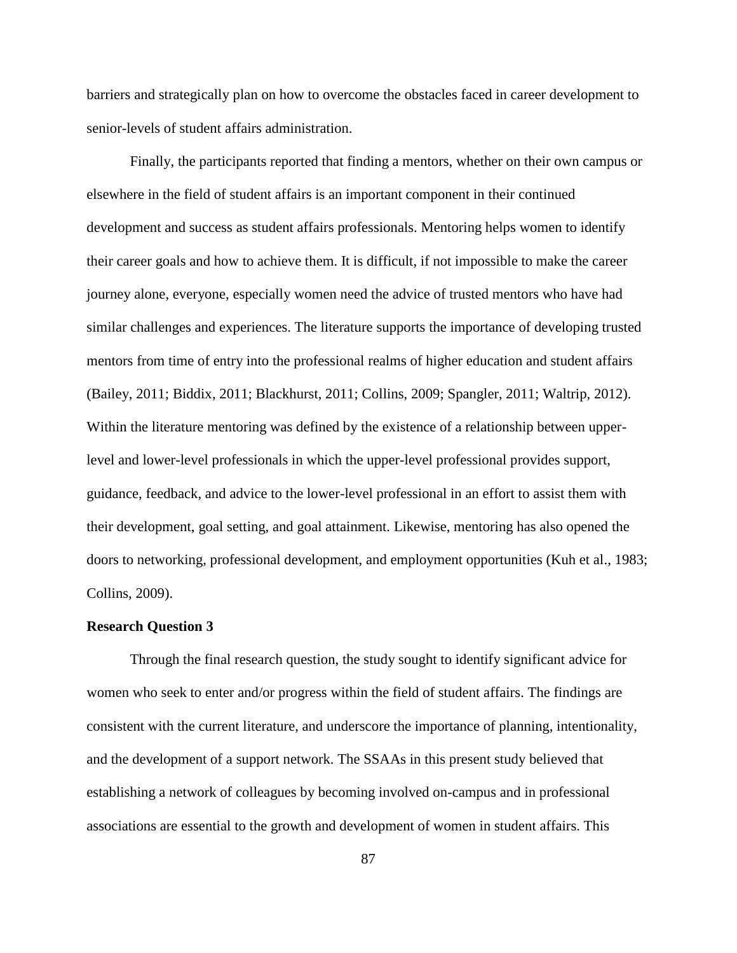barriers and strategically plan on how to overcome the obstacles faced in career development to senior-levels of student affairs administration.

Finally, the participants reported that finding a mentors, whether on their own campus or elsewhere in the field of student affairs is an important component in their continued development and success as student affairs professionals. Mentoring helps women to identify their career goals and how to achieve them. It is difficult, if not impossible to make the career journey alone, everyone, especially women need the advice of trusted mentors who have had similar challenges and experiences. The literature supports the importance of developing trusted mentors from time of entry into the professional realms of higher education and student affairs (Bailey, 2011; Biddix, 2011; Blackhurst, 2011; Collins, 2009; Spangler, 2011; Waltrip, 2012). Within the literature mentoring was defined by the existence of a relationship between upperlevel and lower-level professionals in which the upper-level professional provides support, guidance, feedback, and advice to the lower-level professional in an effort to assist them with their development, goal setting, and goal attainment. Likewise, mentoring has also opened the doors to networking, professional development, and employment opportunities (Kuh et al., 1983; Collins, 2009).

#### **Research Question 3**

Through the final research question, the study sought to identify significant advice for women who seek to enter and/or progress within the field of student affairs. The findings are consistent with the current literature, and underscore the importance of planning, intentionality, and the development of a support network. The SSAAs in this present study believed that establishing a network of colleagues by becoming involved on-campus and in professional associations are essential to the growth and development of women in student affairs. This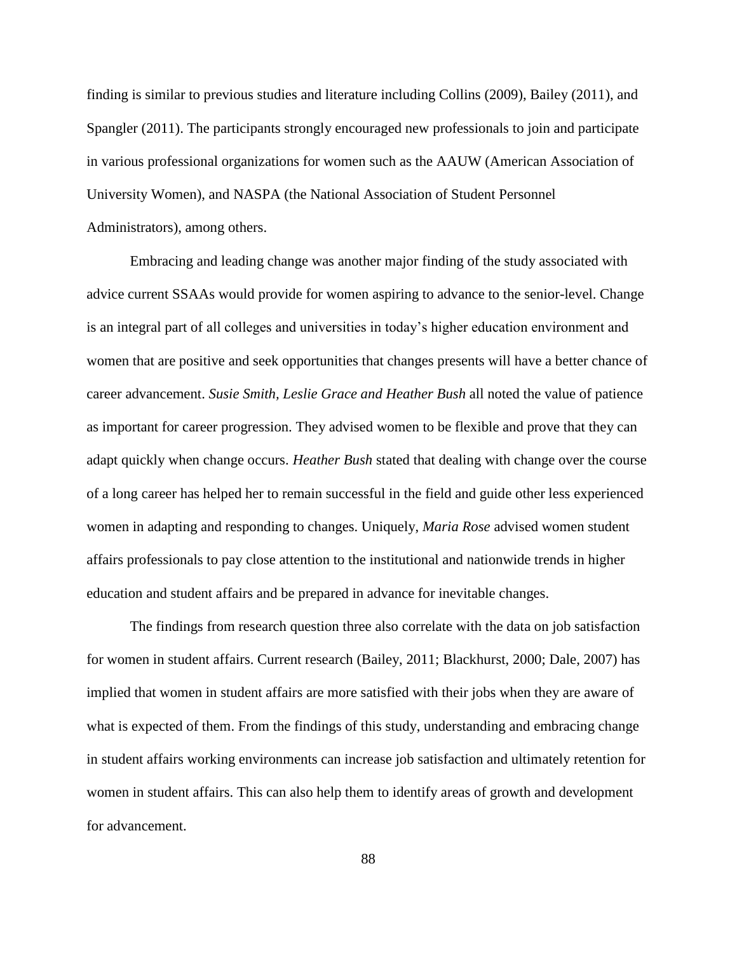finding is similar to previous studies and literature including Collins (2009), Bailey (2011), and Spangler (2011). The participants strongly encouraged new professionals to join and participate in various professional organizations for women such as the AAUW (American Association of University Women), and NASPA (the National Association of Student Personnel Administrators), among others.

Embracing and leading change was another major finding of the study associated with advice current SSAAs would provide for women aspiring to advance to the senior-level. Change is an integral part of all colleges and universities in today's higher education environment and women that are positive and seek opportunities that changes presents will have a better chance of career advancement. *Susie Smith, Leslie Grace and Heather Bush* all noted the value of patience as important for career progression. They advised women to be flexible and prove that they can adapt quickly when change occurs. *Heather Bush* stated that dealing with change over the course of a long career has helped her to remain successful in the field and guide other less experienced women in adapting and responding to changes. Uniquely, *Maria Rose* advised women student affairs professionals to pay close attention to the institutional and nationwide trends in higher education and student affairs and be prepared in advance for inevitable changes.

The findings from research question three also correlate with the data on job satisfaction for women in student affairs. Current research (Bailey, 2011; Blackhurst, 2000; Dale, 2007) has implied that women in student affairs are more satisfied with their jobs when they are aware of what is expected of them. From the findings of this study, understanding and embracing change in student affairs working environments can increase job satisfaction and ultimately retention for women in student affairs. This can also help them to identify areas of growth and development for advancement.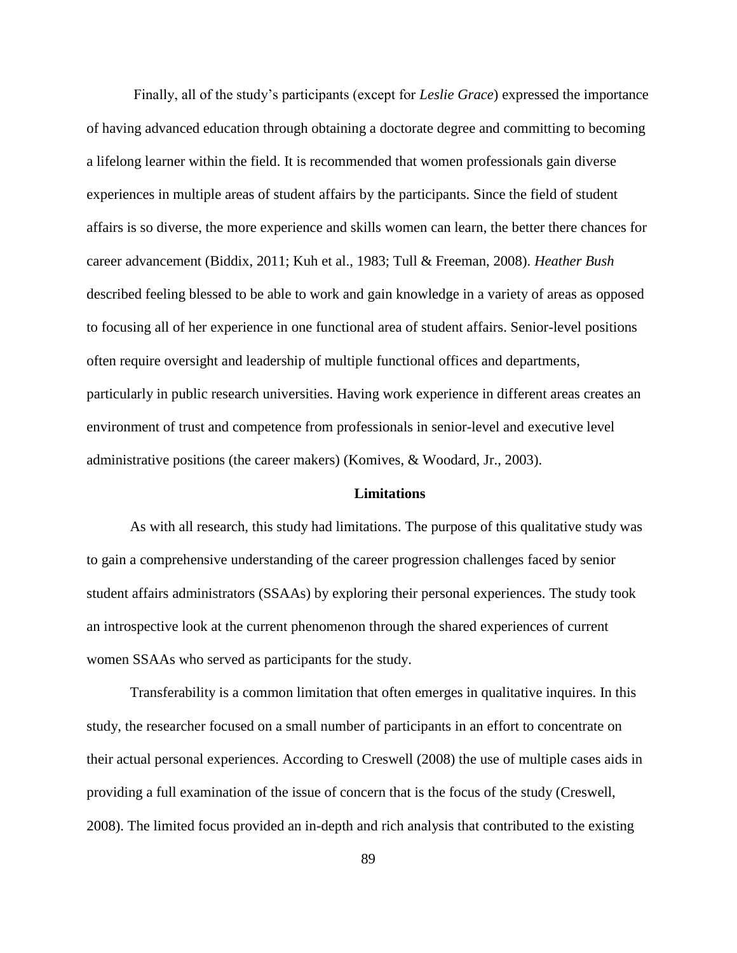Finally, all of the study's participants (except for *Leslie Grace*) expressed the importance of having advanced education through obtaining a doctorate degree and committing to becoming a lifelong learner within the field. It is recommended that women professionals gain diverse experiences in multiple areas of student affairs by the participants. Since the field of student affairs is so diverse, the more experience and skills women can learn, the better there chances for career advancement (Biddix, 2011; Kuh et al., 1983; Tull & Freeman, 2008). *Heather Bush* described feeling blessed to be able to work and gain knowledge in a variety of areas as opposed to focusing all of her experience in one functional area of student affairs. Senior-level positions often require oversight and leadership of multiple functional offices and departments, particularly in public research universities. Having work experience in different areas creates an environment of trust and competence from professionals in senior-level and executive level administrative positions (the career makers) (Komives, & Woodard, Jr., 2003).

#### **Limitations**

As with all research, this study had limitations. The purpose of this qualitative study was to gain a comprehensive understanding of the career progression challenges faced by senior student affairs administrators (SSAAs) by exploring their personal experiences. The study took an introspective look at the current phenomenon through the shared experiences of current women SSAAs who served as participants for the study.

Transferability is a common limitation that often emerges in qualitative inquires. In this study, the researcher focused on a small number of participants in an effort to concentrate on their actual personal experiences. According to Creswell (2008) the use of multiple cases aids in providing a full examination of the issue of concern that is the focus of the study (Creswell, 2008). The limited focus provided an in-depth and rich analysis that contributed to the existing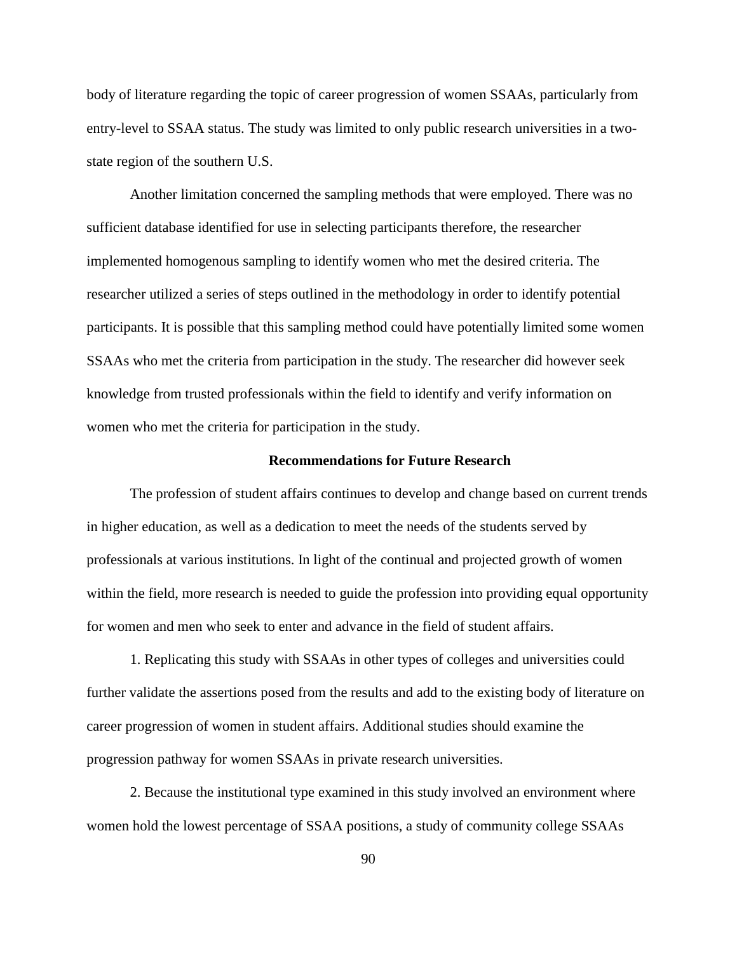body of literature regarding the topic of career progression of women SSAAs, particularly from entry-level to SSAA status. The study was limited to only public research universities in a twostate region of the southern U.S.

Another limitation concerned the sampling methods that were employed. There was no sufficient database identified for use in selecting participants therefore, the researcher implemented homogenous sampling to identify women who met the desired criteria. The researcher utilized a series of steps outlined in the methodology in order to identify potential participants. It is possible that this sampling method could have potentially limited some women SSAAs who met the criteria from participation in the study. The researcher did however seek knowledge from trusted professionals within the field to identify and verify information on women who met the criteria for participation in the study.

#### **Recommendations for Future Research**

The profession of student affairs continues to develop and change based on current trends in higher education, as well as a dedication to meet the needs of the students served by professionals at various institutions. In light of the continual and projected growth of women within the field, more research is needed to guide the profession into providing equal opportunity for women and men who seek to enter and advance in the field of student affairs.

1. Replicating this study with SSAAs in other types of colleges and universities could further validate the assertions posed from the results and add to the existing body of literature on career progression of women in student affairs. Additional studies should examine the progression pathway for women SSAAs in private research universities.

2. Because the institutional type examined in this study involved an environment where women hold the lowest percentage of SSAA positions, a study of community college SSAAs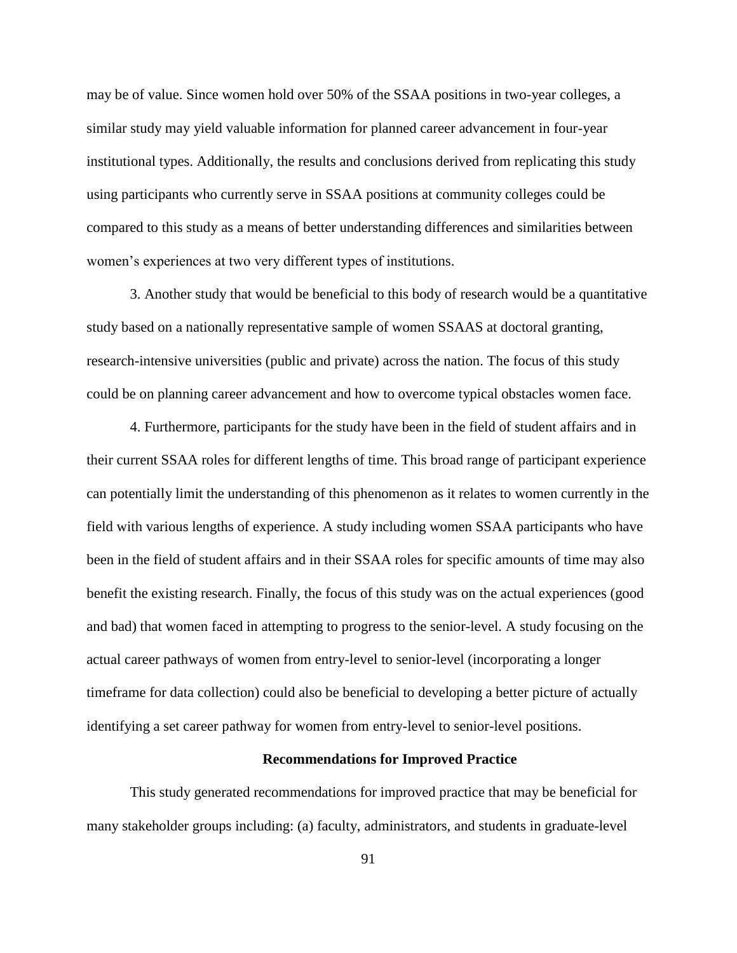may be of value. Since women hold over 50% of the SSAA positions in two-year colleges, a similar study may yield valuable information for planned career advancement in four-year institutional types. Additionally, the results and conclusions derived from replicating this study using participants who currently serve in SSAA positions at community colleges could be compared to this study as a means of better understanding differences and similarities between women's experiences at two very different types of institutions.

3. Another study that would be beneficial to this body of research would be a quantitative study based on a nationally representative sample of women SSAAS at doctoral granting, research-intensive universities (public and private) across the nation. The focus of this study could be on planning career advancement and how to overcome typical obstacles women face.

4. Furthermore, participants for the study have been in the field of student affairs and in their current SSAA roles for different lengths of time. This broad range of participant experience can potentially limit the understanding of this phenomenon as it relates to women currently in the field with various lengths of experience. A study including women SSAA participants who have been in the field of student affairs and in their SSAA roles for specific amounts of time may also benefit the existing research. Finally, the focus of this study was on the actual experiences (good and bad) that women faced in attempting to progress to the senior-level. A study focusing on the actual career pathways of women from entry-level to senior-level (incorporating a longer timeframe for data collection) could also be beneficial to developing a better picture of actually identifying a set career pathway for women from entry-level to senior-level positions.

#### **Recommendations for Improved Practice**

This study generated recommendations for improved practice that may be beneficial for many stakeholder groups including: (a) faculty, administrators, and students in graduate-level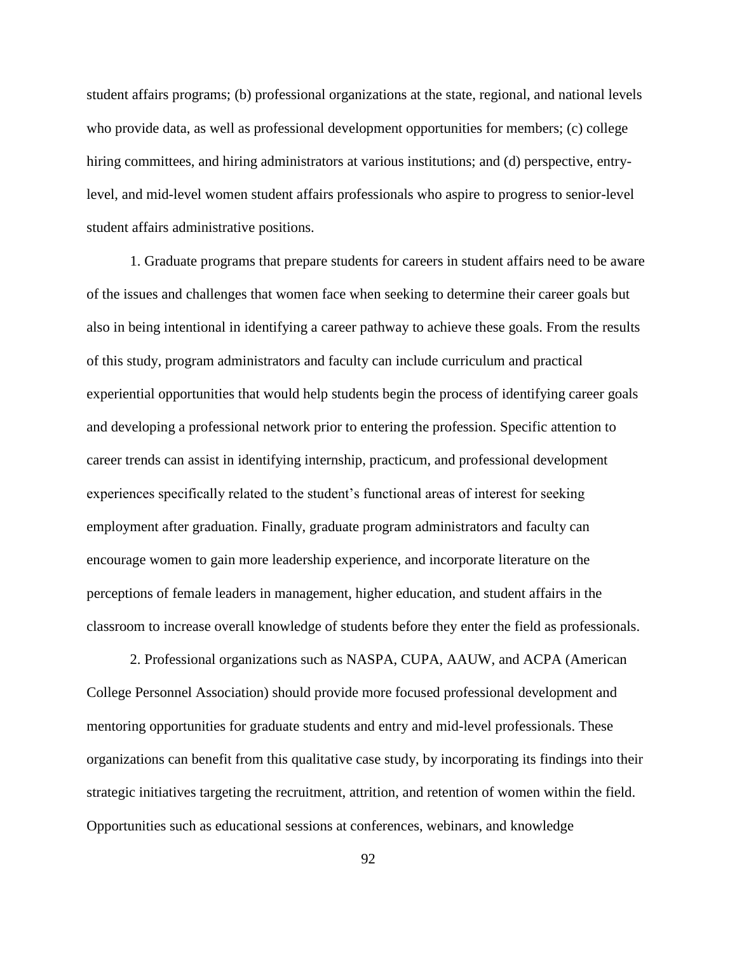student affairs programs; (b) professional organizations at the state, regional, and national levels who provide data, as well as professional development opportunities for members; (c) college hiring committees, and hiring administrators at various institutions; and (d) perspective, entrylevel, and mid-level women student affairs professionals who aspire to progress to senior-level student affairs administrative positions.

1. Graduate programs that prepare students for careers in student affairs need to be aware of the issues and challenges that women face when seeking to determine their career goals but also in being intentional in identifying a career pathway to achieve these goals. From the results of this study, program administrators and faculty can include curriculum and practical experiential opportunities that would help students begin the process of identifying career goals and developing a professional network prior to entering the profession. Specific attention to career trends can assist in identifying internship, practicum, and professional development experiences specifically related to the student's functional areas of interest for seeking employment after graduation. Finally, graduate program administrators and faculty can encourage women to gain more leadership experience, and incorporate literature on the perceptions of female leaders in management, higher education, and student affairs in the classroom to increase overall knowledge of students before they enter the field as professionals.

2. Professional organizations such as NASPA, CUPA, AAUW, and ACPA (American College Personnel Association) should provide more focused professional development and mentoring opportunities for graduate students and entry and mid-level professionals. These organizations can benefit from this qualitative case study, by incorporating its findings into their strategic initiatives targeting the recruitment, attrition, and retention of women within the field. Opportunities such as educational sessions at conferences, webinars, and knowledge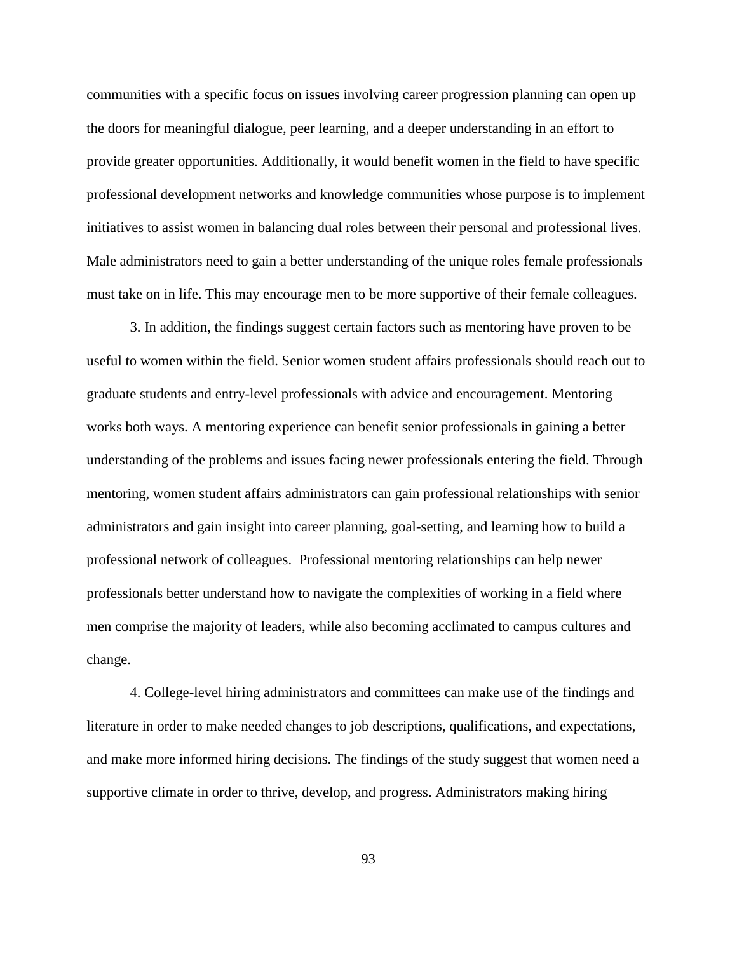communities with a specific focus on issues involving career progression planning can open up the doors for meaningful dialogue, peer learning, and a deeper understanding in an effort to provide greater opportunities. Additionally, it would benefit women in the field to have specific professional development networks and knowledge communities whose purpose is to implement initiatives to assist women in balancing dual roles between their personal and professional lives. Male administrators need to gain a better understanding of the unique roles female professionals must take on in life. This may encourage men to be more supportive of their female colleagues.

3. In addition, the findings suggest certain factors such as mentoring have proven to be useful to women within the field. Senior women student affairs professionals should reach out to graduate students and entry-level professionals with advice and encouragement. Mentoring works both ways. A mentoring experience can benefit senior professionals in gaining a better understanding of the problems and issues facing newer professionals entering the field. Through mentoring, women student affairs administrators can gain professional relationships with senior administrators and gain insight into career planning, goal-setting, and learning how to build a professional network of colleagues. Professional mentoring relationships can help newer professionals better understand how to navigate the complexities of working in a field where men comprise the majority of leaders, while also becoming acclimated to campus cultures and change.

4. College-level hiring administrators and committees can make use of the findings and literature in order to make needed changes to job descriptions, qualifications, and expectations, and make more informed hiring decisions. The findings of the study suggest that women need a supportive climate in order to thrive, develop, and progress. Administrators making hiring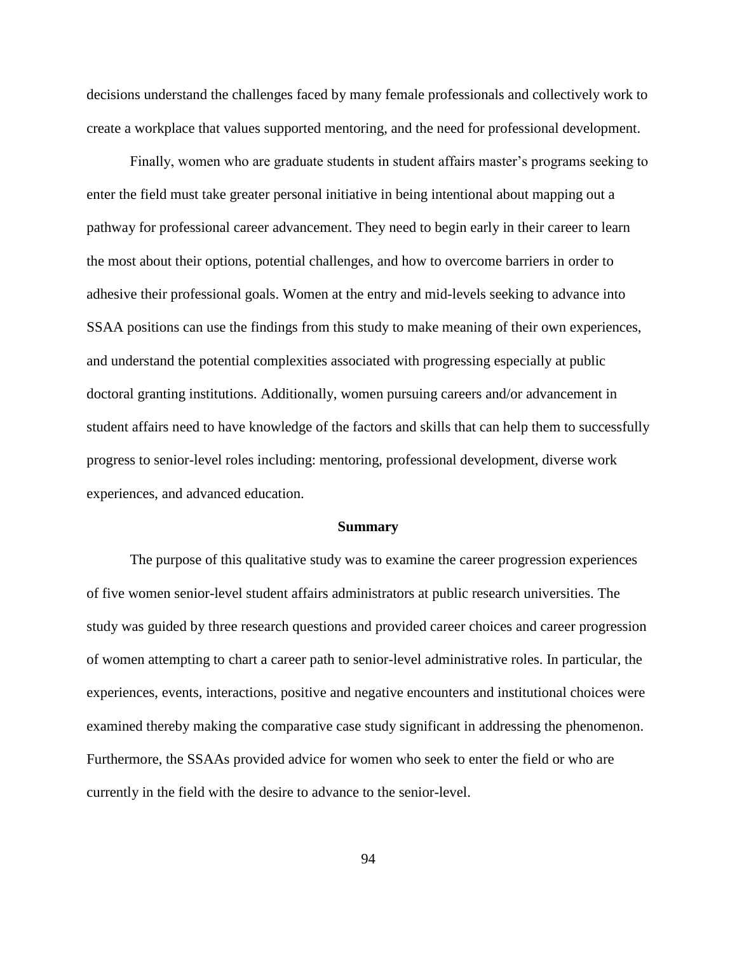decisions understand the challenges faced by many female professionals and collectively work to create a workplace that values supported mentoring, and the need for professional development.

Finally, women who are graduate students in student affairs master's programs seeking to enter the field must take greater personal initiative in being intentional about mapping out a pathway for professional career advancement. They need to begin early in their career to learn the most about their options, potential challenges, and how to overcome barriers in order to adhesive their professional goals. Women at the entry and mid-levels seeking to advance into SSAA positions can use the findings from this study to make meaning of their own experiences, and understand the potential complexities associated with progressing especially at public doctoral granting institutions. Additionally, women pursuing careers and/or advancement in student affairs need to have knowledge of the factors and skills that can help them to successfully progress to senior-level roles including: mentoring, professional development, diverse work experiences, and advanced education.

#### **Summary**

The purpose of this qualitative study was to examine the career progression experiences of five women senior-level student affairs administrators at public research universities. The study was guided by three research questions and provided career choices and career progression of women attempting to chart a career path to senior-level administrative roles. In particular, the experiences, events, interactions, positive and negative encounters and institutional choices were examined thereby making the comparative case study significant in addressing the phenomenon. Furthermore, the SSAAs provided advice for women who seek to enter the field or who are currently in the field with the desire to advance to the senior-level.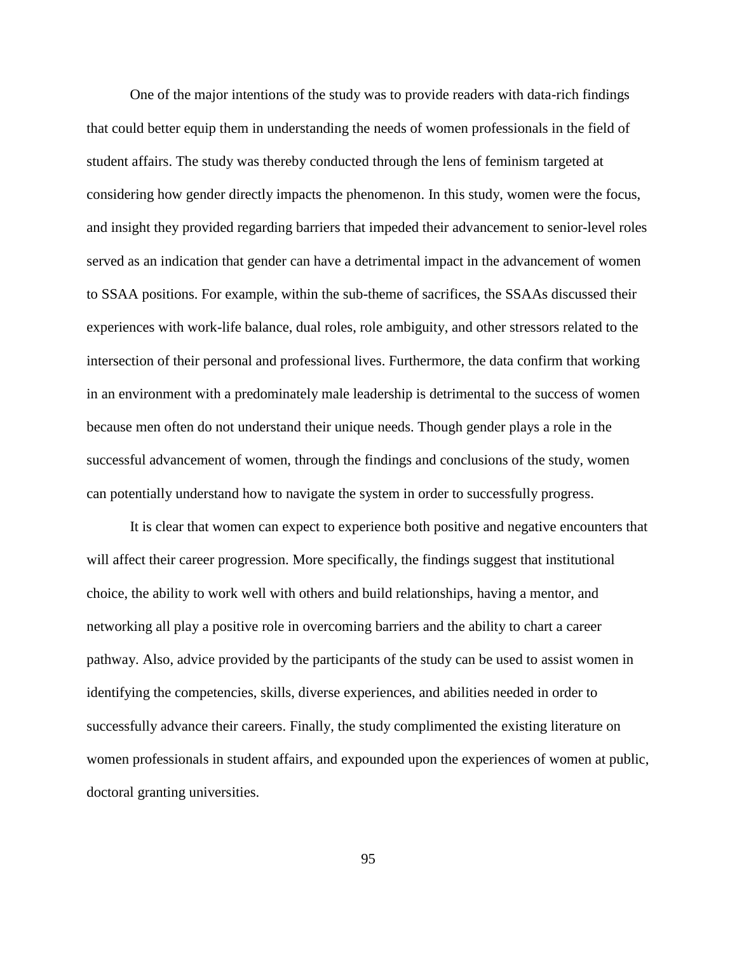One of the major intentions of the study was to provide readers with data-rich findings that could better equip them in understanding the needs of women professionals in the field of student affairs. The study was thereby conducted through the lens of feminism targeted at considering how gender directly impacts the phenomenon. In this study, women were the focus, and insight they provided regarding barriers that impeded their advancement to senior-level roles served as an indication that gender can have a detrimental impact in the advancement of women to SSAA positions. For example, within the sub-theme of sacrifices, the SSAAs discussed their experiences with work-life balance, dual roles, role ambiguity, and other stressors related to the intersection of their personal and professional lives. Furthermore, the data confirm that working in an environment with a predominately male leadership is detrimental to the success of women because men often do not understand their unique needs. Though gender plays a role in the successful advancement of women, through the findings and conclusions of the study, women can potentially understand how to navigate the system in order to successfully progress.

It is clear that women can expect to experience both positive and negative encounters that will affect their career progression. More specifically, the findings suggest that institutional choice, the ability to work well with others and build relationships, having a mentor, and networking all play a positive role in overcoming barriers and the ability to chart a career pathway. Also, advice provided by the participants of the study can be used to assist women in identifying the competencies, skills, diverse experiences, and abilities needed in order to successfully advance their careers. Finally, the study complimented the existing literature on women professionals in student affairs, and expounded upon the experiences of women at public, doctoral granting universities.

95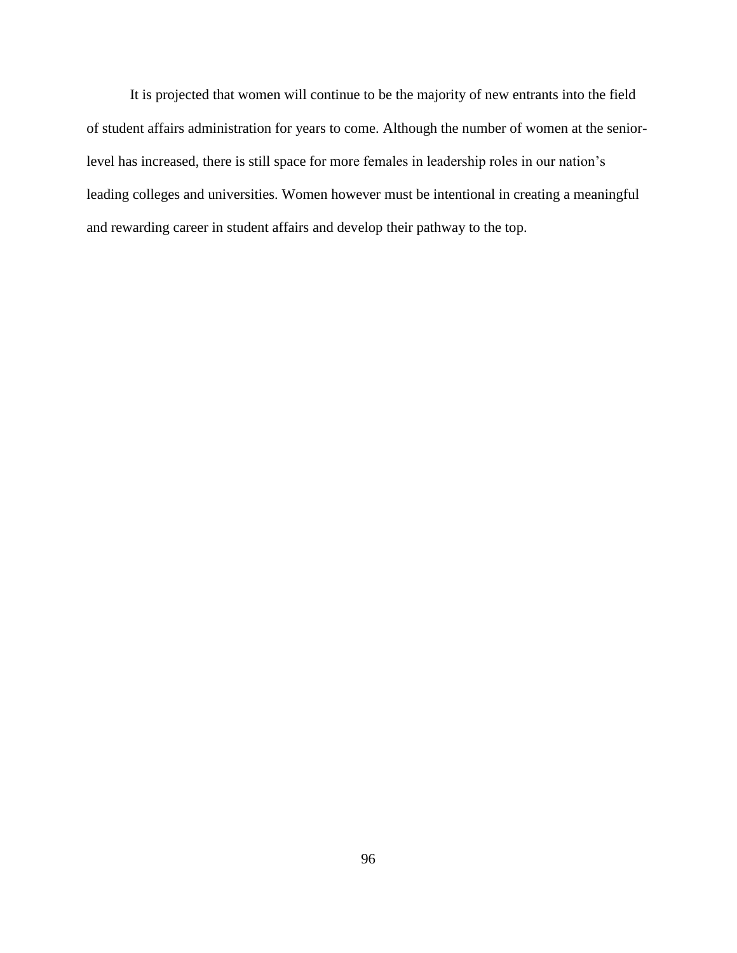It is projected that women will continue to be the majority of new entrants into the field of student affairs administration for years to come. Although the number of women at the seniorlevel has increased, there is still space for more females in leadership roles in our nation's leading colleges and universities. Women however must be intentional in creating a meaningful and rewarding career in student affairs and develop their pathway to the top.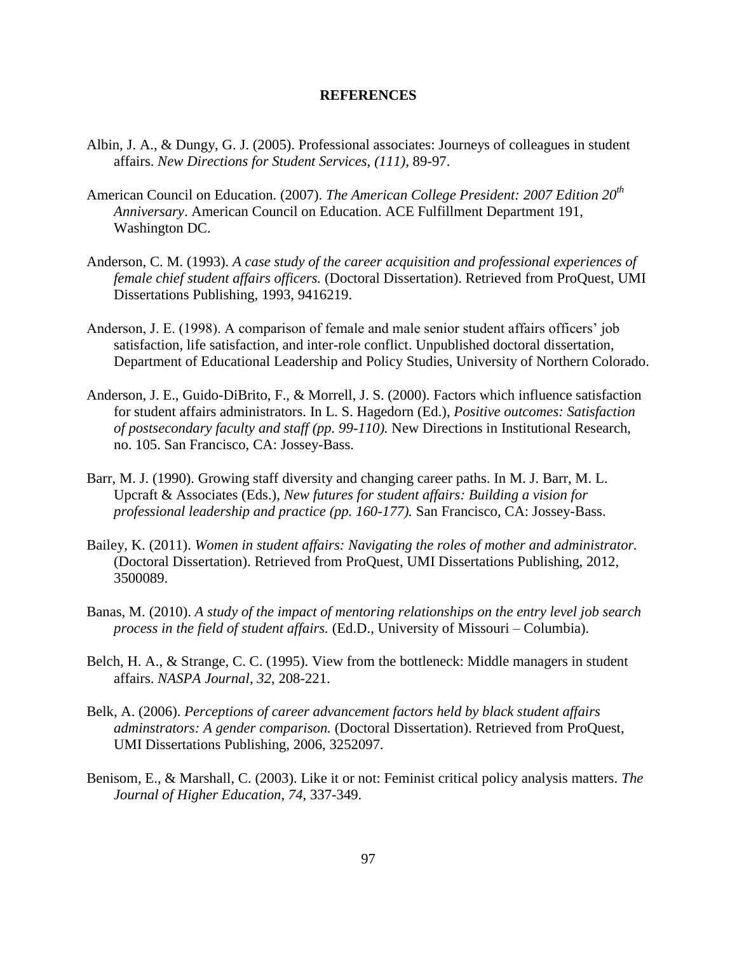#### **REFERENCES**

- Albin, J. A., & Dungy, G. J. (2005). Professional associates: Journeys of colleagues in student affairs. *New Directions for Student Services, (111),* 89-97.
- American Council on Education. (2007). *The American College President: 2007 Edition 20th Anniversary*. American Council on Education. ACE Fulfillment Department 191, Washington DC.
- Anderson, C. M. (1993). *A case study of the career acquisition and professional experiences of female chief student affairs officers.* (Doctoral Dissertation). Retrieved from ProQuest, UMI Dissertations Publishing, 1993, 9416219.
- Anderson, J. E. (1998). A comparison of female and male senior student affairs officers' job satisfaction, life satisfaction, and inter-role conflict. Unpublished doctoral dissertation, Department of Educational Leadership and Policy Studies, University of Northern Colorado.
- Anderson, J. E., Guido-DiBrito, F., & Morrell, J. S. (2000). Factors which influence satisfaction for student affairs administrators. In L. S. Hagedorn (Ed.), *Positive outcomes: Satisfaction of postsecondary faculty and staff (pp. 99-110).* New Directions in Institutional Research, no. 105. San Francisco, CA: Jossey-Bass.
- Barr, M. J. (1990). Growing staff diversity and changing career paths. In M. J. Barr, M. L. Upcraft & Associates (Eds.), *New futures for student affairs: Building a vision for professional leadership and practice (pp. 160-177).* San Francisco, CA: Jossey-Bass.
- Bailey, K. (2011). *Women in student affairs: Navigating the roles of mother and administrator.*  (Doctoral Dissertation). Retrieved from ProQuest, UMI Dissertations Publishing, 2012, 3500089.
- Banas, M. (2010). *A study of the impact of mentoring relationships on the entry level job search process in the field of student affairs.* (Ed.D., University of Missouri – Columbia).
- Belch, H. A., & Strange, C. C. (1995). View from the bottleneck: Middle managers in student affairs. *NASPA Journal*, *32*, 208-221.
- Belk, A. (2006). *Perceptions of career advancement factors held by black student affairs adminstrators: A gender comparison.* (Doctoral Dissertation). Retrieved from ProQuest, UMI Dissertations Publishing, 2006, 3252097.
- Benisom, E., & Marshall, C. (2003). Like it or not: Feminist critical policy analysis matters. *The Journal of Higher Education*, *74*, 337-349.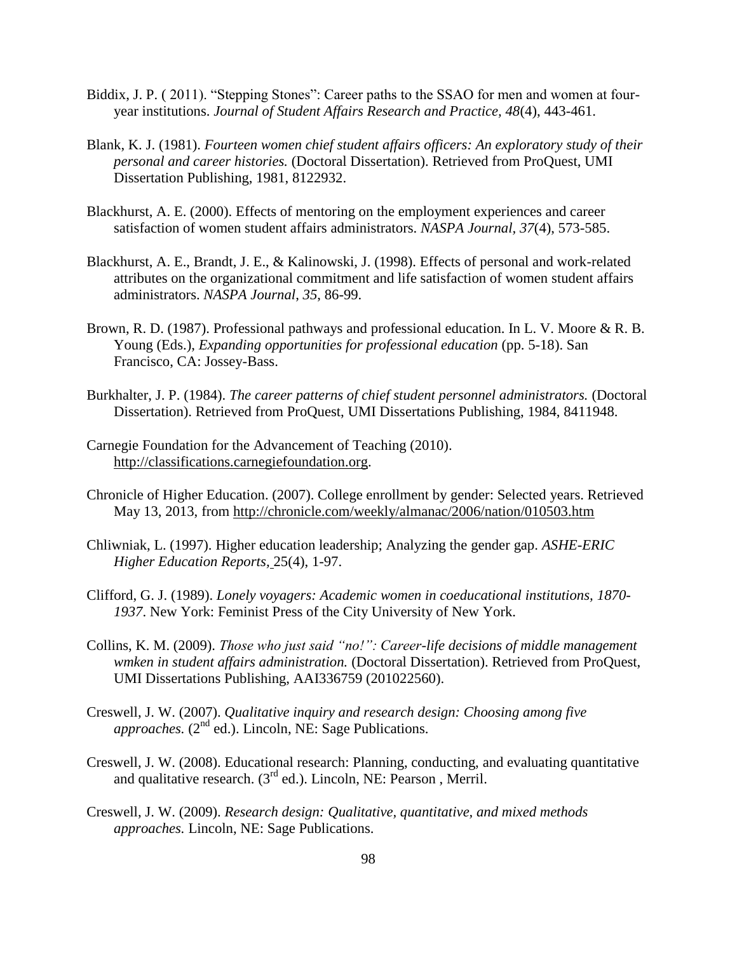- Biddix, J. P. (2011). "Stepping Stones": Career paths to the SSAO for men and women at fouryear institutions. *Journal of Student Affairs Research and Practice, 48*(4), 443-461.
- Blank, K. J. (1981). *Fourteen women chief student affairs officers: An exploratory study of their personal and career histories.* (Doctoral Dissertation). Retrieved from ProQuest, UMI Dissertation Publishing, 1981, 8122932.
- Blackhurst, A. E. (2000). Effects of mentoring on the employment experiences and career satisfaction of women student affairs administrators. *NASPA Journal, 37*(4), 573-585.
- Blackhurst, A. E., Brandt, J. E., & Kalinowski, J. (1998). Effects of personal and work-related attributes on the organizational commitment and life satisfaction of women student affairs administrators. *NASPA Journal*, *35*, 86-99.
- Brown, R. D. (1987). Professional pathways and professional education. In L. V. Moore & R. B. Young (Eds.), *Expanding opportunities for professional education* (pp. 5-18). San Francisco, CA: Jossey-Bass.
- Burkhalter, J. P. (1984). *The career patterns of chief student personnel administrators.* (Doctoral Dissertation). Retrieved from ProQuest, UMI Dissertations Publishing, 1984, 8411948.
- Carnegie Foundation for the Advancement of Teaching (2010). [http://classifications.carnegiefoundation.org.](http://classifications.carnegiefoundation.org/)
- Chronicle of Higher Education. (2007). College enrollment by gender: Selected years. Retrieved May 13, 2013, from<http://chronicle.com/weekly/almanac/2006/nation/010503.htm>
- Chliwniak, L. (1997). Higher education leadership; Analyzing the gender gap. *ASHE-ERIC Higher Education Reports,* 25(4), 1-97.
- Clifford, G. J. (1989). *Lonely voyagers: Academic women in coeducational institutions, 1870- 1937*. New York: Feminist Press of the City University of New York.
- Collins, K. M. (2009). *Those who just said "no!": Career-life decisions of middle management wmken in student affairs administration.* (Doctoral Dissertation). Retrieved from ProQuest, UMI Dissertations Publishing, AAI336759 (201022560).
- Creswell, J. W. (2007). *Qualitative inquiry and research design: Choosing among five approaches.* (2<sup>nd</sup> ed.). Lincoln, NE: Sage Publications.
- Creswell, J. W. (2008). Educational research: Planning, conducting, and evaluating quantitative and qualitative research. (3rd ed.). Lincoln, NE: Pearson , Merril.
- Creswell, J. W. (2009). *Research design: Qualitative, quantitative, and mixed methods approaches.* Lincoln, NE: Sage Publications.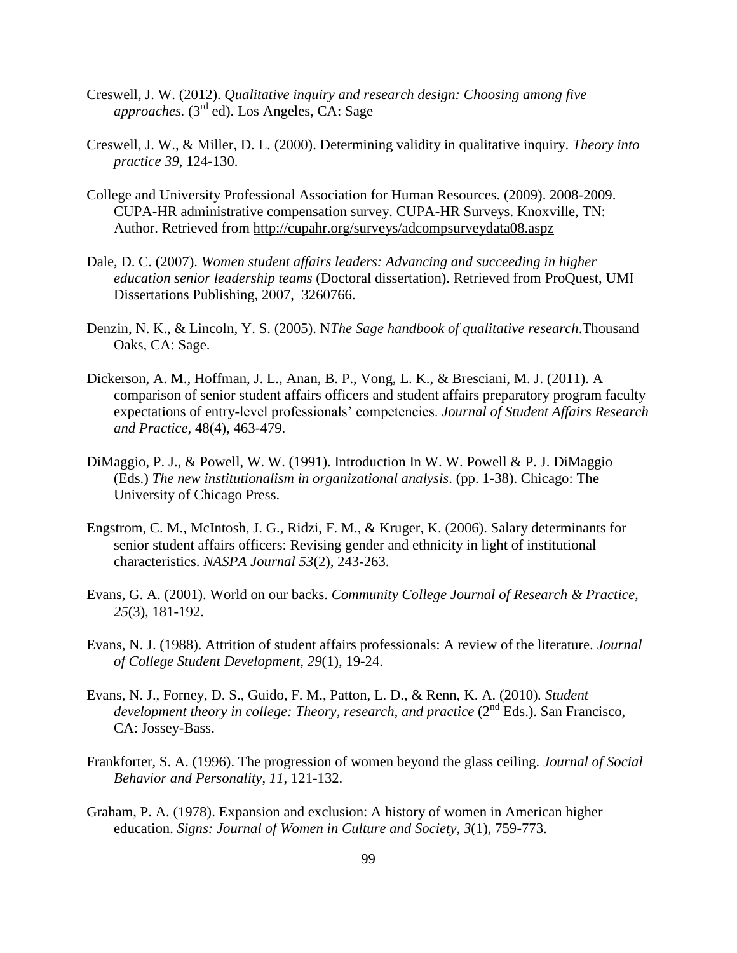- Creswell, J. W. (2012). *Qualitative inquiry and research design: Choosing among five approaches.* (3rd ed). Los Angeles, CA: Sage
- Creswell, J. W., & Miller, D. L. (2000). Determining validity in qualitative inquiry. *Theory into practice 39*, 124-130.
- College and University Professional Association for Human Resources. (2009). 2008-2009. CUPA-HR administrative compensation survey. CUPA-HR Surveys. Knoxville, TN: Author. Retrieved from<http://cupahr.org/surveys/adcompsurveydata08.aspz>
- Dale, D. C. (2007). *Women student affairs leaders: Advancing and succeeding in higher education senior leadership teams* (Doctoral dissertation). Retrieved from ProQuest, UMI Dissertations Publishing, 2007, 3260766.
- Denzin, N. K., & Lincoln, Y. S. (2005). N*The Sage handbook of qualitative research*.Thousand Oaks, CA: Sage.
- Dickerson, A. M., Hoffman, J. L., Anan, B. P., Vong, L. K., & Bresciani, M. J. (2011). A comparison of senior student affairs officers and student affairs preparatory program faculty expectations of entry-level professionals' competencies. *Journal of Student Affairs Research and Practice,* 48(4), 463-479.
- DiMaggio, P. J., & Powell, W. W. (1991). Introduction In W. W. Powell & P. J. DiMaggio (Eds.) *The new institutionalism in organizational analysis*. (pp. 1-38). Chicago: The University of Chicago Press.
- Engstrom, C. M., McIntosh, J. G., Ridzi, F. M., & Kruger, K. (2006). Salary determinants for senior student affairs officers: Revising gender and ethnicity in light of institutional characteristics. *NASPA Journal 53*(2), 243-263.
- Evans, G. A. (2001). World on our backs. *Community College Journal of Research & Practice, 25*(3), 181-192.
- Evans, N. J. (1988). Attrition of student affairs professionals: A review of the literature. *Journal of College Student Development, 29*(1), 19-24.
- Evans, N. J., Forney, D. S., Guido, F. M., Patton, L. D., & Renn, K. A. (2010)*. Student development theory in college: Theory, research, and practice (2<sup>nd</sup> Eds.). San Francisco,* CA: Jossey-Bass.
- Frankforter, S. A. (1996). The progression of women beyond the glass ceiling. *Journal of Social Behavior and Personality*, *11*, 121-132.
- Graham, P. A. (1978). Expansion and exclusion: A history of women in American higher education. *Signs: Journal of Women in Culture and Society, 3*(1), 759-773.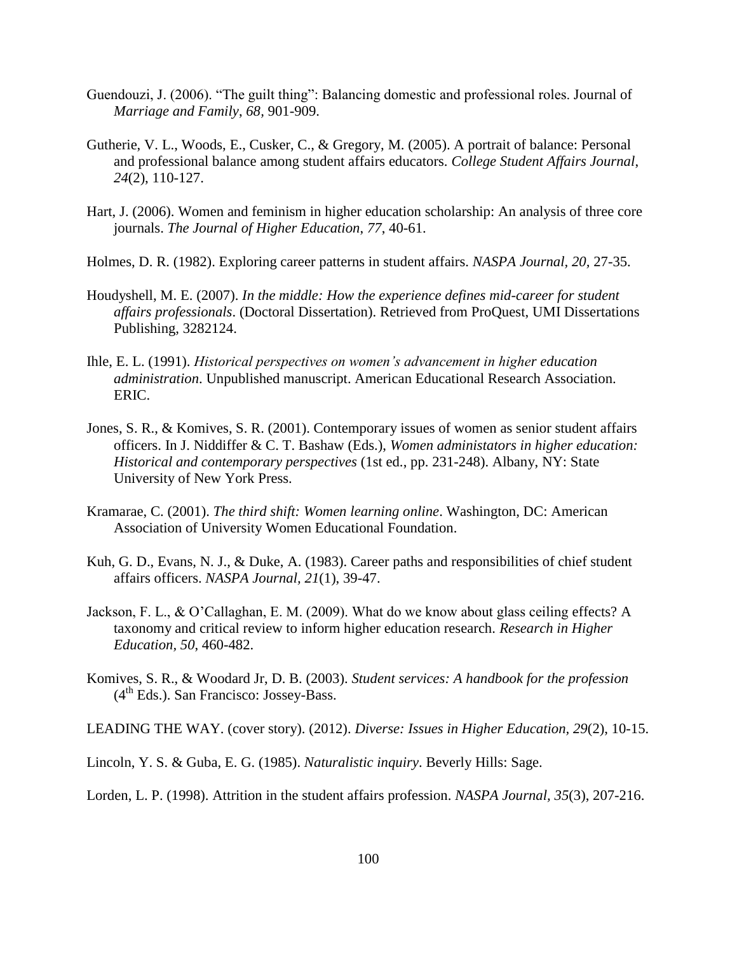- Guendouzi, J. (2006). "The guilt thing": Balancing domestic and professional roles. Journal of *Marriage and Family*, *68,* 901-909.
- Gutherie, V. L., Woods, E., Cusker, C., & Gregory, M. (2005). A portrait of balance: Personal and professional balance among student affairs educators. *College Student Affairs Journal*, *24*(2), 110-127.
- Hart, J. (2006). Women and feminism in higher education scholarship: An analysis of three core journals. *The Journal of Higher Education*, *77*, 40-61.
- Holmes, D. R. (1982). Exploring career patterns in student affairs. *NASPA Journal, 20,* 27-35.
- Houdyshell, M. E. (2007). *In the middle: How the experience defines mid-career for student affairs professionals*. (Doctoral Dissertation). Retrieved from ProQuest, UMI Dissertations Publishing, 3282124.
- Ihle, E. L. (1991). *Historical perspectives on women's advancement in higher education administration*. Unpublished manuscript. American Educational Research Association. ERIC.
- Jones, S. R., & Komives, S. R. (2001). Contemporary issues of women as senior student affairs officers. In J. Niddiffer & C. T. Bashaw (Eds.), *Women administators in higher education: Historical and contemporary perspectives* (1st ed., pp. 231-248). Albany, NY: State University of New York Press.
- Kramarae, C. (2001). *The third shift: Women learning online*. Washington, DC: American Association of University Women Educational Foundation.
- Kuh, G. D., Evans, N. J., & Duke, A. (1983). Career paths and responsibilities of chief student affairs officers. *NASPA Journal, 21*(1), 39-47.
- Jackson, F. L., & O'Callaghan, E. M. (2009). What do we know about glass ceiling effects? A taxonomy and critical review to inform higher education research. *Research in Higher Education, 50*, 460-482.
- Komives, S. R., & Woodard Jr, D. B. (2003). *Student services: A handbook for the profession*   $(4<sup>th</sup> Eds.)$ . San Francisco: Jossey-Bass.
- LEADING THE WAY. (cover story). (2012). *Diverse: Issues in Higher Education, 29*(2), 10-15.
- Lincoln, Y. S. & Guba, E. G. (1985). *Naturalistic inquiry*. Beverly Hills: Sage.

Lorden, L. P. (1998). Attrition in the student affairs profession. *NASPA Journal, 35*(3), 207-216.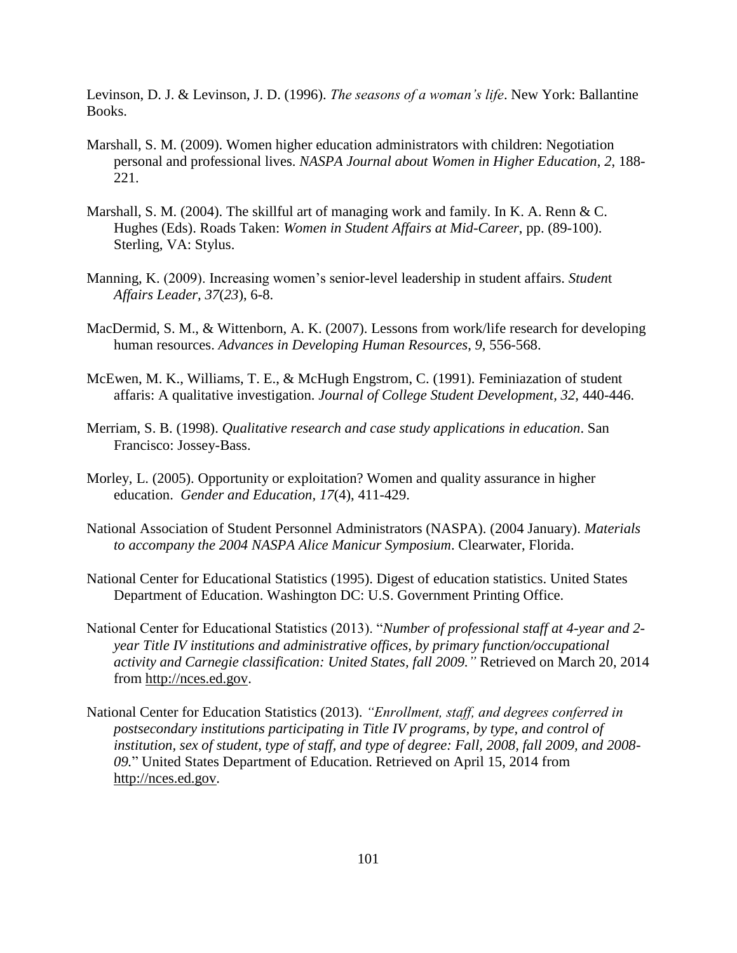Levinson, D. J. & Levinson, J. D. (1996). *The seasons of a woman's life*. New York: Ballantine Books.

- Marshall, S. M. (2009). Women higher education administrators with children: Negotiation personal and professional lives. *NASPA Journal about Women in Higher Education*, *2*, 188- 221.
- Marshall, S. M. (2004). The skillful art of managing work and family. In K. A. Renn & C. Hughes (Eds). Roads Taken: *Women in Student Affairs at Mid-Career*, pp. (89-100). Sterling, VA: Stylus.
- Manning, K. (2009). Increasing women's senior-level leadership in student affairs. *Studen*t *Affairs Leader, 37*(*23*), 6-8.
- MacDermid, S. M., & Wittenborn, A. K. (2007). Lessons from work/life research for developing human resources. *Advances in Developing Human Resources*, *9*, 556-568.
- McEwen, M. K., Williams, T. E., & McHugh Engstrom, C. (1991). Feminiazation of student affaris: A qualitative investigation. *Journal of College Student Development, 32,* 440-446.
- Merriam, S. B. (1998). *Qualitative research and case study applications in education*. San Francisco: Jossey-Bass.
- Morley, L. (2005). Opportunity or exploitation? Women and quality assurance in higher education. *Gender and Education, 17*(4), 411-429.
- National Association of Student Personnel Administrators (NASPA). (2004 January). *Materials to accompany the 2004 NASPA Alice Manicur Symposium*. Clearwater, Florida.
- National Center for Educational Statistics (1995). Digest of education statistics. United States Department of Education. Washington DC: U.S. Government Printing Office.
- National Center for Educational Statistics (2013). "*Number of professional staff at 4-year and 2 year Title IV institutions and administrative offices, by primary function/occupational activity and Carnegie classification: United States, fall 2009."* Retrieved on March 20, 2014 from [http://nces.ed.gov.](http://nces.ed.gov/)
- National Center for Education Statistics (2013). *"Enrollment, staff, and degrees conferred in postsecondary institutions participating in Title IV programs, by type, and control of institution, sex of student, type of staff, and type of degree: Fall, 2008, fall 2009, and 2008- 09.*" United States Department of Education. Retrieved on April 15, 2014 from [http://nces.ed.gov.](http://nces.ed.gov/)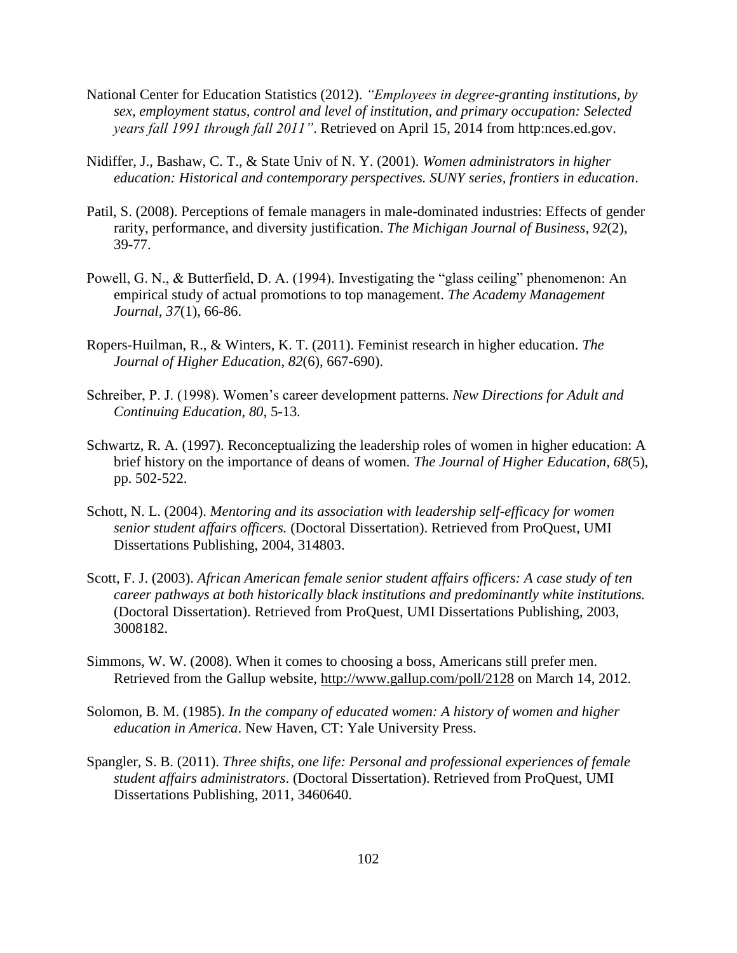- National Center for Education Statistics (2012). *"Employees in degree-granting institutions, by sex, employment status, control and level of institution, and primary occupation: Selected years fall 1991 through fall 2011"*. Retrieved on April 15, 2014 from http:nces.ed.gov.
- Nidiffer, J., Bashaw, C. T., & State Univ of N. Y. (2001). *Women administrators in higher education: Historical and contemporary perspectives. SUNY series, frontiers in education*.
- Patil, S. (2008). Perceptions of female managers in male-dominated industries: Effects of gender rarity, performance, and diversity justification. *The Michigan Journal of Business*, *92*(2), 39-77.
- Powell, G. N., & Butterfield, D. A. (1994). Investigating the "glass ceiling" phenomenon: An empirical study of actual promotions to top management. *The Academy Management Journal, 37*(1), 66-86.
- Ropers-Huilman, R., & Winters, K. T. (2011). Feminist research in higher education. *The Journal of Higher Education*, *82*(6), 667-690).
- Schreiber, P. J. (1998). Women's career development patterns. *New Directions for Adult and Continuing Education, 80*, 5-13*.*
- Schwartz, R. A. (1997). Reconceptualizing the leadership roles of women in higher education: A brief history on the importance of deans of women. *The Journal of Higher Education, 68*(5), pp. 502-522.
- Schott, N. L. (2004). *Mentoring and its association with leadership self-efficacy for women senior student affairs officers.* (Doctoral Dissertation). Retrieved from ProQuest, UMI Dissertations Publishing, 2004, 314803.
- Scott, F. J. (2003). *African American female senior student affairs officers: A case study of ten career pathways at both historically black institutions and predominantly white institutions.*  (Doctoral Dissertation). Retrieved from ProQuest, UMI Dissertations Publishing, 2003, 3008182.
- Simmons, W. W. (2008). When it comes to choosing a boss, Americans still prefer men. Retrieved from the Gallup website,<http://www.gallup.com/poll/2128> on March 14, 2012.
- Solomon, B. M. (1985). *In the company of educated women: A history of women and higher education in America*. New Haven, CT: Yale University Press.
- Spangler, S. B. (2011). *Three shifts, one life: Personal and professional experiences of female student affairs administrators*. (Doctoral Dissertation). Retrieved from ProQuest, UMI Dissertations Publishing, 2011, 3460640.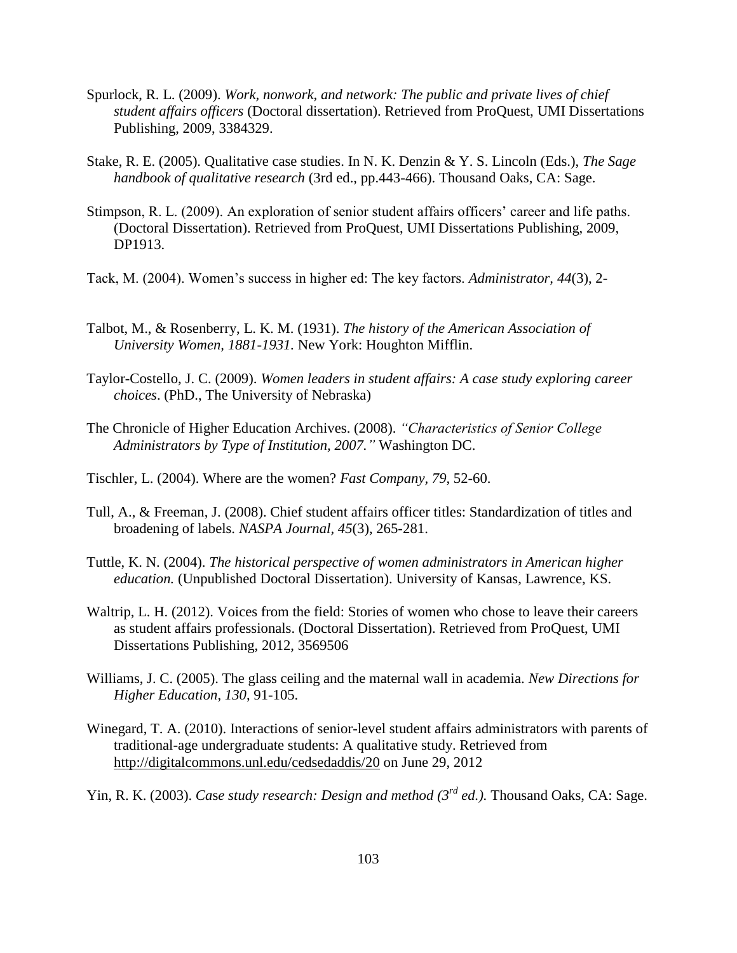- Spurlock, R. L. (2009). *Work, nonwork, and network: The public and private lives of chief student affairs officers* (Doctoral dissertation). Retrieved from ProQuest, UMI Dissertations Publishing, 2009, 3384329.
- Stake, R. E. (2005). Qualitative case studies. In N. K. Denzin & Y. S. Lincoln (Eds.), *The Sage handbook of qualitative research* (3rd ed., pp.443-466). Thousand Oaks, CA: Sage.
- Stimpson, R. L. (2009). An exploration of senior student affairs officers' career and life paths. (Doctoral Dissertation). Retrieved from ProQuest, UMI Dissertations Publishing, 2009, DP1913.
- Tack, M. (2004). Women's success in higher ed: The key factors. *Administrator, 44*(3), 2-
- Talbot, M., & Rosenberry, L. K. M. (1931). *The history of the American Association of University Women, 1881-1931.* New York: Houghton Mifflin.
- Taylor-Costello, J. C. (2009). *Women leaders in student affairs: A case study exploring career choices*. (PhD., The University of Nebraska)
- The Chronicle of Higher Education Archives. (2008). *"Characteristics of Senior College Administrators by Type of Institution, 2007."* Washington DC.
- Tischler, L. (2004). Where are the women? *Fast Company, 79*, 52-60.
- Tull, A., & Freeman, J. (2008). Chief student affairs officer titles: Standardization of titles and broadening of labels. *NASPA Journal, 45*(3), 265-281.
- Tuttle, K. N. (2004). *The historical perspective of women administrators in American higher education.* (Unpublished Doctoral Dissertation). University of Kansas, Lawrence, KS.
- Waltrip, L. H. (2012). Voices from the field: Stories of women who chose to leave their careers as student affairs professionals. (Doctoral Dissertation). Retrieved from ProQuest, UMI Dissertations Publishing, 2012, 3569506
- Williams, J. C. (2005). The glass ceiling and the maternal wall in academia. *New Directions for Higher Education*, *130*, 91-105.
- Winegard, T. A. (2010). Interactions of senior-level student affairs administrators with parents of traditional-age undergraduate students: A qualitative study. Retrieved from http://digitalcommons.unl.edu/cedsedaddis/20 on June 29, 2012
- Yin, R. K. (2003). *Case study research: Design and method (3<sup>rd</sup> ed.)*. Thousand Oaks, CA: Sage.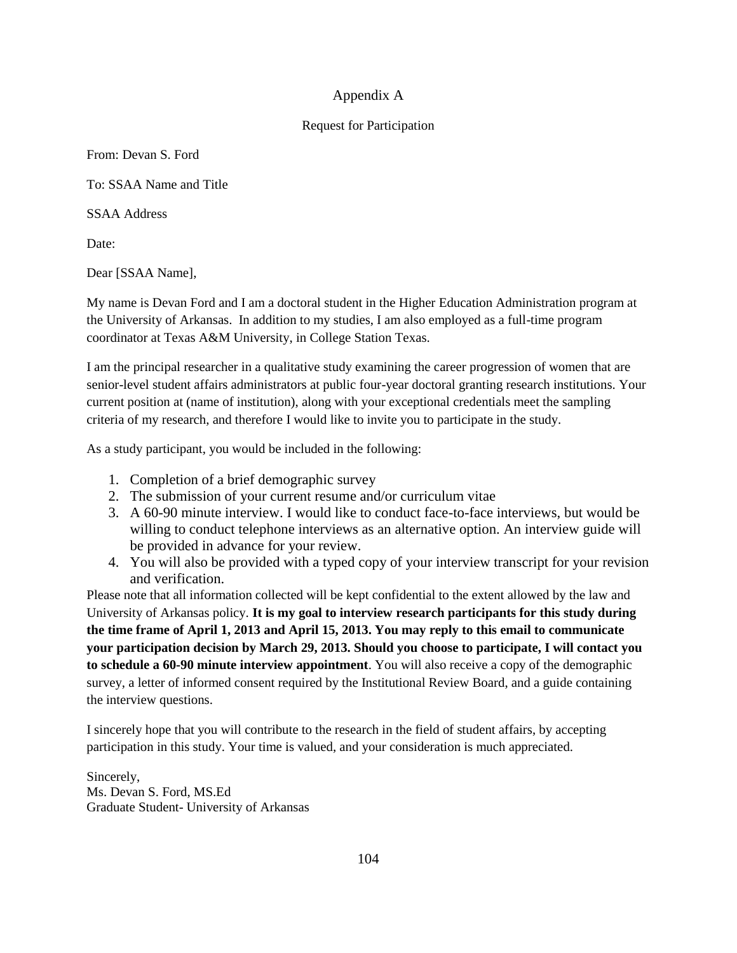## Appendix A

#### Request for Participation

From: Devan S. Ford

To: SSAA Name and Title

SSAA Address

Date:

Dear [SSAA Name],

My name is Devan Ford and I am a doctoral student in the Higher Education Administration program at the University of Arkansas. In addition to my studies, I am also employed as a full-time program coordinator at Texas A&M University, in College Station Texas.

I am the principal researcher in a qualitative study examining the career progression of women that are senior-level student affairs administrators at public four-year doctoral granting research institutions. Your current position at (name of institution), along with your exceptional credentials meet the sampling criteria of my research, and therefore I would like to invite you to participate in the study.

As a study participant, you would be included in the following:

- 1. Completion of a brief demographic survey
- 2. The submission of your current resume and/or curriculum vitae
- 3. A 60-90 minute interview. I would like to conduct face-to-face interviews, but would be willing to conduct telephone interviews as an alternative option. An interview guide will be provided in advance for your review.
- 4. You will also be provided with a typed copy of your interview transcript for your revision and verification.

Please note that all information collected will be kept confidential to the extent allowed by the law and University of Arkansas policy. **It is my goal to interview research participants for this study during the time frame of April 1, 2013 and April 15, 2013. You may reply to this email to communicate your participation decision by March 29, 2013. Should you choose to participate, I will contact you to schedule a 60-90 minute interview appointment**. You will also receive a copy of the demographic survey, a letter of informed consent required by the Institutional Review Board, and a guide containing the interview questions.

I sincerely hope that you will contribute to the research in the field of student affairs, by accepting participation in this study. Your time is valued, and your consideration is much appreciated.

Sincerely, Ms. Devan S. Ford, MS.Ed Graduate Student- University of Arkansas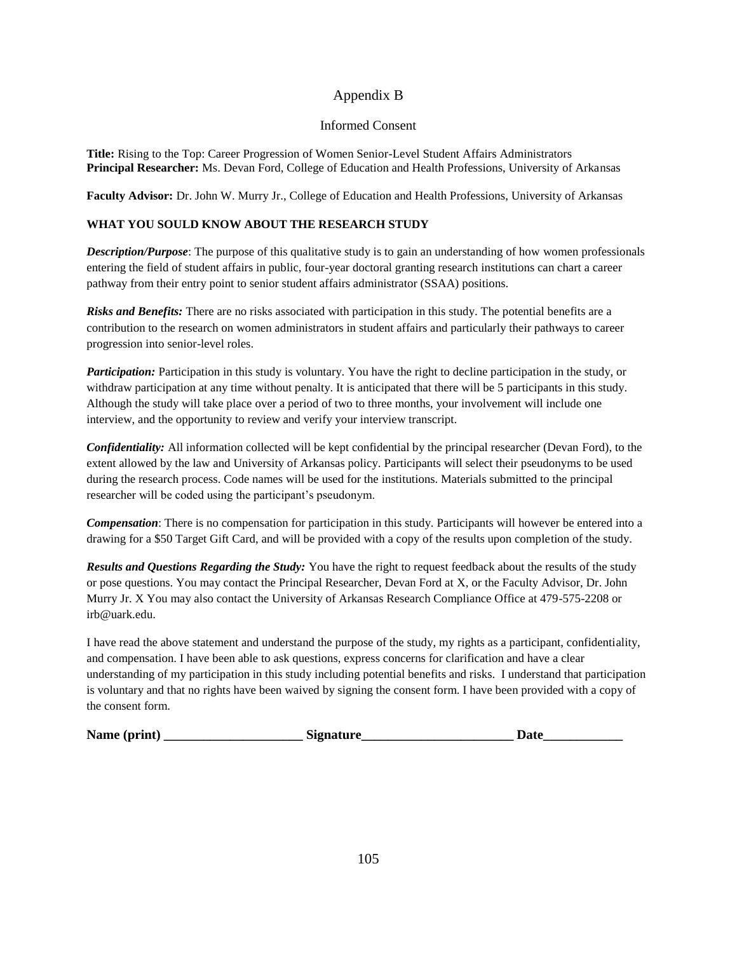#### Appendix B

#### Informed Consent

**Title:** Rising to the Top: Career Progression of Women Senior-Level Student Affairs Administrators **Principal Researcher:** Ms. Devan Ford, College of Education and Health Professions, University of Arkansas

**Faculty Advisor:** Dr. John W. Murry Jr., College of Education and Health Professions, University of Arkansas

#### **WHAT YOU SOULD KNOW ABOUT THE RESEARCH STUDY**

*Description/Purpose*: The purpose of this qualitative study is to gain an understanding of how women professionals entering the field of student affairs in public, four-year doctoral granting research institutions can chart a career pathway from their entry point to senior student affairs administrator (SSAA) positions.

*Risks and Benefits:* There are no risks associated with participation in this study. The potential benefits are a contribution to the research on women administrators in student affairs and particularly their pathways to career progression into senior-level roles.

*Participation:* Participation in this study is voluntary. You have the right to decline participation in the study, or withdraw participation at any time without penalty. It is anticipated that there will be 5 participants in this study. Although the study will take place over a period of two to three months, your involvement will include one interview, and the opportunity to review and verify your interview transcript.

*Confidentiality:* All information collected will be kept confidential by the principal researcher (Devan Ford), to the extent allowed by the law and University of Arkansas policy. Participants will select their pseudonyms to be used during the research process. Code names will be used for the institutions. Materials submitted to the principal researcher will be coded using the participant's pseudonym.

*Compensation*: There is no compensation for participation in this study. Participants will however be entered into a drawing for a \$50 Target Gift Card, and will be provided with a copy of the results upon completion of the study.

*Results and Questions Regarding the Study:* You have the right to request feedback about the results of the study or pose questions. You may contact the Principal Researcher, Devan Ford at X, or the Faculty Advisor, Dr. John Murry Jr. X You may also contact the University of Arkansas Research Compliance Office at 479-575-2208 or irb@uark.edu.

I have read the above statement and understand the purpose of the study, my rights as a participant, confidentiality, and compensation. I have been able to ask questions, express concerns for clarification and have a clear understanding of my participation in this study including potential benefits and risks. I understand that participation is voluntary and that no rights have been waived by signing the consent form. I have been provided with a copy of the consent form.

| Name (print) | Signature | Date |
|--------------|-----------|------|
|              |           |      |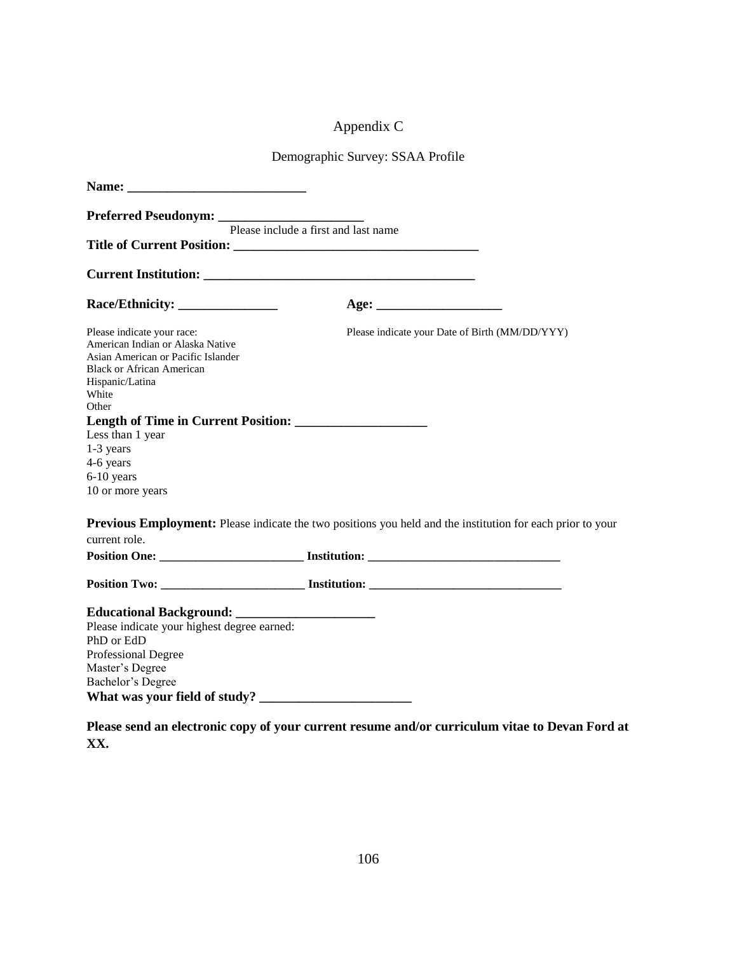# Appendix C

# Demographic Survey: SSAA Profile

|                                                                                                                                                                               | Please include a first and last name                                                                              |
|-------------------------------------------------------------------------------------------------------------------------------------------------------------------------------|-------------------------------------------------------------------------------------------------------------------|
|                                                                                                                                                                               |                                                                                                                   |
|                                                                                                                                                                               |                                                                                                                   |
|                                                                                                                                                                               |                                                                                                                   |
| Please indicate your race:<br>American Indian or Alaska Native<br>Asian American or Pacific Islander<br><b>Black or African American</b><br>Hispanic/Latina<br>White<br>Other | Please indicate your Date of Birth (MM/DD/YYY)                                                                    |
|                                                                                                                                                                               |                                                                                                                   |
| Less than 1 year                                                                                                                                                              |                                                                                                                   |
| 1-3 years                                                                                                                                                                     |                                                                                                                   |
| 4-6 years                                                                                                                                                                     |                                                                                                                   |
| 6-10 years                                                                                                                                                                    |                                                                                                                   |
| 10 or more years                                                                                                                                                              |                                                                                                                   |
|                                                                                                                                                                               | <b>Previous Employment:</b> Please indicate the two positions you held and the institution for each prior to your |
| current role.                                                                                                                                                                 |                                                                                                                   |
|                                                                                                                                                                               |                                                                                                                   |
|                                                                                                                                                                               |                                                                                                                   |
|                                                                                                                                                                               |                                                                                                                   |
| Please indicate your highest degree earned:                                                                                                                                   |                                                                                                                   |
| PhD or EdD                                                                                                                                                                    |                                                                                                                   |
| Professional Degree                                                                                                                                                           |                                                                                                                   |
| Master's Degree                                                                                                                                                               |                                                                                                                   |
| Bachelor's Degree                                                                                                                                                             |                                                                                                                   |
|                                                                                                                                                                               |                                                                                                                   |
|                                                                                                                                                                               |                                                                                                                   |

**Please send an electronic copy of your current resume and/or curriculum vitae to Devan Ford at XX.**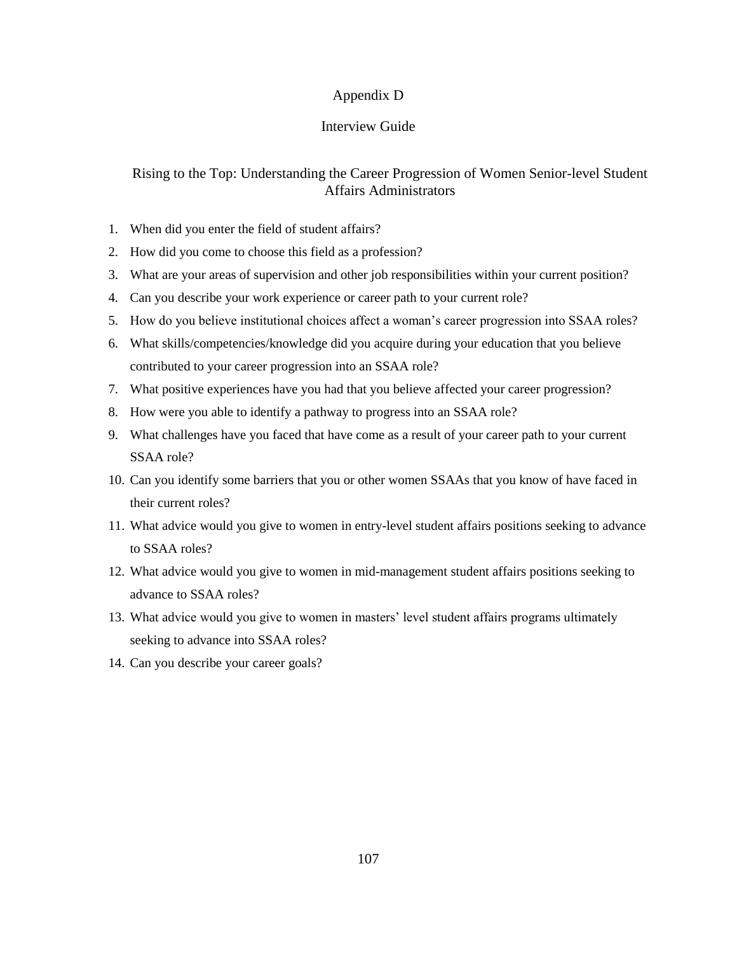#### Appendix D

#### Interview Guide

#### Rising to the Top: Understanding the Career Progression of Women Senior-level Student Affairs Administrators

- 1. When did you enter the field of student affairs?
- 2. How did you come to choose this field as a profession?
- 3. What are your areas of supervision and other job responsibilities within your current position?
- 4. Can you describe your work experience or career path to your current role?
- 5. How do you believe institutional choices affect a woman's career progression into SSAA roles?
- 6. What skills/competencies/knowledge did you acquire during your education that you believe contributed to your career progression into an SSAA role?
- 7. What positive experiences have you had that you believe affected your career progression?
- 8. How were you able to identify a pathway to progress into an SSAA role?
- 9. What challenges have you faced that have come as a result of your career path to your current SSAA role?
- 10. Can you identify some barriers that you or other women SSAAs that you know of have faced in their current roles?
- 11. What advice would you give to women in entry-level student affairs positions seeking to advance to SSAA roles?
- 12. What advice would you give to women in mid-management student affairs positions seeking to advance to SSAA roles?
- 13. What advice would you give to women in masters' level student affairs programs ultimately seeking to advance into SSAA roles?
- 14. Can you describe your career goals?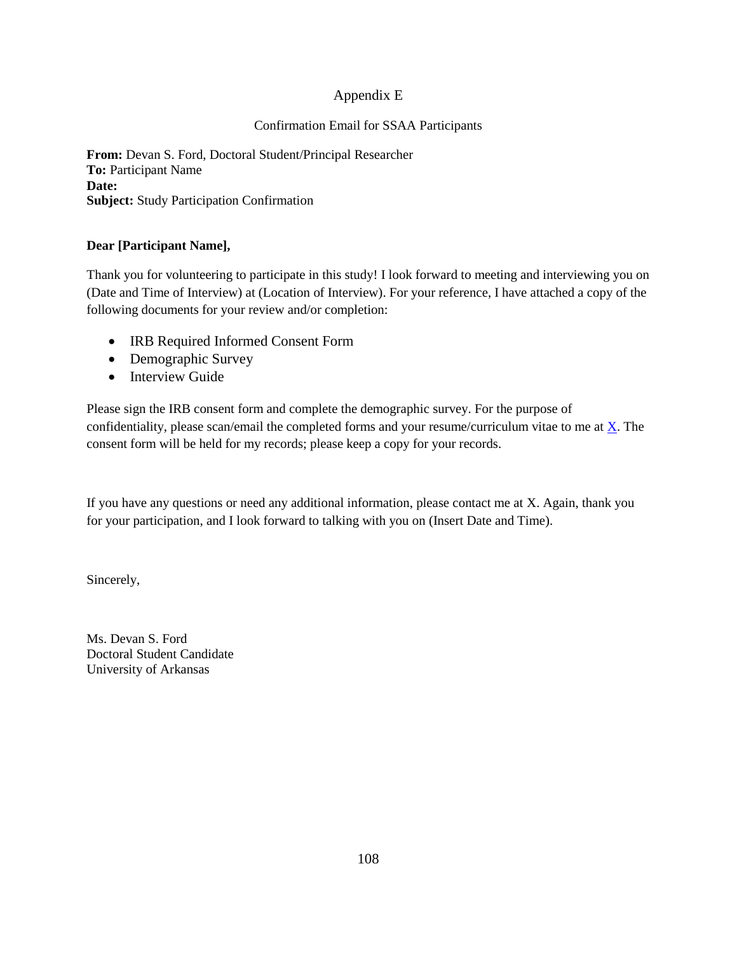# Appendix E

## Confirmation Email for SSAA Participants

**From:** Devan S. Ford, Doctoral Student/Principal Researcher **To:** Participant Name **Date: Subject:** Study Participation Confirmation

## **Dear [Participant Name],**

Thank you for volunteering to participate in this study! I look forward to meeting and interviewing you on (Date and Time of Interview) at (Location of Interview). For your reference, I have attached a copy of the following documents for your review and/or completion:

- IRB Required Informed Consent Form
- Demographic Survey
- Interview Guide

Please sign the IRB consent form and complete the demographic survey. For the purpose of confidentiality, please scan/email the completed forms and your resume/curriculum vitae to me at [X.](mailto:dxf013@uark.edu) The consent form will be held for my records; please keep a copy for your records.

If you have any questions or need any additional information, please contact me at X. Again, thank you for your participation, and I look forward to talking with you on (Insert Date and Time).

Sincerely,

Ms. Devan S. Ford Doctoral Student Candidate University of Arkansas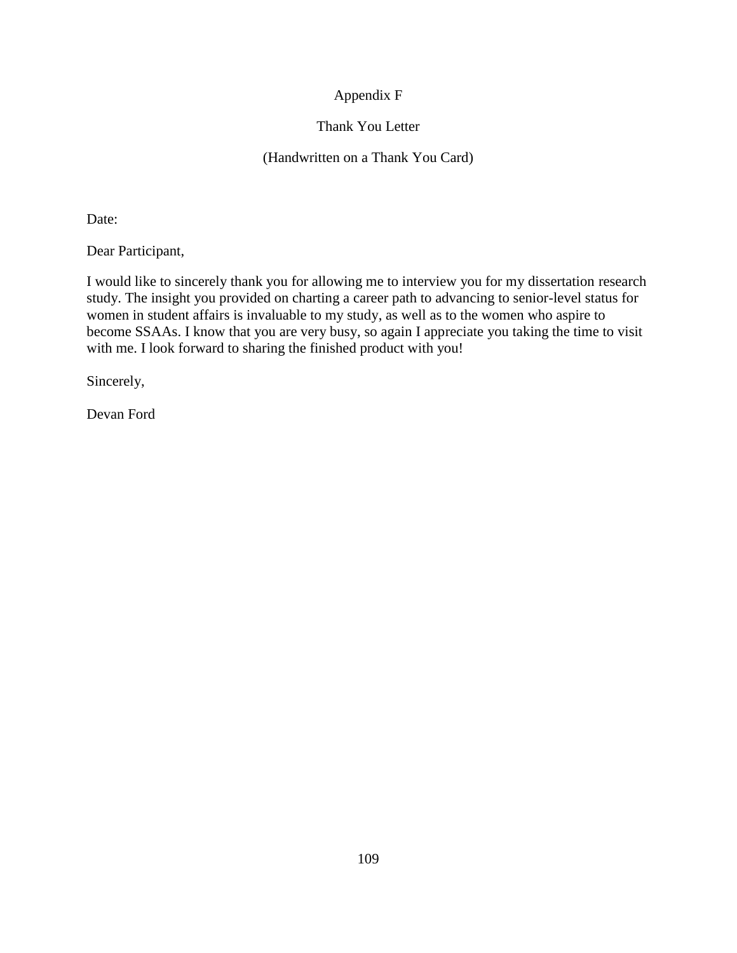# Appendix F

# Thank You Letter

## (Handwritten on a Thank You Card)

Date:

Dear Participant,

I would like to sincerely thank you for allowing me to interview you for my dissertation research study. The insight you provided on charting a career path to advancing to senior-level status for women in student affairs is invaluable to my study, as well as to the women who aspire to become SSAAs. I know that you are very busy, so again I appreciate you taking the time to visit with me. I look forward to sharing the finished product with you!

Sincerely,

Devan Ford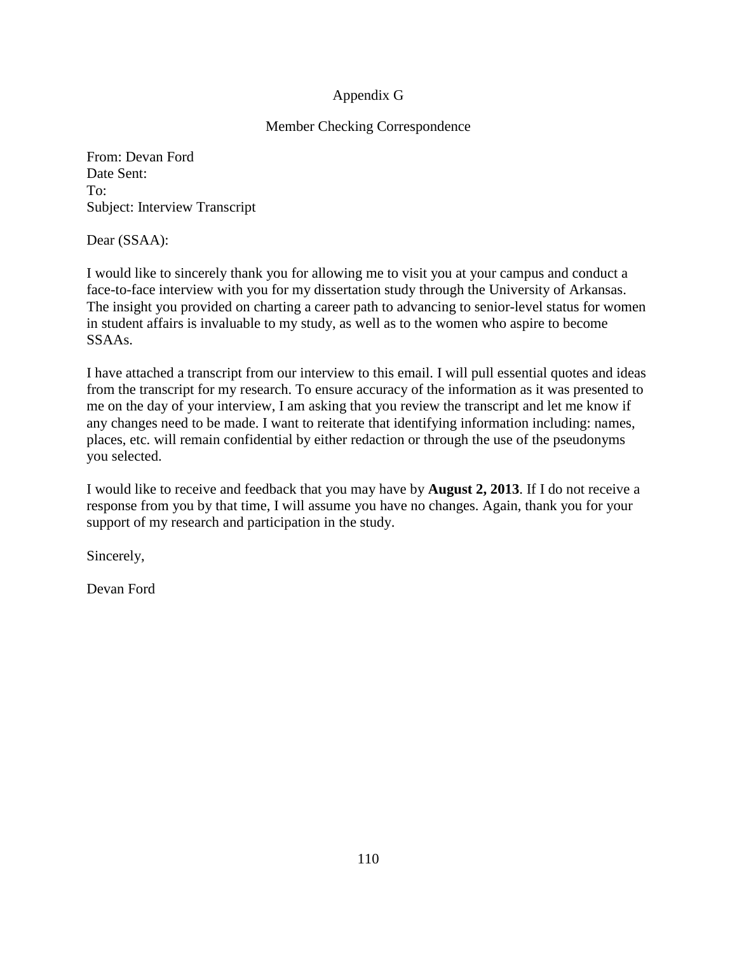# Appendix G

# Member Checking Correspondence

From: Devan Ford Date Sent: To: Subject: Interview Transcript

Dear (SSAA):

I would like to sincerely thank you for allowing me to visit you at your campus and conduct a face-to-face interview with you for my dissertation study through the University of Arkansas. The insight you provided on charting a career path to advancing to senior-level status for women in student affairs is invaluable to my study, as well as to the women who aspire to become SSAAs.

I have attached a transcript from our interview to this email. I will pull essential quotes and ideas from the transcript for my research. To ensure accuracy of the information as it was presented to me on the day of your interview, I am asking that you review the transcript and let me know if any changes need to be made. I want to reiterate that identifying information including: names, places, etc. will remain confidential by either redaction or through the use of the pseudonyms you selected.

I would like to receive and feedback that you may have by **August 2, 2013**. If I do not receive a response from you by that time, I will assume you have no changes. Again, thank you for your support of my research and participation in the study.

Sincerely,

Devan Ford